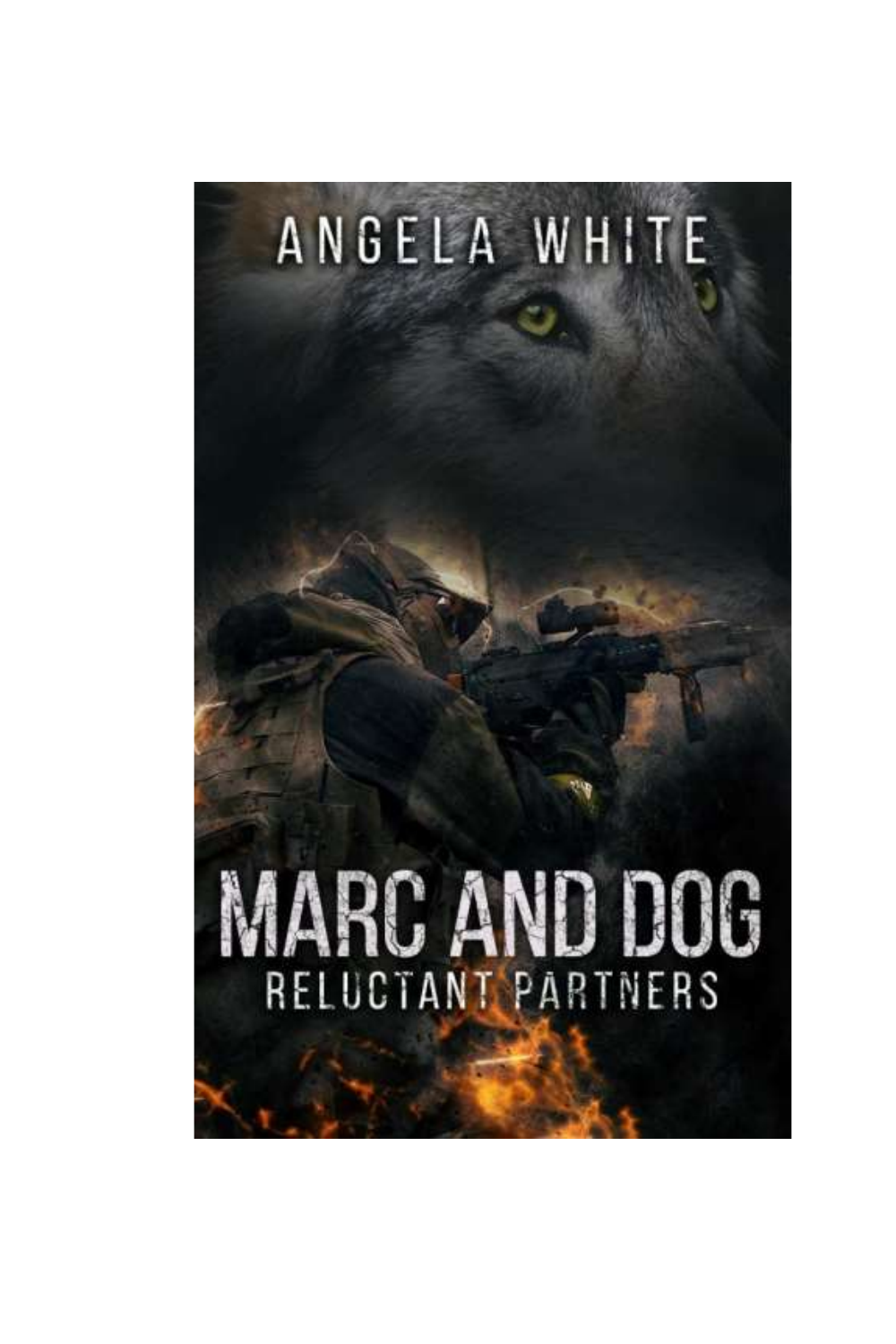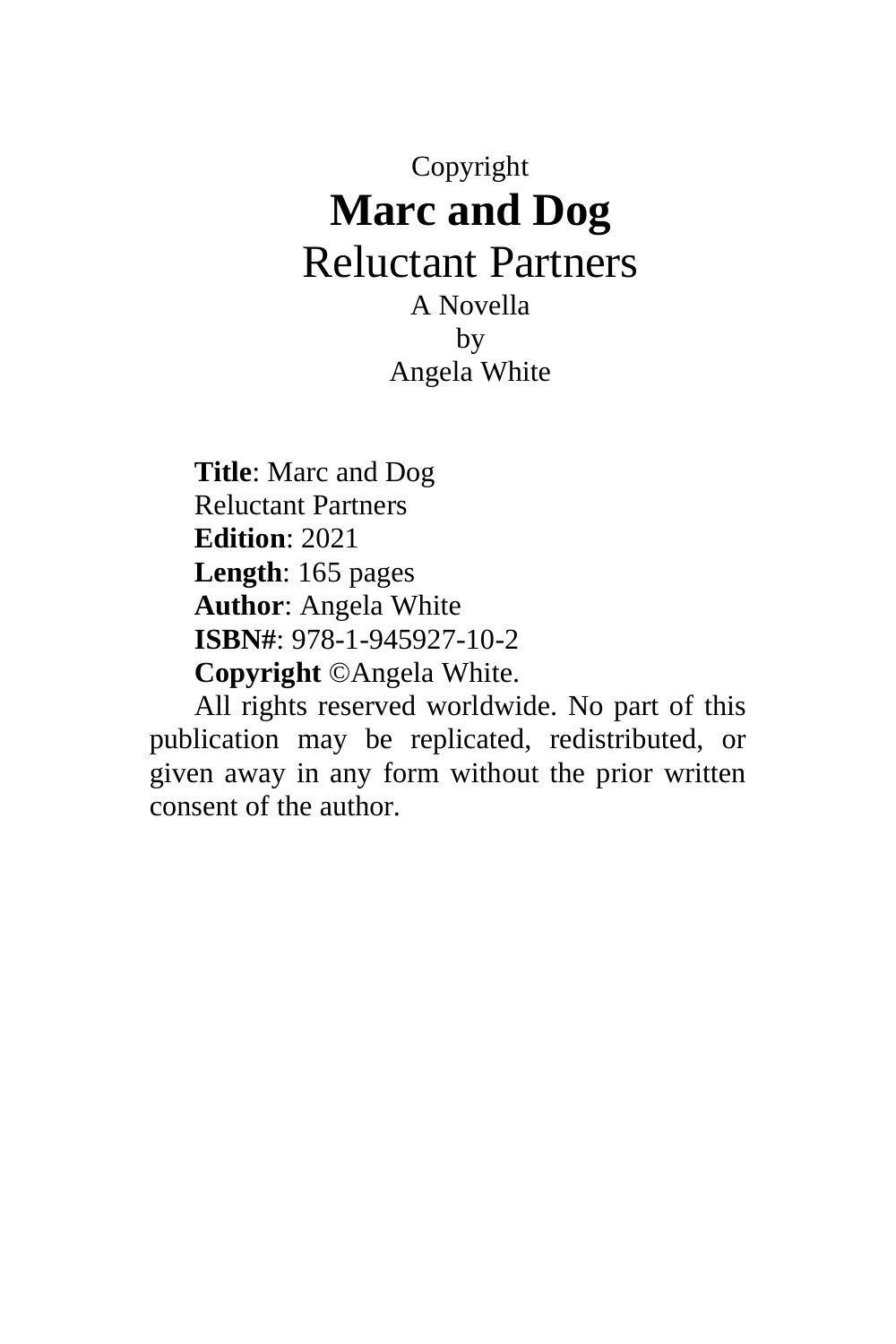# Copyright **Marc and Dog** Reluctant Partners A Novella by

Angela White

**Title**: Marc and Dog Reluctant Partners **Edition**: 2021 **Length**: 165 pages **Author**: Angela White **ISBN#**: 978-1-945927-10-2 **Copyright** ©Angela White.

All rights reserved worldwide. No part of this publication may be replicated, redistributed, or given away in any form without the prior written consent of the author.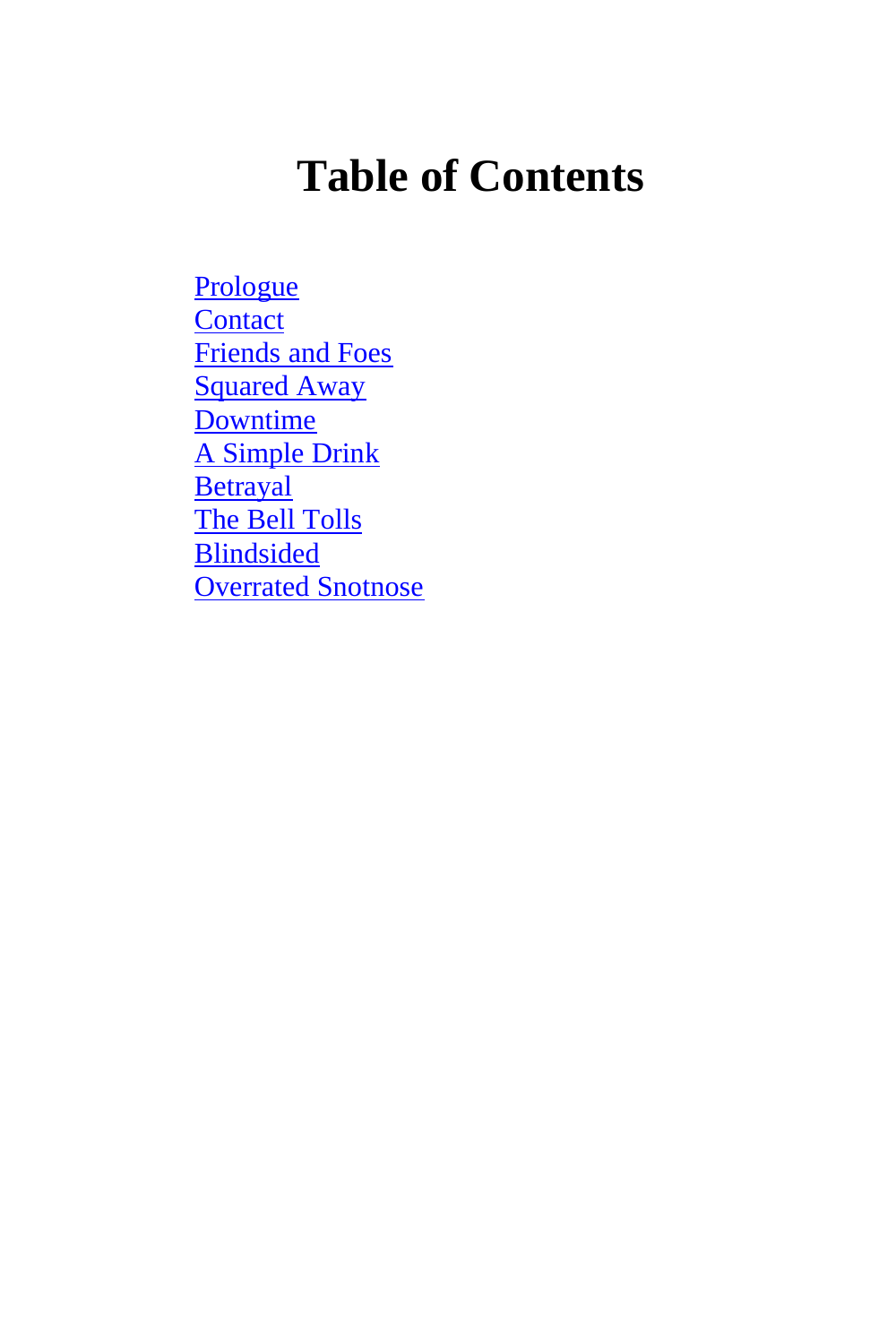# **Table of Contents**

**[Prologue](#page-3-0) [Contact](#page-10-0)** [Friends and Foes](#page-22-0) [Squared Away](#page-42-0) [Downtime](#page-58-0) [A Simple Drink](#page-76-0) **[Betrayal](#page-94-0)** [The Bell Tolls](#page-111-0) **[Blindsided](#page-124-0)** [Overrated Snotnose](#page-149-0)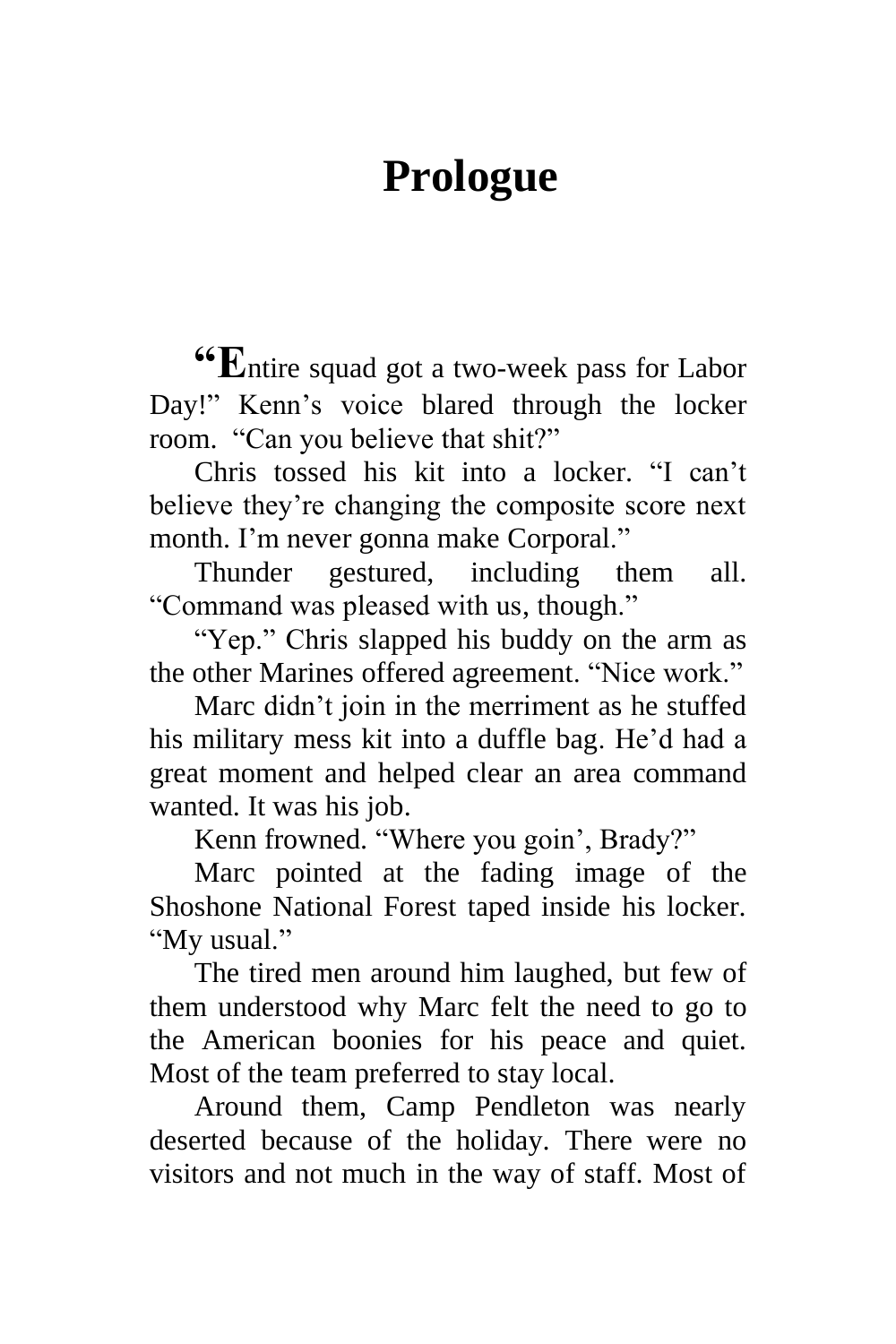# **Prologue**

<span id="page-3-0"></span>**"E**ntire squad got a two-week pass for Labor Day!" Kenn's voice blared through the locker room. "Can you believe that shit?"

Chris tossed his kit into a locker. "I can't believe they're changing the composite score next month. I'm never gonna make Corporal."

Thunder gestured, including them all. "Command was pleased with us, though."

"Yep." Chris slapped his buddy on the arm as the other Marines offered agreement. "Nice work."

Marc didn't join in the merriment as he stuffed his military mess kit into a duffle bag. He'd had a great moment and helped clear an area command wanted. It was his job.

Kenn frowned. "Where you goin', Brady?"

Marc pointed at the fading image of the Shoshone National Forest taped inside his locker. "My usual."

The tired men around him laughed, but few of them understood why Marc felt the need to go to the American boonies for his peace and quiet. Most of the team preferred to stay local.

Around them, Camp Pendleton was nearly deserted because of the holiday. There were no visitors and not much in the way of staff. Most of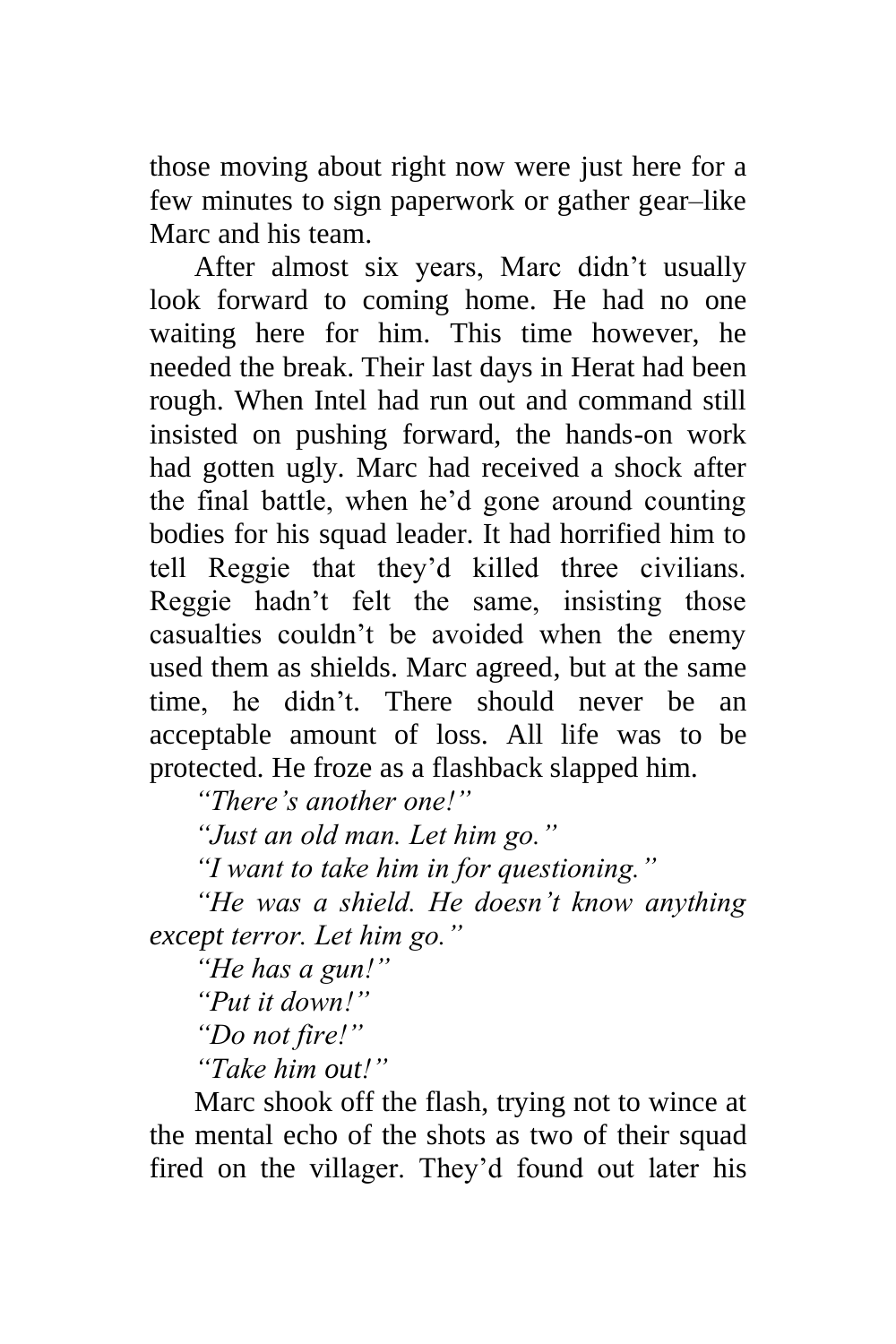those moving about right now were just here for a few minutes to sign paperwork or gather gear–like Marc and his team.

After almost six years, Marc didn't usually look forward to coming home. He had no one waiting here for him. This time however, he needed the break. Their last days in Herat had been rough. When Intel had run out and command still insisted on pushing forward, the hands-on work had gotten ugly. Marc had received a shock after the final battle, when he'd gone around counting bodies for his squad leader. It had horrified him to tell Reggie that they'd killed three civilians. Reggie hadn't felt the same, insisting those casualties couldn't be avoided when the enemy used them as shields. Marc agreed, but at the same time, he didn't. There should never be an acceptable amount of loss. All life was to be protected. He froze as a flashback slapped him.

*"There's another one!"*

*"Just an old man. Let him go."*

*"I want to take him in for questioning."*

*"He was a shield. He doesn't know anything except terror. Let him go."*

*"He has a gun!"*

*"Put it down!"*

*"Do not fire!"*

*"Take him out!"*

Marc shook off the flash, trying not to wince at the mental echo of the shots as two of their squad fired on the villager. They'd found out later his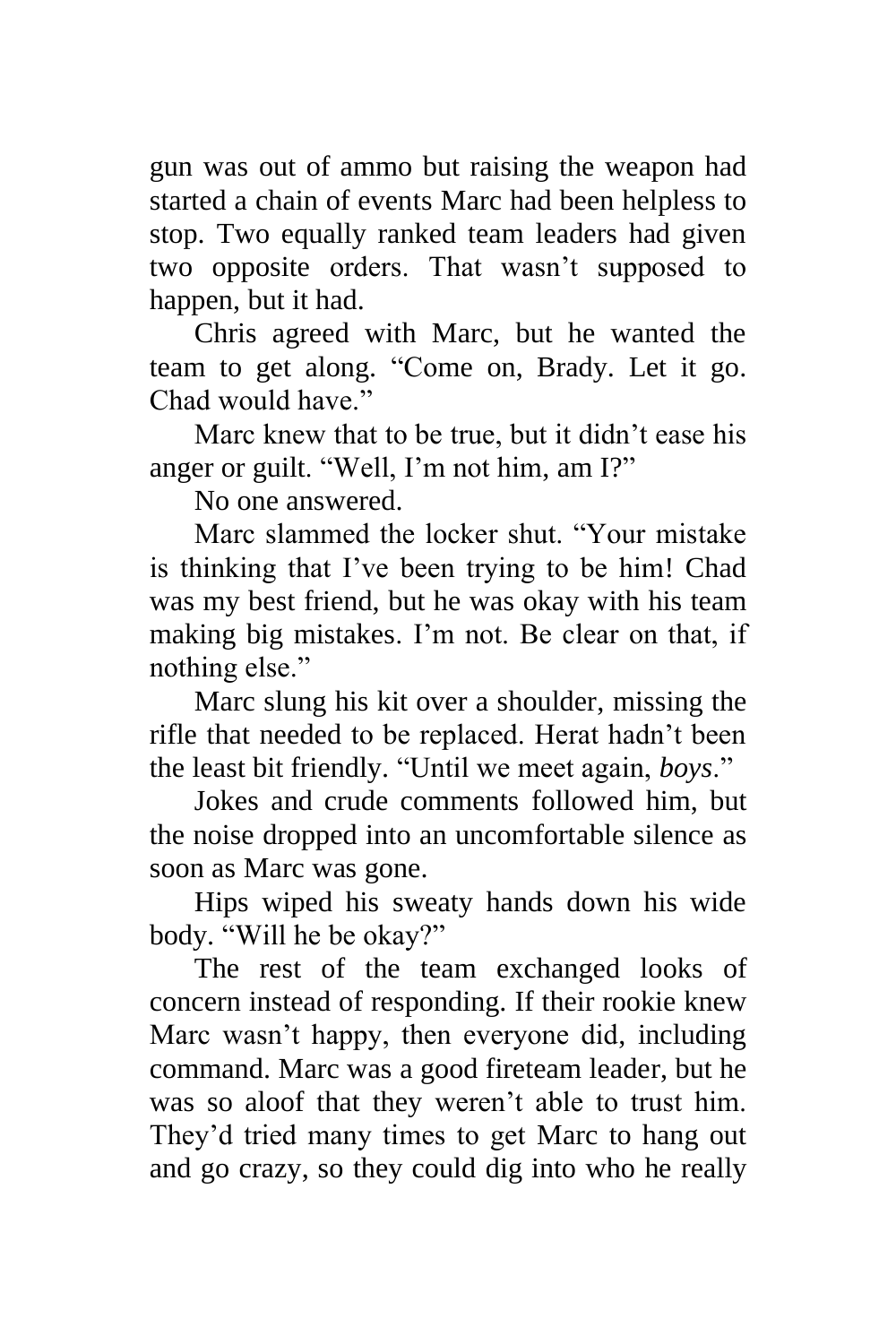gun was out of ammo but raising the weapon had started a chain of events Marc had been helpless to stop. Two equally ranked team leaders had given two opposite orders. That wasn't supposed to happen, but it had.

Chris agreed with Marc, but he wanted the team to get along. "Come on, Brady. Let it go. Chad would have."

Marc knew that to be true, but it didn't ease his anger or guilt. "Well, I'm not him, am I?"

No one answered.

Marc slammed the locker shut. "Your mistake is thinking that I've been trying to be him! Chad was my best friend, but he was okay with his team making big mistakes. I'm not. Be clear on that, if nothing else."

Marc slung his kit over a shoulder, missing the rifle that needed to be replaced. Herat hadn't been the least bit friendly. "Until we meet again, *boys*."

Jokes and crude comments followed him, but the noise dropped into an uncomfortable silence as soon as Marc was gone.

Hips wiped his sweaty hands down his wide body. "Will he be okay?"

The rest of the team exchanged looks of concern instead of responding. If their rookie knew Marc wasn't happy, then everyone did, including command. Marc was a good fireteam leader, but he was so aloof that they weren't able to trust him. They'd tried many times to get Marc to hang out and go crazy, so they could dig into who he really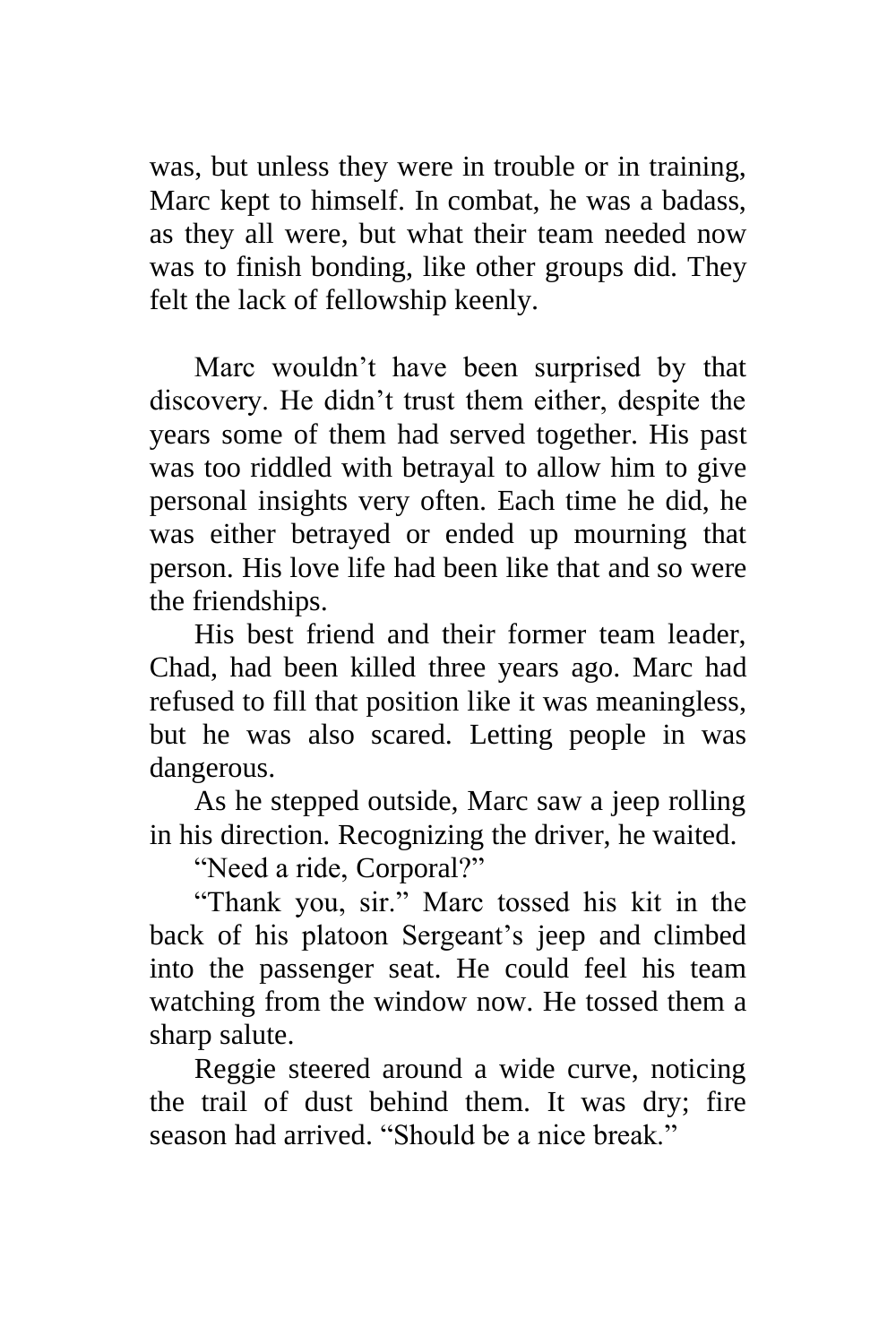was, but unless they were in trouble or in training, Marc kept to himself. In combat, he was a badass, as they all were, but what their team needed now was to finish bonding, like other groups did. They felt the lack of fellowship keenly.

Marc wouldn't have been surprised by that discovery. He didn't trust them either, despite the years some of them had served together. His past was too riddled with betrayal to allow him to give personal insights very often. Each time he did, he was either betrayed or ended up mourning that person. His love life had been like that and so were the friendships.

His best friend and their former team leader, Chad, had been killed three years ago. Marc had refused to fill that position like it was meaningless, but he was also scared. Letting people in was dangerous.

As he stepped outside, Marc saw a jeep rolling in his direction. Recognizing the driver, he waited.

"Need a ride, Corporal?"

"Thank you, sir." Marc tossed his kit in the back of his platoon Sergeant's jeep and climbed into the passenger seat. He could feel his team watching from the window now. He tossed them a sharp salute.

Reggie steered around a wide curve, noticing the trail of dust behind them. It was dry; fire season had arrived. "Should be a nice break."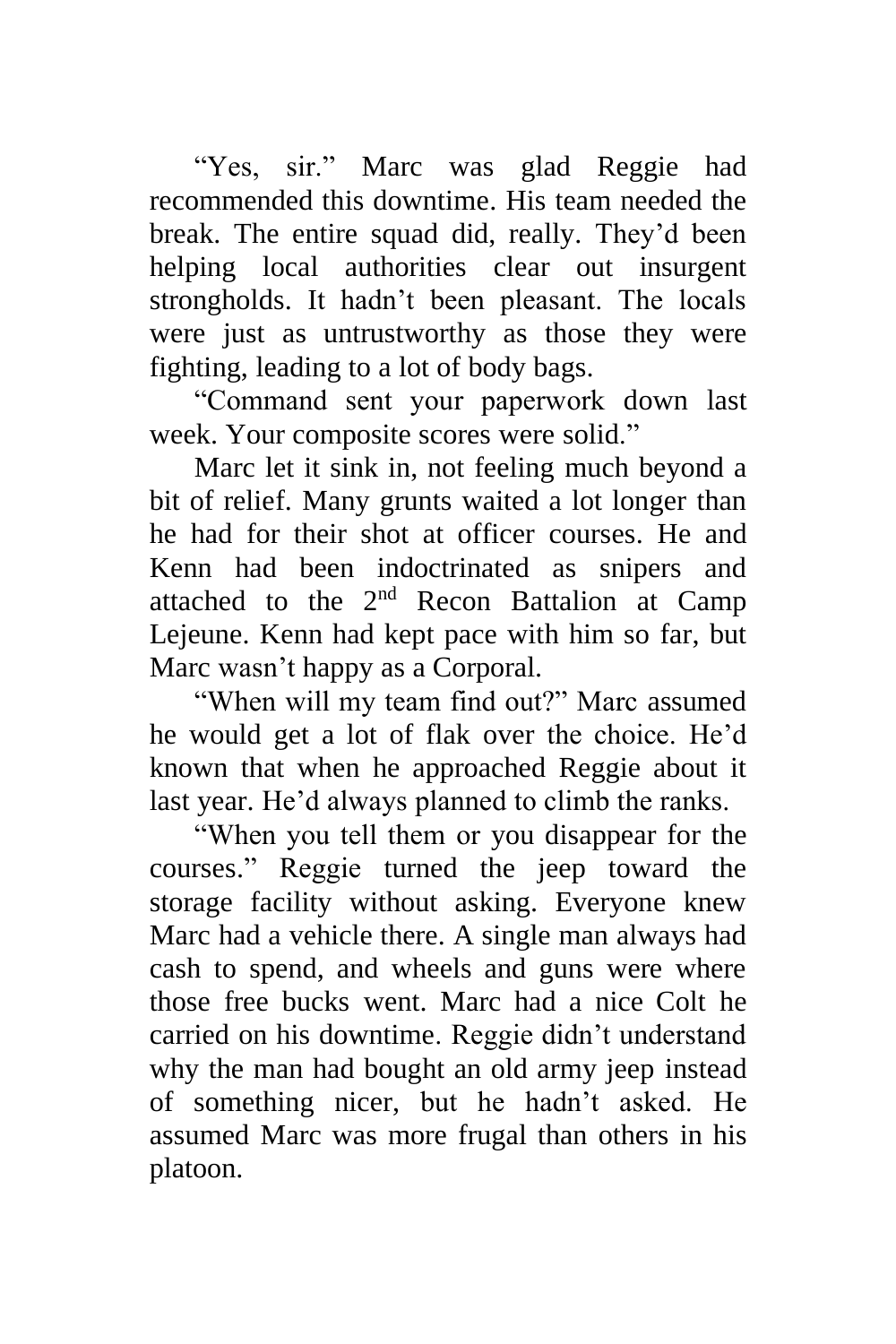"Yes, sir." Marc was glad Reggie had recommended this downtime. His team needed the break. The entire squad did, really. They'd been helping local authorities clear out insurgent strongholds. It hadn't been pleasant. The locals were just as untrustworthy as those they were fighting, leading to a lot of body bags.

"Command sent your paperwork down last week. Your composite scores were solid."

Marc let it sink in, not feeling much beyond a bit of relief. Many grunts waited a lot longer than he had for their shot at officer courses. He and Kenn had been indoctrinated as snipers and attached to the  $2<sup>nd</sup>$  Recon Battalion at Camp Lejeune. Kenn had kept pace with him so far, but Marc wasn't happy as a Corporal.

"When will my team find out?" Marc assumed he would get a lot of flak over the choice. He'd known that when he approached Reggie about it last year. He'd always planned to climb the ranks.

"When you tell them or you disappear for the courses." Reggie turned the jeep toward the storage facility without asking. Everyone knew Marc had a vehicle there. A single man always had cash to spend, and wheels and guns were where those free bucks went. Marc had a nice Colt he carried on his downtime. Reggie didn't understand why the man had bought an old army jeep instead of something nicer, but he hadn't asked. He assumed Marc was more frugal than others in his platoon.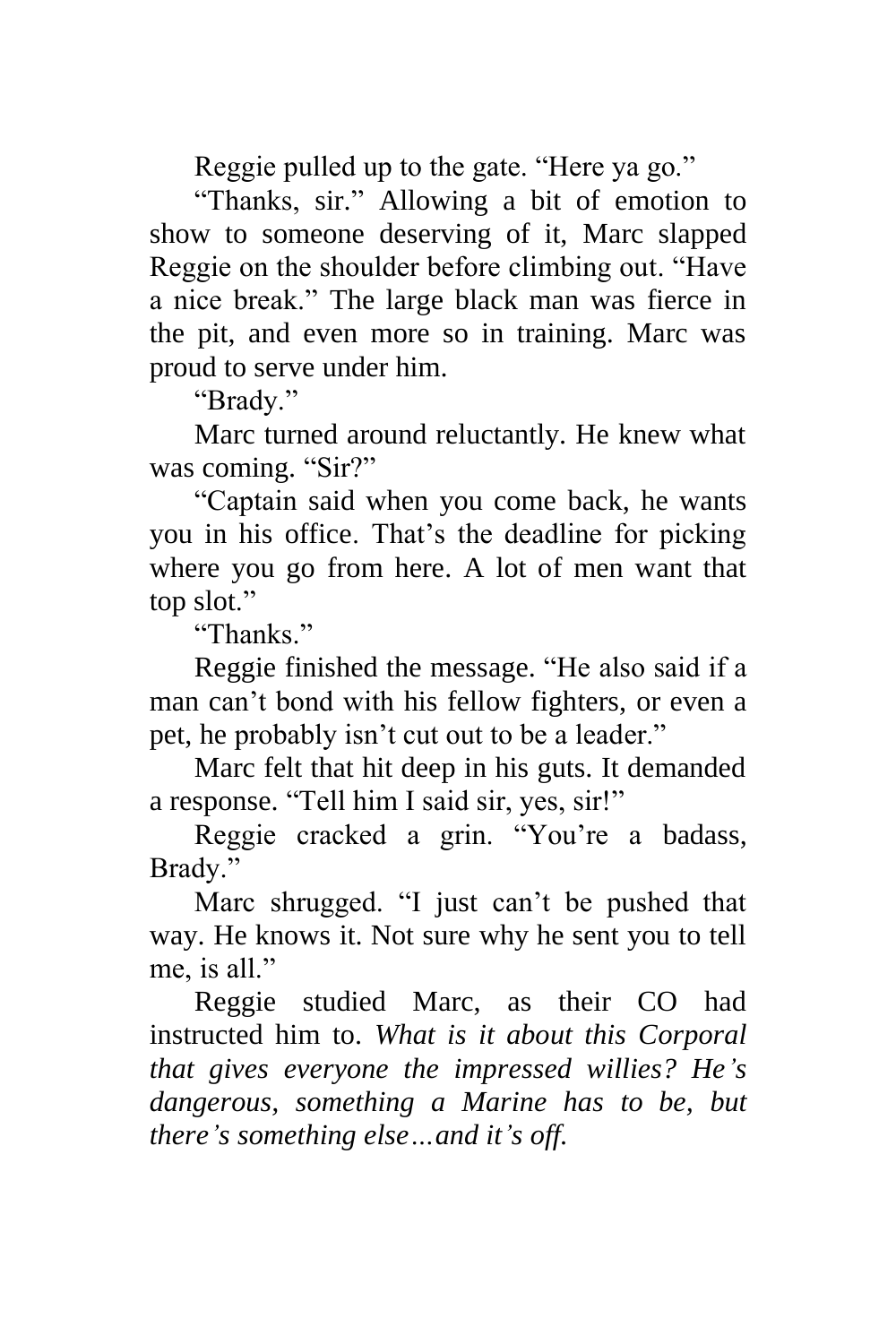Reggie pulled up to the gate. "Here ya go."

"Thanks, sir." Allowing a bit of emotion to show to someone deserving of it, Marc slapped Reggie on the shoulder before climbing out. "Have a nice break." The large black man was fierce in the pit, and even more so in training. Marc was proud to serve under him.

"Brady."

Marc turned around reluctantly. He knew what was coming. "Sir?"

"Captain said when you come back, he wants you in his office. That's the deadline for picking where you go from here. A lot of men want that top slot."

"Thanks."

Reggie finished the message. "He also said if a man can't bond with his fellow fighters, or even a pet, he probably isn't cut out to be a leader."

Marc felt that hit deep in his guts. It demanded a response. "Tell him I said sir, yes, sir!"

Reggie cracked a grin. "You're a badass, Brady."

Marc shrugged. "I just can't be pushed that way. He knows it. Not sure why he sent you to tell me, is all."

Reggie studied Marc, as their CO had instructed him to. *What is it about this Corporal that gives everyone the impressed willies? He's dangerous, something a Marine has to be, but there's something else…and it's off.*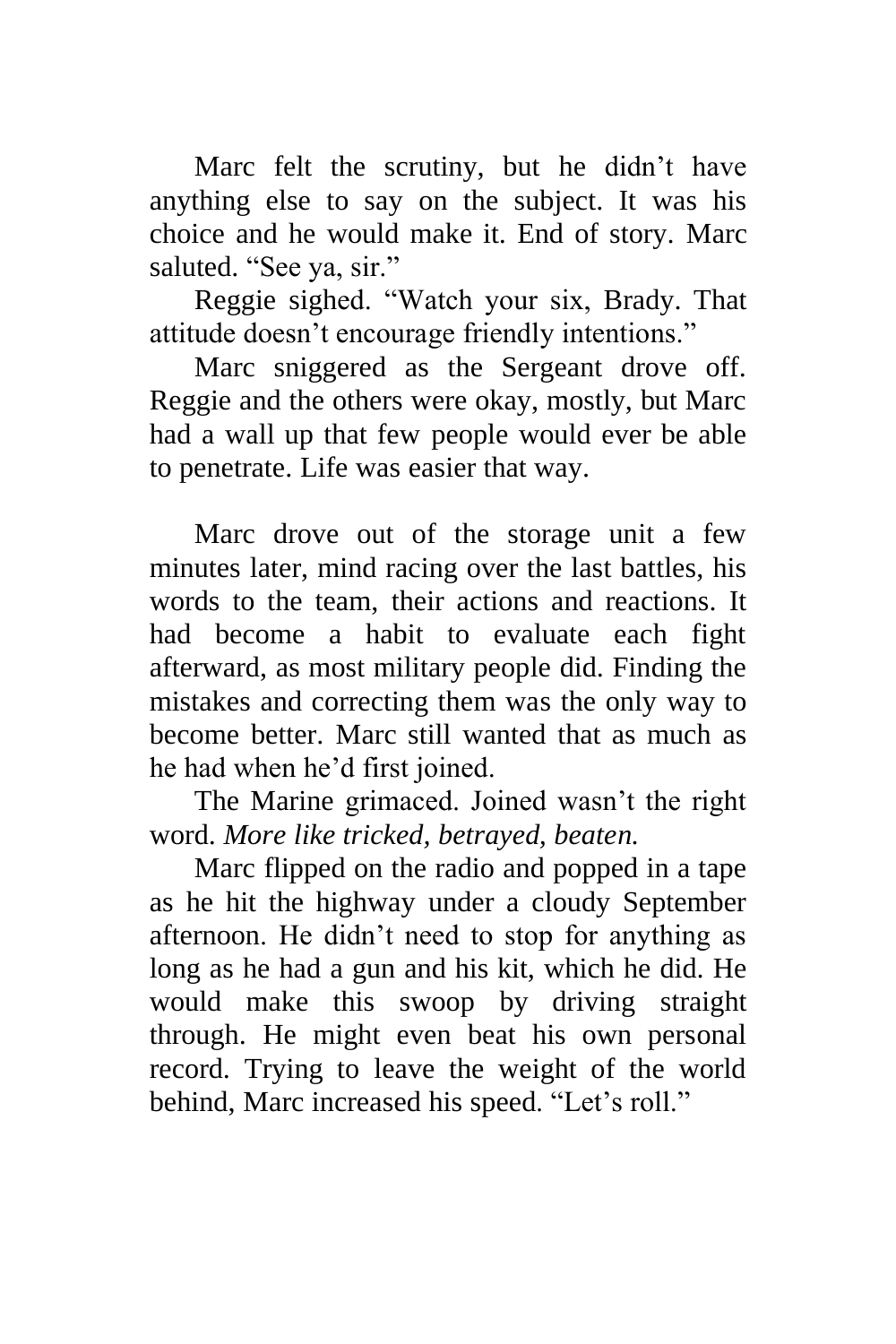Marc felt the scrutiny, but he didn't have anything else to say on the subject. It was his choice and he would make it. End of story. Marc saluted. "See ya, sir."

Reggie sighed. "Watch your six, Brady. That attitude doesn't encourage friendly intentions."

Marc sniggered as the Sergeant drove off. Reggie and the others were okay, mostly, but Marc had a wall up that few people would ever be able to penetrate. Life was easier that way.

Marc drove out of the storage unit a few minutes later, mind racing over the last battles, his words to the team, their actions and reactions. It had become a habit to evaluate each fight afterward, as most military people did. Finding the mistakes and correcting them was the only way to become better. Marc still wanted that as much as he had when he'd first joined.

The Marine grimaced. Joined wasn't the right word. *More like tricked, betrayed, beaten.*

Marc flipped on the radio and popped in a tape as he hit the highway under a cloudy September afternoon. He didn't need to stop for anything as long as he had a gun and his kit, which he did. He would make this swoop by driving straight through. He might even beat his own personal record. Trying to leave the weight of the world behind, Marc increased his speed. "Let's roll."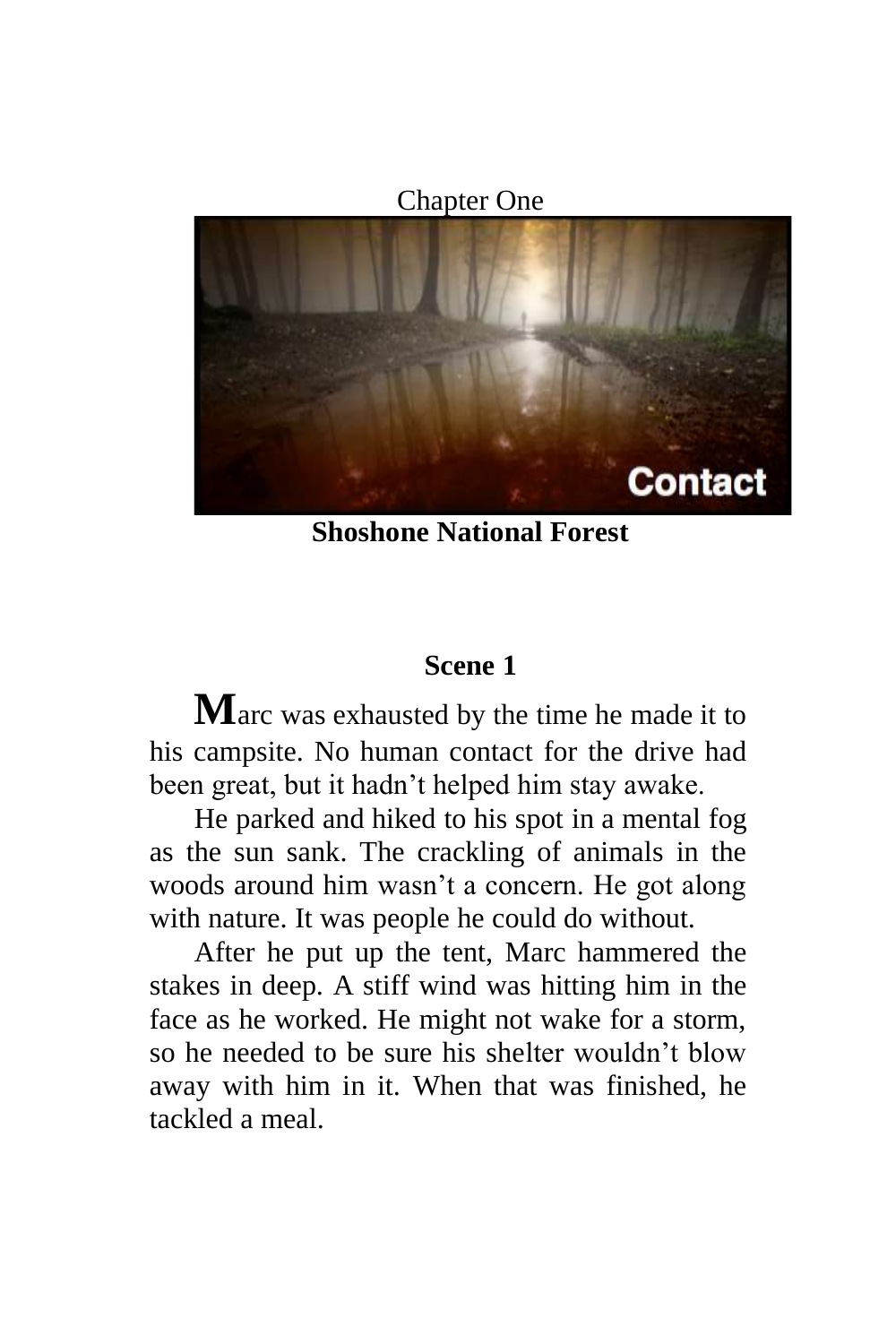Chapter One

<span id="page-10-0"></span>

**Shoshone National Forest**

### **Scene 1**

**M**arc was exhausted by the time he made it to his campsite. No human contact for the drive had been great, but it hadn't helped him stay awake.

He parked and hiked to his spot in a mental fog as the sun sank. The crackling of animals in the woods around him wasn't a concern. He got along with nature. It was people he could do without.

After he put up the tent, Marc hammered the stakes in deep. A stiff wind was hitting him in the face as he worked. He might not wake for a storm, so he needed to be sure his shelter wouldn't blow away with him in it. When that was finished, he tackled a meal.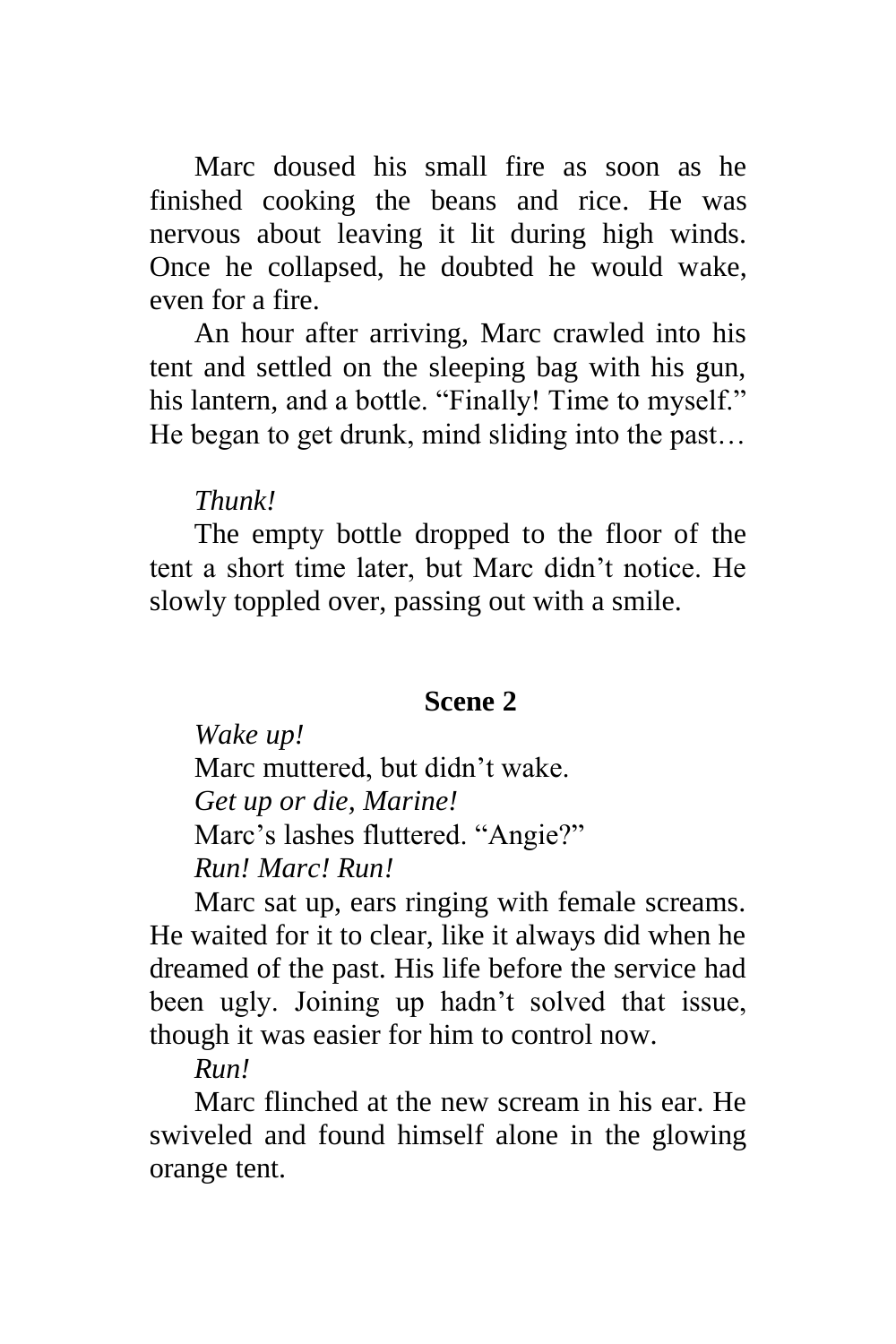Marc doused his small fire as soon as he finished cooking the beans and rice. He was nervous about leaving it lit during high winds. Once he collapsed, he doubted he would wake, even for a fire.

An hour after arriving, Marc crawled into his tent and settled on the sleeping bag with his gun, his lantern, and a bottle. "Finally! Time to myself." He began to get drunk, mind sliding into the past…

### *Thunk!*

The empty bottle dropped to the floor of the tent a short time later, but Marc didn't notice. He slowly toppled over, passing out with a smile.

## **Scene 2**

*Wake up!* Marc muttered, but didn't wake. *Get up or die, Marine!* Marc's lashes fluttered. "Angie?" *Run! Marc! Run!*

Marc sat up, ears ringing with female screams. He waited for it to clear, like it always did when he dreamed of the past. His life before the service had been ugly. Joining up hadn't solved that issue, though it was easier for him to control now.

# *Run!*

Marc flinched at the new scream in his ear. He swiveled and found himself alone in the glowing orange tent.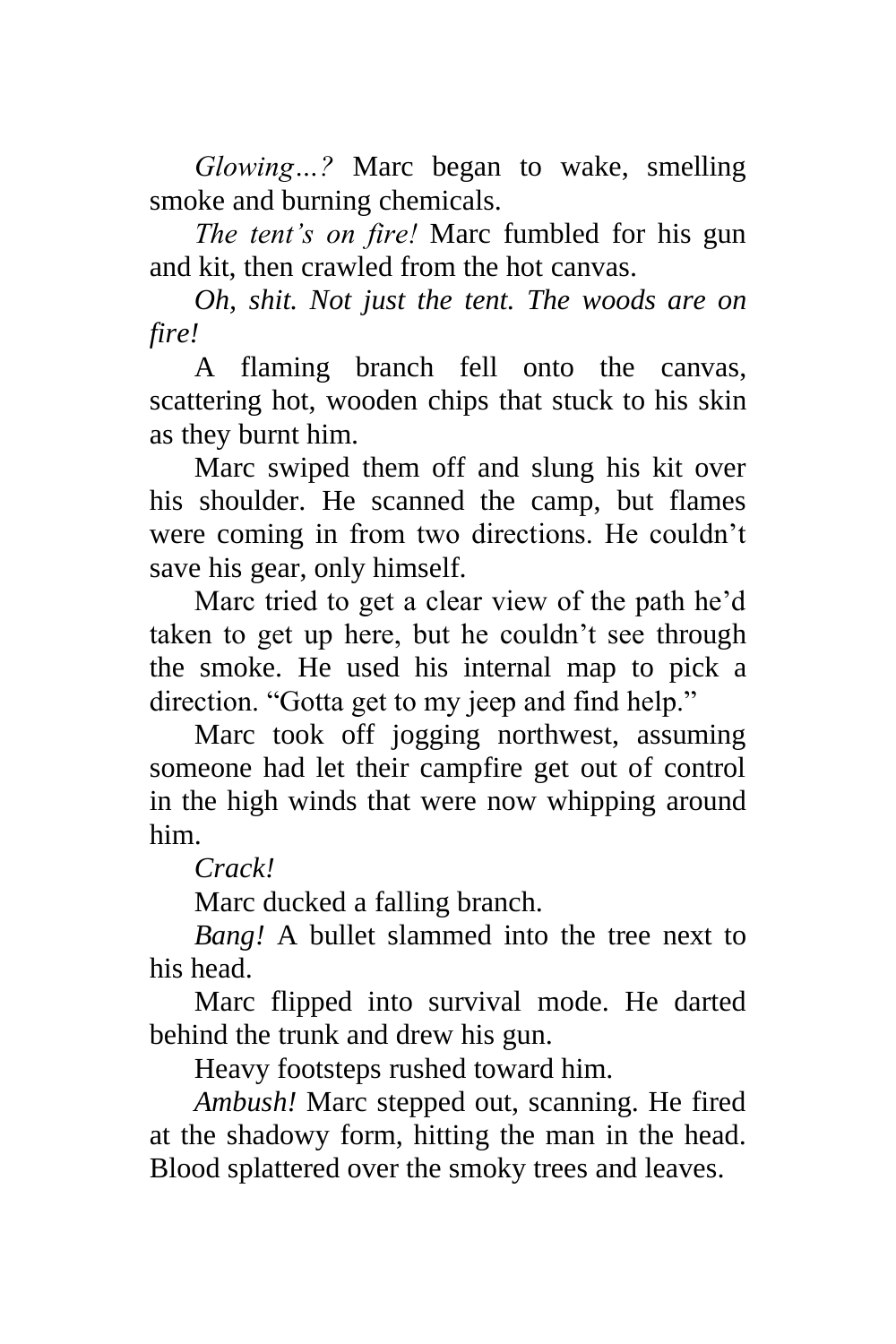*Glowing…?* Marc began to wake, smelling smoke and burning chemicals.

*The tent's on fire!* Marc fumbled for his gun and kit, then crawled from the hot canvas.

*Oh, shit. Not just the tent. The woods are on fire!*

A flaming branch fell onto the canvas, scattering hot, wooden chips that stuck to his skin as they burnt him.

Marc swiped them off and slung his kit over his shoulder. He scanned the camp, but flames were coming in from two directions. He couldn't save his gear, only himself.

Marc tried to get a clear view of the path he'd taken to get up here, but he couldn't see through the smoke. He used his internal map to pick a direction. "Gotta get to my jeep and find help."

Marc took off jogging northwest, assuming someone had let their campfire get out of control in the high winds that were now whipping around him.

*Crack!*

Marc ducked a falling branch.

*Bang!* A bullet slammed into the tree next to his head.

Marc flipped into survival mode. He darted behind the trunk and drew his gun.

Heavy footsteps rushed toward him.

*Ambush!* Marc stepped out, scanning. He fired at the shadowy form, hitting the man in the head. Blood splattered over the smoky trees and leaves.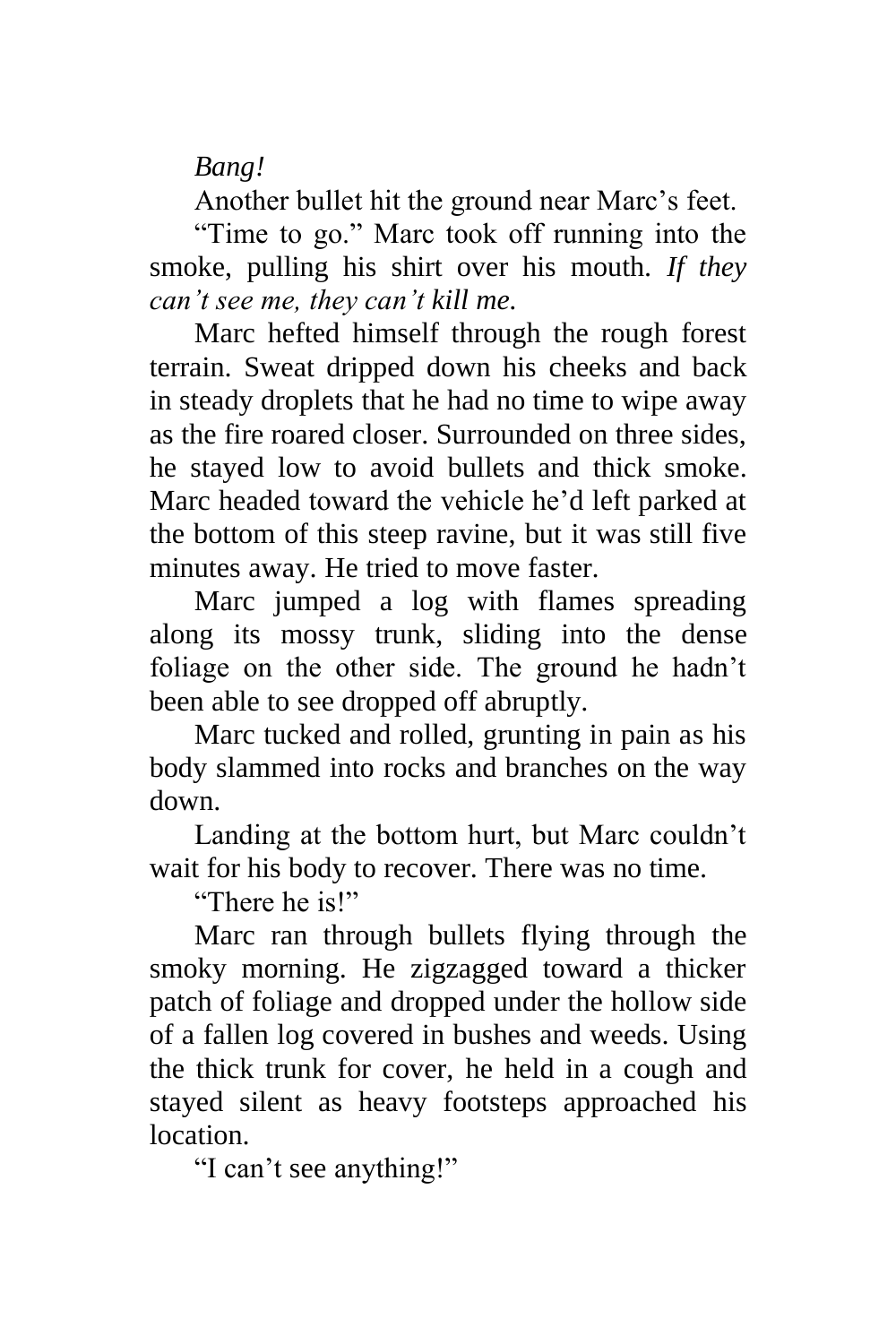*Bang!*

Another bullet hit the ground near Marc's feet.

"Time to go." Marc took off running into the smoke, pulling his shirt over his mouth. *If they can't see me, they can't kill me.*

Marc hefted himself through the rough forest terrain. Sweat dripped down his cheeks and back in steady droplets that he had no time to wipe away as the fire roared closer. Surrounded on three sides, he stayed low to avoid bullets and thick smoke. Marc headed toward the vehicle he'd left parked at the bottom of this steep ravine, but it was still five minutes away. He tried to move faster.

Marc jumped a log with flames spreading along its mossy trunk, sliding into the dense foliage on the other side. The ground he hadn't been able to see dropped off abruptly.

Marc tucked and rolled, grunting in pain as his body slammed into rocks and branches on the way down.

Landing at the bottom hurt, but Marc couldn't wait for his body to recover. There was no time.

"There he is!"

Marc ran through bullets flying through the smoky morning. He zigzagged toward a thicker patch of foliage and dropped under the hollow side of a fallen log covered in bushes and weeds. Using the thick trunk for cover, he held in a cough and stayed silent as heavy footsteps approached his location.

"I can't see anything!"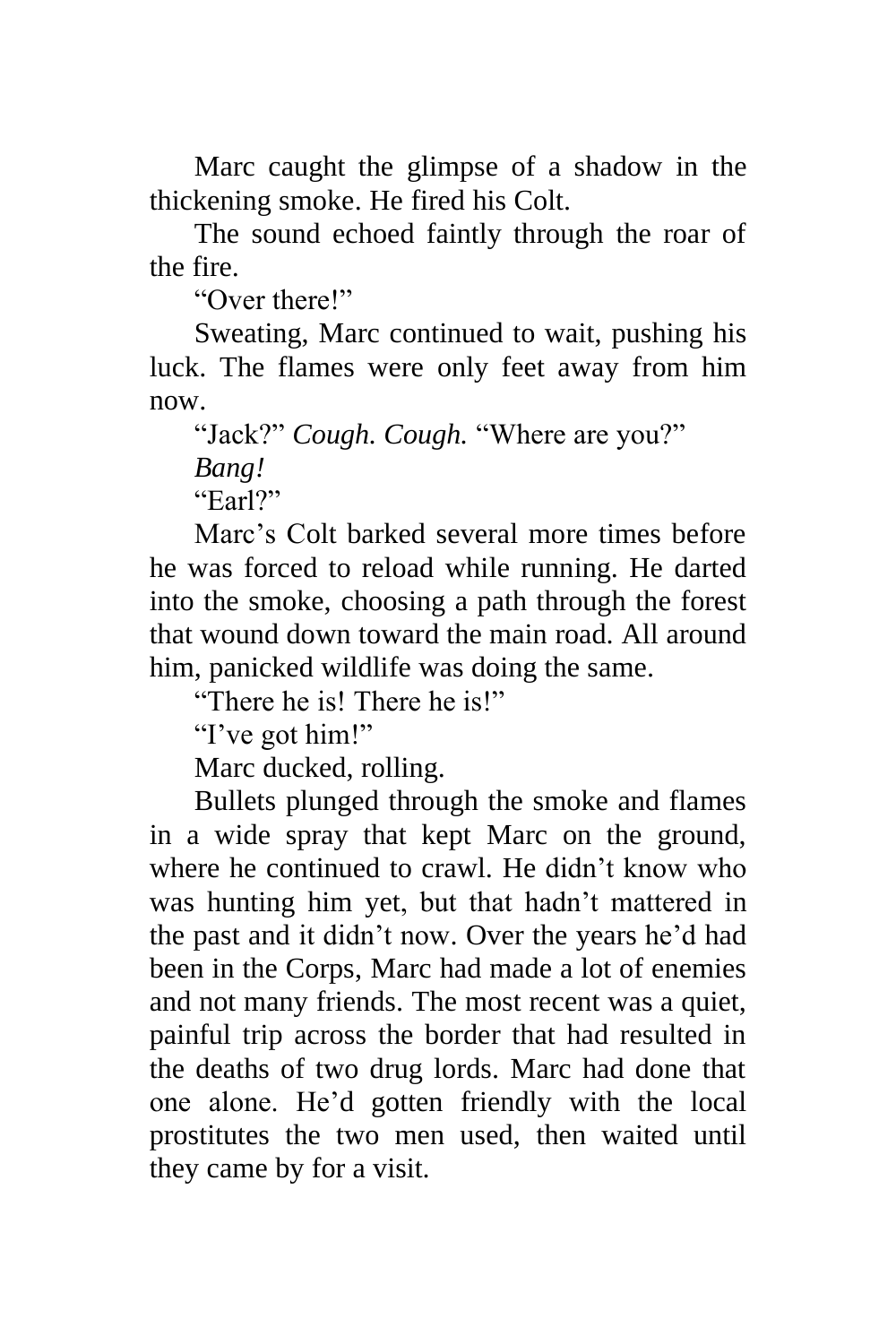Marc caught the glimpse of a shadow in the thickening smoke. He fired his Colt.

The sound echoed faintly through the roar of the fire.

"Over there!"

Sweating, Marc continued to wait, pushing his luck. The flames were only feet away from him now.

"Jack?" *Cough. Cough.* "Where are you?" *Bang!*

"Earl?"

Marc's Colt barked several more times before he was forced to reload while running. He darted into the smoke, choosing a path through the forest that wound down toward the main road. All around him, panicked wildlife was doing the same.

"There he is! There he is!"

"I've got him!"

Marc ducked, rolling.

Bullets plunged through the smoke and flames in a wide spray that kept Marc on the ground, where he continued to crawl. He didn't know who was hunting him yet, but that hadn't mattered in the past and it didn't now. Over the years he'd had been in the Corps, Marc had made a lot of enemies and not many friends. The most recent was a quiet, painful trip across the border that had resulted in the deaths of two drug lords. Marc had done that one alone. He'd gotten friendly with the local prostitutes the two men used, then waited until they came by for a visit.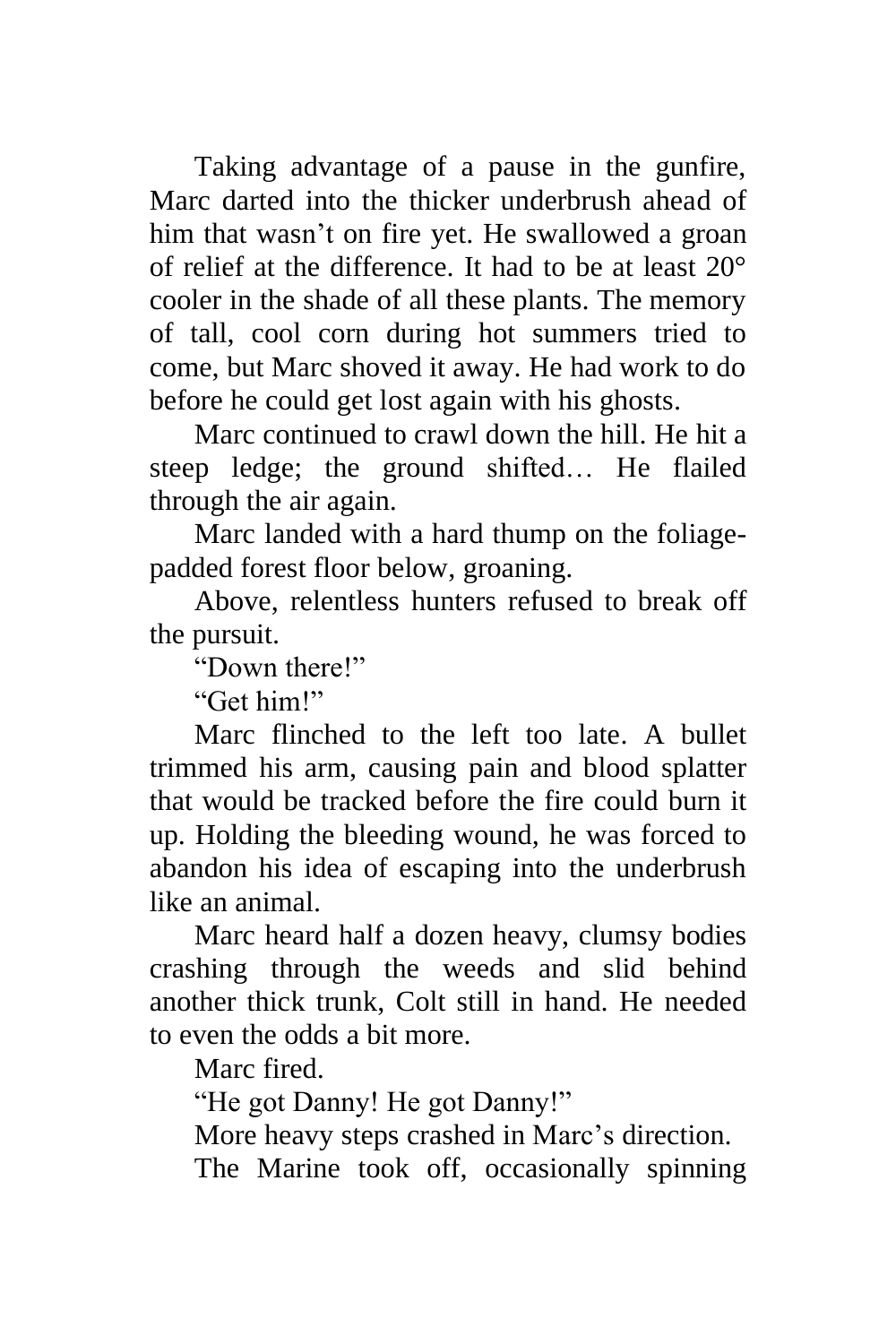Taking advantage of a pause in the gunfire, Marc darted into the thicker underbrush ahead of him that wasn't on fire yet. He swallowed a groan of relief at the difference. It had to be at least 20° cooler in the shade of all these plants. The memory of tall, cool corn during hot summers tried to come, but Marc shoved it away. He had work to do before he could get lost again with his ghosts.

Marc continued to crawl down the hill. He hit a steep ledge; the ground shifted… He flailed through the air again.

Marc landed with a hard thump on the foliagepadded forest floor below, groaning.

Above, relentless hunters refused to break off the pursuit.

"Down there!"

"Get him!"

Marc flinched to the left too late. A bullet trimmed his arm, causing pain and blood splatter that would be tracked before the fire could burn it up. Holding the bleeding wound, he was forced to abandon his idea of escaping into the underbrush like an animal.

Marc heard half a dozen heavy, clumsy bodies crashing through the weeds and slid behind another thick trunk, Colt still in hand. He needed to even the odds a bit more.

Marc fired.

"He got Danny! He got Danny!"

More heavy steps crashed in Marc's direction.

The Marine took off, occasionally spinning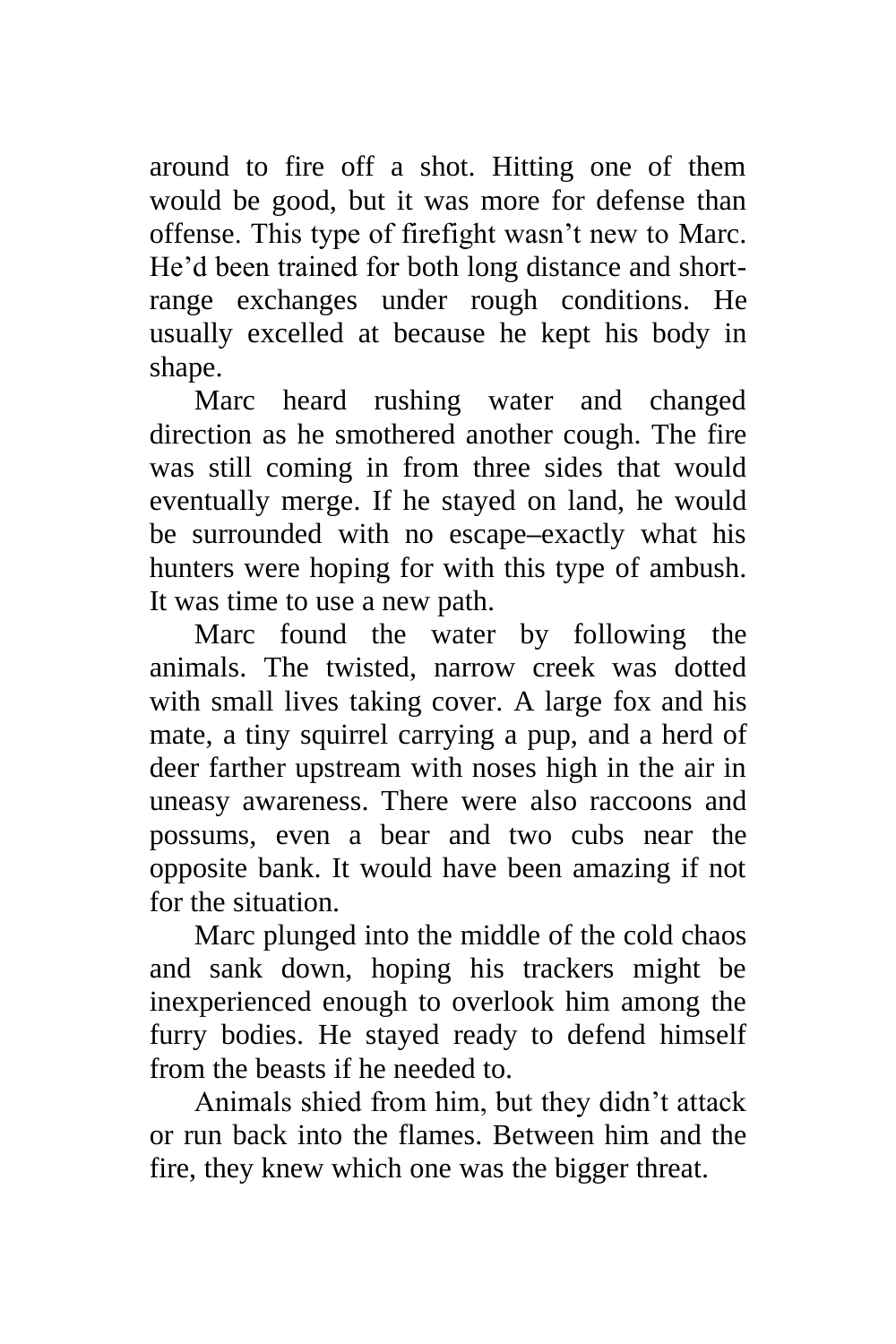around to fire off a shot. Hitting one of them would be good, but it was more for defense than offense. This type of firefight wasn't new to Marc. He'd been trained for both long distance and shortrange exchanges under rough conditions. He usually excelled at because he kept his body in shape.

Marc heard rushing water and changed direction as he smothered another cough. The fire was still coming in from three sides that would eventually merge. If he stayed on land, he would be surrounded with no escape**–**exactly what his hunters were hoping for with this type of ambush. It was time to use a new path.

Marc found the water by following the animals. The twisted, narrow creek was dotted with small lives taking cover. A large fox and his mate, a tiny squirrel carrying a pup, and a herd of deer farther upstream with noses high in the air in uneasy awareness. There were also raccoons and possums, even a bear and two cubs near the opposite bank. It would have been amazing if not for the situation.

Marc plunged into the middle of the cold chaos and sank down, hoping his trackers might be inexperienced enough to overlook him among the furry bodies. He stayed ready to defend himself from the beasts if he needed to.

Animals shied from him, but they didn't attack or run back into the flames. Between him and the fire, they knew which one was the bigger threat.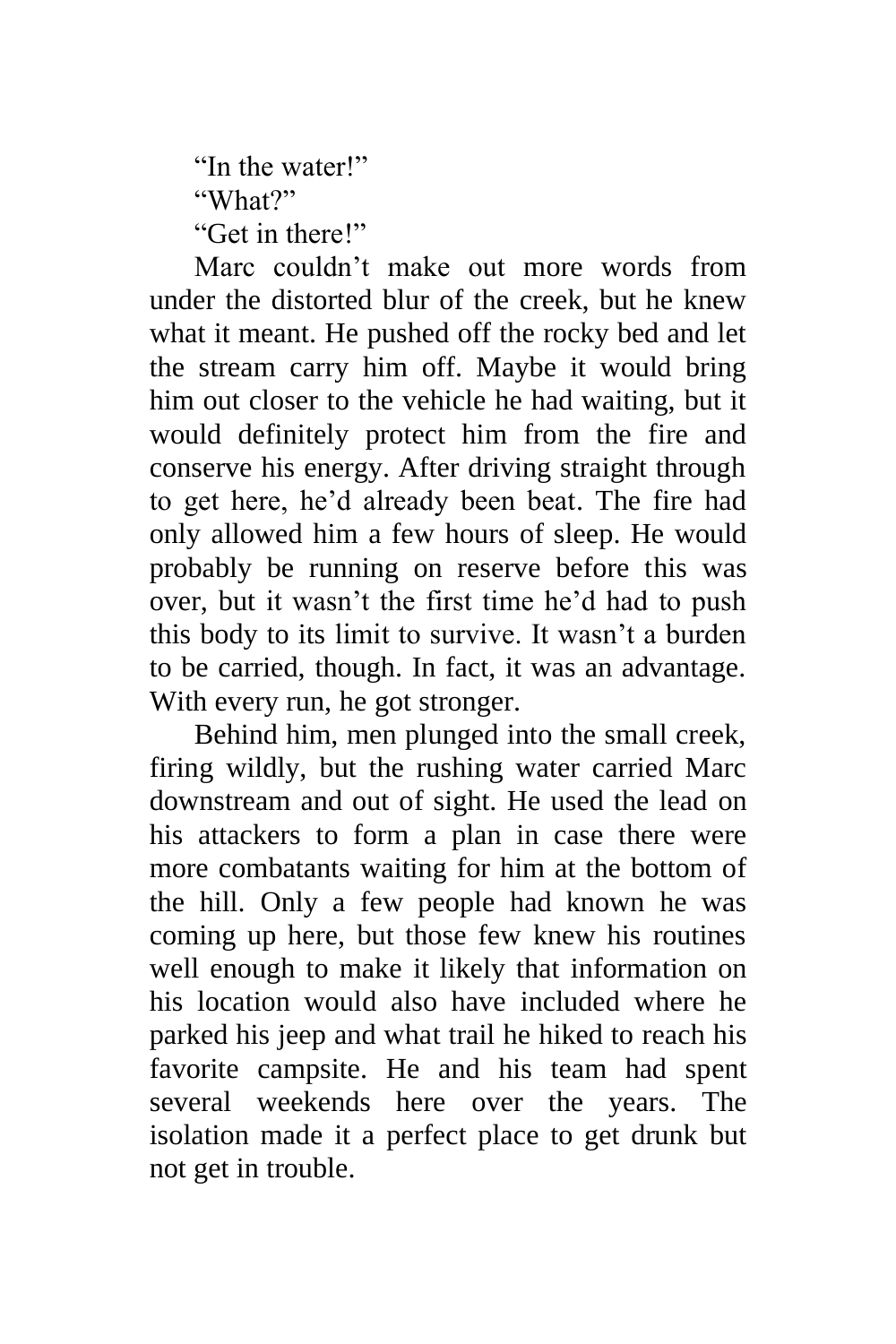"In the water!" "What?" "Get in there!"

Marc couldn't make out more words from under the distorted blur of the creek, but he knew what it meant. He pushed off the rocky bed and let the stream carry him off. Maybe it would bring him out closer to the vehicle he had waiting, but it would definitely protect him from the fire and conserve his energy. After driving straight through to get here, he'd already been beat. The fire had only allowed him a few hours of sleep. He would probably be running on reserve before this was over, but it wasn't the first time he'd had to push this body to its limit to survive. It wasn't a burden to be carried, though. In fact, it was an advantage. With every run, he got stronger.

Behind him, men plunged into the small creek, firing wildly, but the rushing water carried Marc downstream and out of sight. He used the lead on his attackers to form a plan in case there were more combatants waiting for him at the bottom of the hill. Only a few people had known he was coming up here, but those few knew his routines well enough to make it likely that information on his location would also have included where he parked his jeep and what trail he hiked to reach his favorite campsite. He and his team had spent several weekends here over the years. The isolation made it a perfect place to get drunk but not get in trouble.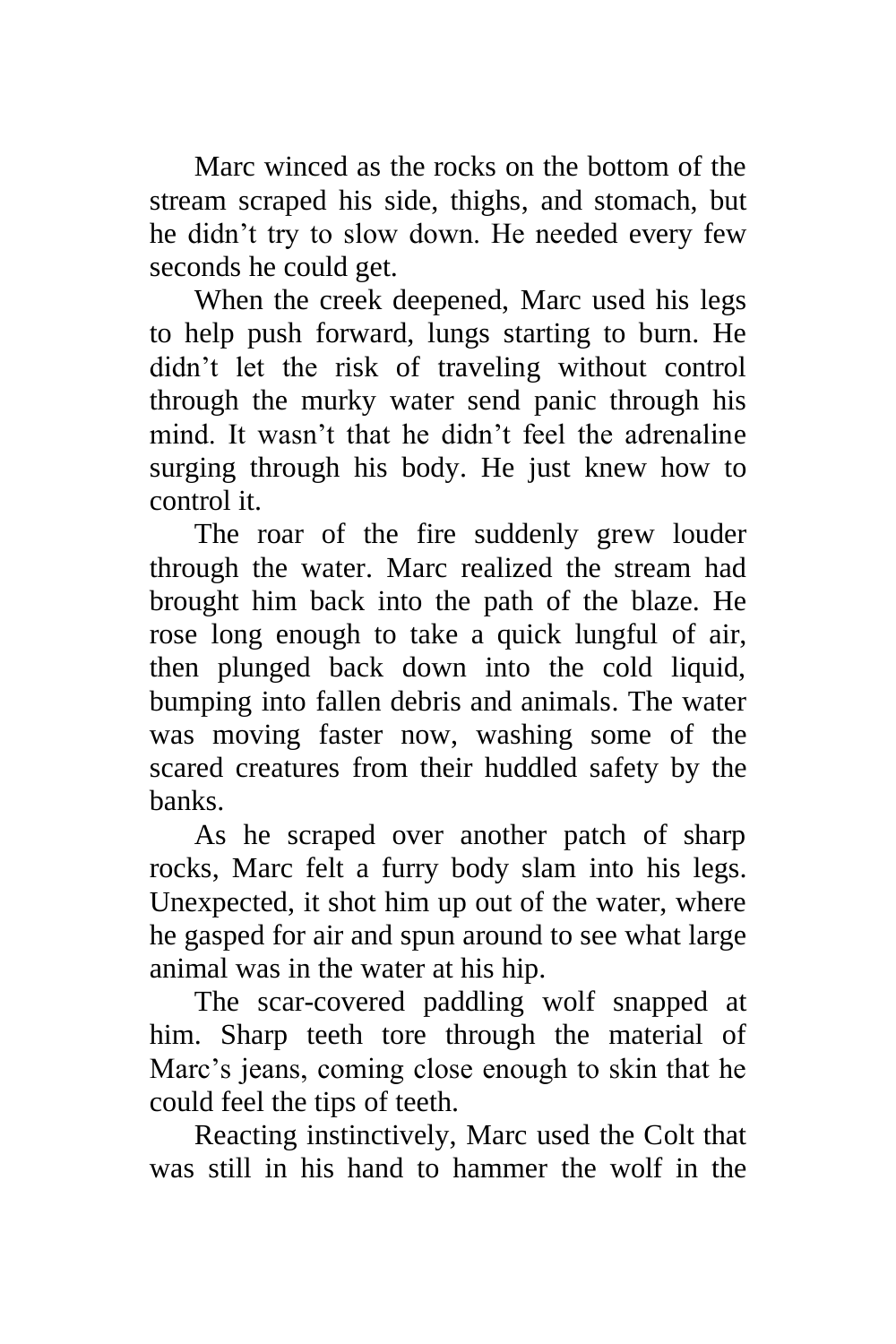Marc winced as the rocks on the bottom of the stream scraped his side, thighs, and stomach, but he didn't try to slow down. He needed every few seconds he could get.

When the creek deepened, Marc used his legs to help push forward, lungs starting to burn. He didn't let the risk of traveling without control through the murky water send panic through his mind. It wasn't that he didn't feel the adrenaline surging through his body. He just knew how to control it.

The roar of the fire suddenly grew louder through the water. Marc realized the stream had brought him back into the path of the blaze. He rose long enough to take a quick lungful of air, then plunged back down into the cold liquid, bumping into fallen debris and animals. The water was moving faster now, washing some of the scared creatures from their huddled safety by the banks.

As he scraped over another patch of sharp rocks, Marc felt a furry body slam into his legs. Unexpected, it shot him up out of the water, where he gasped for air and spun around to see what large animal was in the water at his hip.

The scar-covered paddling wolf snapped at him. Sharp teeth tore through the material of Marc's jeans, coming close enough to skin that he could feel the tips of teeth.

Reacting instinctively, Marc used the Colt that was still in his hand to hammer the wolf in the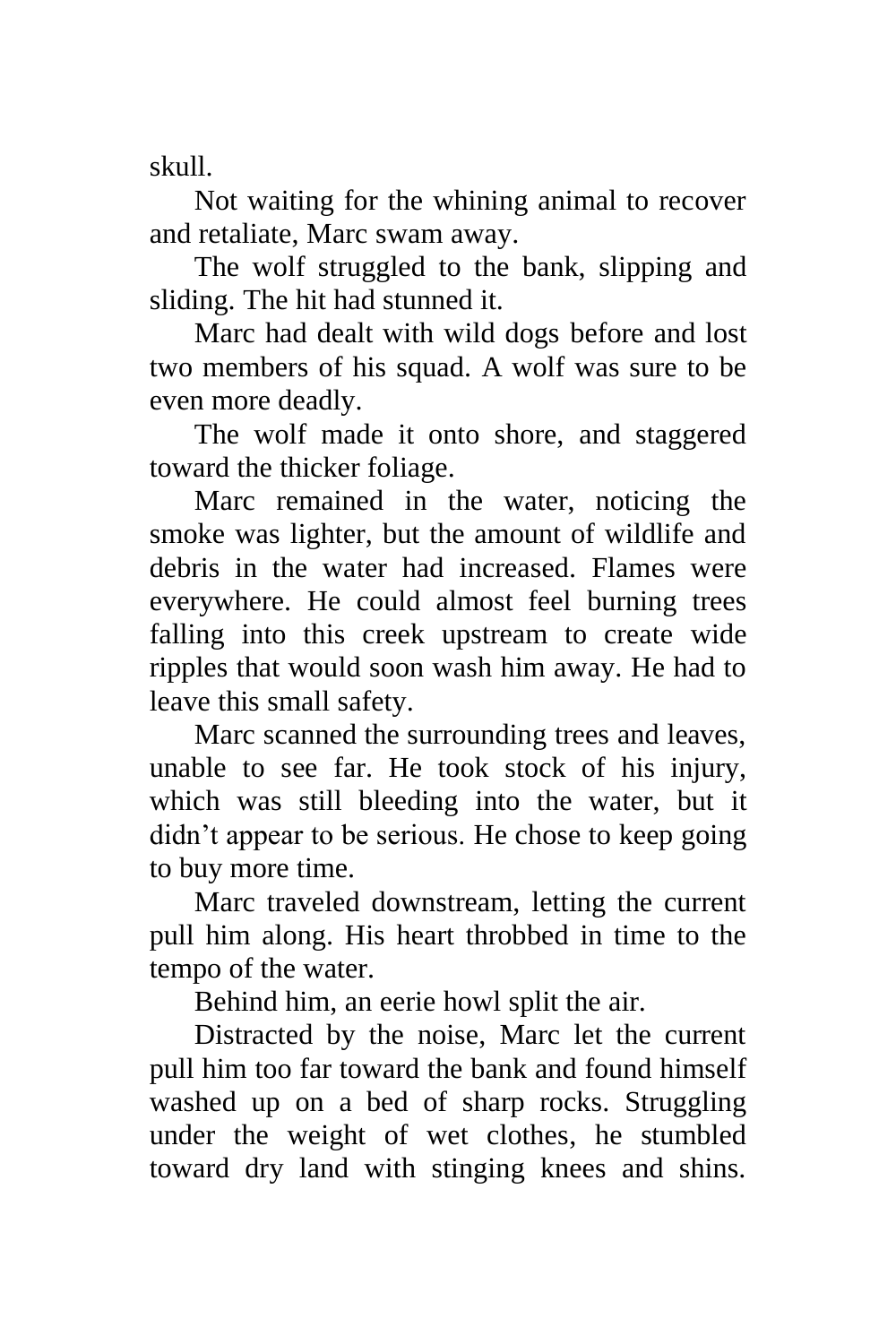skull.

Not waiting for the whining animal to recover and retaliate, Marc swam away.

The wolf struggled to the bank, slipping and sliding. The hit had stunned it.

Marc had dealt with wild dogs before and lost two members of his squad. A wolf was sure to be even more deadly.

The wolf made it onto shore, and staggered toward the thicker foliage.

Marc remained in the water, noticing the smoke was lighter, but the amount of wildlife and debris in the water had increased. Flames were everywhere. He could almost feel burning trees falling into this creek upstream to create wide ripples that would soon wash him away. He had to leave this small safety.

Marc scanned the surrounding trees and leaves, unable to see far. He took stock of his injury, which was still bleeding into the water, but it didn't appear to be serious. He chose to keep going to buy more time.

Marc traveled downstream, letting the current pull him along. His heart throbbed in time to the tempo of the water.

Behind him, an eerie howl split the air.

Distracted by the noise, Marc let the current pull him too far toward the bank and found himself washed up on a bed of sharp rocks. Struggling under the weight of wet clothes, he stumbled toward dry land with stinging knees and shins.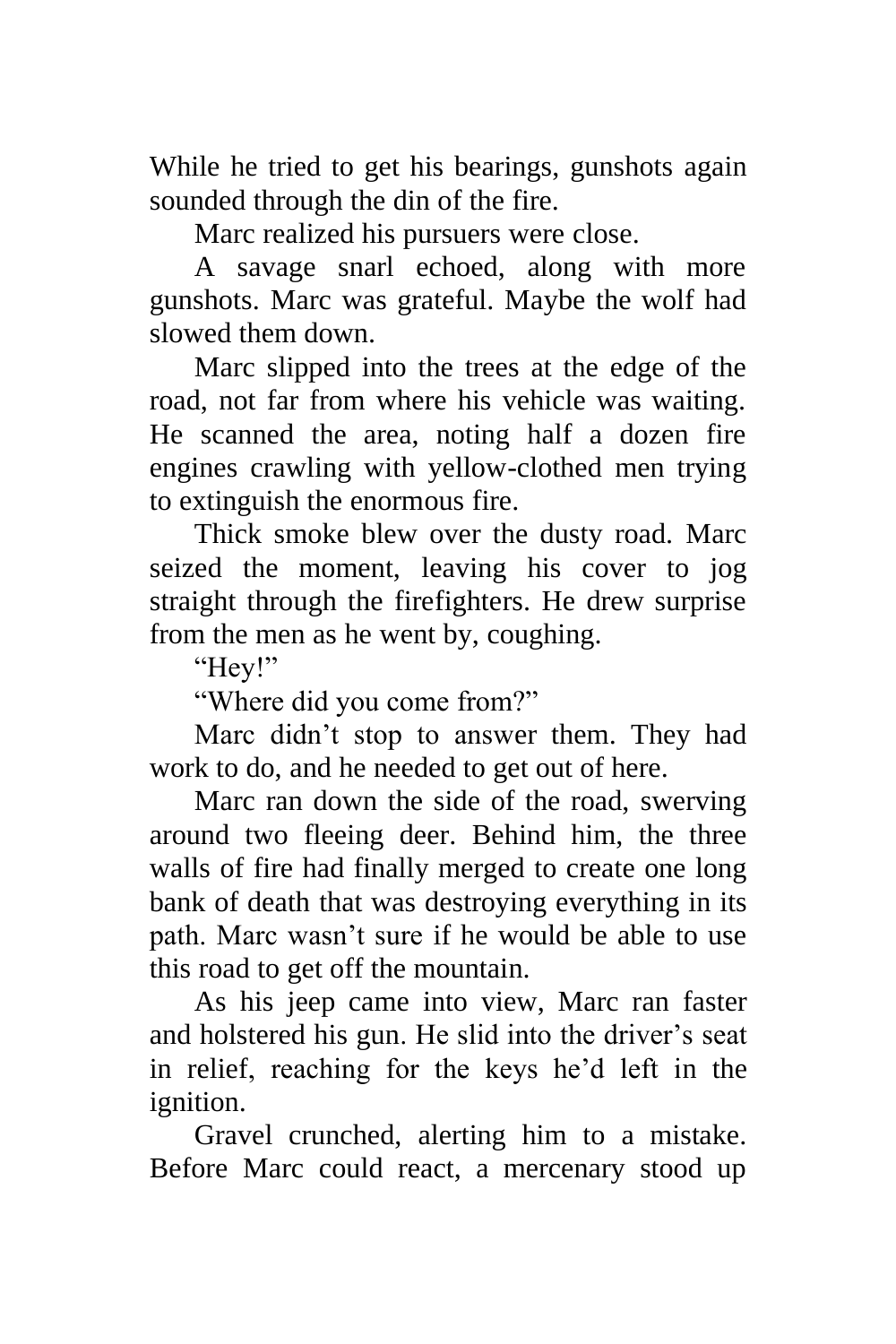While he tried to get his bearings, gunshots again sounded through the din of the fire.

Marc realized his pursuers were close.

A savage snarl echoed, along with more gunshots. Marc was grateful. Maybe the wolf had slowed them down.

Marc slipped into the trees at the edge of the road, not far from where his vehicle was waiting. He scanned the area, noting half a dozen fire engines crawling with yellow-clothed men trying to extinguish the enormous fire.

Thick smoke blew over the dusty road. Marc seized the moment, leaving his cover to jog straight through the firefighters. He drew surprise from the men as he went by, coughing.

"Hey!"

"Where did you come from?"

Marc didn't stop to answer them. They had work to do, and he needed to get out of here.

Marc ran down the side of the road, swerving around two fleeing deer. Behind him, the three walls of fire had finally merged to create one long bank of death that was destroying everything in its path. Marc wasn't sure if he would be able to use this road to get off the mountain.

As his jeep came into view, Marc ran faster and holstered his gun. He slid into the driver's seat in relief, reaching for the keys he'd left in the ignition.

Gravel crunched, alerting him to a mistake. Before Marc could react, a mercenary stood up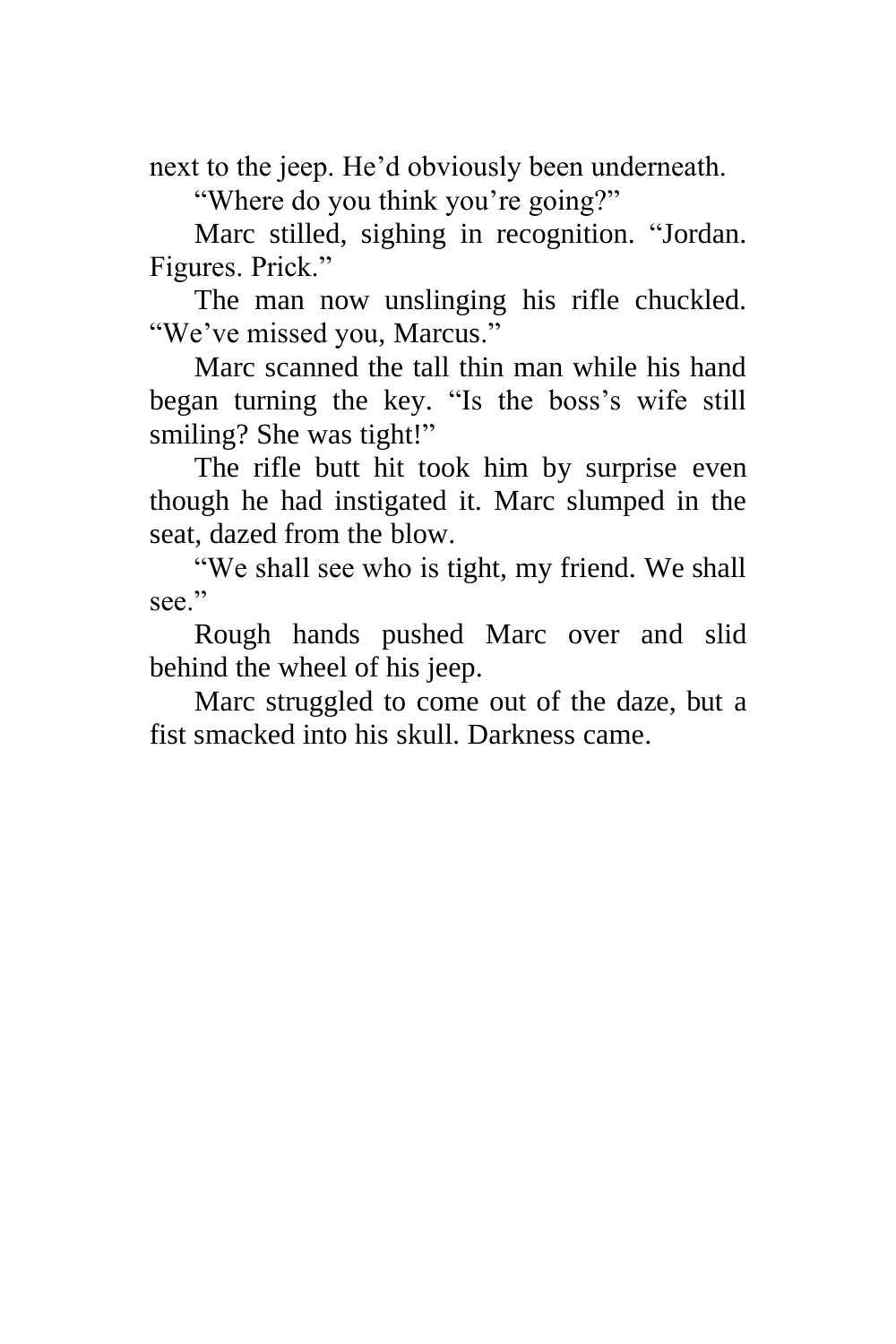next to the jeep. He'd obviously been underneath.

"Where do you think you're going?"

Marc stilled, sighing in recognition. "Jordan. Figures. Prick."

The man now unslinging his rifle chuckled. "We've missed you, Marcus."

Marc scanned the tall thin man while his hand began turning the key. "Is the boss's wife still smiling? She was tight!"

The rifle butt hit took him by surprise even though he had instigated it. Marc slumped in the seat, dazed from the blow.

"We shall see who is tight, my friend. We shall see."

Rough hands pushed Marc over and slid behind the wheel of his jeep.

Marc struggled to come out of the daze, but a fist smacked into his skull. Darkness came.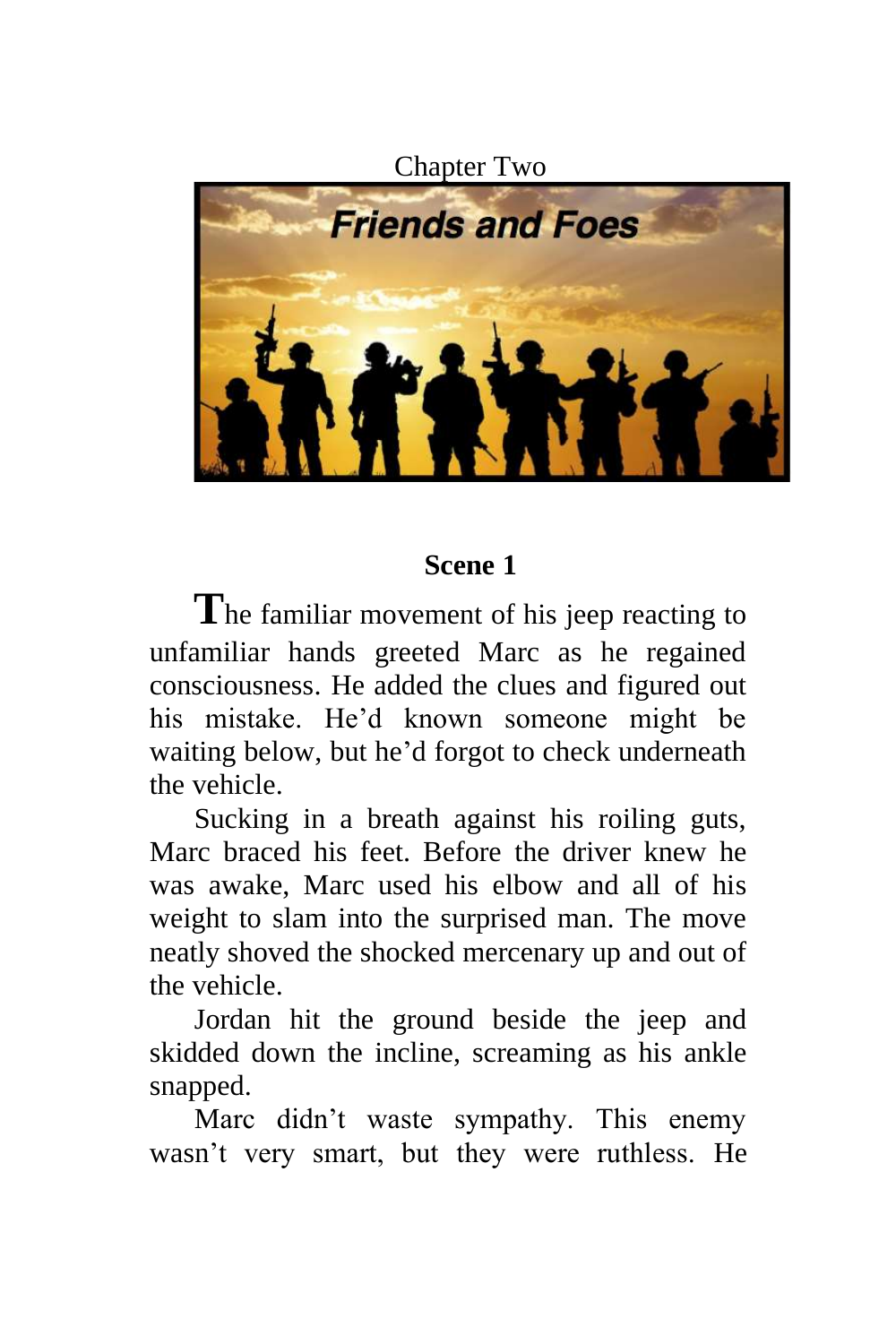Chapter Two

<span id="page-22-0"></span>

# **Scene 1**

The familiar movement of his jeep reacting to unfamiliar hands greeted Marc as he regained consciousness. He added the clues and figured out his mistake. He'd known someone might be waiting below, but he'd forgot to check underneath the vehicle.

Sucking in a breath against his roiling guts, Marc braced his feet. Before the driver knew he was awake, Marc used his elbow and all of his weight to slam into the surprised man. The move neatly shoved the shocked mercenary up and out of the vehicle.

Jordan hit the ground beside the jeep and skidded down the incline, screaming as his ankle snapped.

Marc didn't waste sympathy. This enemy wasn't very smart, but they were ruthless. He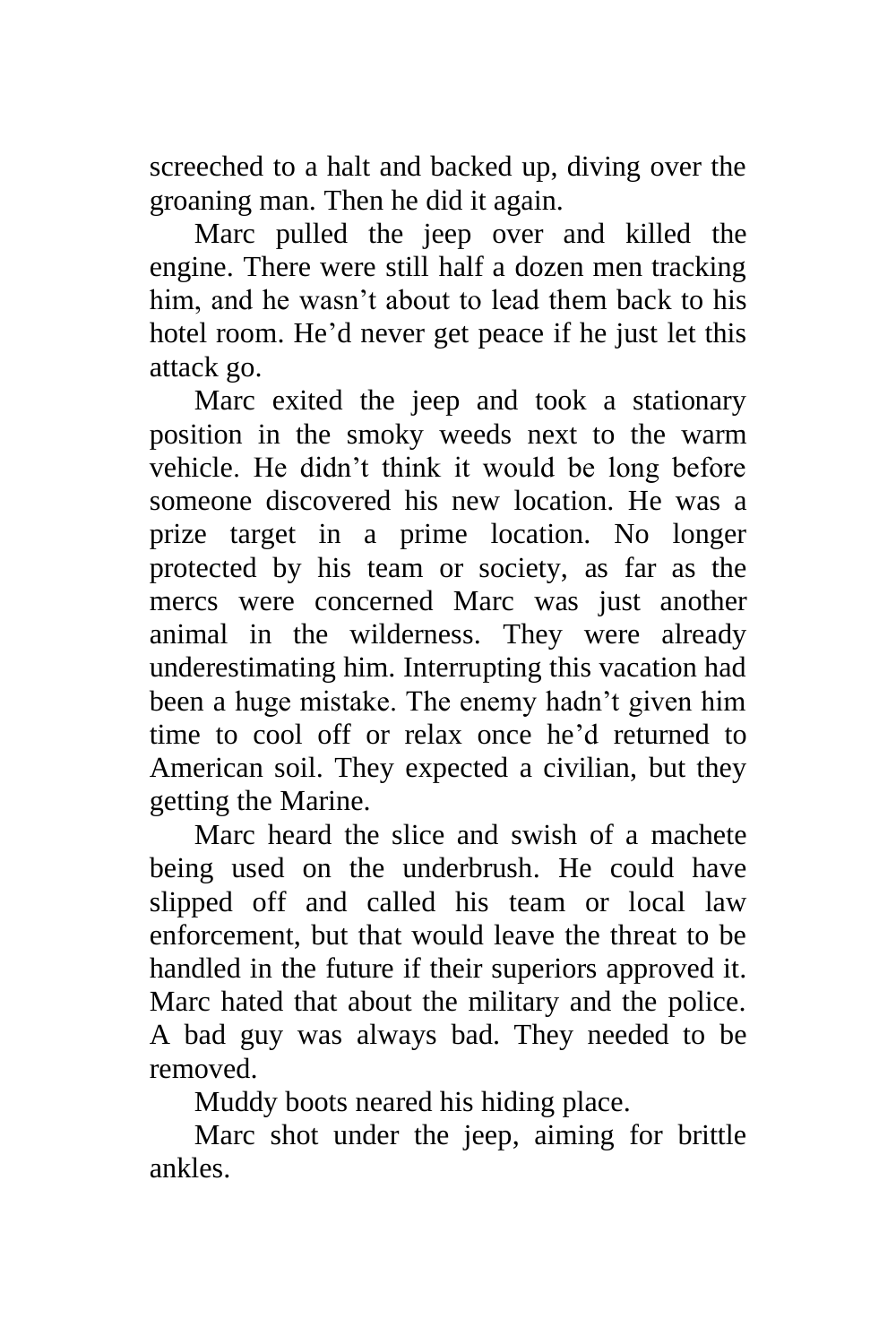screeched to a halt and backed up, diving over the groaning man. Then he did it again.

Marc pulled the jeep over and killed the engine. There were still half a dozen men tracking him, and he wasn't about to lead them back to his hotel room. He'd never get peace if he just let this attack go.

Marc exited the jeep and took a stationary position in the smoky weeds next to the warm vehicle. He didn't think it would be long before someone discovered his new location. He was a prize target in a prime location. No longer protected by his team or society, as far as the mercs were concerned Marc was just another animal in the wilderness. They were already underestimating him. Interrupting this vacation had been a huge mistake. The enemy hadn't given him time to cool off or relax once he'd returned to American soil. They expected a civilian, but they getting the Marine.

Marc heard the slice and swish of a machete being used on the underbrush. He could have slipped off and called his team or local law enforcement, but that would leave the threat to be handled in the future if their superiors approved it. Marc hated that about the military and the police. A bad guy was always bad. They needed to be removed.

Muddy boots neared his hiding place.

Marc shot under the jeep, aiming for brittle ankles.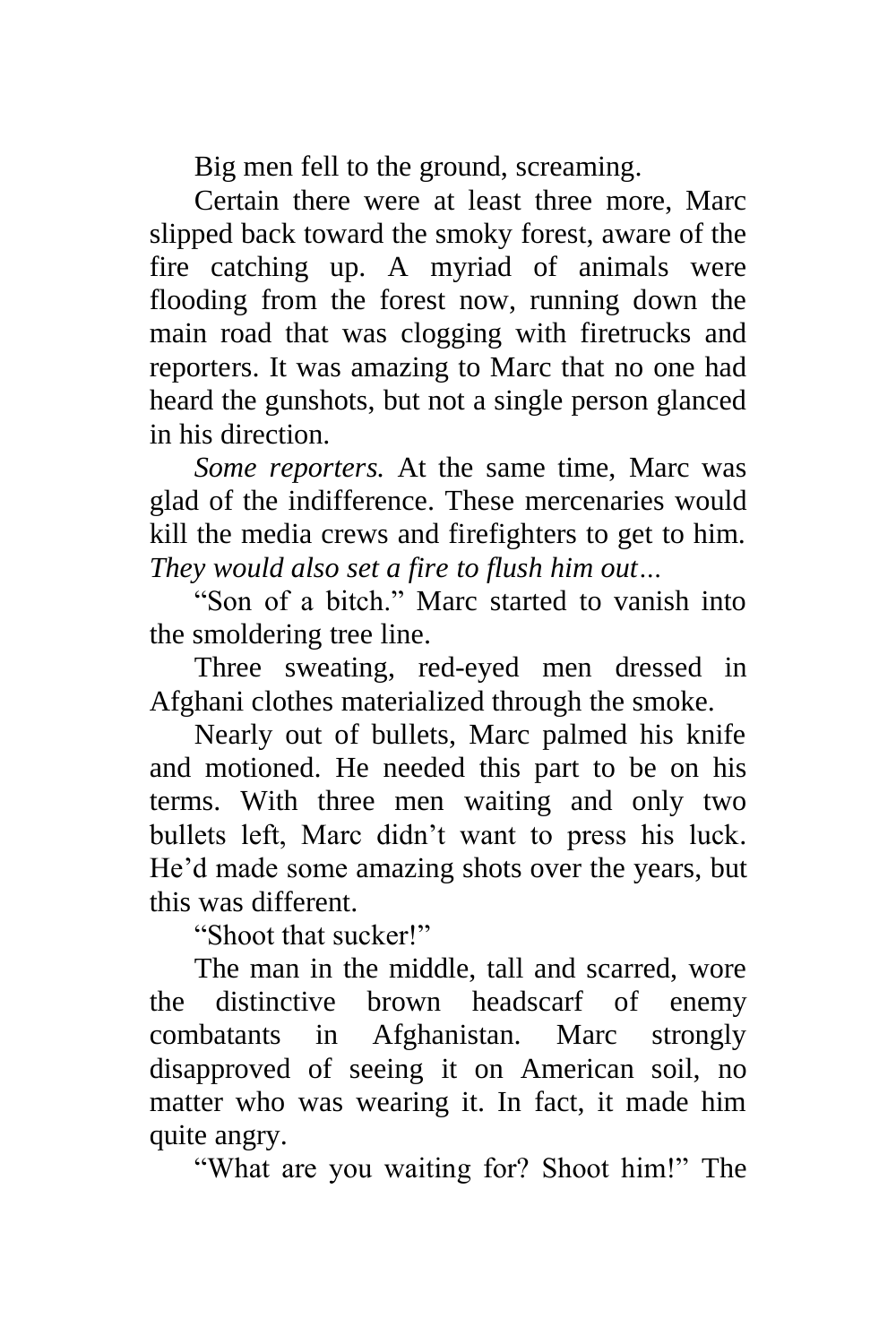Big men fell to the ground, screaming.

Certain there were at least three more, Marc slipped back toward the smoky forest, aware of the fire catching up. A myriad of animals were flooding from the forest now, running down the main road that was clogging with firetrucks and reporters. It was amazing to Marc that no one had heard the gunshots, but not a single person glanced in his direction.

*Some reporters.* At the same time, Marc was glad of the indifference. These mercenaries would kill the media crews and firefighters to get to him. *They would also set a fire to flush him out…*

"Son of a bitch." Marc started to vanish into the smoldering tree line.

Three sweating, red-eyed men dressed in Afghani clothes materialized through the smoke.

Nearly out of bullets, Marc palmed his knife and motioned. He needed this part to be on his terms. With three men waiting and only two bullets left, Marc didn't want to press his luck. He'd made some amazing shots over the years, but this was different.

"Shoot that sucker!"

The man in the middle, tall and scarred, wore the distinctive brown headscarf of enemy combatants in Afghanistan. Marc strongly disapproved of seeing it on American soil, no matter who was wearing it. In fact, it made him quite angry.

"What are you waiting for? Shoot him!" The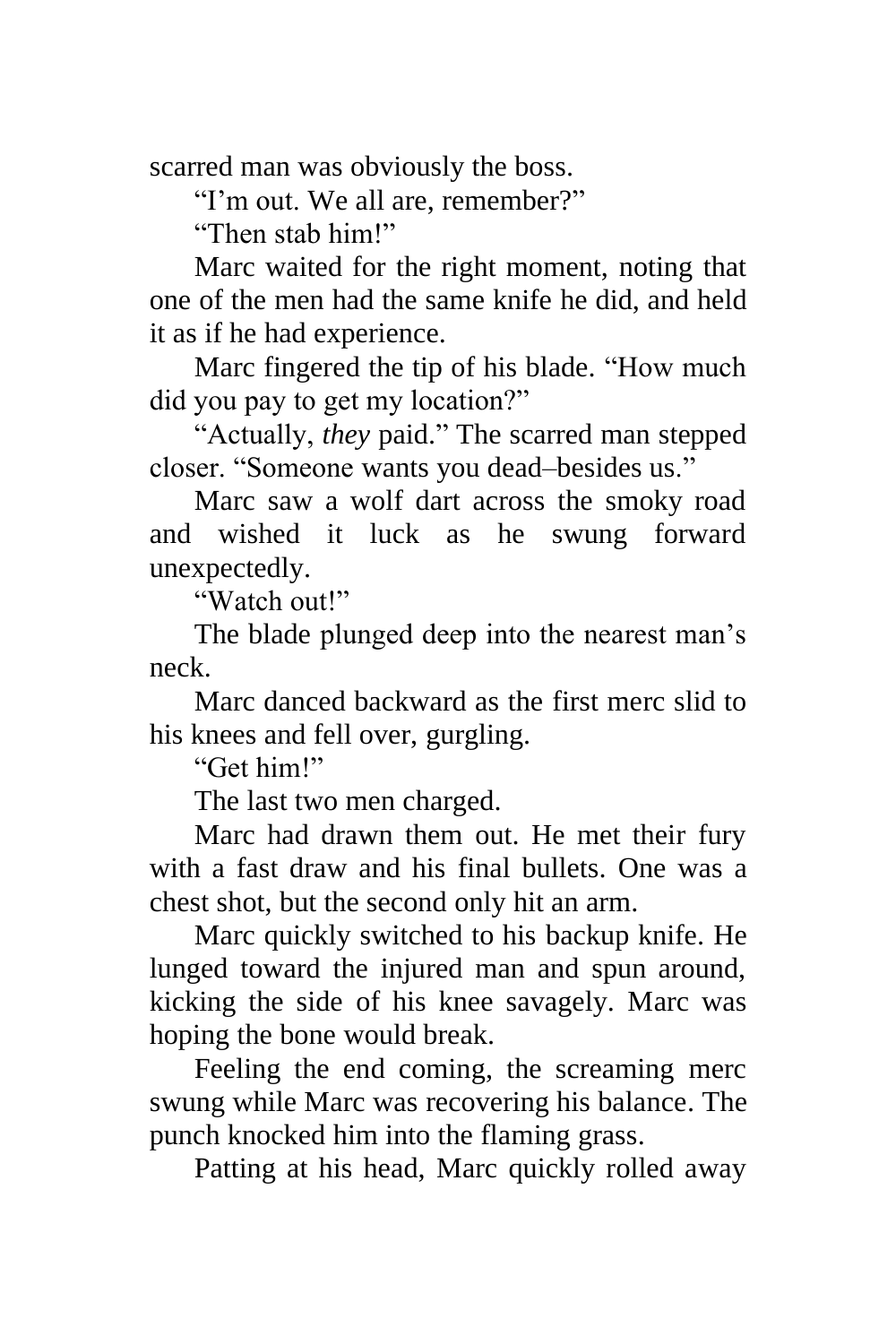scarred man was obviously the boss.

"I'm out. We all are, remember?"

"Then stab him!"

Marc waited for the right moment, noting that one of the men had the same knife he did, and held it as if he had experience.

Marc fingered the tip of his blade. "How much did you pay to get my location?"

"Actually, *they* paid." The scarred man stepped closer. "Someone wants you dead–besides us."

Marc saw a wolf dart across the smoky road and wished it luck as he swung forward unexpectedly.

"Watch out!"

The blade plunged deep into the nearest man's neck.

Marc danced backward as the first merc slid to his knees and fell over, gurgling.

"Get him!"

The last two men charged.

Marc had drawn them out. He met their fury with a fast draw and his final bullets. One was a chest shot, but the second only hit an arm.

Marc quickly switched to his backup knife. He lunged toward the injured man and spun around, kicking the side of his knee savagely. Marc was hoping the bone would break.

Feeling the end coming, the screaming merc swung while Marc was recovering his balance. The punch knocked him into the flaming grass.

Patting at his head, Marc quickly rolled away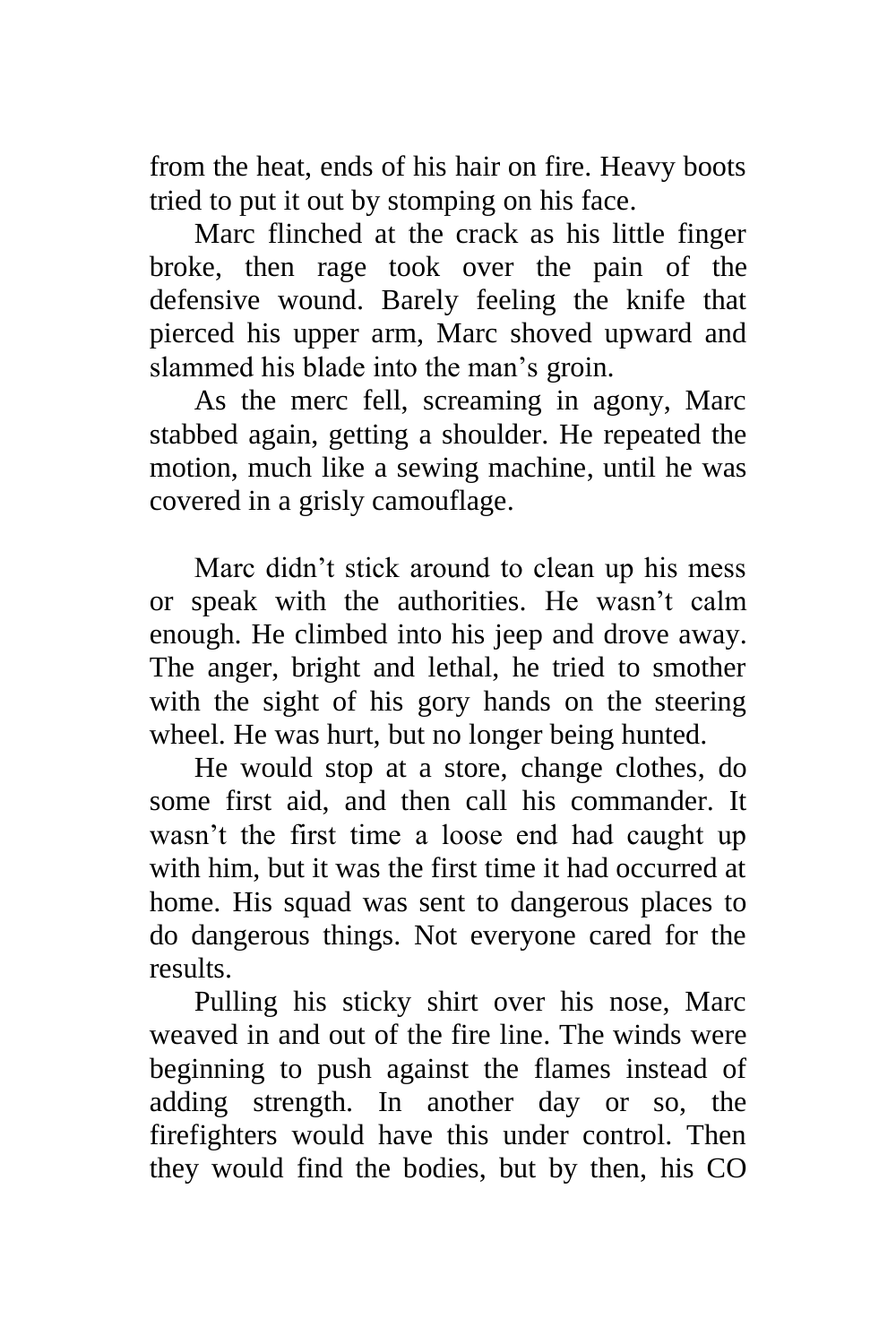from the heat, ends of his hair on fire. Heavy boots tried to put it out by stomping on his face.

Marc flinched at the crack as his little finger broke, then rage took over the pain of the defensive wound. Barely feeling the knife that pierced his upper arm, Marc shoved upward and slammed his blade into the man's groin.

As the merc fell, screaming in agony, Marc stabbed again, getting a shoulder. He repeated the motion, much like a sewing machine, until he was covered in a grisly camouflage.

Marc didn't stick around to clean up his mess or speak with the authorities. He wasn't calm enough. He climbed into his jeep and drove away. The anger, bright and lethal, he tried to smother with the sight of his gory hands on the steering wheel. He was hurt, but no longer being hunted.

He would stop at a store, change clothes, do some first aid, and then call his commander. It wasn't the first time a loose end had caught up with him, but it was the first time it had occurred at home. His squad was sent to dangerous places to do dangerous things. Not everyone cared for the results.

Pulling his sticky shirt over his nose, Marc weaved in and out of the fire line. The winds were beginning to push against the flames instead of adding strength. In another day or so, the firefighters would have this under control. Then they would find the bodies, but by then, his CO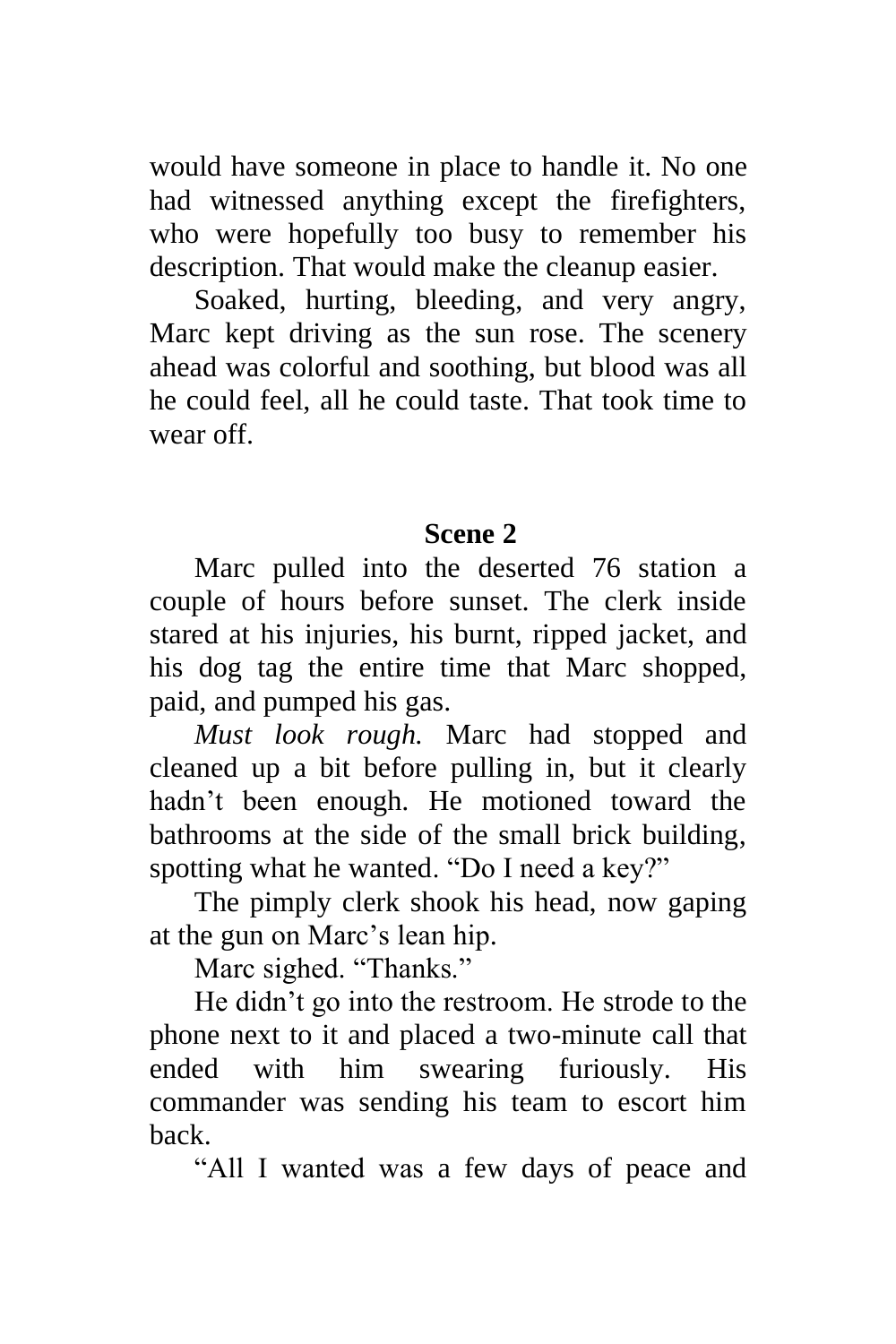would have someone in place to handle it. No one had witnessed anything except the firefighters, who were hopefully too busy to remember his description. That would make the cleanup easier.

Soaked, hurting, bleeding, and very angry, Marc kept driving as the sun rose. The scenery ahead was colorful and soothing, but blood was all he could feel, all he could taste. That took time to wear off.

### **Scene 2**

Marc pulled into the deserted 76 station a couple of hours before sunset. The clerk inside stared at his injuries, his burnt, ripped jacket, and his dog tag the entire time that Marc shopped, paid, and pumped his gas.

*Must look rough.* Marc had stopped and cleaned up a bit before pulling in, but it clearly hadn't been enough. He motioned toward the bathrooms at the side of the small brick building, spotting what he wanted. "Do I need a key?"

The pimply clerk shook his head, now gaping at the gun on Marc's lean hip.

Marc sighed. "Thanks."

He didn't go into the restroom. He strode to the phone next to it and placed a two-minute call that ended with him swearing furiously. His commander was sending his team to escort him back.

"All I wanted was a few days of peace and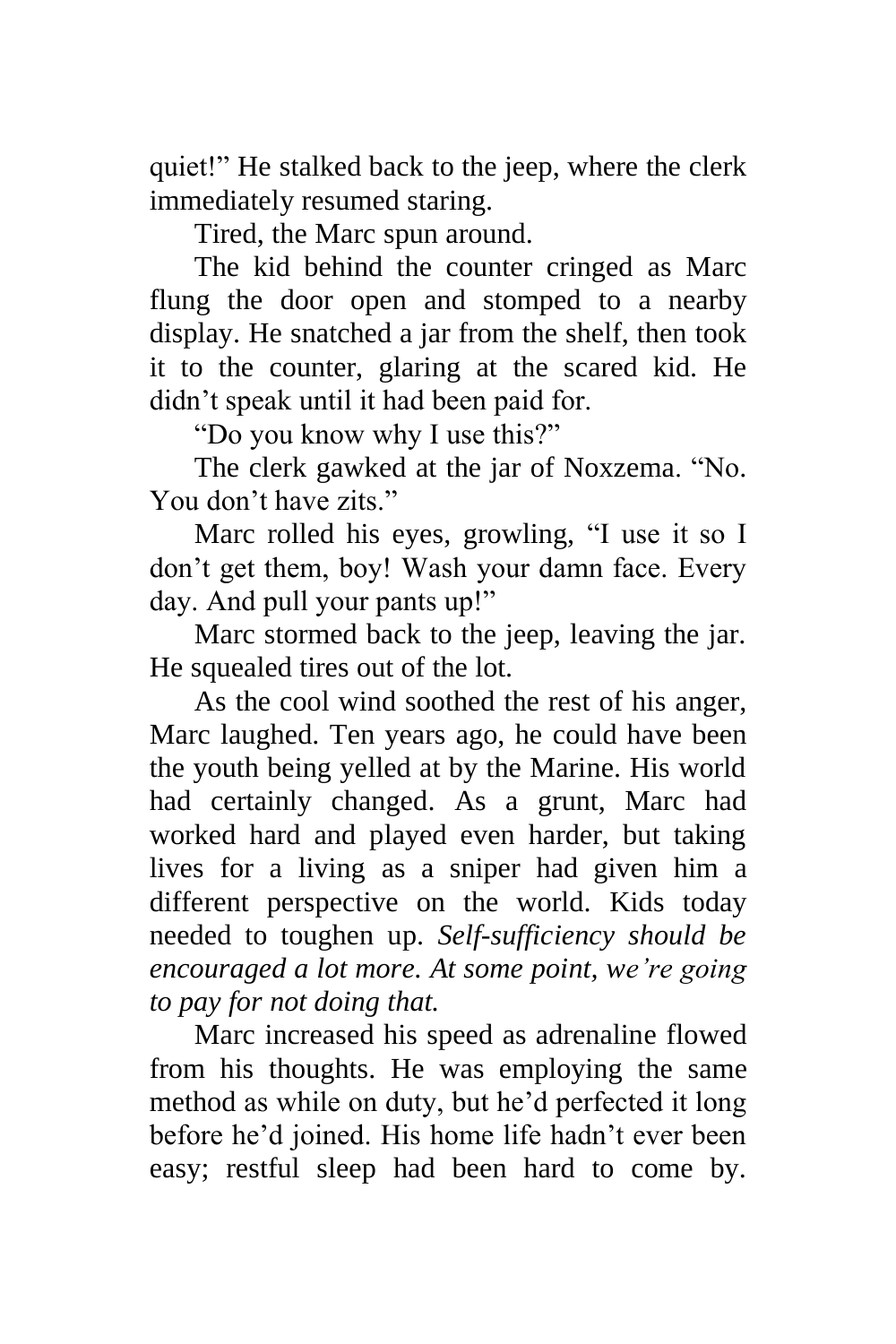quiet!" He stalked back to the jeep, where the clerk immediately resumed staring.

Tired, the Marc spun around.

The kid behind the counter cringed as Marc flung the door open and stomped to a nearby display. He snatched a jar from the shelf, then took it to the counter, glaring at the scared kid. He didn't speak until it had been paid for.

"Do you know why I use this?"

The clerk gawked at the jar of Noxzema. "No. You don't have zits."

Marc rolled his eyes, growling, "I use it so I don't get them, boy! Wash your damn face. Every day. And pull your pants up!"

Marc stormed back to the jeep, leaving the jar. He squealed tires out of the lot.

As the cool wind soothed the rest of his anger, Marc laughed. Ten years ago, he could have been the youth being yelled at by the Marine. His world had certainly changed. As a grunt, Marc had worked hard and played even harder, but taking lives for a living as a sniper had given him a different perspective on the world. Kids today needed to toughen up. *Self-sufficiency should be encouraged a lot more. At some point, we're going to pay for not doing that.*

Marc increased his speed as adrenaline flowed from his thoughts. He was employing the same method as while on duty, but he'd perfected it long before he'd joined. His home life hadn't ever been easy; restful sleep had been hard to come by.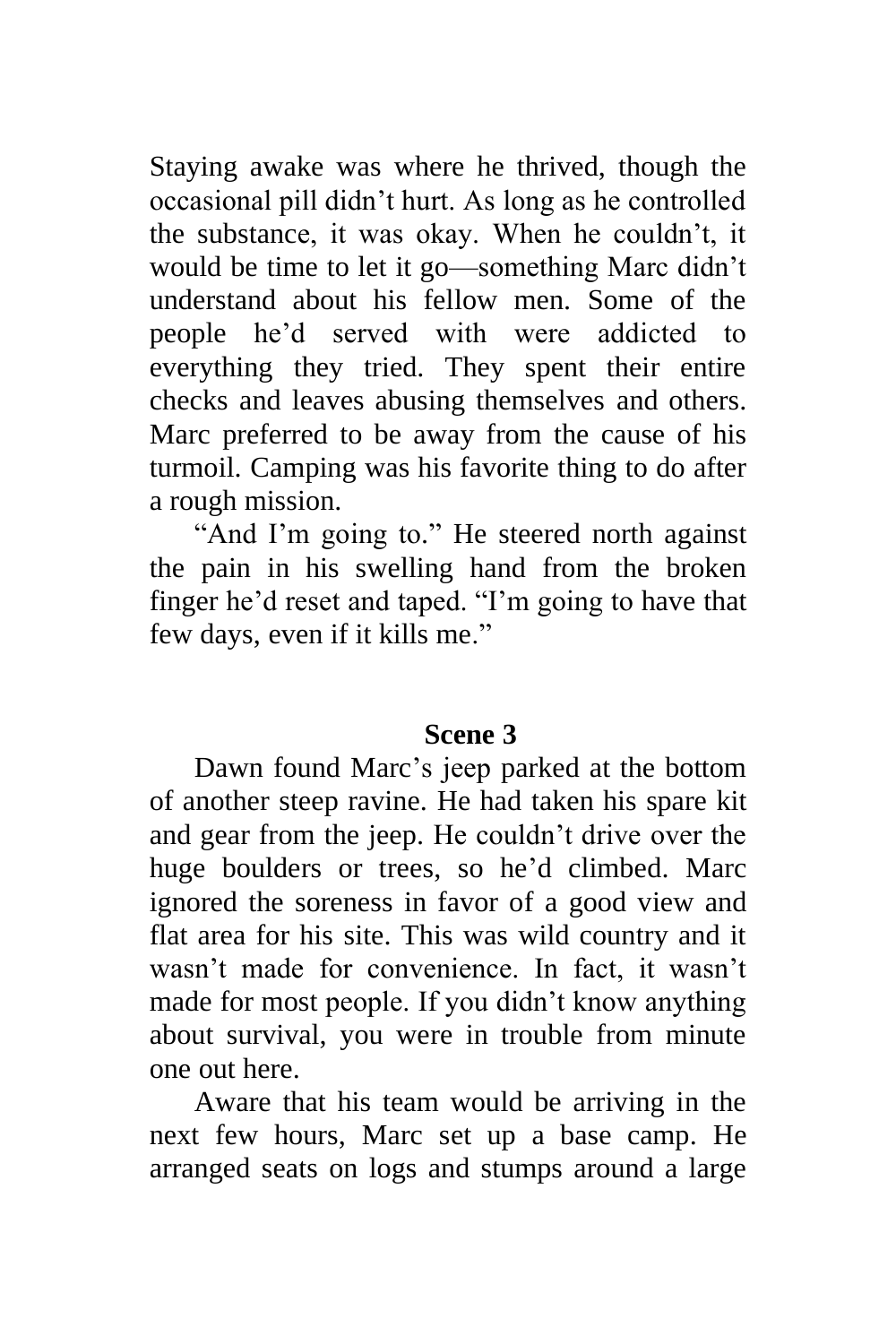Staying awake was where he thrived, though the occasional pill didn't hurt. As long as he controlled the substance, it was okay. When he couldn't, it would be time to let it go—something Marc didn't understand about his fellow men. Some of the people he'd served with were addicted to everything they tried. They spent their entire checks and leaves abusing themselves and others. Marc preferred to be away from the cause of his turmoil. Camping was his favorite thing to do after a rough mission.

"And I'm going to." He steered north against the pain in his swelling hand from the broken finger he'd reset and taped. "I'm going to have that few days, even if it kills me."

#### **Scene 3**

Dawn found Marc's jeep parked at the bottom of another steep ravine. He had taken his spare kit and gear from the jeep. He couldn't drive over the huge boulders or trees, so he'd climbed. Marc ignored the soreness in favor of a good view and flat area for his site. This was wild country and it wasn't made for convenience. In fact, it wasn't made for most people. If you didn't know anything about survival, you were in trouble from minute one out here.

Aware that his team would be arriving in the next few hours, Marc set up a base camp. He arranged seats on logs and stumps around a large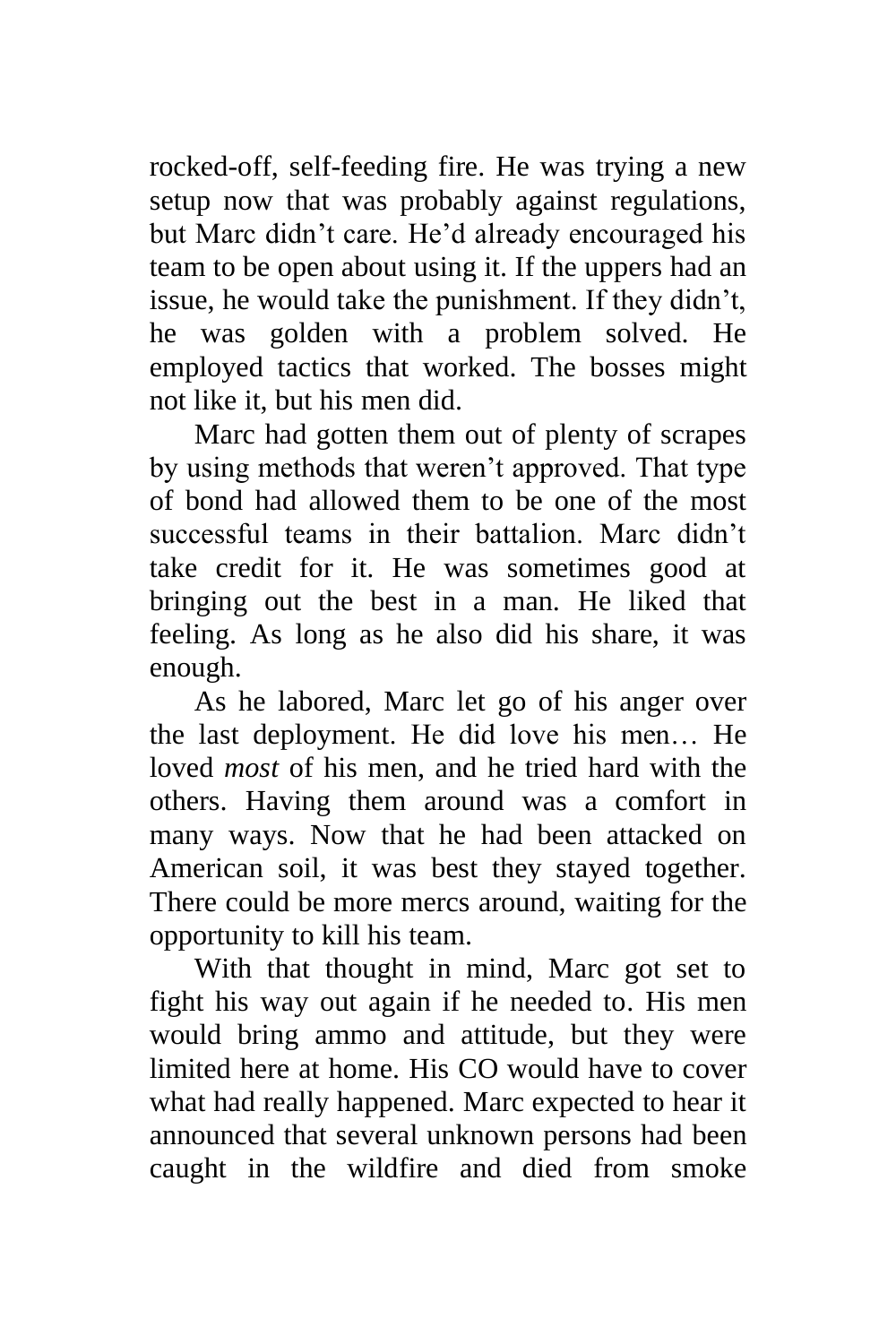rocked-off, self-feeding fire. He was trying a new setup now that was probably against regulations, but Marc didn't care. He'd already encouraged his team to be open about using it. If the uppers had an issue, he would take the punishment. If they didn't, he was golden with a problem solved. He employed tactics that worked. The bosses might not like it, but his men did.

Marc had gotten them out of plenty of scrapes by using methods that weren't approved. That type of bond had allowed them to be one of the most successful teams in their battalion. Marc didn't take credit for it. He was sometimes good at bringing out the best in a man. He liked that feeling. As long as he also did his share, it was enough.

As he labored, Marc let go of his anger over the last deployment. He did love his men… He loved *most* of his men, and he tried hard with the others. Having them around was a comfort in many ways. Now that he had been attacked on American soil, it was best they stayed together. There could be more mercs around, waiting for the opportunity to kill his team.

With that thought in mind, Marc got set to fight his way out again if he needed to. His men would bring ammo and attitude, but they were limited here at home. His CO would have to cover what had really happened. Marc expected to hear it announced that several unknown persons had been caught in the wildfire and died from smoke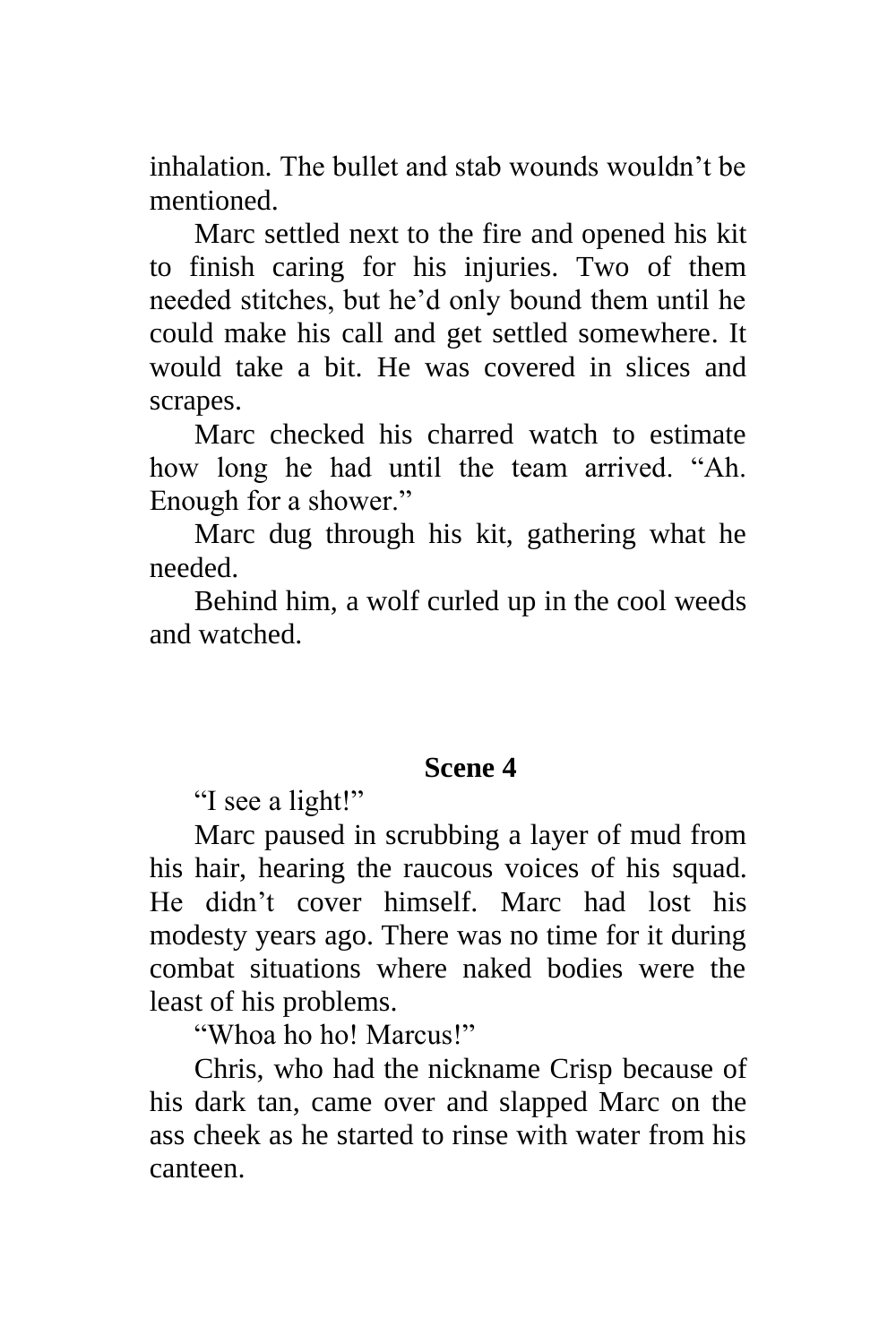inhalation. The bullet and stab wounds wouldn't be mentioned.

Marc settled next to the fire and opened his kit to finish caring for his injuries. Two of them needed stitches, but he'd only bound them until he could make his call and get settled somewhere. It would take a bit. He was covered in slices and scrapes.

Marc checked his charred watch to estimate how long he had until the team arrived. "Ah. Enough for a shower."

Marc dug through his kit, gathering what he needed.

Behind him, a wolf curled up in the cool weeds and watched.

#### **Scene 4**

"I see a light!"

Marc paused in scrubbing a layer of mud from his hair, hearing the raucous voices of his squad. He didn't cover himself. Marc had lost his modesty years ago. There was no time for it during combat situations where naked bodies were the least of his problems.

"Whoa ho ho! Marcus!"

Chris, who had the nickname Crisp because of his dark tan, came over and slapped Marc on the ass cheek as he started to rinse with water from his canteen.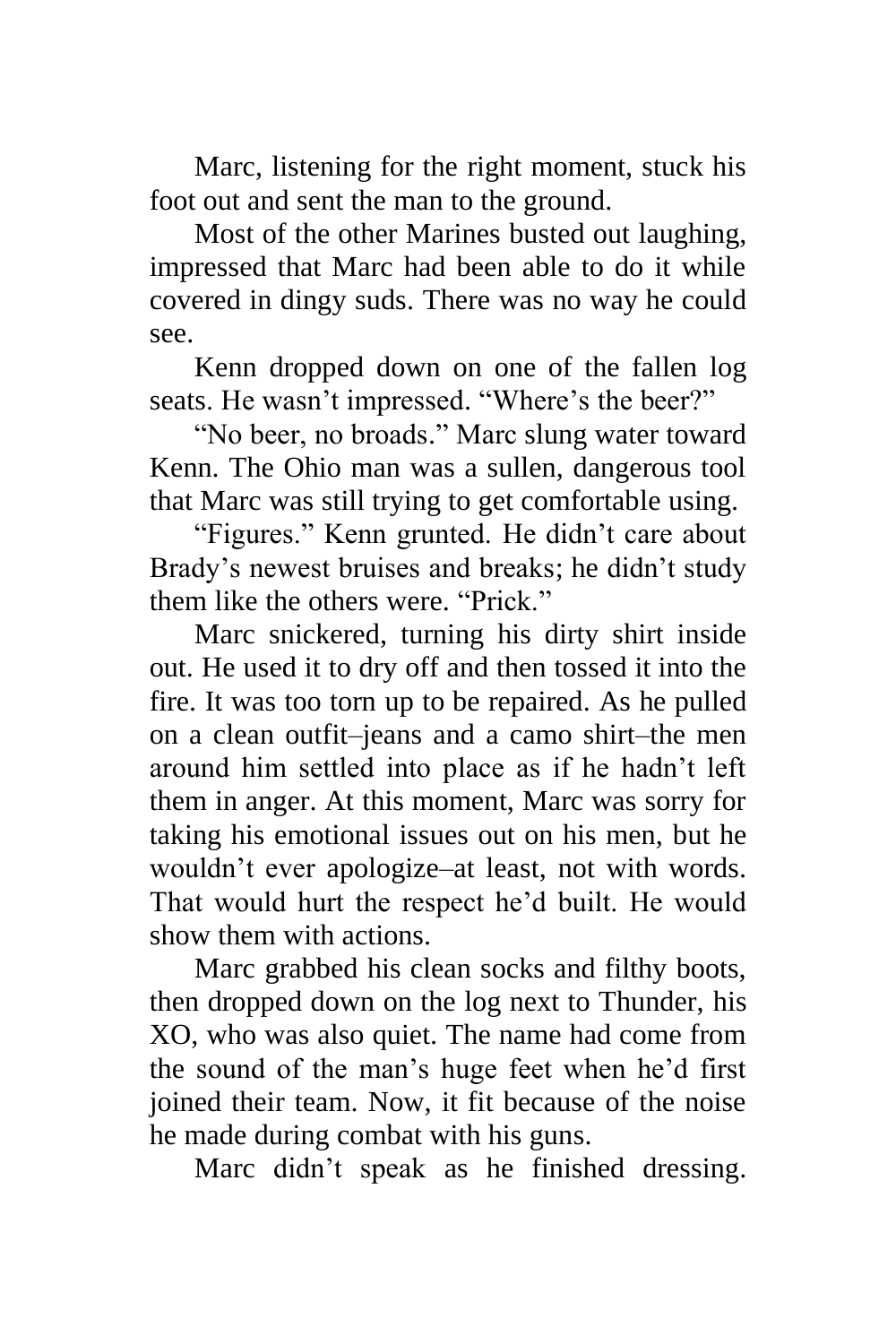Marc, listening for the right moment, stuck his foot out and sent the man to the ground.

Most of the other Marines busted out laughing, impressed that Marc had been able to do it while covered in dingy suds. There was no way he could see.

Kenn dropped down on one of the fallen log seats. He wasn't impressed. "Where's the beer?"

"No beer, no broads." Marc slung water toward Kenn. The Ohio man was a sullen, dangerous tool that Marc was still trying to get comfortable using.

"Figures." Kenn grunted. He didn't care about Brady's newest bruises and breaks; he didn't study them like the others were. "Prick."

Marc snickered, turning his dirty shirt inside out. He used it to dry off and then tossed it into the fire. It was too torn up to be repaired. As he pulled on a clean outfit–jeans and a camo shirt–the men around him settled into place as if he hadn't left them in anger. At this moment, Marc was sorry for taking his emotional issues out on his men, but he wouldn't ever apologize–at least, not with words. That would hurt the respect he'd built. He would show them with actions.

Marc grabbed his clean socks and filthy boots, then dropped down on the log next to Thunder, his XO, who was also quiet. The name had come from the sound of the man's huge feet when he'd first joined their team. Now, it fit because of the noise he made during combat with his guns.

Marc didn't speak as he finished dressing.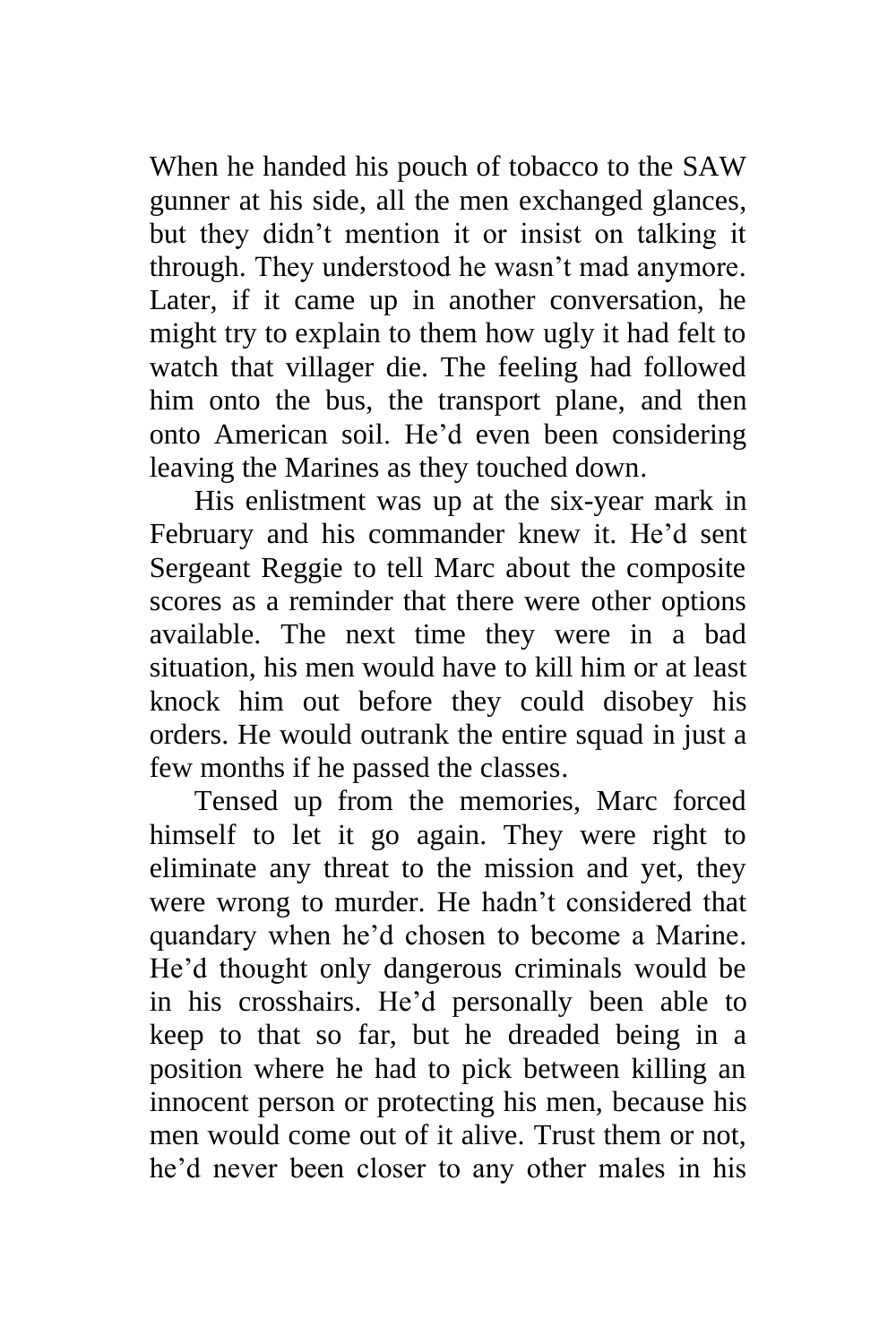When he handed his pouch of tobacco to the SAW gunner at his side, all the men exchanged glances, but they didn't mention it or insist on talking it through. They understood he wasn't mad anymore. Later, if it came up in another conversation, he might try to explain to them how ugly it had felt to watch that villager die. The feeling had followed him onto the bus, the transport plane, and then onto American soil. He'd even been considering leaving the Marines as they touched down.

His enlistment was up at the six-year mark in February and his commander knew it. He'd sent Sergeant Reggie to tell Marc about the composite scores as a reminder that there were other options available. The next time they were in a bad situation, his men would have to kill him or at least knock him out before they could disobey his orders. He would outrank the entire squad in just a few months if he passed the classes.

Tensed up from the memories, Marc forced himself to let it go again. They were right to eliminate any threat to the mission and yet, they were wrong to murder. He hadn't considered that quandary when he'd chosen to become a Marine. He'd thought only dangerous criminals would be in his crosshairs. He'd personally been able to keep to that so far, but he dreaded being in a position where he had to pick between killing an innocent person or protecting his men, because his men would come out of it alive. Trust them or not, he'd never been closer to any other males in his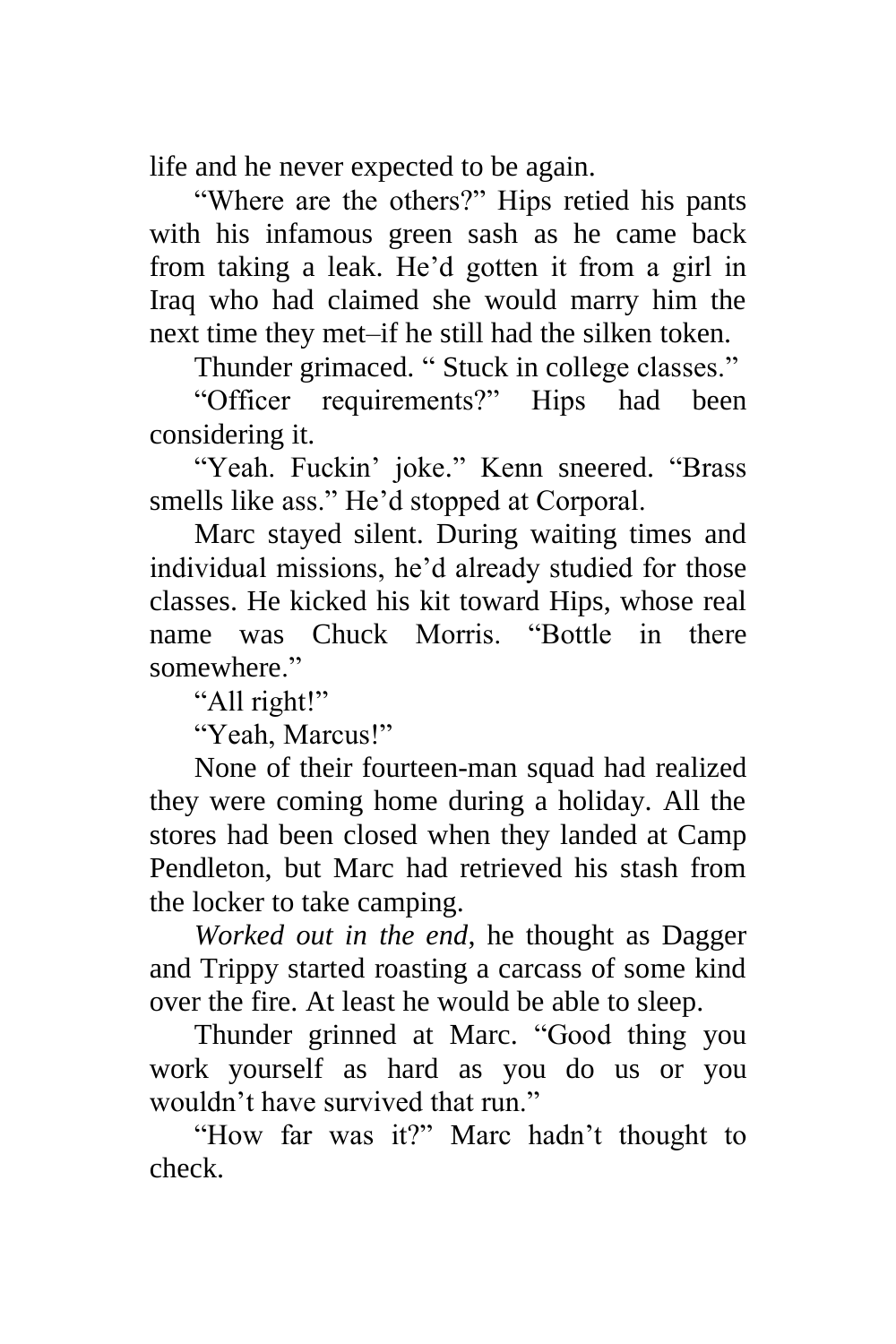life and he never expected to be again.

"Where are the others?" Hips retied his pants with his infamous green sash as he came back from taking a leak. He'd gotten it from a girl in Iraq who had claimed she would marry him the next time they met–if he still had the silken token.

Thunder grimaced. " Stuck in college classes."

"Officer requirements?" Hips had been considering it.

"Yeah. Fuckin' joke." Kenn sneered. "Brass smells like ass." He'd stopped at Corporal.

Marc stayed silent. During waiting times and individual missions, he'd already studied for those classes. He kicked his kit toward Hips, whose real name was Chuck Morris. "Bottle in there somewhere."

"All right!"

"Yeah, Marcus!"

None of their fourteen-man squad had realized they were coming home during a holiday. All the stores had been closed when they landed at Camp Pendleton, but Marc had retrieved his stash from the locker to take camping.

*Worked out in the end*, he thought as Dagger and Trippy started roasting a carcass of some kind over the fire. At least he would be able to sleep.

Thunder grinned at Marc. "Good thing you work yourself as hard as you do us or you wouldn't have survived that run."

"How far was it?" Marc hadn't thought to check.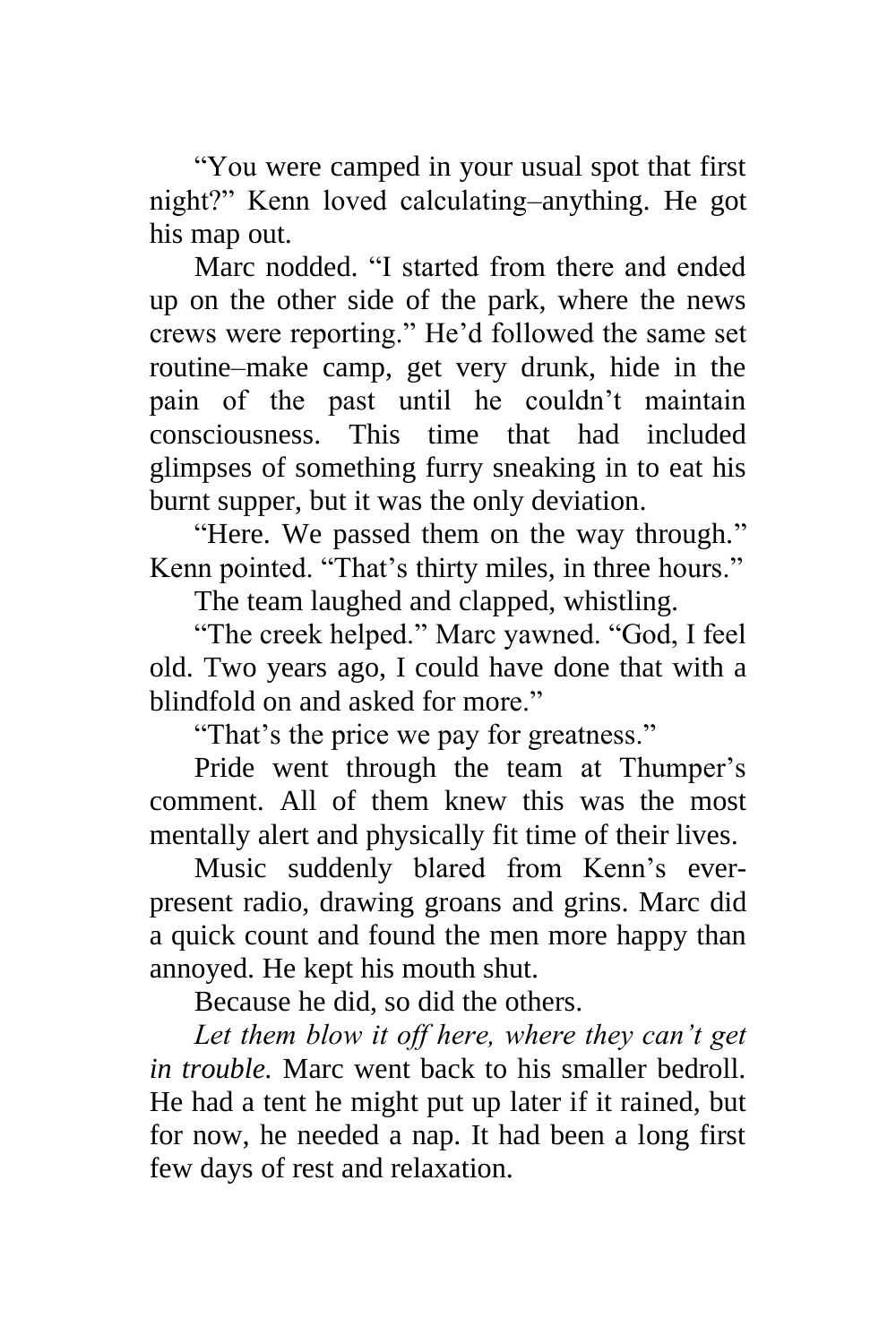"You were camped in your usual spot that first night?" Kenn loved calculating–anything. He got his map out.

Marc nodded. "I started from there and ended up on the other side of the park, where the news crews were reporting." He'd followed the same set routine–make camp, get very drunk, hide in the pain of the past until he couldn't maintain consciousness. This time that had included glimpses of something furry sneaking in to eat his burnt supper, but it was the only deviation.

"Here. We passed them on the way through." Kenn pointed. "That's thirty miles, in three hours."

The team laughed and clapped, whistling.

"The creek helped." Marc yawned. "God, I feel old. Two years ago, I could have done that with a blindfold on and asked for more."

"That's the price we pay for greatness."

Pride went through the team at Thumper's comment. All of them knew this was the most mentally alert and physically fit time of their lives.

Music suddenly blared from Kenn's everpresent radio, drawing groans and grins. Marc did a quick count and found the men more happy than annoyed. He kept his mouth shut.

Because he did, so did the others.

*Let them blow it off here, where they can't get in trouble.* Marc went back to his smaller bedroll. He had a tent he might put up later if it rained, but for now, he needed a nap. It had been a long first few days of rest and relaxation.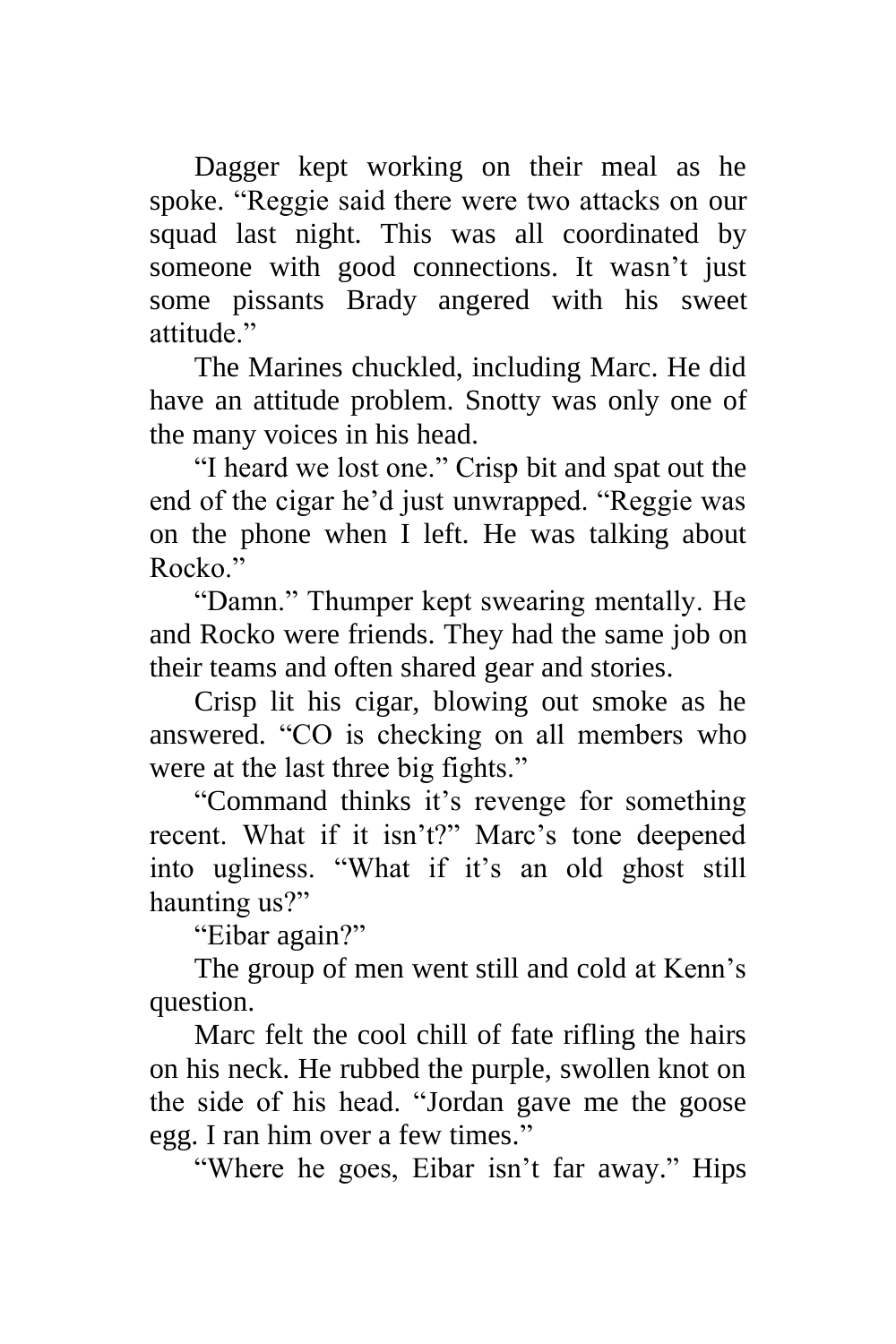Dagger kept working on their meal as he spoke. "Reggie said there were two attacks on our squad last night. This was all coordinated by someone with good connections. It wasn't just some pissants Brady angered with his sweet attitude."

The Marines chuckled, including Marc. He did have an attitude problem. Snotty was only one of the many voices in his head.

"I heard we lost one." Crisp bit and spat out the end of the cigar he'd just unwrapped. "Reggie was on the phone when I left. He was talking about Rocko<sup>"</sup>

"Damn." Thumper kept swearing mentally. He and Rocko were friends. They had the same job on their teams and often shared gear and stories.

Crisp lit his cigar, blowing out smoke as he answered. "CO is checking on all members who were at the last three big fights."

"Command thinks it's revenge for something recent. What if it isn't?" Marc's tone deepened into ugliness. "What if it's an old ghost still haunting us?"

"Eibar again?"

The group of men went still and cold at Kenn's question.

Marc felt the cool chill of fate rifling the hairs on his neck. He rubbed the purple, swollen knot on the side of his head. "Jordan gave me the goose egg. I ran him over a few times."

"Where he goes, Eibar isn't far away." Hips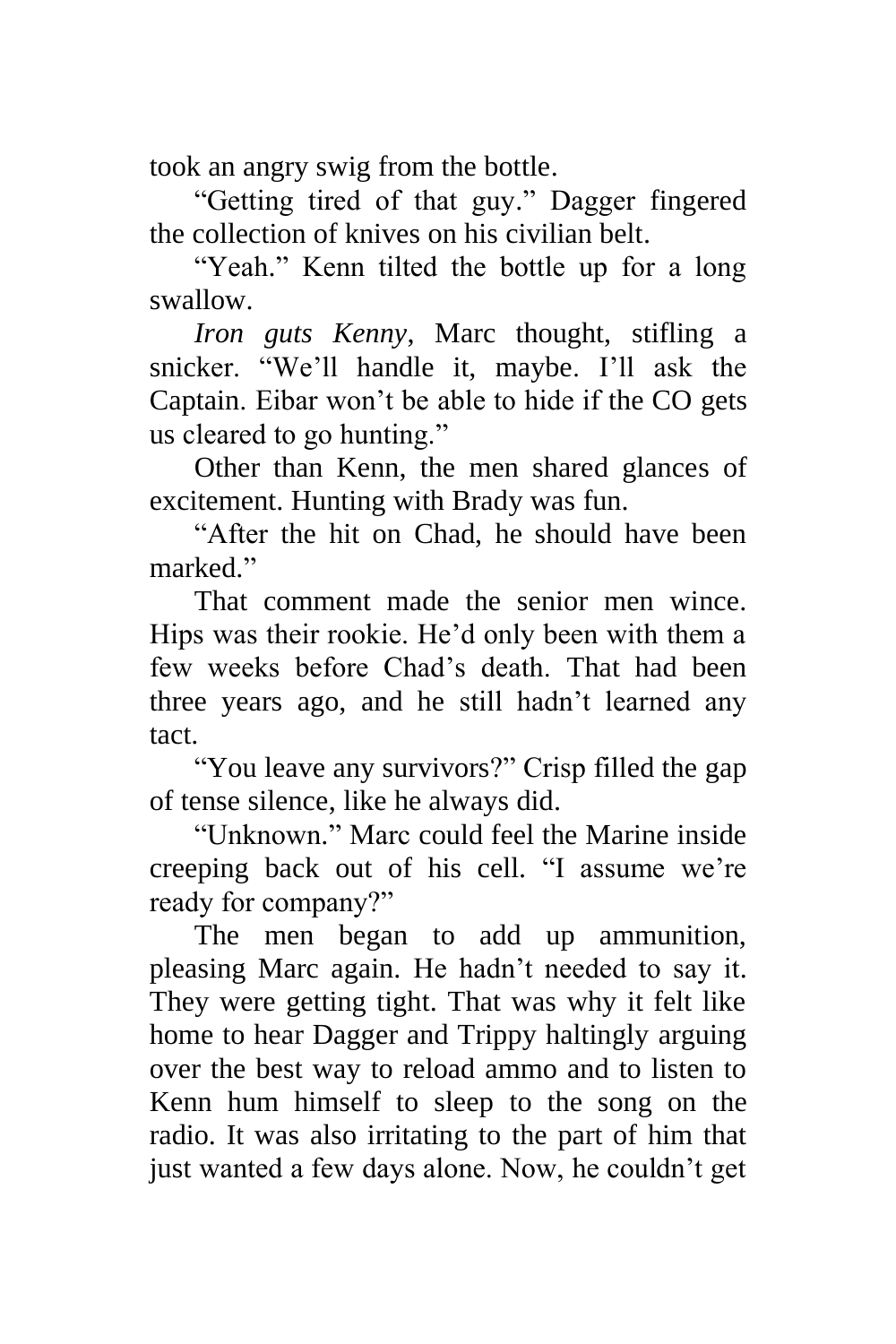took an angry swig from the bottle.

"Getting tired of that guy." Dagger fingered the collection of knives on his civilian belt.

"Yeah." Kenn tilted the bottle up for a long swallow.

*Iron guts Kenny*, Marc thought, stifling a snicker. "We'll handle it, maybe. I'll ask the Captain. Eibar won't be able to hide if the CO gets us cleared to go hunting."

Other than Kenn, the men shared glances of excitement. Hunting with Brady was fun.

"After the hit on Chad, he should have been marked."

That comment made the senior men wince. Hips was their rookie. He'd only been with them a few weeks before Chad's death. That had been three years ago, and he still hadn't learned any tact.

"You leave any survivors?" Crisp filled the gap of tense silence, like he always did.

"Unknown." Marc could feel the Marine inside creeping back out of his cell. "I assume we're ready for company?"

The men began to add up ammunition, pleasing Marc again. He hadn't needed to say it. They were getting tight. That was why it felt like home to hear Dagger and Trippy haltingly arguing over the best way to reload ammo and to listen to Kenn hum himself to sleep to the song on the radio. It was also irritating to the part of him that just wanted a few days alone. Now, he couldn't get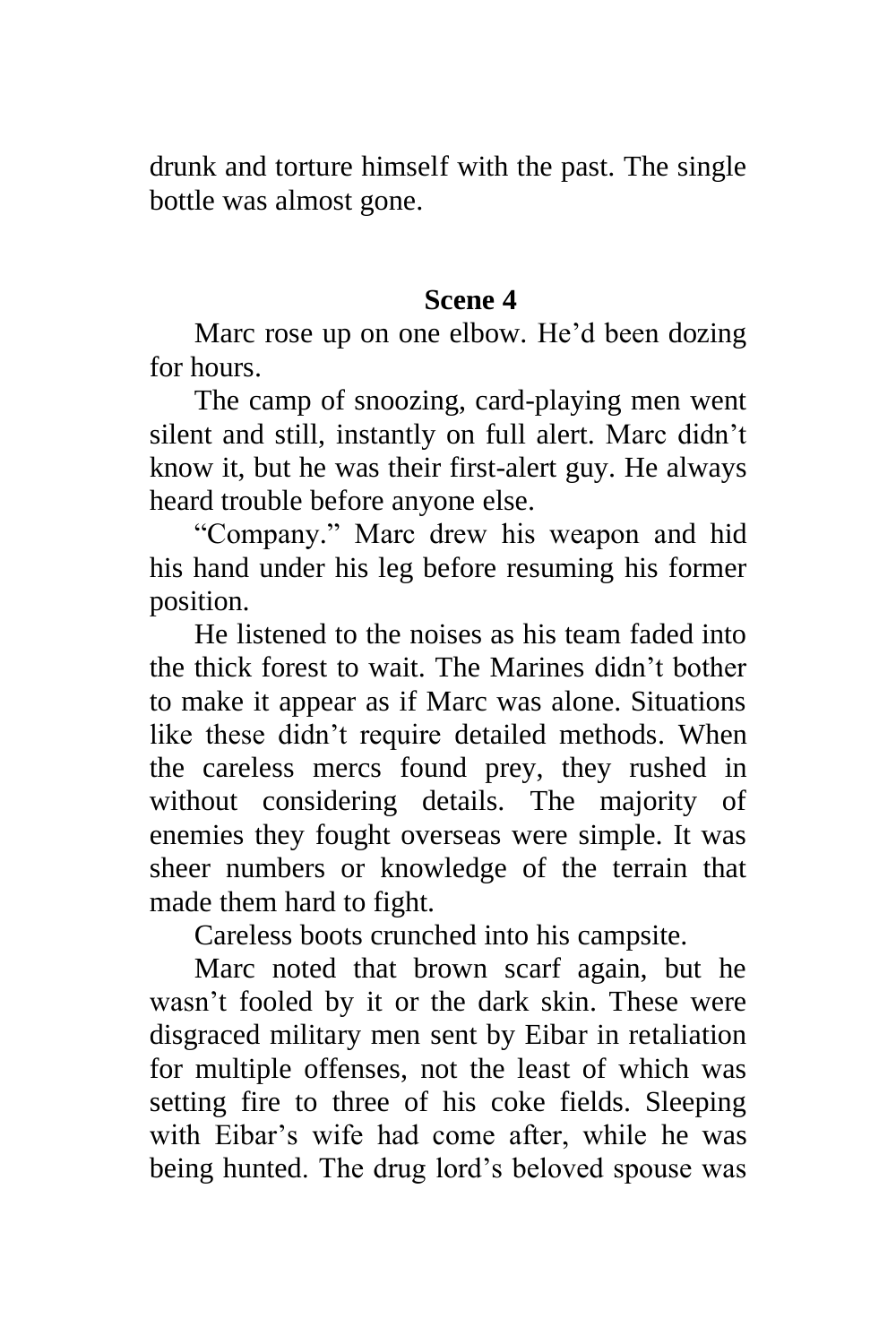drunk and torture himself with the past. The single bottle was almost gone.

### **Scene 4**

Marc rose up on one elbow. He'd been dozing for hours.

The camp of snoozing, card-playing men went silent and still, instantly on full alert. Marc didn't know it, but he was their first-alert guy. He always heard trouble before anyone else.

"Company." Marc drew his weapon and hid his hand under his leg before resuming his former position.

He listened to the noises as his team faded into the thick forest to wait. The Marines didn't bother to make it appear as if Marc was alone. Situations like these didn't require detailed methods. When the careless mercs found prey, they rushed in without considering details. The majority of enemies they fought overseas were simple. It was sheer numbers or knowledge of the terrain that made them hard to fight.

Careless boots crunched into his campsite.

Marc noted that brown scarf again, but he wasn't fooled by it or the dark skin. These were disgraced military men sent by Eibar in retaliation for multiple offenses, not the least of which was setting fire to three of his coke fields. Sleeping with Eibar's wife had come after, while he was being hunted. The drug lord's beloved spouse was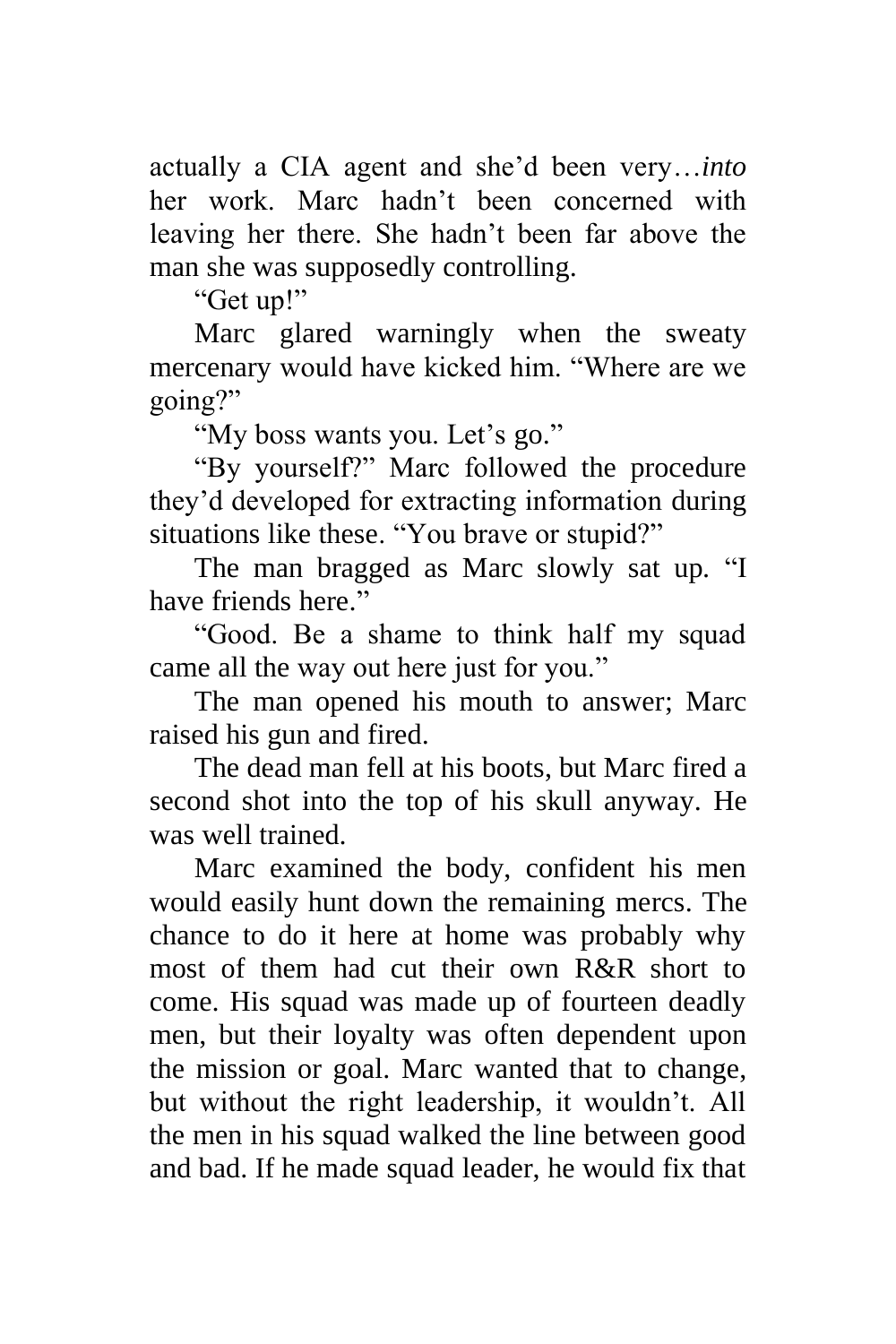actually a CIA agent and she'd been very…*into* her work. Marc hadn't been concerned with leaving her there. She hadn't been far above the man she was supposedly controlling.

"Get up!"

Marc glared warningly when the sweaty mercenary would have kicked him. "Where are we going?"

"My boss wants you. Let's go."

"By yourself?" Marc followed the procedure they'd developed for extracting information during situations like these. "You brave or stupid?"

The man bragged as Marc slowly sat up. "I have friends here."

"Good. Be a shame to think half my squad came all the way out here just for you."

The man opened his mouth to answer; Marc raised his gun and fired.

The dead man fell at his boots, but Marc fired a second shot into the top of his skull anyway. He was well trained.

Marc examined the body, confident his men would easily hunt down the remaining mercs. The chance to do it here at home was probably why most of them had cut their own R&R short to come. His squad was made up of fourteen deadly men, but their loyalty was often dependent upon the mission or goal. Marc wanted that to change, but without the right leadership, it wouldn't. All the men in his squad walked the line between good and bad. If he made squad leader, he would fix that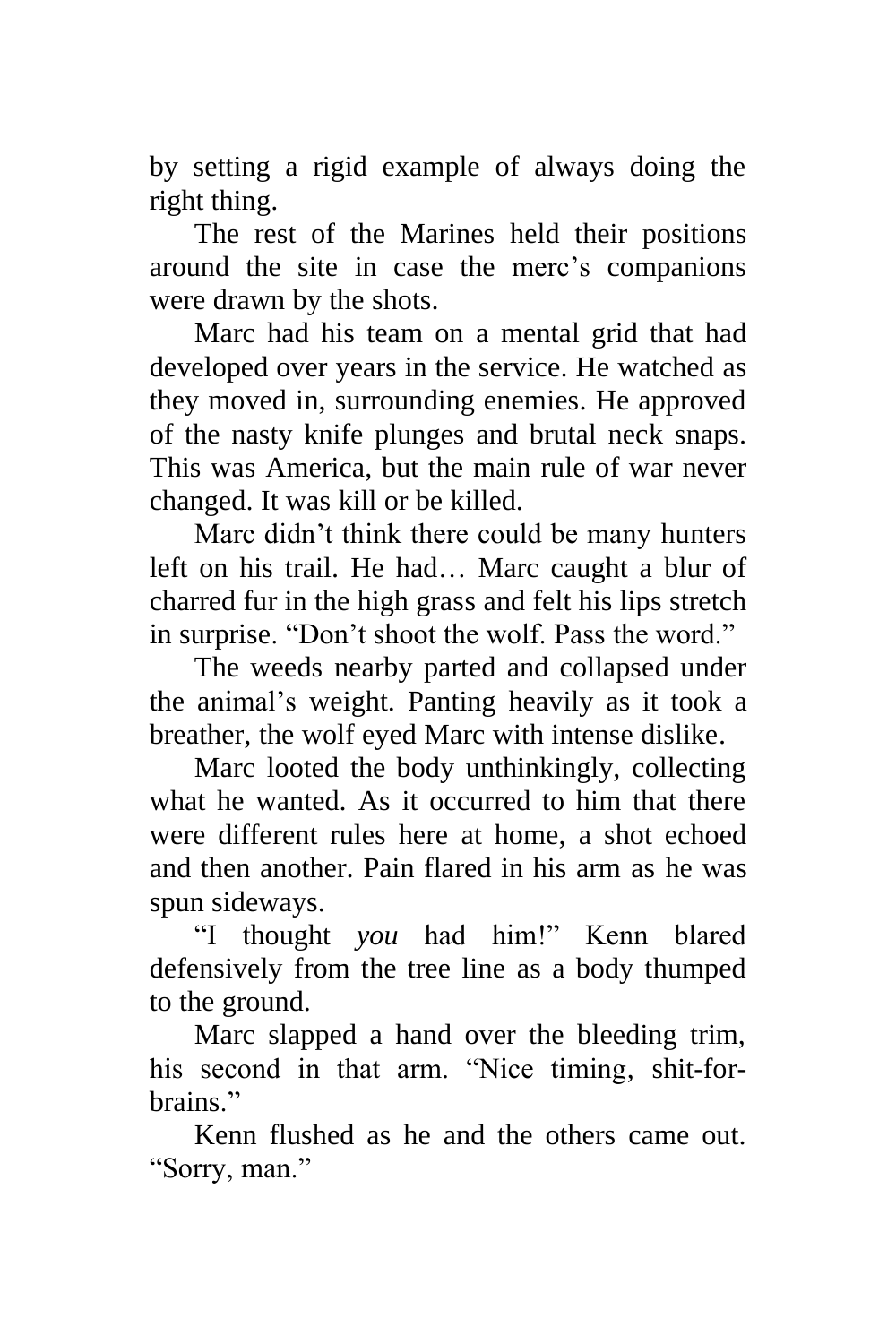by setting a rigid example of always doing the right thing.

The rest of the Marines held their positions around the site in case the merc's companions were drawn by the shots.

Marc had his team on a mental grid that had developed over years in the service. He watched as they moved in, surrounding enemies. He approved of the nasty knife plunges and brutal neck snaps. This was America, but the main rule of war never changed. It was kill or be killed.

Marc didn't think there could be many hunters left on his trail. He had… Marc caught a blur of charred fur in the high grass and felt his lips stretch in surprise. "Don't shoot the wolf. Pass the word."

The weeds nearby parted and collapsed under the animal's weight. Panting heavily as it took a breather, the wolf eyed Marc with intense dislike.

Marc looted the body unthinkingly, collecting what he wanted. As it occurred to him that there were different rules here at home, a shot echoed and then another. Pain flared in his arm as he was spun sideways.

"I thought *you* had him!" Kenn blared defensively from the tree line as a body thumped to the ground.

Marc slapped a hand over the bleeding trim, his second in that arm. "Nice timing, shit-forhrains"

Kenn flushed as he and the others came out. "Sorry, man."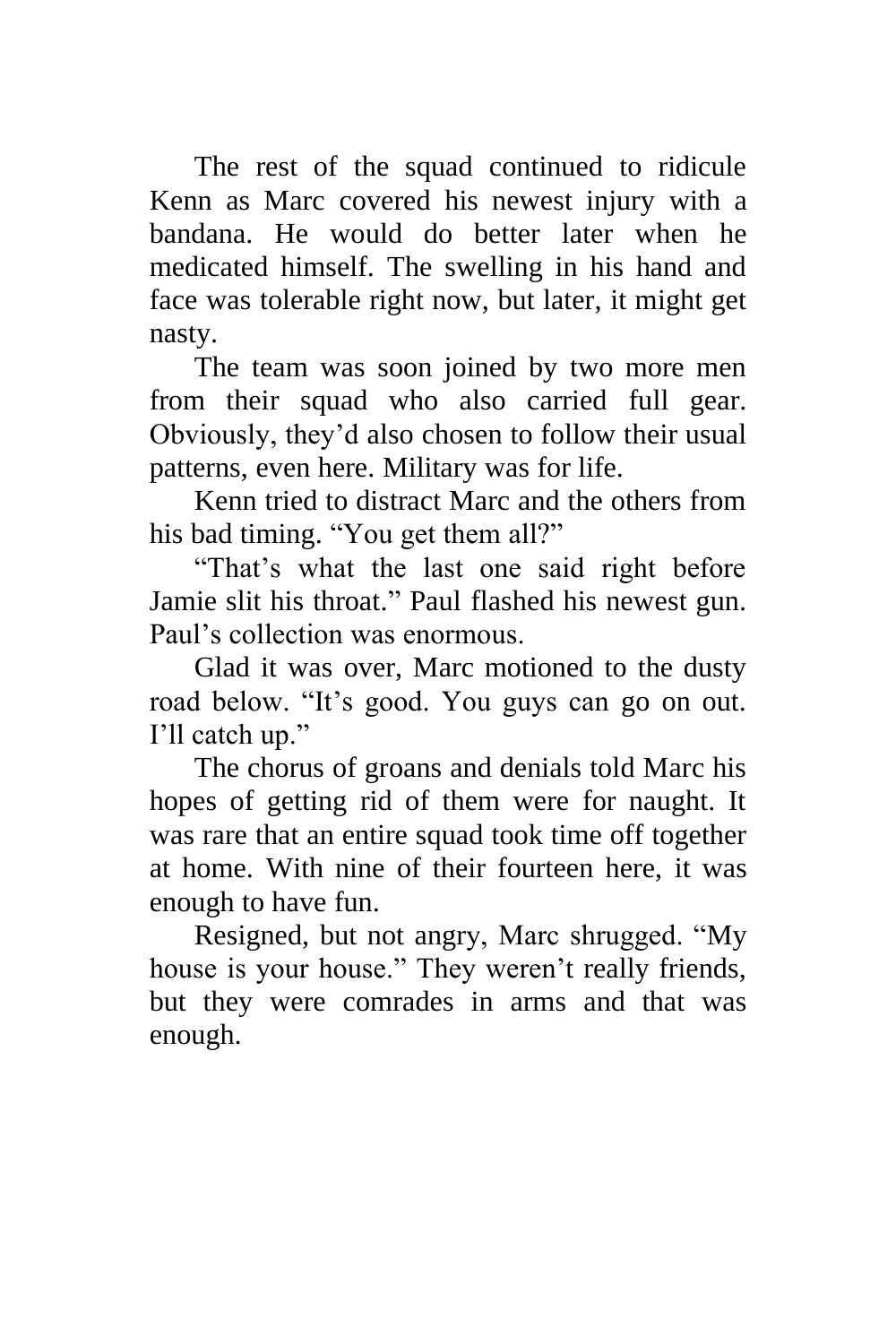The rest of the squad continued to ridicule Kenn as Marc covered his newest injury with a bandana. He would do better later when he medicated himself. The swelling in his hand and face was tolerable right now, but later, it might get nasty.

The team was soon joined by two more men from their squad who also carried full gear. Obviously, they'd also chosen to follow their usual patterns, even here. Military was for life.

Kenn tried to distract Marc and the others from his bad timing. "You get them all?"

"That's what the last one said right before Jamie slit his throat." Paul flashed his newest gun. Paul's collection was enormous.

Glad it was over, Marc motioned to the dusty road below. "It's good. You guys can go on out. I'll catch up."

The chorus of groans and denials told Marc his hopes of getting rid of them were for naught. It was rare that an entire squad took time off together at home. With nine of their fourteen here, it was enough to have fun.

Resigned, but not angry, Marc shrugged. "My house is your house." They weren't really friends, but they were comrades in arms and that was enough.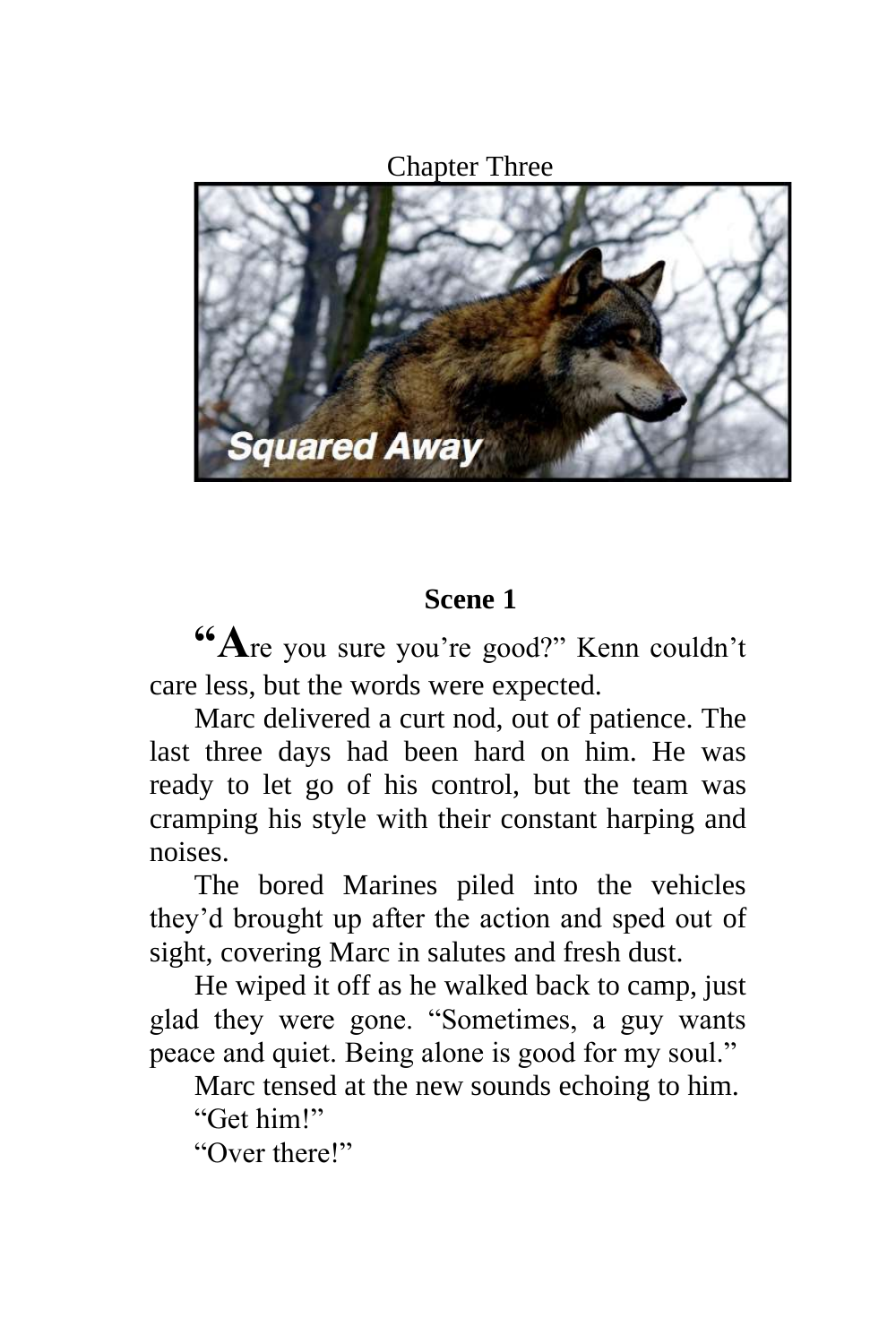Chapter Three



# **Scene 1**

**"A**re you sure you're good?" Kenn couldn't care less, but the words were expected.

Marc delivered a curt nod, out of patience. The last three days had been hard on him. He was ready to let go of his control, but the team was cramping his style with their constant harping and noises.

The bored Marines piled into the vehicles they'd brought up after the action and sped out of sight, covering Marc in salutes and fresh dust.

He wiped it off as he walked back to camp, just glad they were gone. "Sometimes, a guy wants peace and quiet. Being alone is good for my soul."

Marc tensed at the new sounds echoing to him. "Get him!"

"Over there!"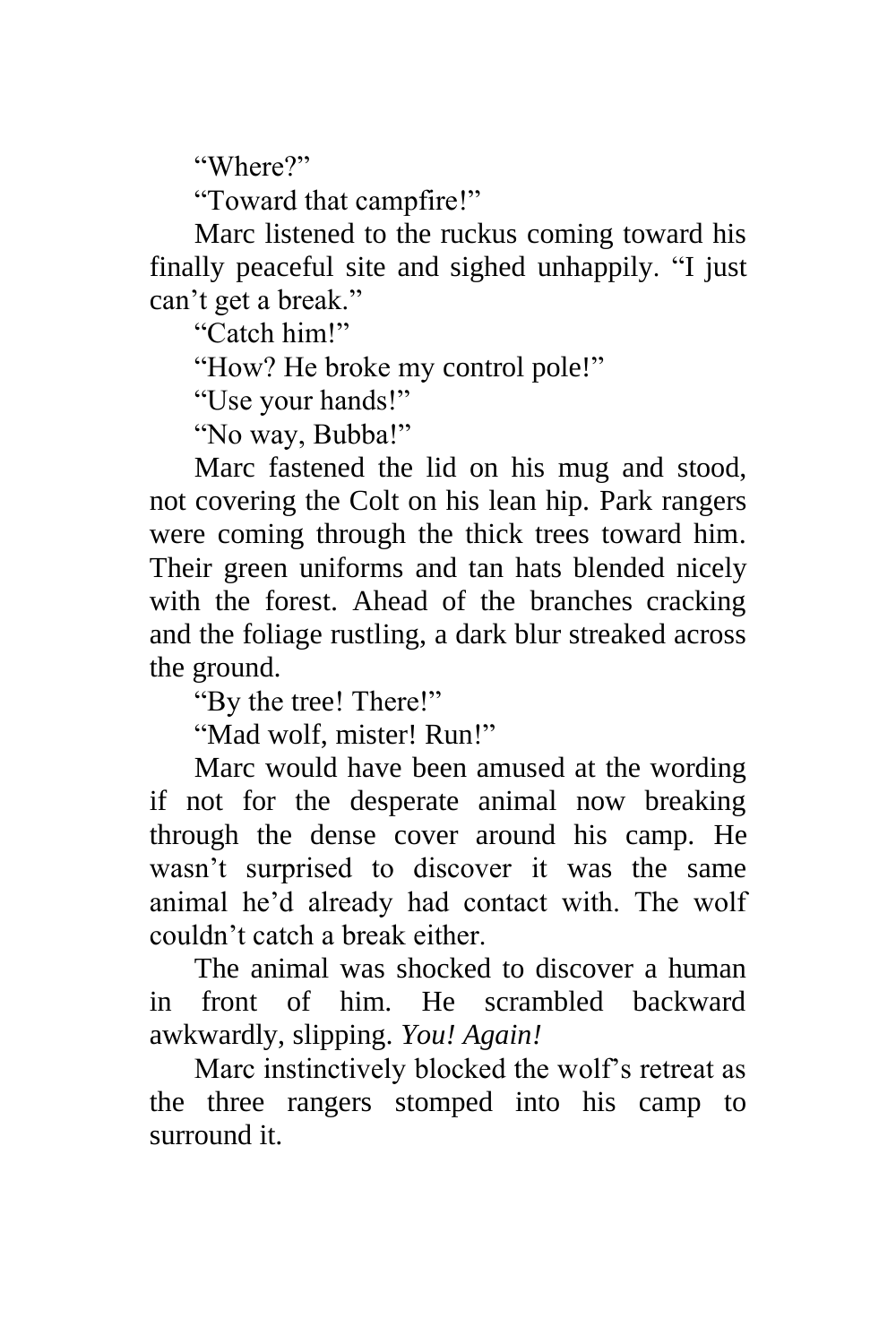"Where?"

"Toward that campfire!"

Marc listened to the ruckus coming toward his finally peaceful site and sighed unhappily. "I just can't get a break."

"Catch him!"

"How? He broke my control pole!"

"Use your hands!"

"No way, Bubba!"

Marc fastened the lid on his mug and stood, not covering the Colt on his lean hip. Park rangers were coming through the thick trees toward him. Their green uniforms and tan hats blended nicely with the forest. Ahead of the branches cracking and the foliage rustling, a dark blur streaked across the ground.

"By the tree! There!"

"Mad wolf, mister! Run!"

Marc would have been amused at the wording if not for the desperate animal now breaking through the dense cover around his camp. He wasn't surprised to discover it was the same animal he'd already had contact with. The wolf couldn't catch a break either.

The animal was shocked to discover a human in front of him. He scrambled backward awkwardly, slipping. *You! Again!*

Marc instinctively blocked the wolf's retreat as the three rangers stomped into his camp to surround it.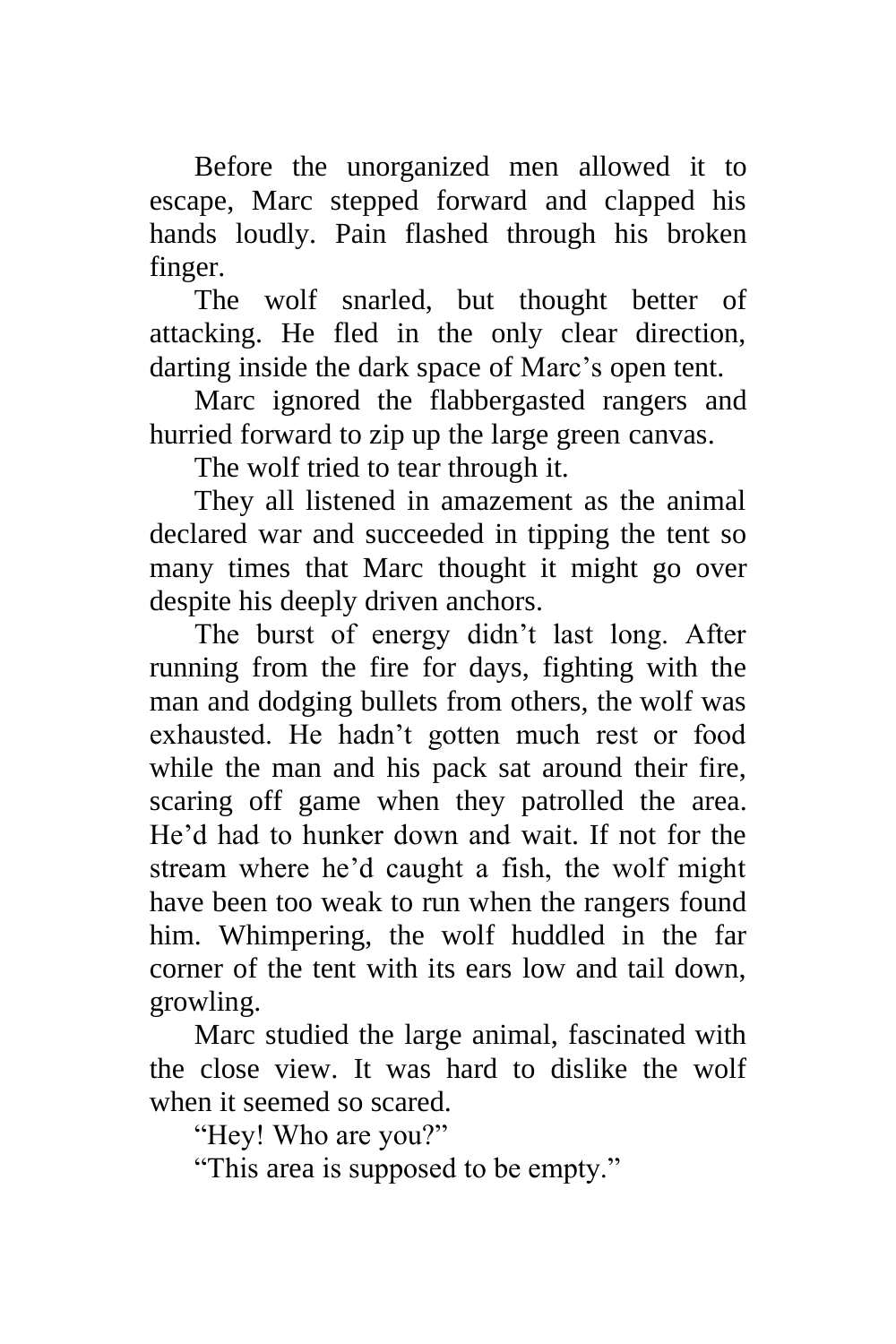Before the unorganized men allowed it to escape, Marc stepped forward and clapped his hands loudly. Pain flashed through his broken finger.

The wolf snarled, but thought better of attacking. He fled in the only clear direction, darting inside the dark space of Marc's open tent.

Marc ignored the flabbergasted rangers and hurried forward to zip up the large green canvas.

The wolf tried to tear through it.

They all listened in amazement as the animal declared war and succeeded in tipping the tent so many times that Marc thought it might go over despite his deeply driven anchors.

The burst of energy didn't last long. After running from the fire for days, fighting with the man and dodging bullets from others, the wolf was exhausted. He hadn't gotten much rest or food while the man and his pack sat around their fire, scaring off game when they patrolled the area. He'd had to hunker down and wait. If not for the stream where he'd caught a fish, the wolf might have been too weak to run when the rangers found him. Whimpering, the wolf huddled in the far corner of the tent with its ears low and tail down, growling.

Marc studied the large animal, fascinated with the close view. It was hard to dislike the wolf when it seemed so scared.

"Hey! Who are you?"

"This area is supposed to be empty."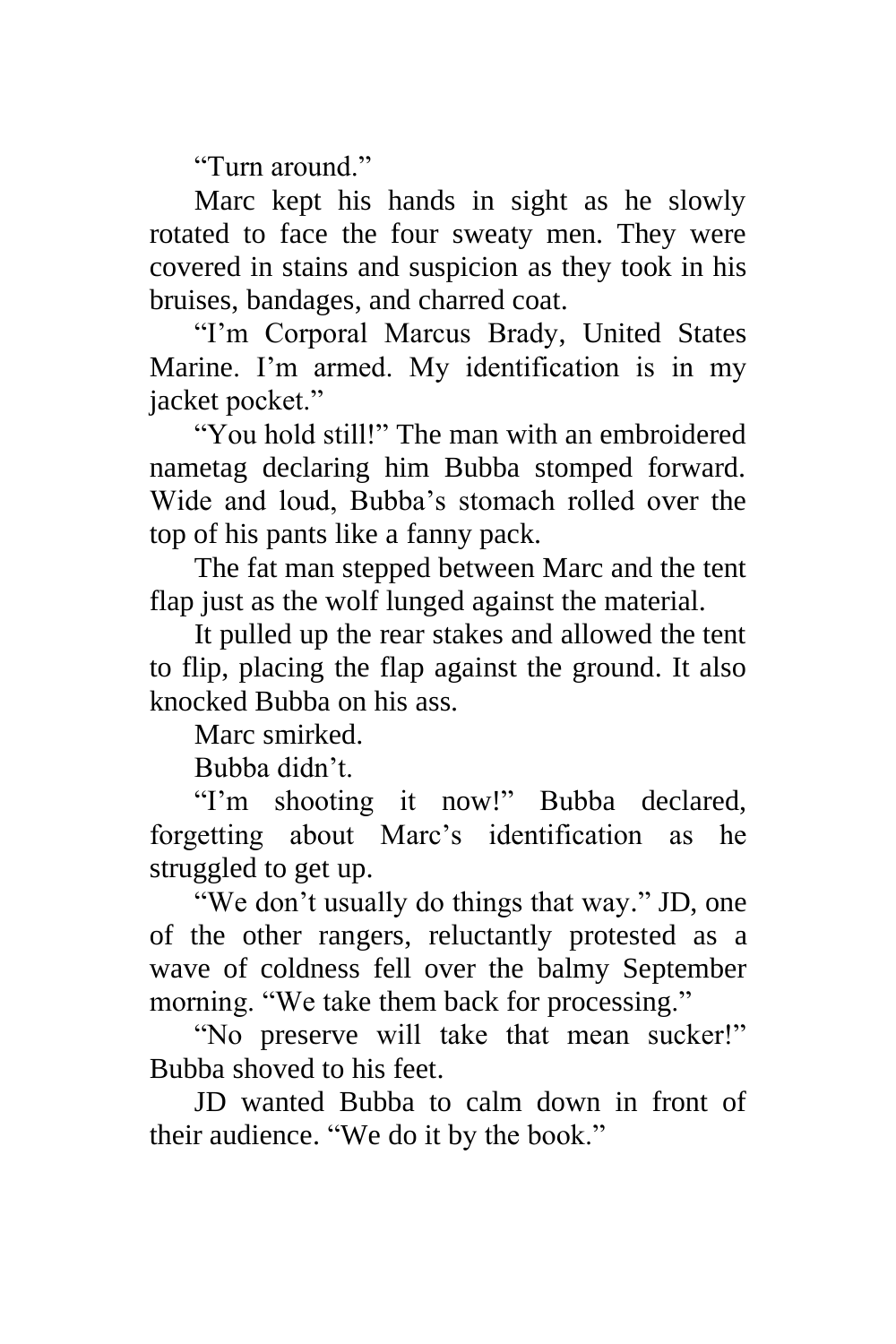"Turn around."

Marc kept his hands in sight as he slowly rotated to face the four sweaty men. They were covered in stains and suspicion as they took in his bruises, bandages, and charred coat.

"I'm Corporal Marcus Brady, United States Marine. I'm armed. My identification is in my jacket pocket."

"You hold still!" The man with an embroidered nametag declaring him Bubba stomped forward. Wide and loud, Bubba's stomach rolled over the top of his pants like a fanny pack.

The fat man stepped between Marc and the tent flap just as the wolf lunged against the material.

It pulled up the rear stakes and allowed the tent to flip, placing the flap against the ground. It also knocked Bubba on his ass.

Marc smirked.

Bubba didn't.

"I'm shooting it now!" Bubba declared, forgetting about Marc's identification as he struggled to get up.

"We don't usually do things that way." JD, one of the other rangers, reluctantly protested as a wave of coldness fell over the balmy September morning. "We take them back for processing."

"No preserve will take that mean sucker!" Bubba shoved to his feet.

JD wanted Bubba to calm down in front of their audience. "We do it by the book."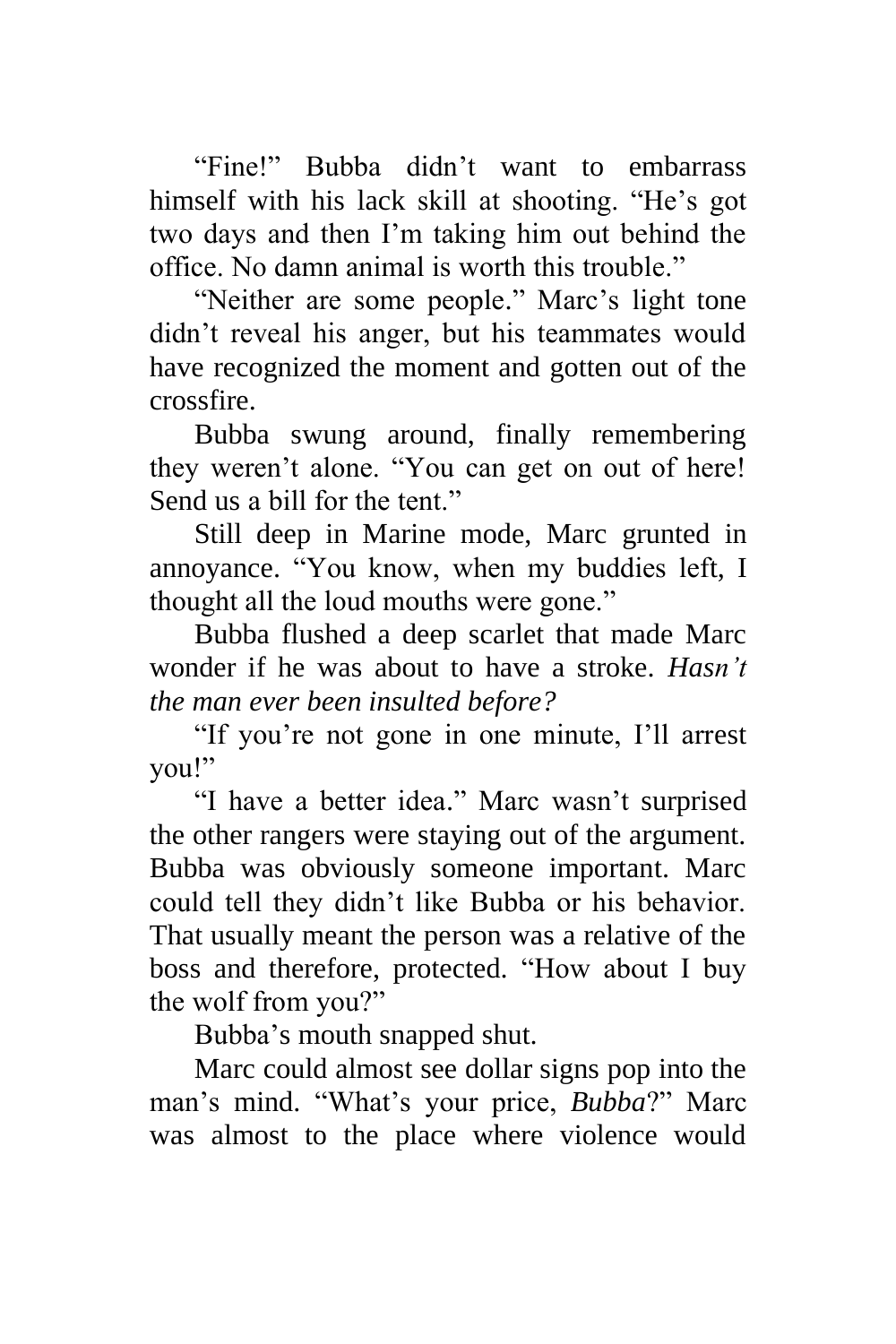"Fine!" Bubba didn't want to embarrass himself with his lack skill at shooting. "He's got two days and then I'm taking him out behind the office. No damn animal is worth this trouble."

"Neither are some people." Marc's light tone didn't reveal his anger, but his teammates would have recognized the moment and gotten out of the crossfire.

Bubba swung around, finally remembering they weren't alone. "You can get on out of here! Send us a bill for the tent."

Still deep in Marine mode, Marc grunted in annoyance. "You know, when my buddies left, I thought all the loud mouths were gone."

Bubba flushed a deep scarlet that made Marc wonder if he was about to have a stroke. *Hasn't the man ever been insulted before?*

"If you're not gone in one minute, I'll arrest you!"

"I have a better idea." Marc wasn't surprised the other rangers were staying out of the argument. Bubba was obviously someone important. Marc could tell they didn't like Bubba or his behavior. That usually meant the person was a relative of the boss and therefore, protected. "How about I buy the wolf from you?"

Bubba's mouth snapped shut.

Marc could almost see dollar signs pop into the man's mind. "What's your price, *Bubba*?" Marc was almost to the place where violence would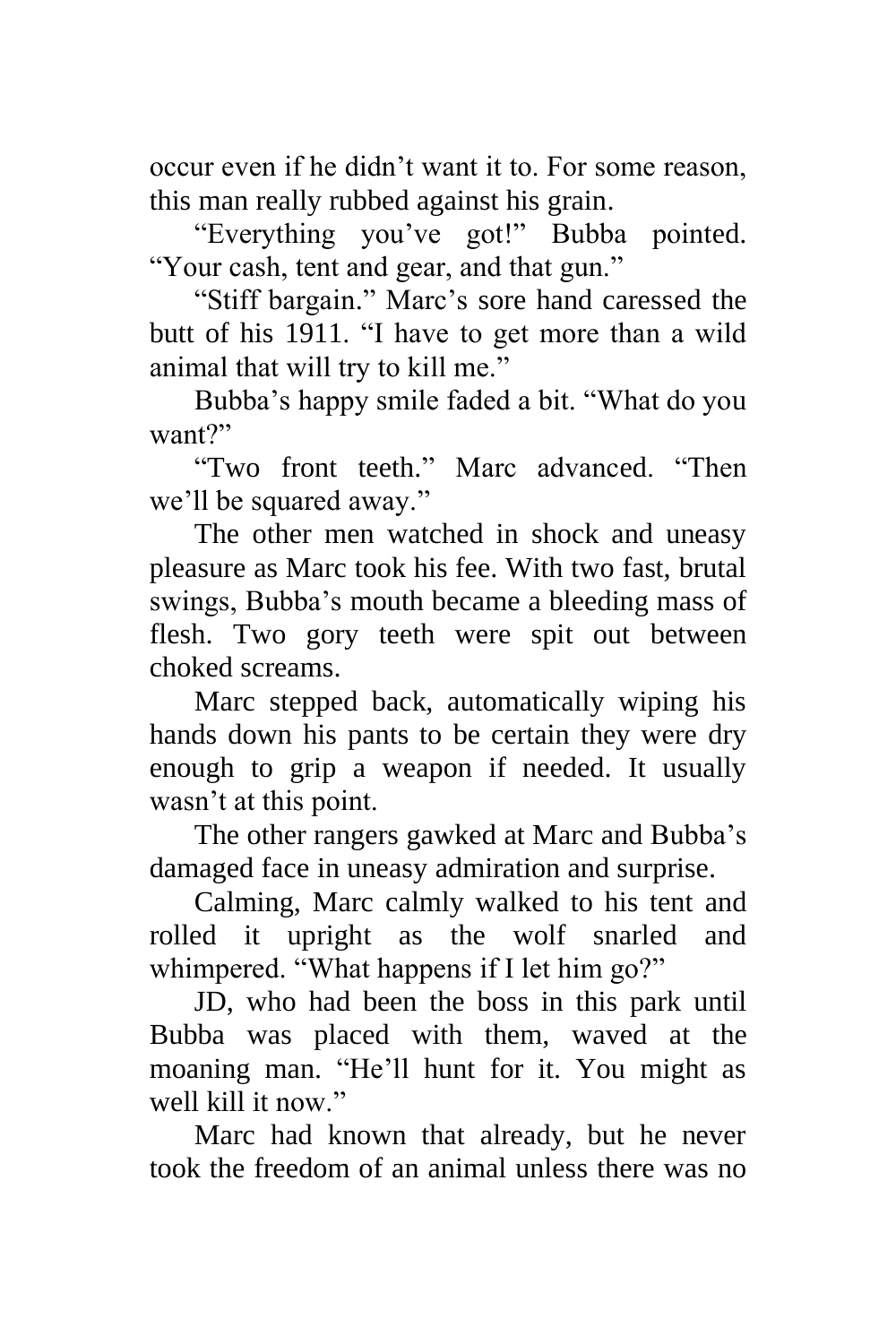occur even if he didn't want it to. For some reason, this man really rubbed against his grain.

"Everything you've got!" Bubba pointed. "Your cash, tent and gear, and that gun."

"Stiff bargain." Marc's sore hand caressed the butt of his 1911. "I have to get more than a wild animal that will try to kill me."

Bubba's happy smile faded a bit. "What do you want?"

"Two front teeth." Marc advanced. "Then we'll be squared away."

The other men watched in shock and uneasy pleasure as Marc took his fee. With two fast, brutal swings, Bubba's mouth became a bleeding mass of flesh. Two gory teeth were spit out between choked screams.

Marc stepped back, automatically wiping his hands down his pants to be certain they were dry enough to grip a weapon if needed. It usually wasn't at this point.

The other rangers gawked at Marc and Bubba's damaged face in uneasy admiration and surprise.

Calming, Marc calmly walked to his tent and rolled it upright as the wolf snarled and whimpered. "What happens if I let him go?"

JD, who had been the boss in this park until Bubba was placed with them, waved at the moaning man. "He'll hunt for it. You might as well kill it now".

Marc had known that already, but he never took the freedom of an animal unless there was no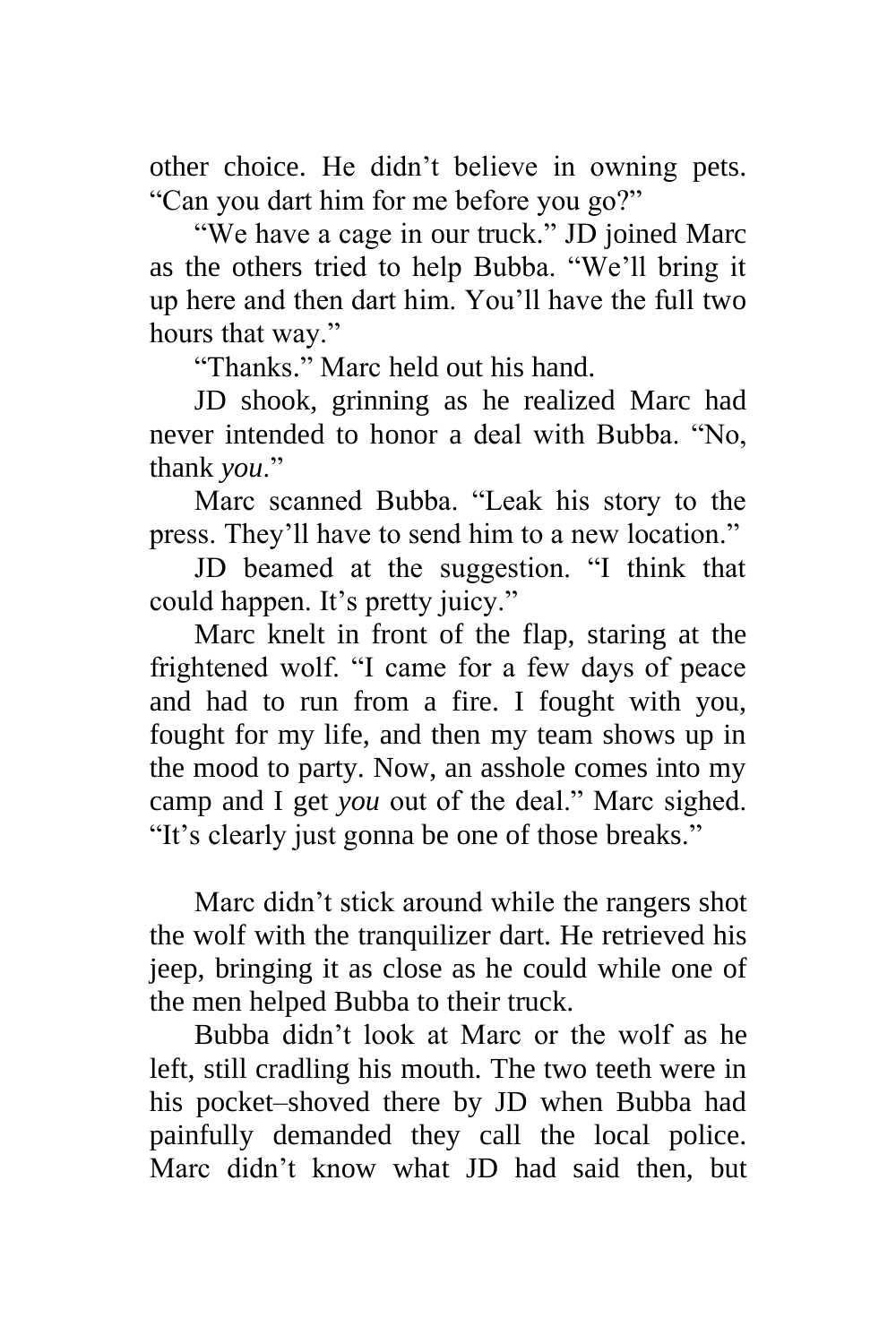other choice. He didn't believe in owning pets. "Can you dart him for me before you go?"

"We have a cage in our truck." JD joined Marc as the others tried to help Bubba. "We'll bring it up here and then dart him. You'll have the full two hours that way."

"Thanks." Marc held out his hand.

JD shook, grinning as he realized Marc had never intended to honor a deal with Bubba. "No, thank *you*."

Marc scanned Bubba. "Leak his story to the press. They'll have to send him to a new location."

JD beamed at the suggestion. "I think that could happen. It's pretty juicy."

Marc knelt in front of the flap, staring at the frightened wolf. "I came for a few days of peace and had to run from a fire. I fought with you, fought for my life, and then my team shows up in the mood to party. Now, an asshole comes into my camp and I get *you* out of the deal." Marc sighed. "It's clearly just gonna be one of those breaks."

Marc didn't stick around while the rangers shot the wolf with the tranquilizer dart. He retrieved his jeep, bringing it as close as he could while one of the men helped Bubba to their truck.

Bubba didn't look at Marc or the wolf as he left, still cradling his mouth. The two teeth were in his pocket–shoved there by JD when Bubba had painfully demanded they call the local police. Marc didn't know what JD had said then, but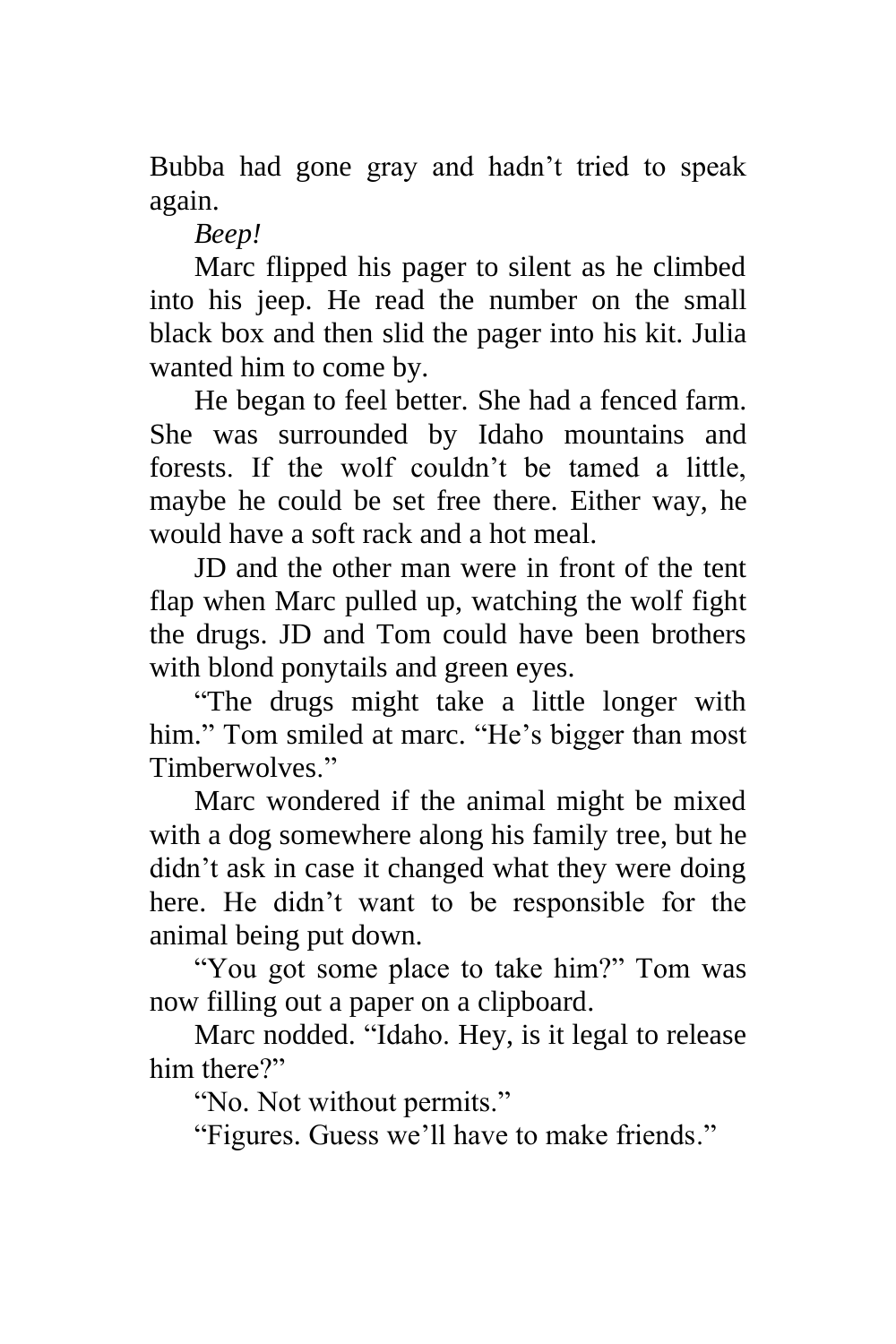Bubba had gone gray and hadn't tried to speak again.

*Beep!*

Marc flipped his pager to silent as he climbed into his jeep. He read the number on the small black box and then slid the pager into his kit. Julia wanted him to come by.

He began to feel better. She had a fenced farm. She was surrounded by Idaho mountains and forests. If the wolf couldn't be tamed a little, maybe he could be set free there. Either way, he would have a soft rack and a hot meal.

JD and the other man were in front of the tent flap when Marc pulled up, watching the wolf fight the drugs. JD and Tom could have been brothers with blond ponytails and green eyes.

"The drugs might take a little longer with him." Tom smiled at marc. "He's bigger than most Timberwolves."

Marc wondered if the animal might be mixed with a dog somewhere along his family tree, but he didn't ask in case it changed what they were doing here. He didn't want to be responsible for the animal being put down.

"You got some place to take him?" Tom was now filling out a paper on a clipboard.

Marc nodded. "Idaho. Hey, is it legal to release him there?"

"No. Not without permits."

"Figures. Guess we'll have to make friends."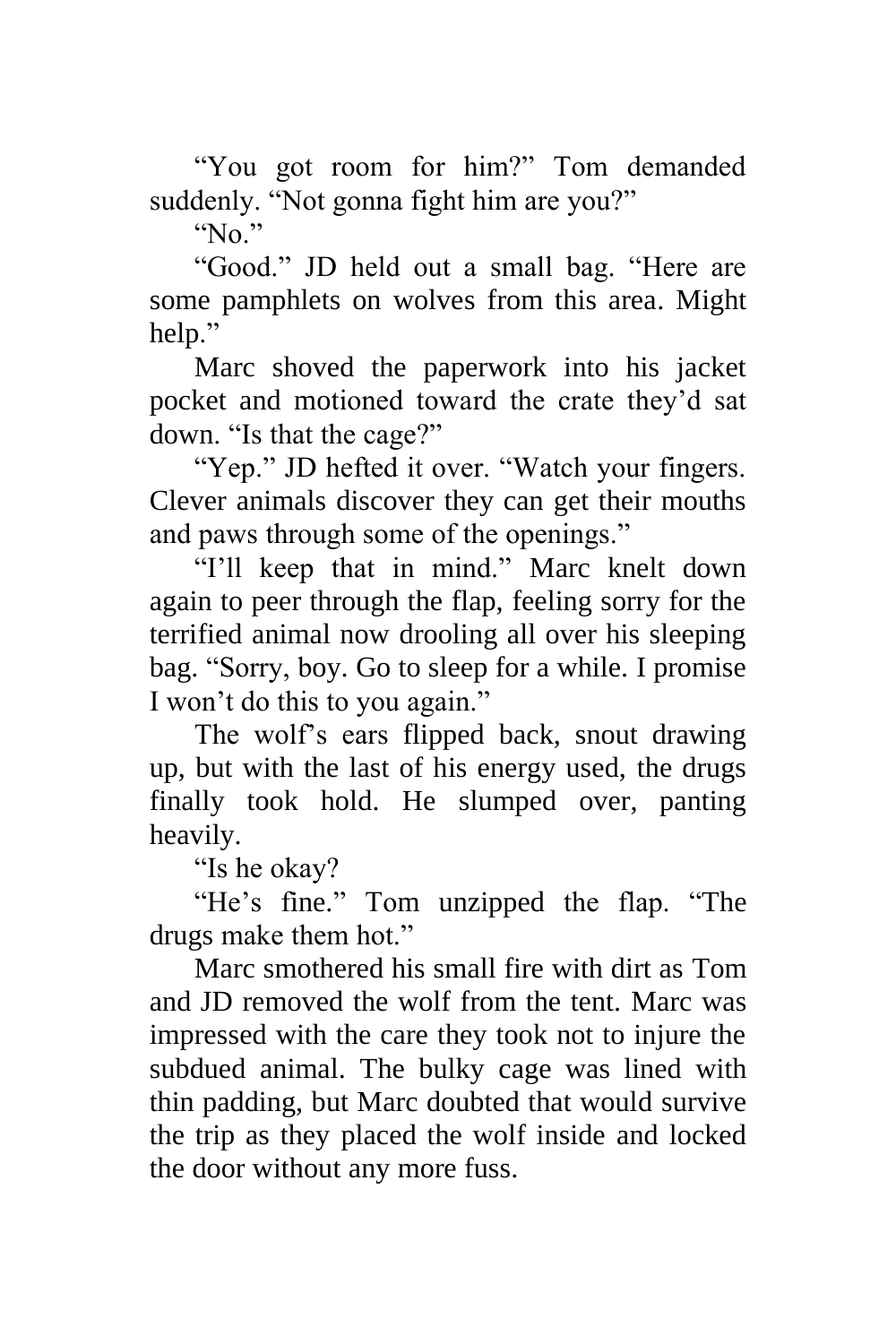"You got room for him?" Tom demanded suddenly. "Not gonna fight him are you?"

"No."

"Good." JD held out a small bag. "Here are some pamphlets on wolves from this area. Might help."

Marc shoved the paperwork into his jacket pocket and motioned toward the crate they'd sat down. "Is that the cage?"

"Yep." JD hefted it over. "Watch your fingers. Clever animals discover they can get their mouths and paws through some of the openings."

"I'll keep that in mind." Marc knelt down again to peer through the flap, feeling sorry for the terrified animal now drooling all over his sleeping bag. "Sorry, boy. Go to sleep for a while. I promise I won't do this to you again."

The wolf's ears flipped back, snout drawing up, but with the last of his energy used, the drugs finally took hold. He slumped over, panting heavily.

"Is he okay?

"He's fine." Tom unzipped the flap. "The drugs make them hot."

Marc smothered his small fire with dirt as Tom and JD removed the wolf from the tent. Marc was impressed with the care they took not to injure the subdued animal. The bulky cage was lined with thin padding, but Marc doubted that would survive the trip as they placed the wolf inside and locked the door without any more fuss.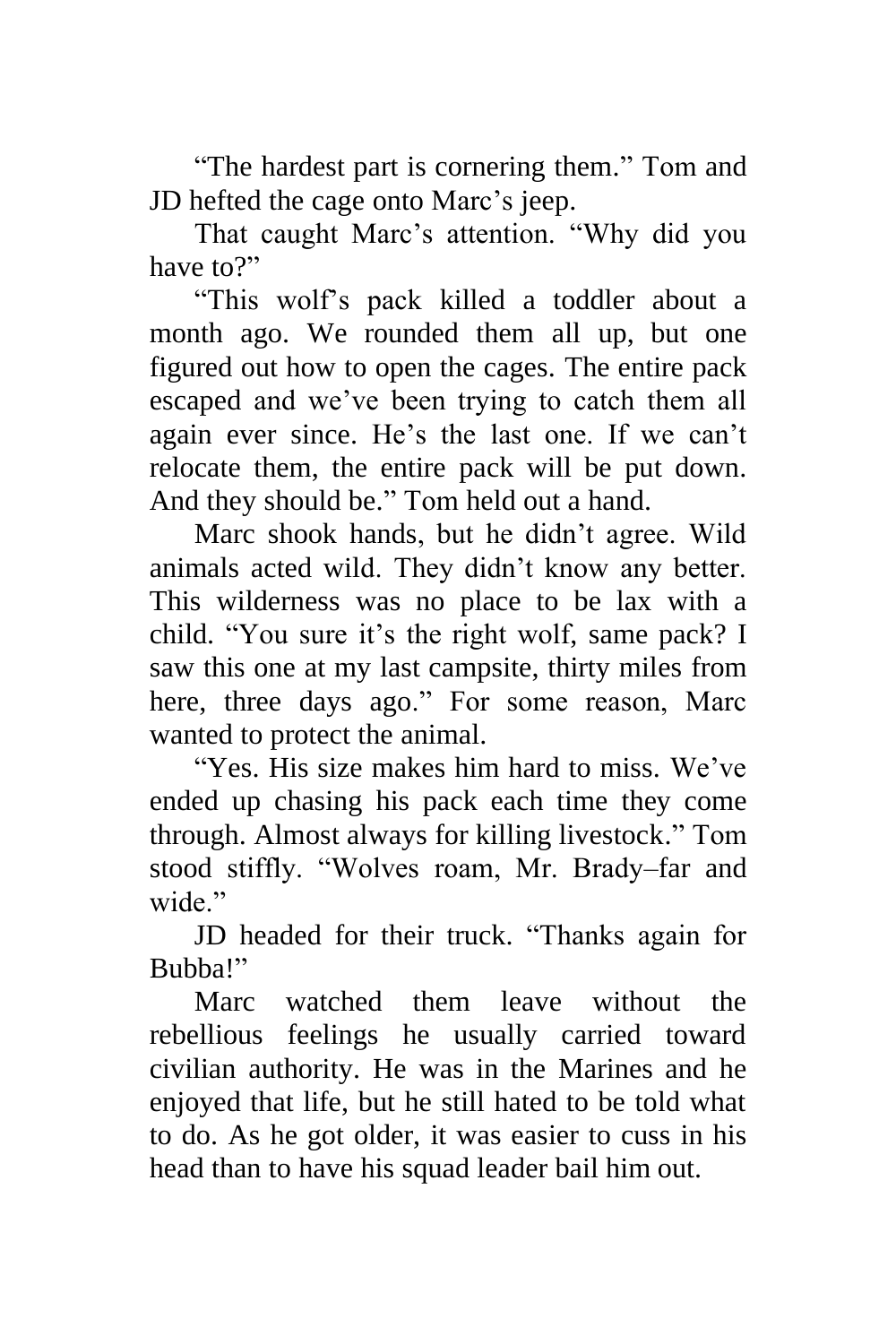"The hardest part is cornering them." Tom and JD hefted the cage onto Marc's jeep.

That caught Marc's attention. "Why did you have to?"

"This wolf's pack killed a toddler about a month ago. We rounded them all up, but one figured out how to open the cages. The entire pack escaped and we've been trying to catch them all again ever since. He's the last one. If we can't relocate them, the entire pack will be put down. And they should be." Tom held out a hand.

Marc shook hands, but he didn't agree. Wild animals acted wild. They didn't know any better. This wilderness was no place to be lax with a child. "You sure it's the right wolf, same pack? I saw this one at my last campsite, thirty miles from here, three days ago." For some reason, Marc wanted to protect the animal.

"Yes. His size makes him hard to miss. We've ended up chasing his pack each time they come through. Almost always for killing livestock." Tom stood stiffly. "Wolves roam, Mr. Brady–far and wide"

JD headed for their truck. "Thanks again for Bubba!"

Marc watched them leave without the rebellious feelings he usually carried toward civilian authority. He was in the Marines and he enjoyed that life, but he still hated to be told what to do. As he got older, it was easier to cuss in his head than to have his squad leader bail him out.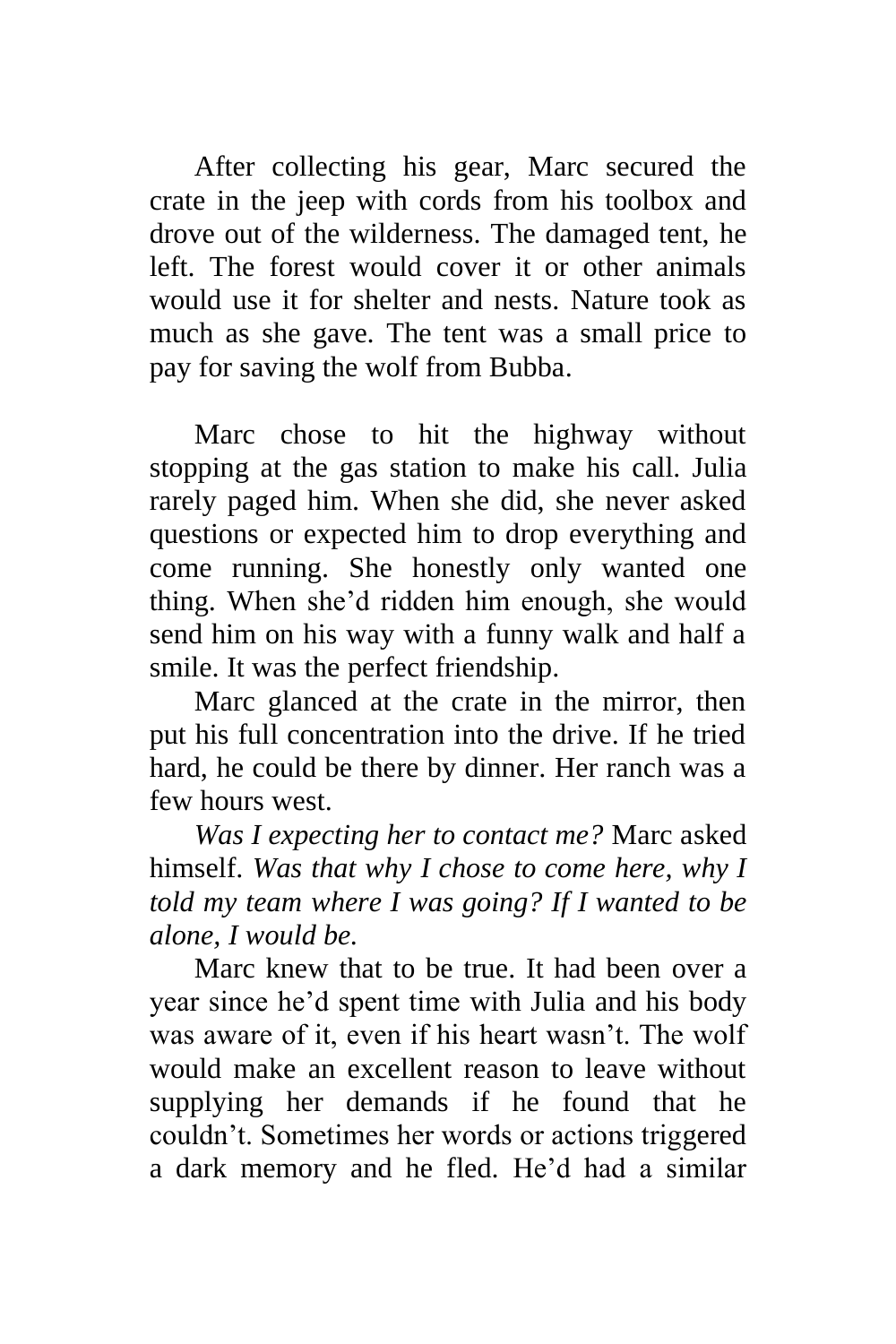After collecting his gear, Marc secured the crate in the jeep with cords from his toolbox and drove out of the wilderness. The damaged tent, he left. The forest would cover it or other animals would use it for shelter and nests. Nature took as much as she gave. The tent was a small price to pay for saving the wolf from Bubba.

Marc chose to hit the highway without stopping at the gas station to make his call. Julia rarely paged him. When she did, she never asked questions or expected him to drop everything and come running. She honestly only wanted one thing. When she'd ridden him enough, she would send him on his way with a funny walk and half a smile. It was the perfect friendship.

Marc glanced at the crate in the mirror, then put his full concentration into the drive. If he tried hard, he could be there by dinner. Her ranch was a few hours west.

*Was I expecting her to contact me?* Marc asked himself. *Was that why I chose to come here, why I told my team where I was going? If I wanted to be alone, I would be.*

Marc knew that to be true. It had been over a year since he'd spent time with Julia and his body was aware of it, even if his heart wasn't. The wolf would make an excellent reason to leave without supplying her demands if he found that he couldn't. Sometimes her words or actions triggered a dark memory and he fled. He'd had a similar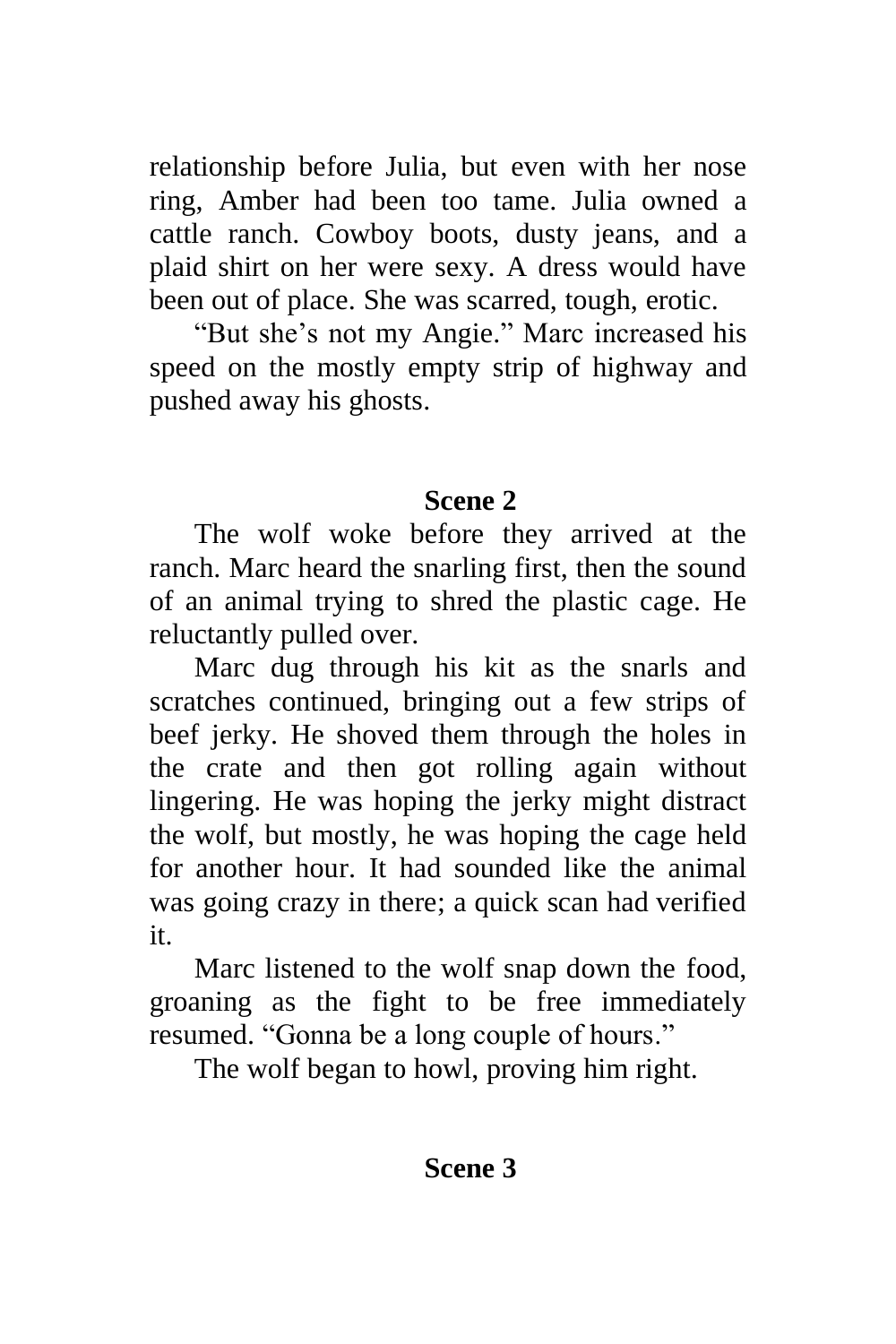relationship before Julia, but even with her nose ring, Amber had been too tame. Julia owned a cattle ranch. Cowboy boots, dusty jeans, and a plaid shirt on her were sexy. A dress would have been out of place. She was scarred, tough, erotic.

"But she's not my Angie." Marc increased his speed on the mostly empty strip of highway and pushed away his ghosts.

### **Scene 2**

The wolf woke before they arrived at the ranch. Marc heard the snarling first, then the sound of an animal trying to shred the plastic cage. He reluctantly pulled over.

Marc dug through his kit as the snarls and scratches continued, bringing out a few strips of beef jerky. He shoved them through the holes in the crate and then got rolling again without lingering. He was hoping the jerky might distract the wolf, but mostly, he was hoping the cage held for another hour. It had sounded like the animal was going crazy in there; a quick scan had verified it.

Marc listened to the wolf snap down the food, groaning as the fight to be free immediately resumed. "Gonna be a long couple of hours."

The wolf began to howl, proving him right.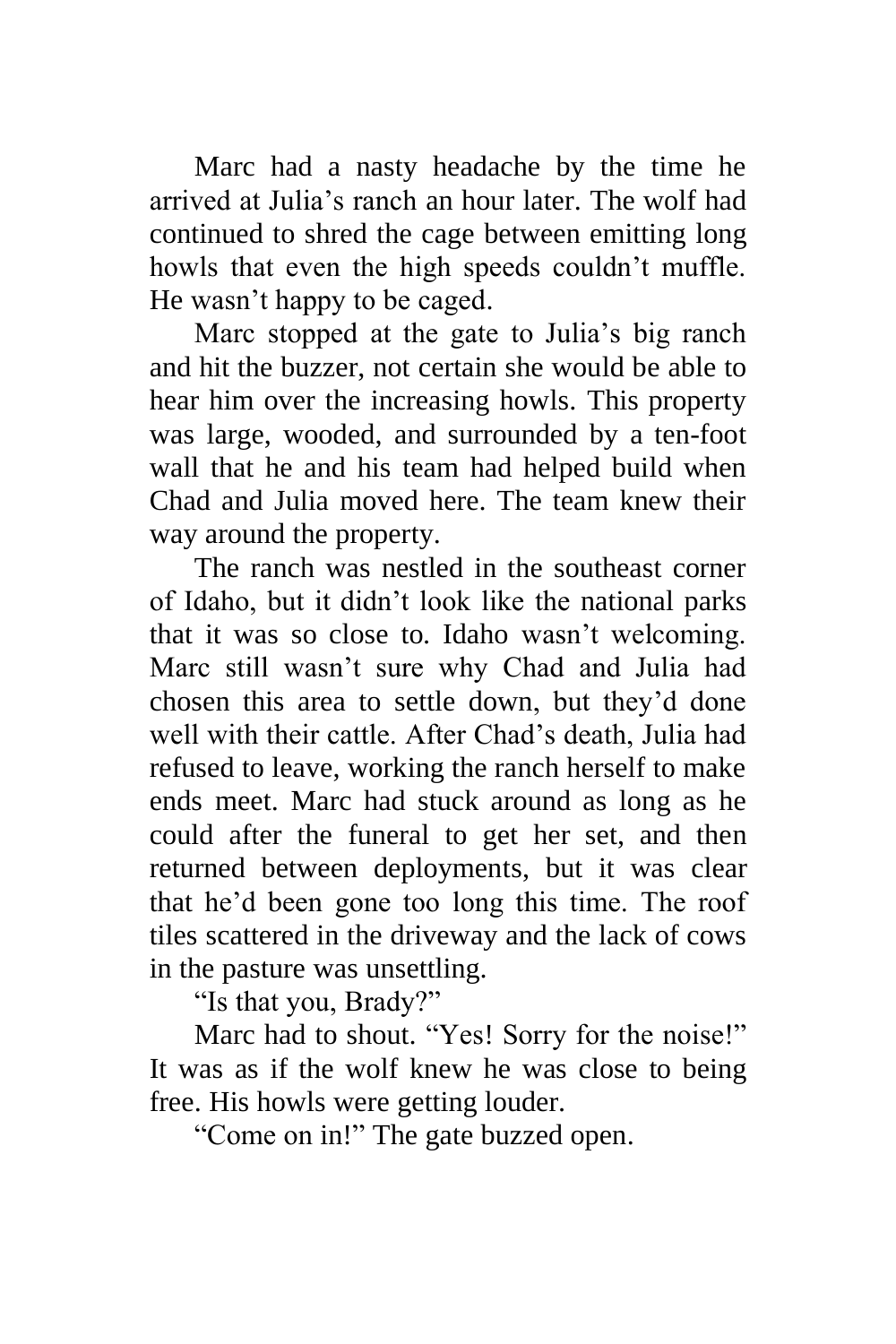Marc had a nasty headache by the time he arrived at Julia's ranch an hour later. The wolf had continued to shred the cage between emitting long howls that even the high speeds couldn't muffle. He wasn't happy to be caged.

Marc stopped at the gate to Julia's big ranch and hit the buzzer, not certain she would be able to hear him over the increasing howls. This property was large, wooded, and surrounded by a ten-foot wall that he and his team had helped build when Chad and Julia moved here. The team knew their way around the property.

The ranch was nestled in the southeast corner of Idaho, but it didn't look like the national parks that it was so close to. Idaho wasn't welcoming. Marc still wasn't sure why Chad and Julia had chosen this area to settle down, but they'd done well with their cattle. After Chad's death, Julia had refused to leave, working the ranch herself to make ends meet. Marc had stuck around as long as he could after the funeral to get her set, and then returned between deployments, but it was clear that he'd been gone too long this time. The roof tiles scattered in the driveway and the lack of cows in the pasture was unsettling.

"Is that you, Brady?"

Marc had to shout. "Yes! Sorry for the noise!" It was as if the wolf knew he was close to being free. His howls were getting louder.

"Come on in!" The gate buzzed open.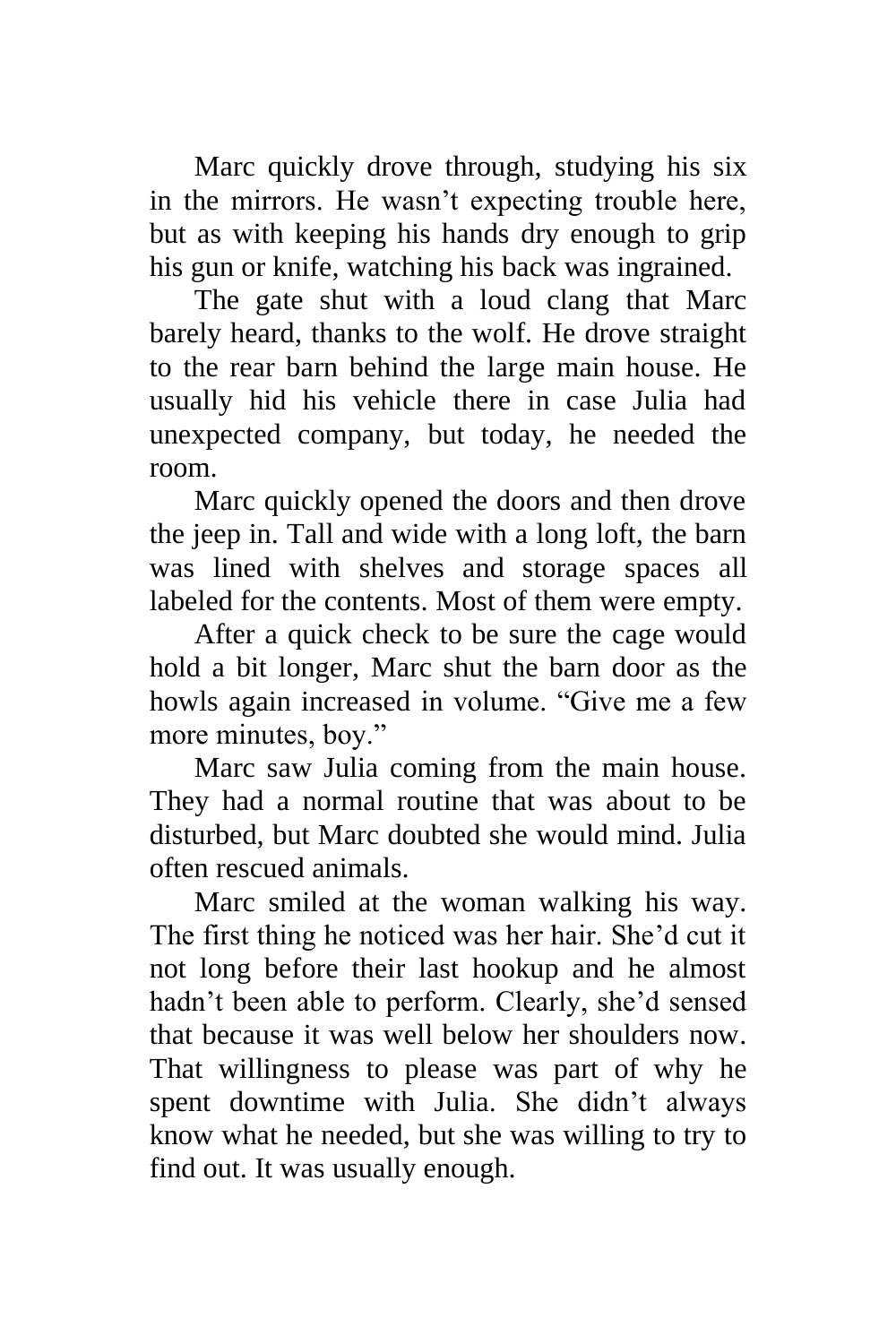Marc quickly drove through, studying his six in the mirrors. He wasn't expecting trouble here, but as with keeping his hands dry enough to grip his gun or knife, watching his back was ingrained.

The gate shut with a loud clang that Marc barely heard, thanks to the wolf. He drove straight to the rear barn behind the large main house. He usually hid his vehicle there in case Julia had unexpected company, but today, he needed the room.

Marc quickly opened the doors and then drove the jeep in. Tall and wide with a long loft, the barn was lined with shelves and storage spaces all labeled for the contents. Most of them were empty.

After a quick check to be sure the cage would hold a bit longer, Marc shut the barn door as the howls again increased in volume. "Give me a few more minutes, boy."

Marc saw Julia coming from the main house. They had a normal routine that was about to be disturbed, but Marc doubted she would mind. Julia often rescued animals.

Marc smiled at the woman walking his way. The first thing he noticed was her hair. She'd cut it not long before their last hookup and he almost hadn't been able to perform. Clearly, she'd sensed that because it was well below her shoulders now. That willingness to please was part of why he spent downtime with Julia. She didn't always know what he needed, but she was willing to try to find out. It was usually enough.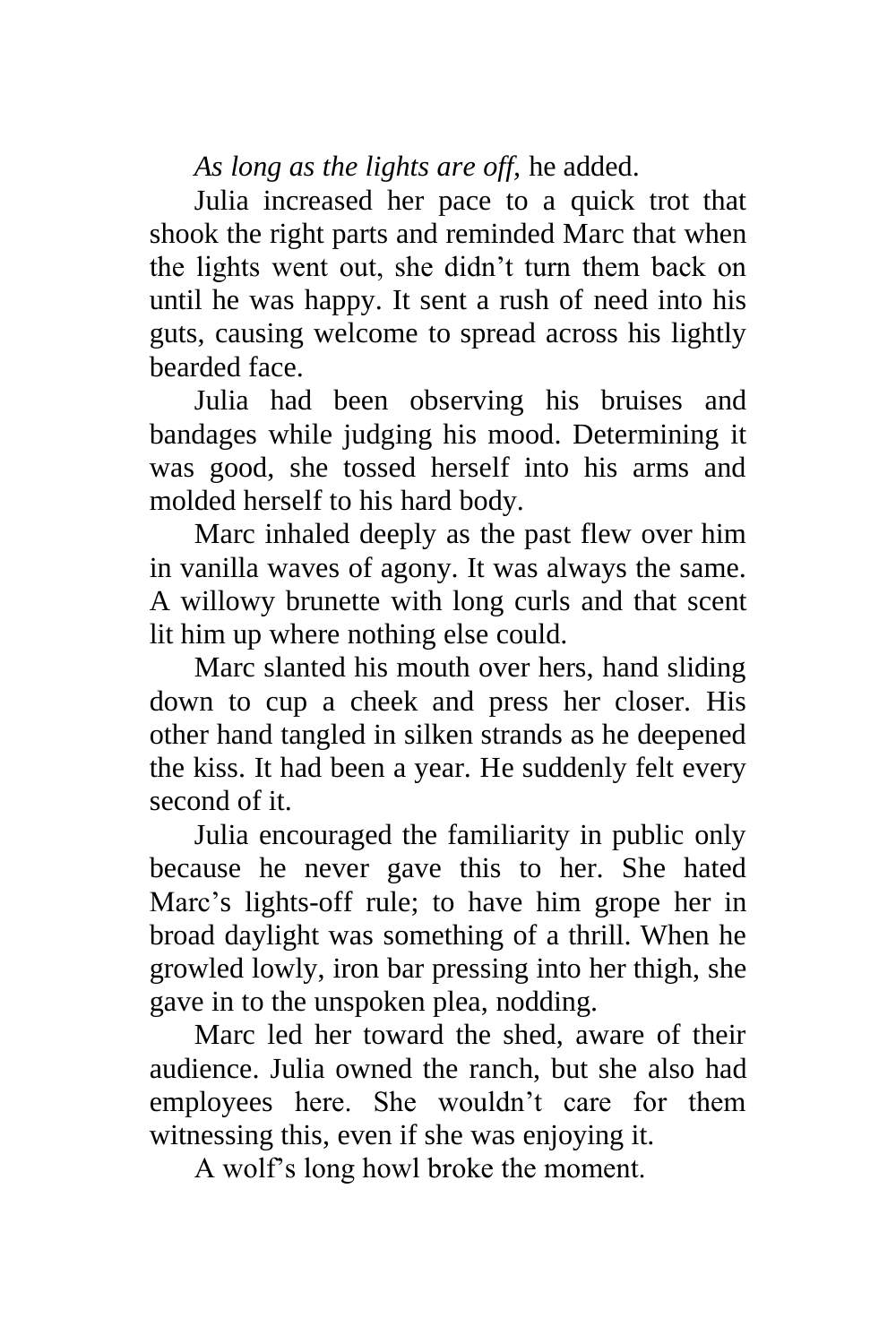*As long as the lights are off,* he added.

Julia increased her pace to a quick trot that shook the right parts and reminded Marc that when the lights went out, she didn't turn them back on until he was happy. It sent a rush of need into his guts, causing welcome to spread across his lightly bearded face.

Julia had been observing his bruises and bandages while judging his mood. Determining it was good, she tossed herself into his arms and molded herself to his hard body.

Marc inhaled deeply as the past flew over him in vanilla waves of agony. It was always the same. A willowy brunette with long curls and that scent lit him up where nothing else could.

Marc slanted his mouth over hers, hand sliding down to cup a cheek and press her closer. His other hand tangled in silken strands as he deepened the kiss. It had been a year. He suddenly felt every second of it.

Julia encouraged the familiarity in public only because he never gave this to her. She hated Marc's lights-off rule; to have him grope her in broad daylight was something of a thrill. When he growled lowly, iron bar pressing into her thigh, she gave in to the unspoken plea, nodding.

Marc led her toward the shed, aware of their audience. Julia owned the ranch, but she also had employees here. She wouldn't care for them witnessing this, even if she was enjoying it.

A wolf's long howl broke the moment.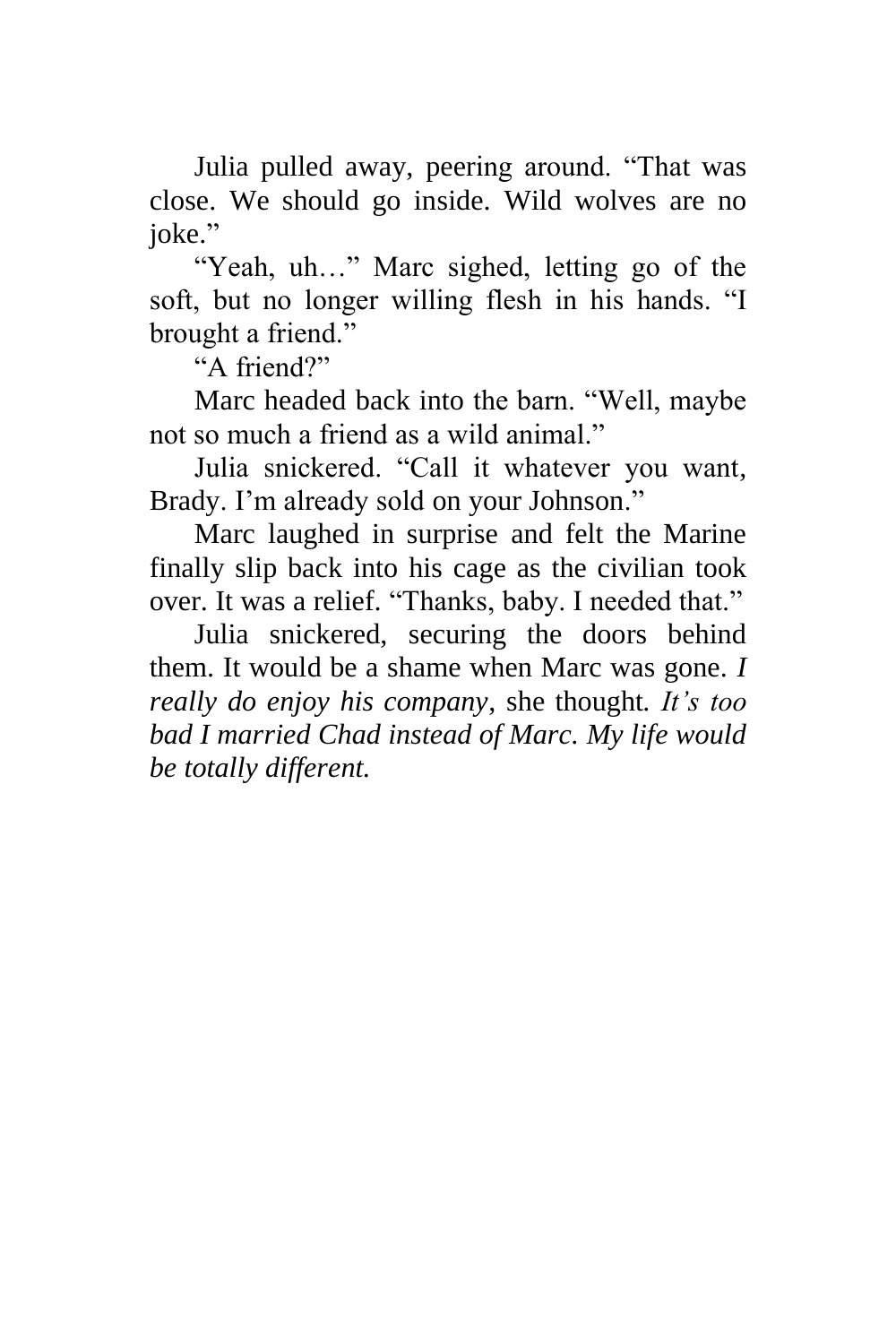Julia pulled away, peering around. "That was close. We should go inside. Wild wolves are no joke."

"Yeah, uh…" Marc sighed, letting go of the soft, but no longer willing flesh in his hands. "I brought a friend."

"A friend?"

Marc headed back into the barn. "Well, maybe not so much a friend as a wild animal."

Julia snickered. "Call it whatever you want, Brady. I'm already sold on your Johnson."

Marc laughed in surprise and felt the Marine finally slip back into his cage as the civilian took over. It was a relief. "Thanks, baby. I needed that."

Julia snickered, securing the doors behind them. It would be a shame when Marc was gone. *I really do enjoy his company*, she thought*. It's too bad I married Chad instead of Marc. My life would be totally different.*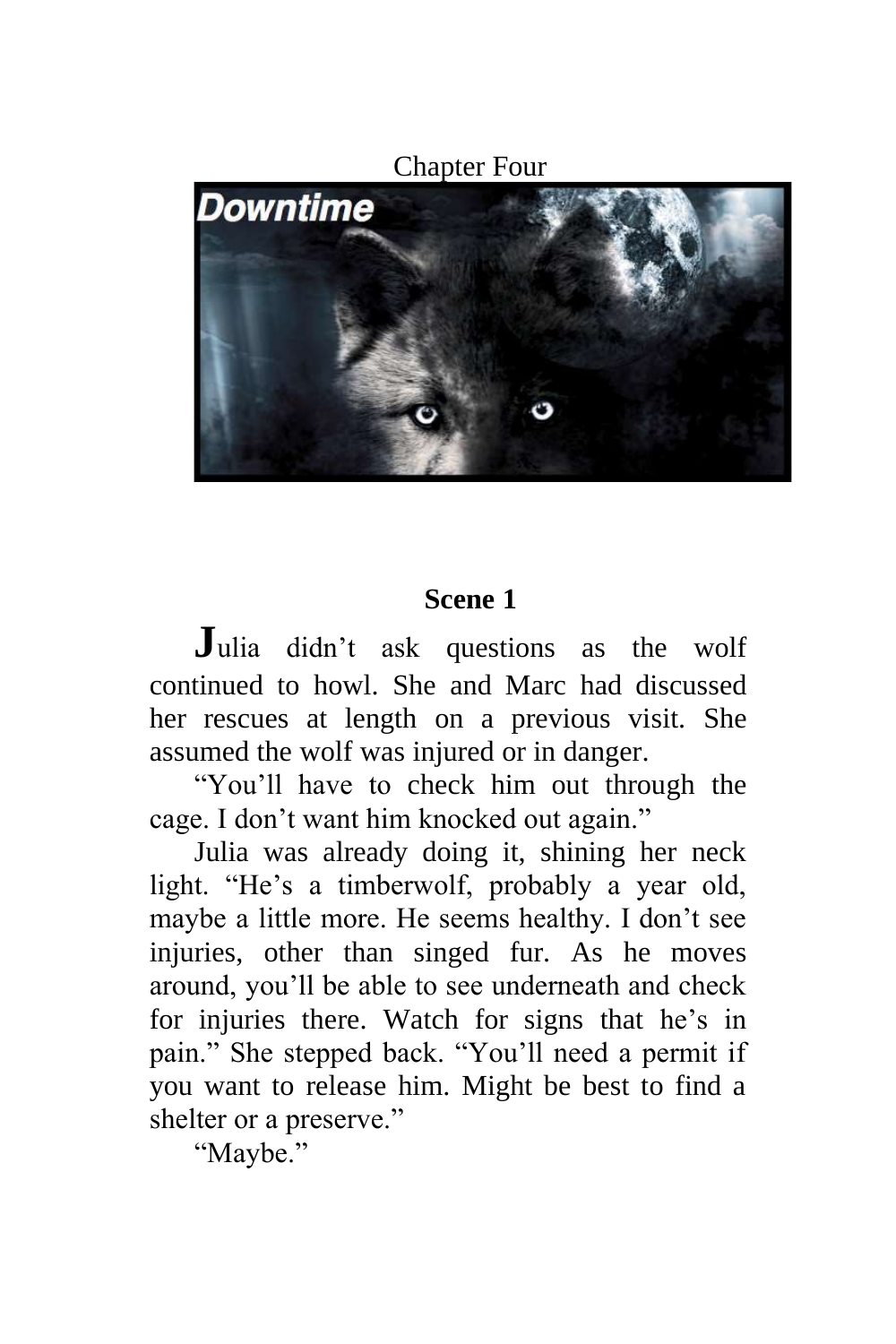Chapter Four Downtime

# **Scene 1**

**J**ulia didn't ask questions as the wolf continued to howl. She and Marc had discussed her rescues at length on a previous visit. She assumed the wolf was injured or in danger.

"You'll have to check him out through the cage. I don't want him knocked out again."

Julia was already doing it, shining her neck light. "He's a timberwolf, probably a year old, maybe a little more. He seems healthy. I don't see injuries, other than singed fur. As he moves around, you'll be able to see underneath and check for injuries there. Watch for signs that he's in pain." She stepped back. "You'll need a permit if you want to release him. Might be best to find a shelter or a preserve."

"Maybe."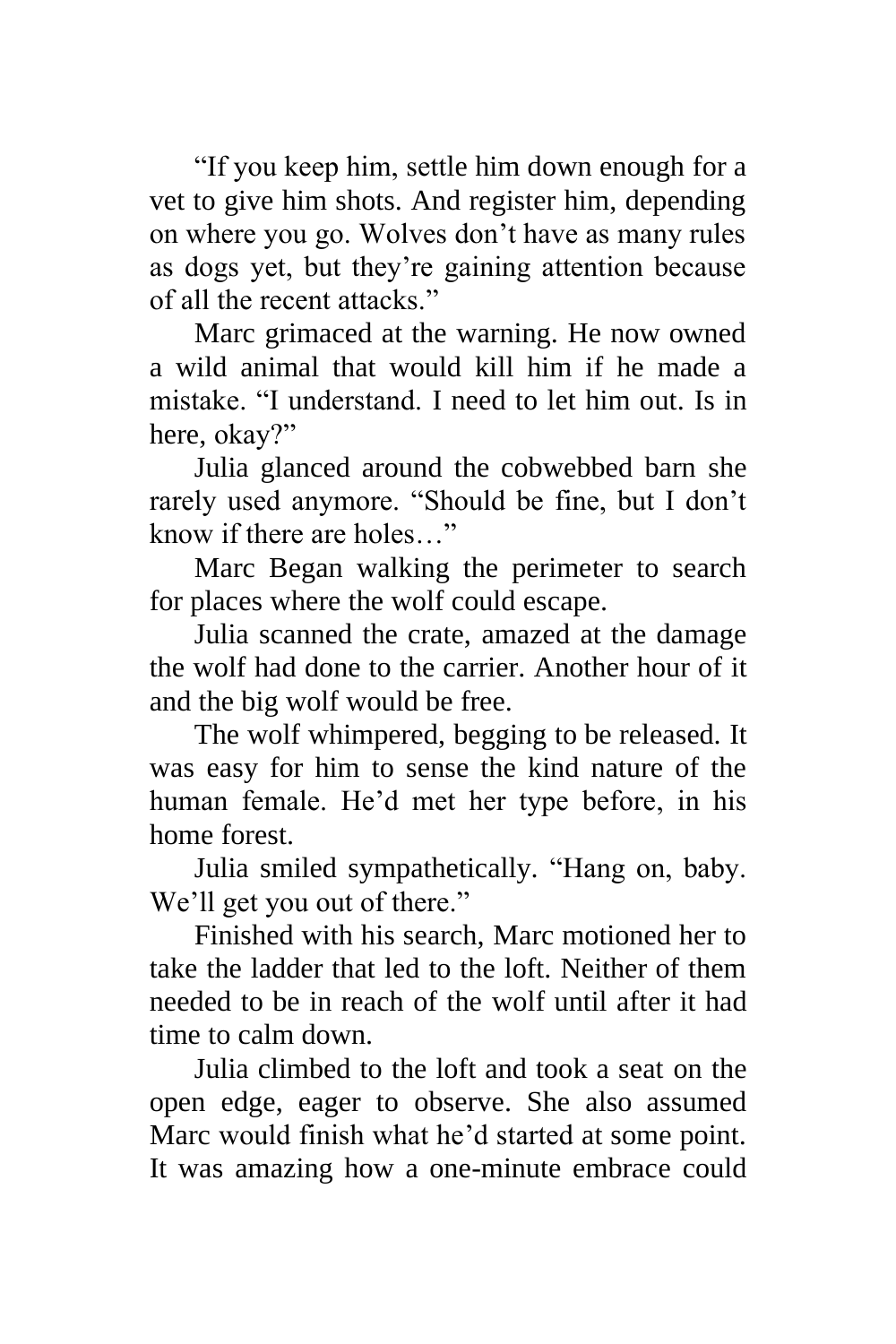"If you keep him, settle him down enough for a vet to give him shots. And register him, depending on where you go. Wolves don't have as many rules as dogs yet, but they're gaining attention because of all the recent attacks."

Marc grimaced at the warning. He now owned a wild animal that would kill him if he made a mistake. "I understand. I need to let him out. Is in here, okay?"

Julia glanced around the cobwebbed barn she rarely used anymore. "Should be fine, but I don't know if there are holes…"

Marc Began walking the perimeter to search for places where the wolf could escape.

Julia scanned the crate, amazed at the damage the wolf had done to the carrier. Another hour of it and the big wolf would be free.

The wolf whimpered, begging to be released. It was easy for him to sense the kind nature of the human female. He'd met her type before, in his home forest.

Julia smiled sympathetically. "Hang on, baby. We'll get you out of there."

Finished with his search, Marc motioned her to take the ladder that led to the loft. Neither of them needed to be in reach of the wolf until after it had time to calm down.

Julia climbed to the loft and took a seat on the open edge, eager to observe. She also assumed Marc would finish what he'd started at some point. It was amazing how a one-minute embrace could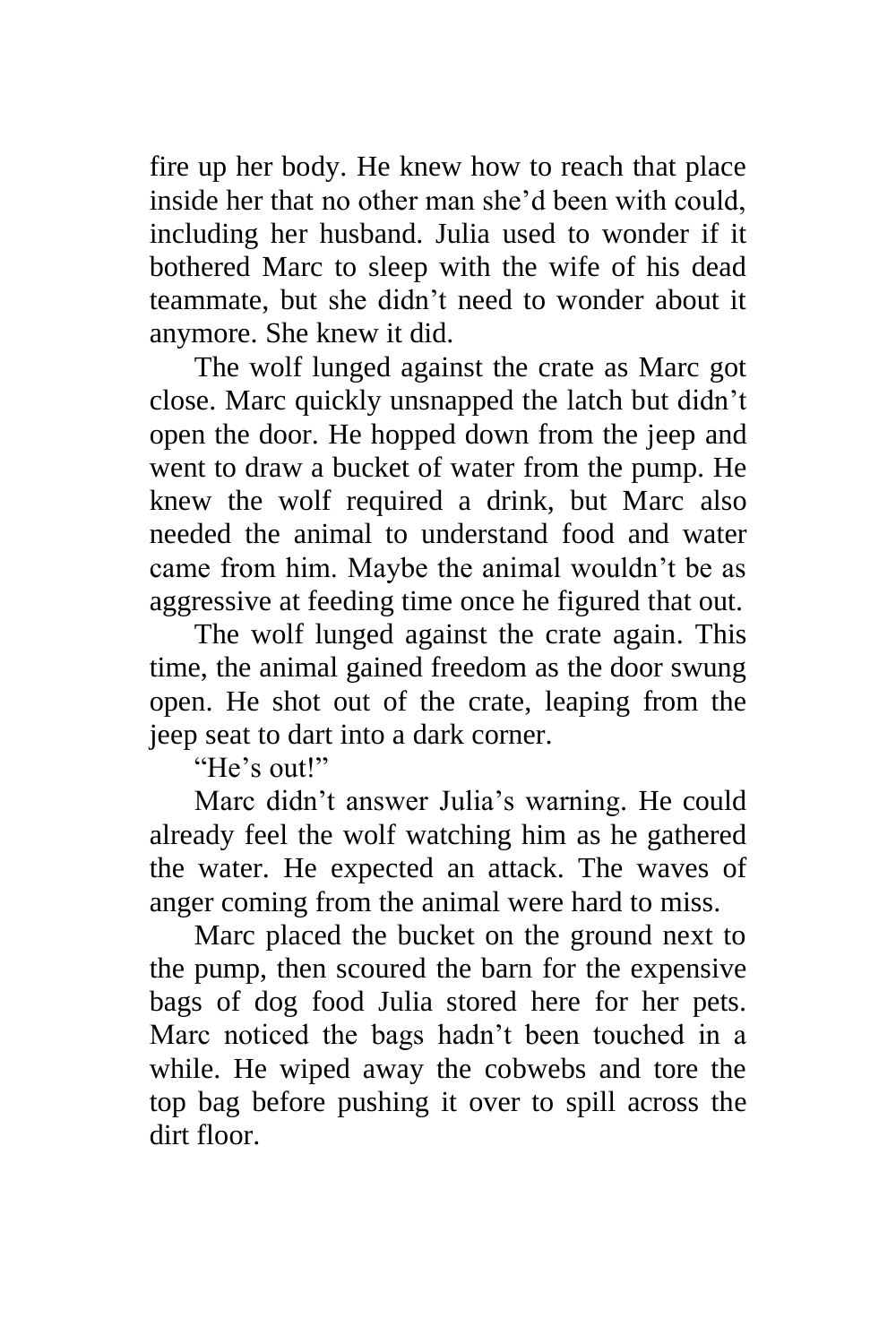fire up her body. He knew how to reach that place inside her that no other man she'd been with could, including her husband. Julia used to wonder if it bothered Marc to sleep with the wife of his dead teammate, but she didn't need to wonder about it anymore. She knew it did.

The wolf lunged against the crate as Marc got close. Marc quickly unsnapped the latch but didn't open the door. He hopped down from the jeep and went to draw a bucket of water from the pump. He knew the wolf required a drink, but Marc also needed the animal to understand food and water came from him. Maybe the animal wouldn't be as aggressive at feeding time once he figured that out.

The wolf lunged against the crate again. This time, the animal gained freedom as the door swung open. He shot out of the crate, leaping from the jeep seat to dart into a dark corner.

"He's out!"

Marc didn't answer Julia's warning. He could already feel the wolf watching him as he gathered the water. He expected an attack. The waves of anger coming from the animal were hard to miss.

Marc placed the bucket on the ground next to the pump, then scoured the barn for the expensive bags of dog food Julia stored here for her pets. Marc noticed the bags hadn't been touched in a while. He wiped away the cobwebs and tore the top bag before pushing it over to spill across the dirt floor.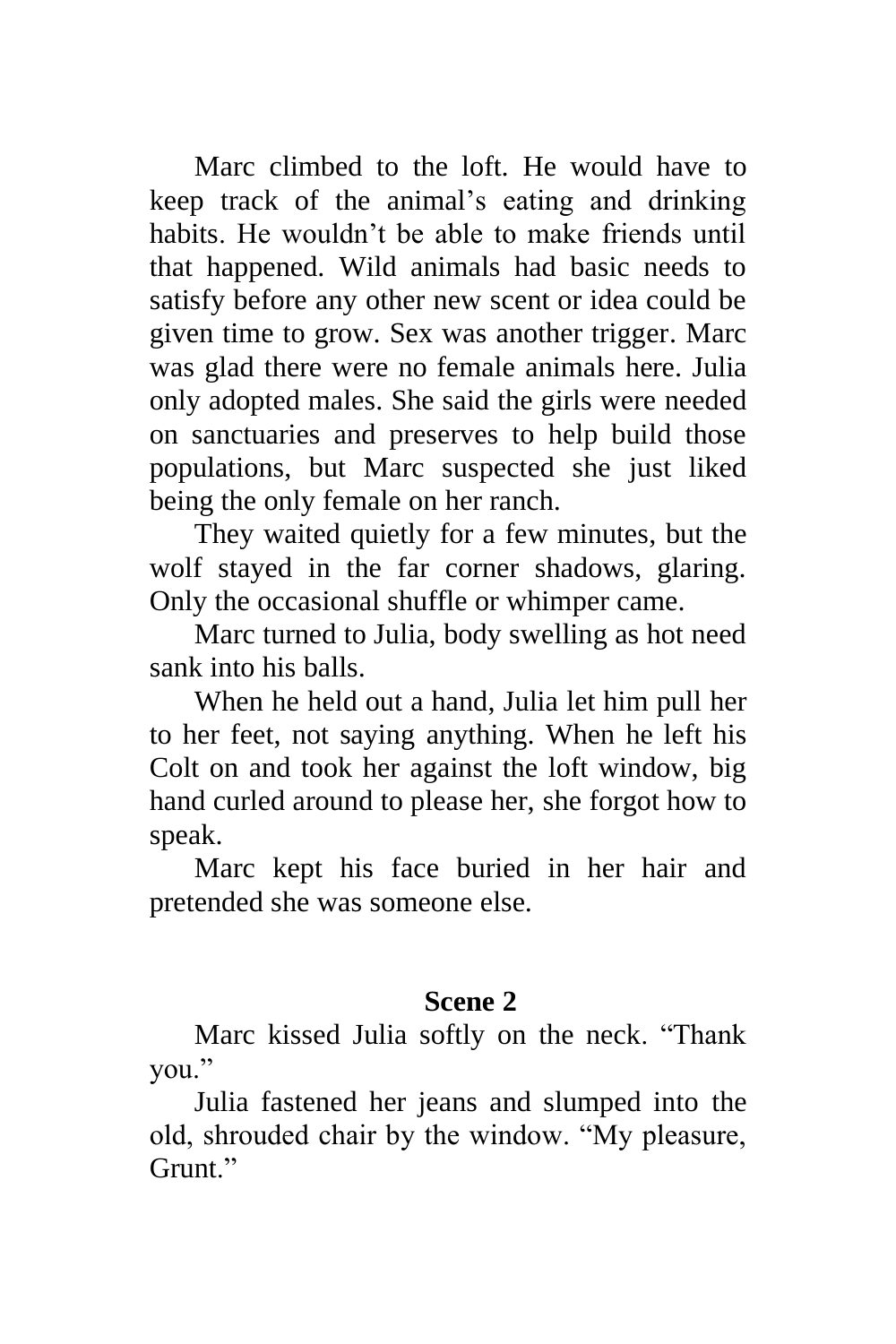Marc climbed to the loft. He would have to keep track of the animal's eating and drinking habits. He wouldn't be able to make friends until that happened. Wild animals had basic needs to satisfy before any other new scent or idea could be given time to grow. Sex was another trigger. Marc was glad there were no female animals here. Julia only adopted males. She said the girls were needed on sanctuaries and preserves to help build those populations, but Marc suspected she just liked being the only female on her ranch.

They waited quietly for a few minutes, but the wolf stayed in the far corner shadows, glaring. Only the occasional shuffle or whimper came.

Marc turned to Julia, body swelling as hot need sank into his balls.

When he held out a hand, Julia let him pull her to her feet, not saying anything. When he left his Colt on and took her against the loft window, big hand curled around to please her, she forgot how to speak.

Marc kept his face buried in her hair and pretended she was someone else.

## **Scene 2**

Marc kissed Julia softly on the neck. "Thank you."

Julia fastened her jeans and slumped into the old, shrouded chair by the window. "My pleasure, Grunt."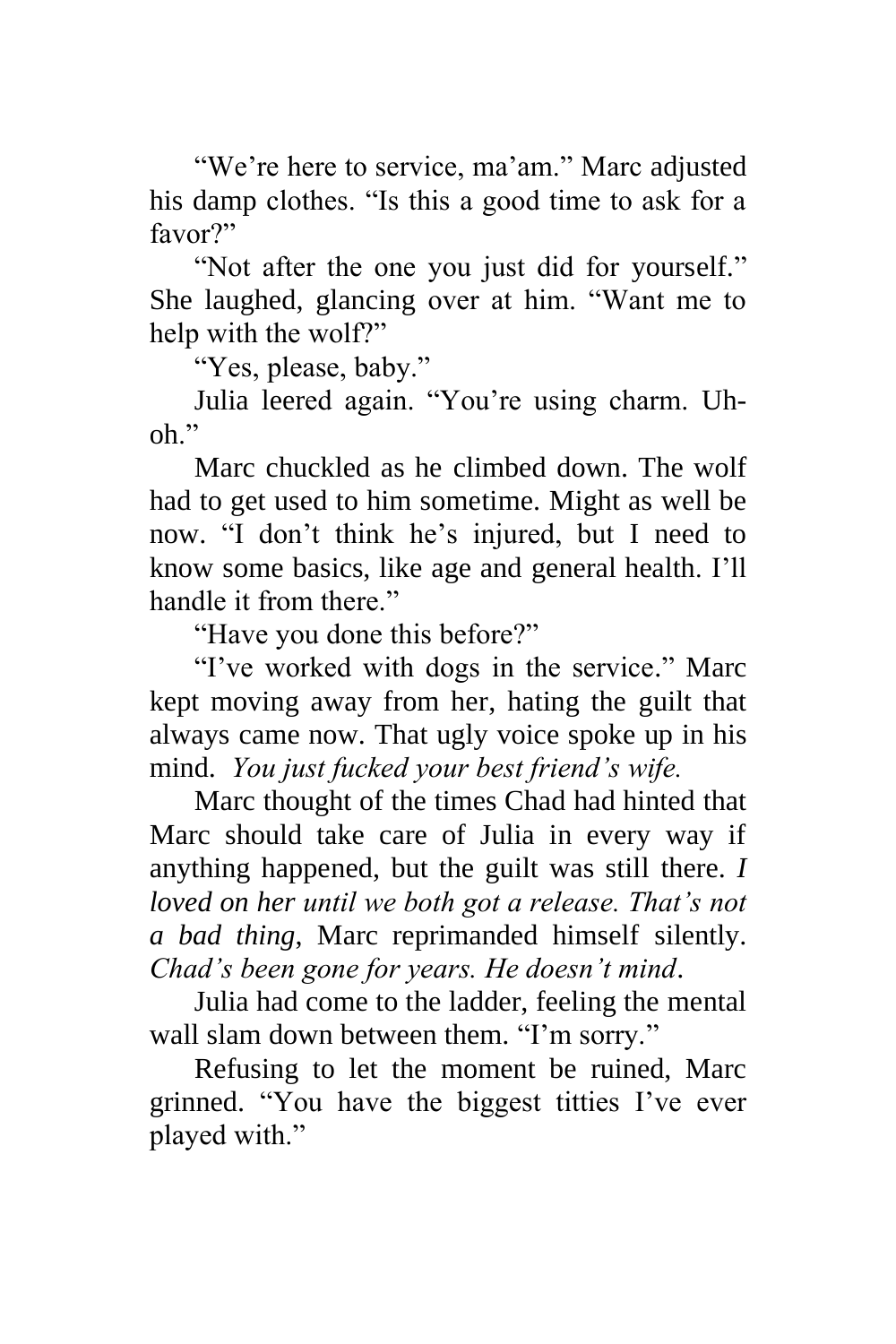"We're here to service, ma'am." Marc adjusted his damp clothes. "Is this a good time to ask for a favor?"

"Not after the one you just did for yourself." She laughed, glancing over at him. "Want me to help with the wolf?"

"Yes, please, baby."

Julia leered again. "You're using charm. Uh $oh$ "

Marc chuckled as he climbed down. The wolf had to get used to him sometime. Might as well be now. "I don't think he's injured, but I need to know some basics, like age and general health. I'll handle it from there."

"Have you done this before?"

"I've worked with dogs in the service." Marc kept moving away from her, hating the guilt that always came now. That ugly voice spoke up in his mind. *You just fucked your best friend's wife.*

Marc thought of the times Chad had hinted that Marc should take care of Julia in every way if anything happened, but the guilt was still there. *I loved on her until we both got a release. That's not a bad thing*, Marc reprimanded himself silently. *Chad's been gone for years. He doesn't mind*.

Julia had come to the ladder, feeling the mental wall slam down between them. "I'm sorry."

Refusing to let the moment be ruined, Marc grinned. "You have the biggest titties I've ever played with."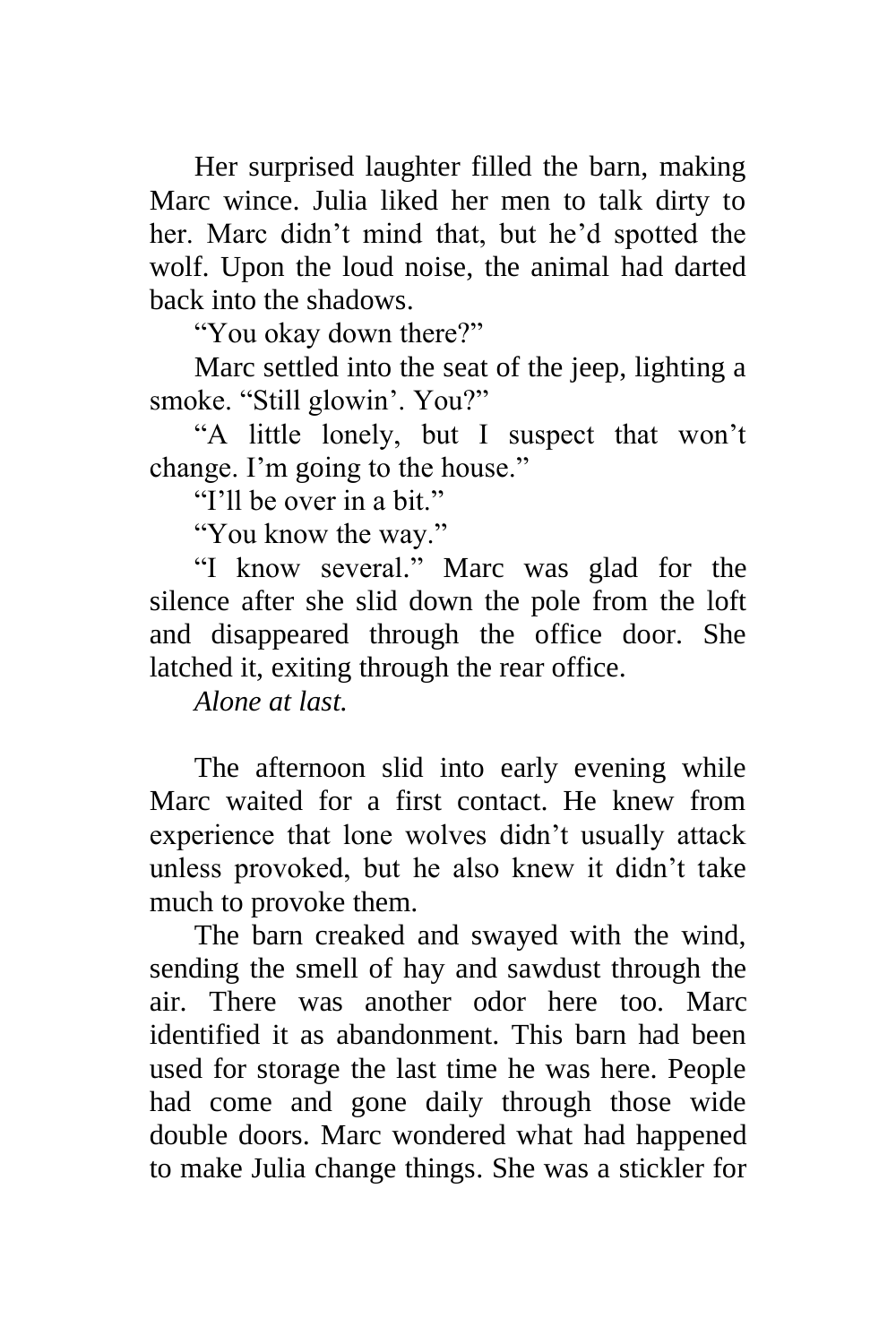Her surprised laughter filled the barn, making Marc wince. Julia liked her men to talk dirty to her. Marc didn't mind that, but he'd spotted the wolf. Upon the loud noise, the animal had darted back into the shadows.

"You okay down there?"

Marc settled into the seat of the jeep, lighting a smoke. "Still glowin'. You?"

"A little lonely, but I suspect that won't change. I'm going to the house."

"I'll be over in a bit."

"You know the way."

"I know several." Marc was glad for the silence after she slid down the pole from the loft and disappeared through the office door. She latched it, exiting through the rear office.

*Alone at last.*

The afternoon slid into early evening while Marc waited for a first contact. He knew from experience that lone wolves didn't usually attack unless provoked, but he also knew it didn't take much to provoke them.

The barn creaked and swayed with the wind, sending the smell of hay and sawdust through the air. There was another odor here too. Marc identified it as abandonment. This barn had been used for storage the last time he was here. People had come and gone daily through those wide double doors. Marc wondered what had happened to make Julia change things. She was a stickler for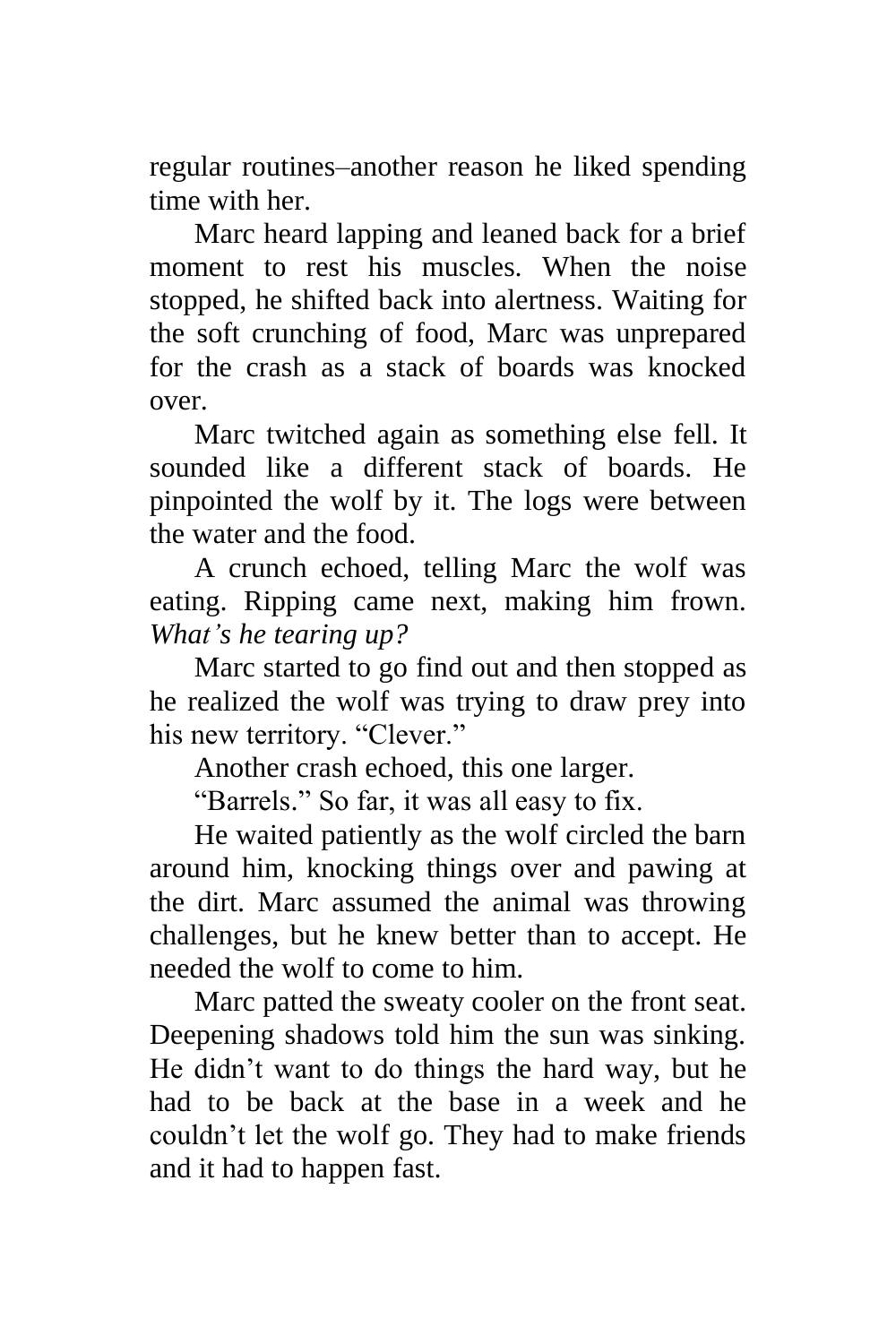regular routines–another reason he liked spending time with her.

Marc heard lapping and leaned back for a brief moment to rest his muscles. When the noise stopped, he shifted back into alertness. Waiting for the soft crunching of food, Marc was unprepared for the crash as a stack of boards was knocked over.

Marc twitched again as something else fell. It sounded like a different stack of boards. He pinpointed the wolf by it. The logs were between the water and the food.

A crunch echoed, telling Marc the wolf was eating. Ripping came next, making him frown. *What's he tearing up?*

Marc started to go find out and then stopped as he realized the wolf was trying to draw prey into his new territory. "Clever."

Another crash echoed, this one larger.

"Barrels." So far, it was all easy to fix.

He waited patiently as the wolf circled the barn around him, knocking things over and pawing at the dirt. Marc assumed the animal was throwing challenges, but he knew better than to accept. He needed the wolf to come to him.

Marc patted the sweaty cooler on the front seat. Deepening shadows told him the sun was sinking. He didn't want to do things the hard way, but he had to be back at the base in a week and he couldn't let the wolf go. They had to make friends and it had to happen fast.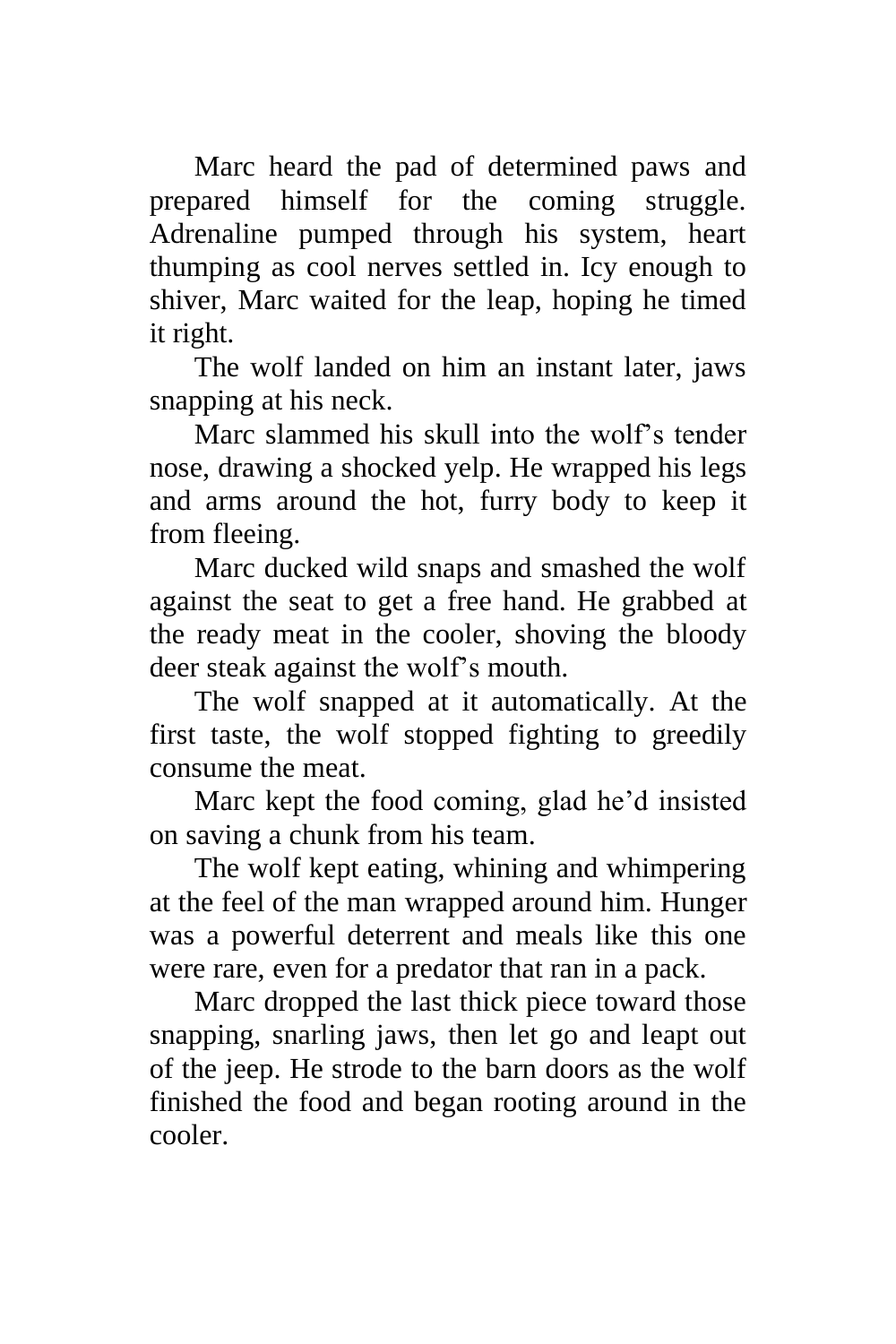Marc heard the pad of determined paws and prepared himself for the coming struggle. Adrenaline pumped through his system, heart thumping as cool nerves settled in. Icy enough to shiver, Marc waited for the leap, hoping he timed it right.

The wolf landed on him an instant later, jaws snapping at his neck.

Marc slammed his skull into the wolf's tender nose, drawing a shocked yelp. He wrapped his legs and arms around the hot, furry body to keep it from fleeing.

Marc ducked wild snaps and smashed the wolf against the seat to get a free hand. He grabbed at the ready meat in the cooler, shoving the bloody deer steak against the wolf's mouth.

The wolf snapped at it automatically. At the first taste, the wolf stopped fighting to greedily consume the meat.

Marc kept the food coming, glad he'd insisted on saving a chunk from his team.

The wolf kept eating, whining and whimpering at the feel of the man wrapped around him. Hunger was a powerful deterrent and meals like this one were rare, even for a predator that ran in a pack.

Marc dropped the last thick piece toward those snapping, snarling jaws, then let go and leapt out of the jeep. He strode to the barn doors as the wolf finished the food and began rooting around in the cooler.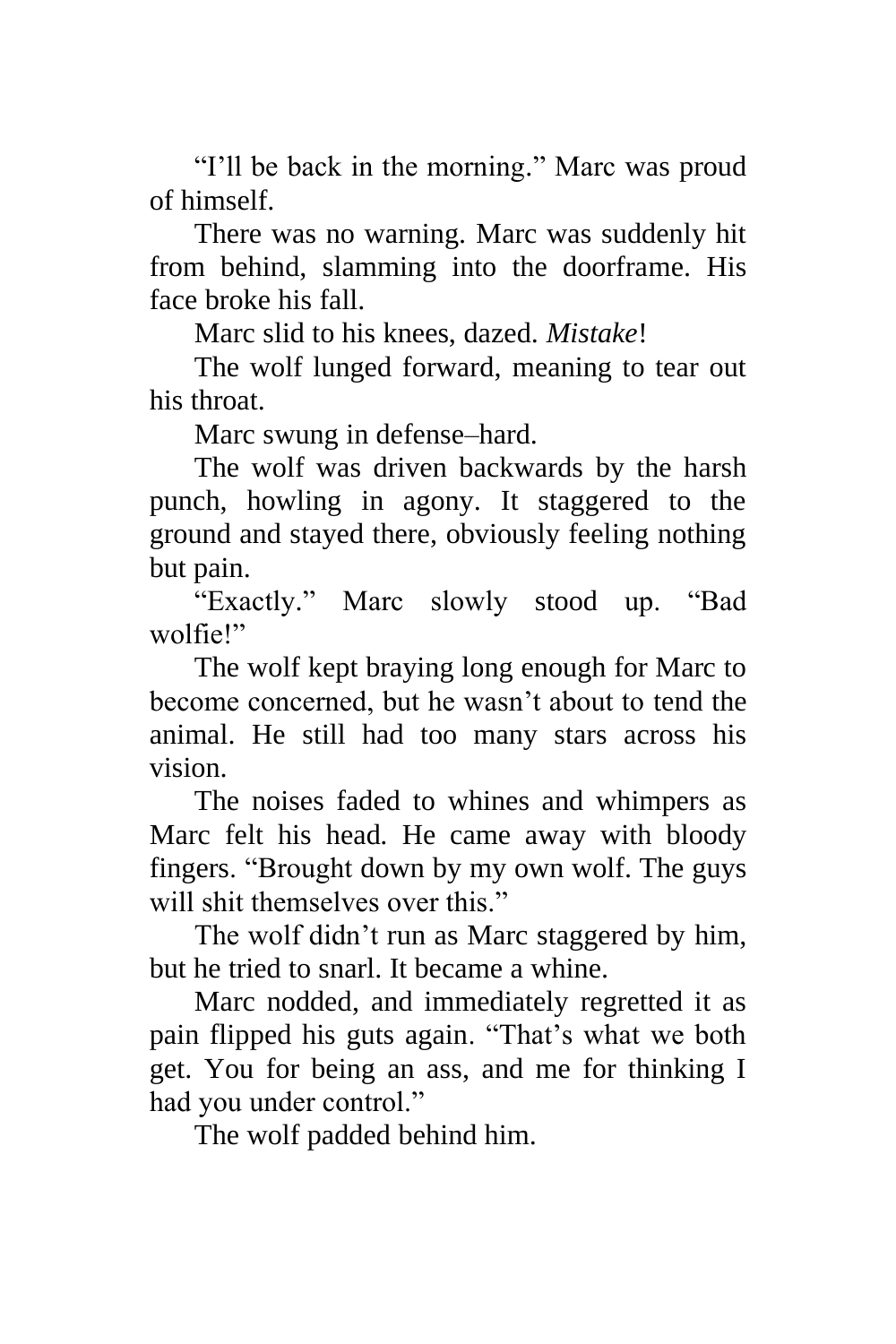"I'll be back in the morning." Marc was proud of himself.

There was no warning. Marc was suddenly hit from behind, slamming into the doorframe. His face broke his fall.

Marc slid to his knees, dazed. *Mistake*!

The wolf lunged forward, meaning to tear out his throat.

Marc swung in defense–hard.

The wolf was driven backwards by the harsh punch, howling in agony. It staggered to the ground and stayed there, obviously feeling nothing but pain.

"Exactly." Marc slowly stood up. "Bad wolfie!"

The wolf kept braying long enough for Marc to become concerned, but he wasn't about to tend the animal. He still had too many stars across his vision.

The noises faded to whines and whimpers as Marc felt his head. He came away with bloody fingers. "Brought down by my own wolf. The guys will shit themselves over this."

The wolf didn't run as Marc staggered by him, but he tried to snarl. It became a whine.

Marc nodded, and immediately regretted it as pain flipped his guts again. "That's what we both get. You for being an ass, and me for thinking I had you under control."

The wolf padded behind him.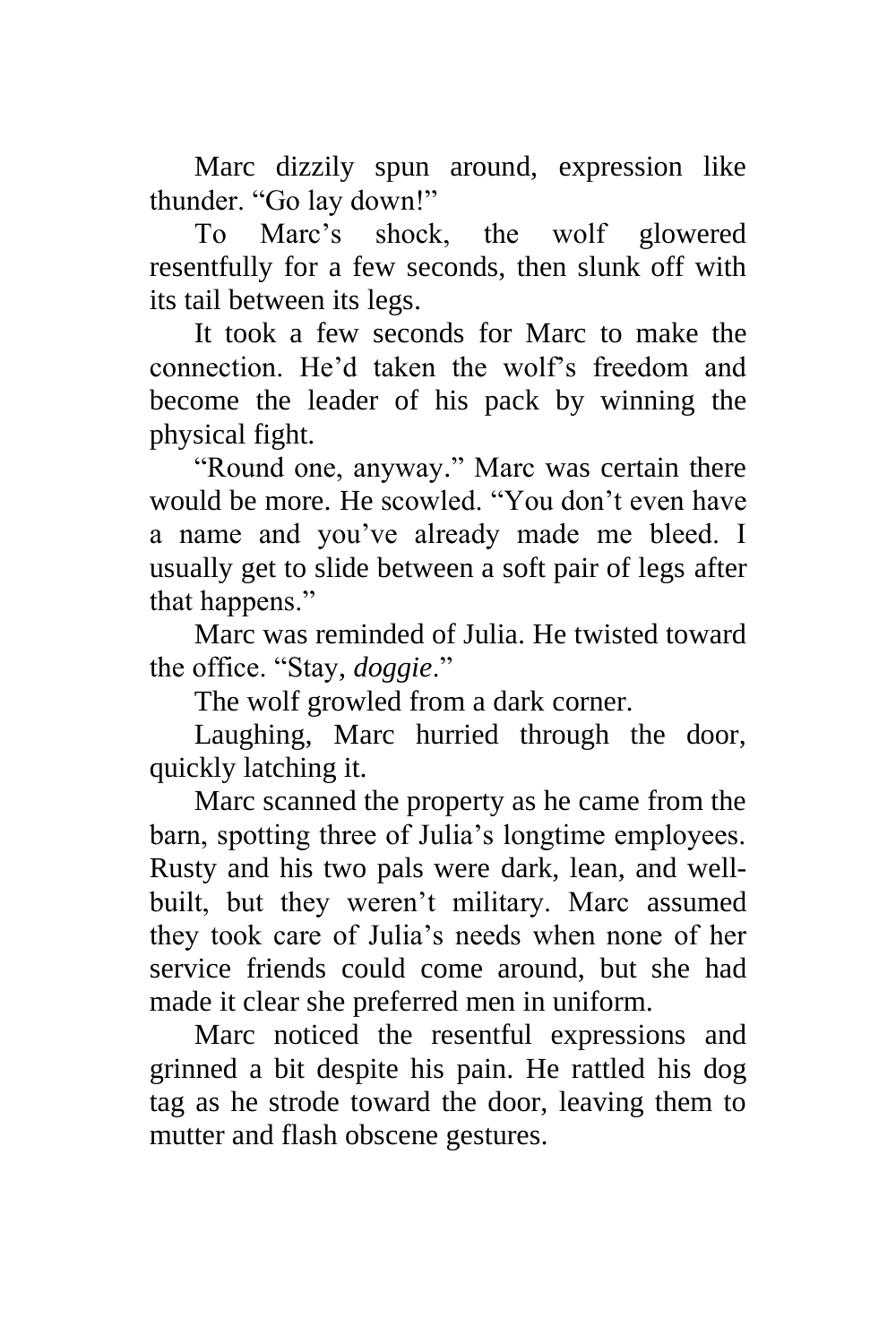Marc dizzily spun around, expression like thunder. "Go lay down!"

To Marc's shock, the wolf glowered resentfully for a few seconds, then slunk off with its tail between its legs.

It took a few seconds for Marc to make the connection. He'd taken the wolf's freedom and become the leader of his pack by winning the physical fight.

"Round one, anyway." Marc was certain there would be more. He scowled. "You don't even have a name and you've already made me bleed. I usually get to slide between a soft pair of legs after that happens."

Marc was reminded of Julia. He twisted toward the office. "Stay, *doggie*."

The wolf growled from a dark corner.

Laughing, Marc hurried through the door, quickly latching it.

Marc scanned the property as he came from the barn, spotting three of Julia's longtime employees. Rusty and his two pals were dark, lean, and wellbuilt, but they weren't military. Marc assumed they took care of Julia's needs when none of her service friends could come around, but she had made it clear she preferred men in uniform.

Marc noticed the resentful expressions and grinned a bit despite his pain. He rattled his dog tag as he strode toward the door, leaving them to mutter and flash obscene gestures.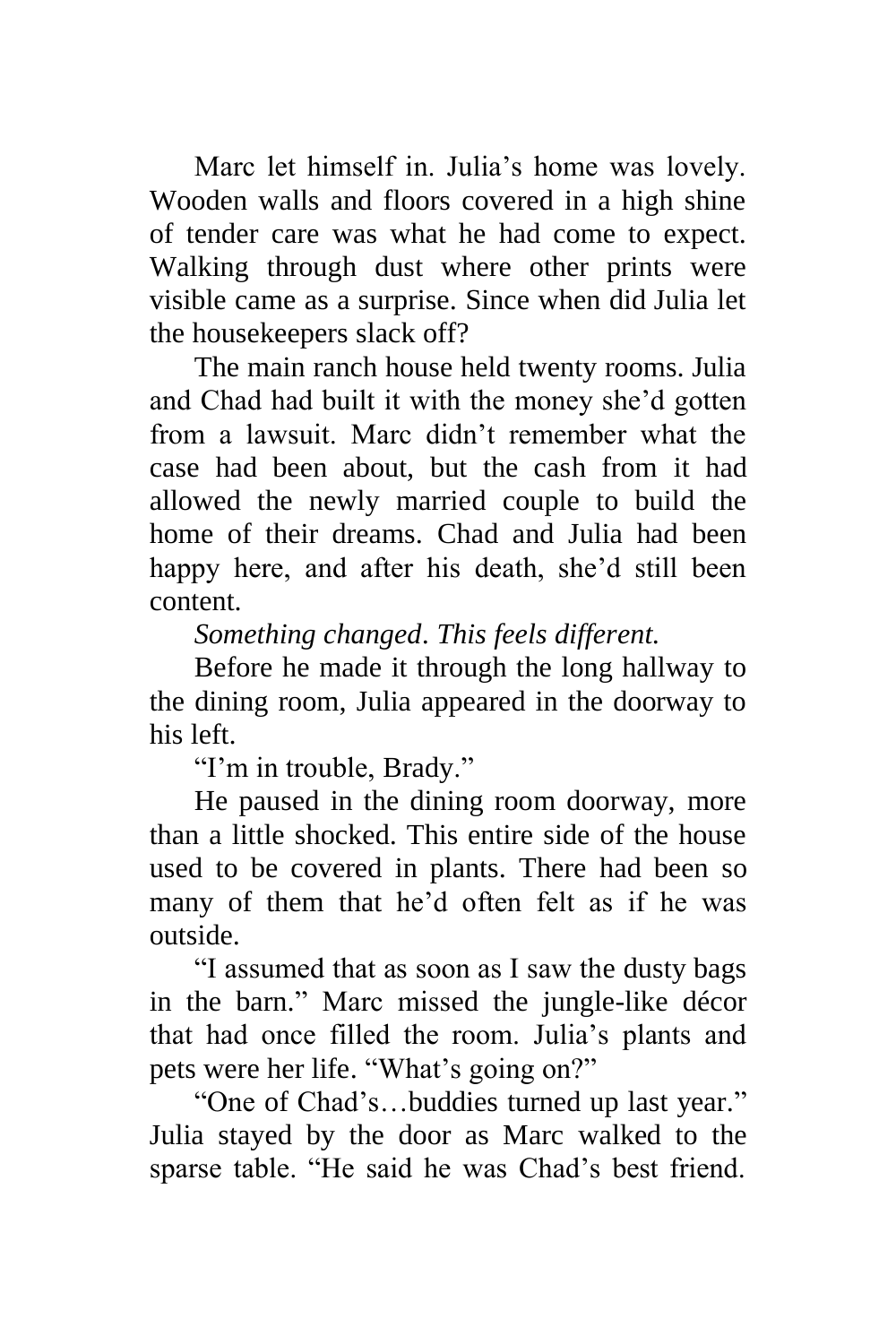Marc let himself in. Julia's home was lovely. Wooden walls and floors covered in a high shine of tender care was what he had come to expect. Walking through dust where other prints were visible came as a surprise. Since when did Julia let the housekeepers slack off?

The main ranch house held twenty rooms. Julia and Chad had built it with the money she'd gotten from a lawsuit. Marc didn't remember what the case had been about, but the cash from it had allowed the newly married couple to build the home of their dreams. Chad and Julia had been happy here, and after his death, she'd still been content.

*Something changed*. *This feels different.*

Before he made it through the long hallway to the dining room, Julia appeared in the doorway to his left.

"I'm in trouble, Brady."

He paused in the dining room doorway, more than a little shocked. This entire side of the house used to be covered in plants. There had been so many of them that he'd often felt as if he was outside.

"I assumed that as soon as I saw the dusty bags in the barn." Marc missed the jungle-like décor that had once filled the room. Julia's plants and pets were her life. "What's going on?"

"One of Chad's…buddies turned up last year." Julia stayed by the door as Marc walked to the sparse table. "He said he was Chad's best friend.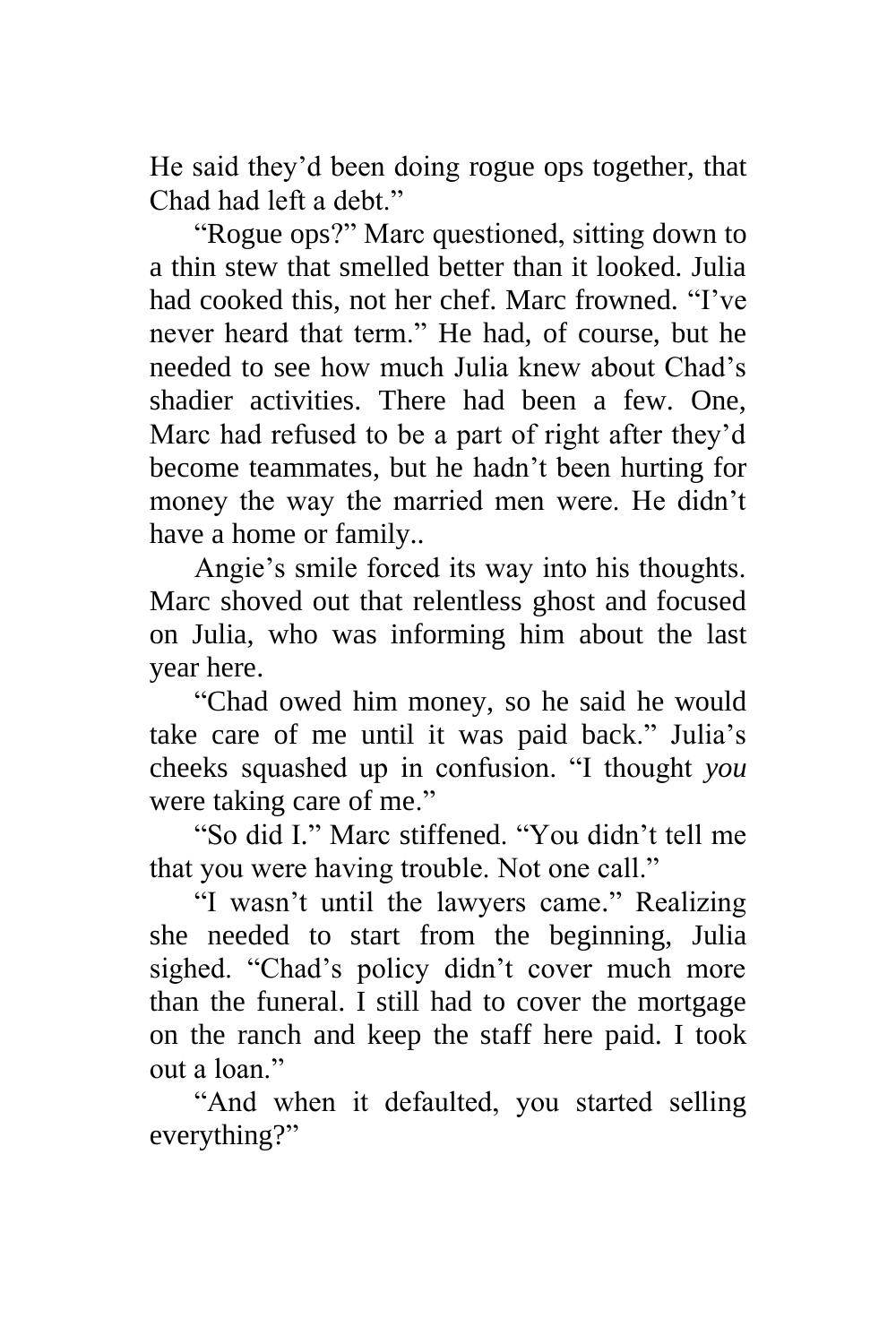He said they'd been doing rogue ops together, that Chad had left a debt."

"Rogue ops?" Marc questioned, sitting down to a thin stew that smelled better than it looked. Julia had cooked this, not her chef. Marc frowned. "I've never heard that term." He had, of course, but he needed to see how much Julia knew about Chad's shadier activities. There had been a few. One, Marc had refused to be a part of right after they'd become teammates, but he hadn't been hurting for money the way the married men were. He didn't have a home or family.*.*

Angie's smile forced its way into his thoughts. Marc shoved out that relentless ghost and focused on Julia, who was informing him about the last year here.

"Chad owed him money, so he said he would take care of me until it was paid back." Julia's cheeks squashed up in confusion. "I thought *you* were taking care of me."

"So did I." Marc stiffened. "You didn't tell me that you were having trouble. Not one call."

"I wasn't until the lawyers came." Realizing she needed to start from the beginning, Julia sighed. "Chad's policy didn't cover much more than the funeral. I still had to cover the mortgage on the ranch and keep the staff here paid. I took out a loan"

"And when it defaulted, you started selling everything?"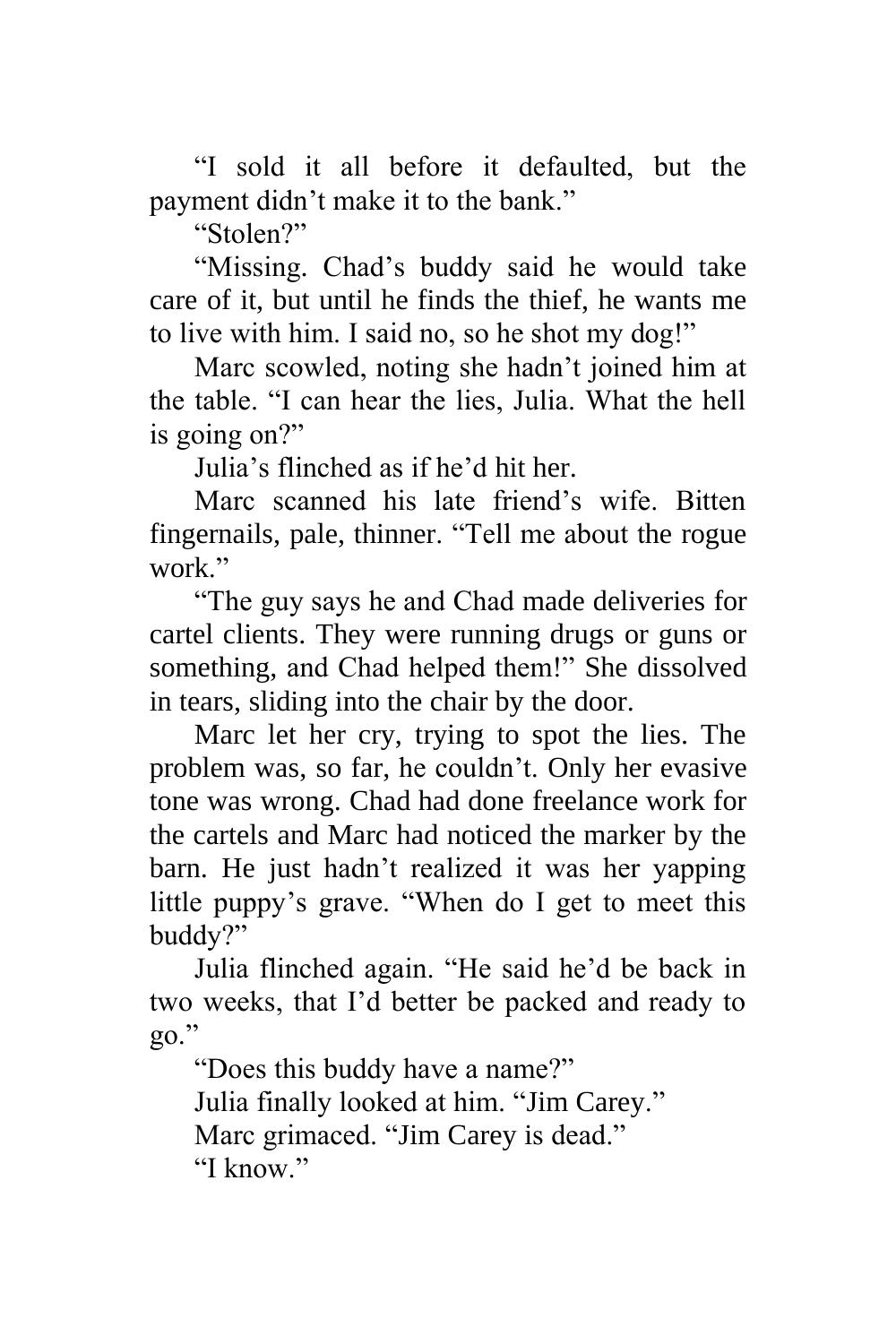"I sold it all before it defaulted, but the payment didn't make it to the bank."

"Stolen?"

"Missing. Chad's buddy said he would take care of it, but until he finds the thief, he wants me to live with him. I said no, so he shot my dog!"

Marc scowled, noting she hadn't joined him at the table. "I can hear the lies, Julia. What the hell is going on?"

Julia's flinched as if he'd hit her.

Marc scanned his late friend's wife. Bitten fingernails, pale, thinner. "Tell me about the rogue work."

"The guy says he and Chad made deliveries for cartel clients. They were running drugs or guns or something, and Chad helped them!" She dissolved in tears, sliding into the chair by the door.

Marc let her cry, trying to spot the lies. The problem was, so far, he couldn't. Only her evasive tone was wrong. Chad had done freelance work for the cartels and Marc had noticed the marker by the barn. He just hadn't realized it was her yapping little puppy's grave. "When do I get to meet this buddy?"

Julia flinched again. "He said he'd be back in two weeks, that I'd better be packed and ready to go."

"Does this buddy have a name?" Julia finally looked at him. "Jim Carey." Marc grimaced. "Jim Carey is dead."

"I know"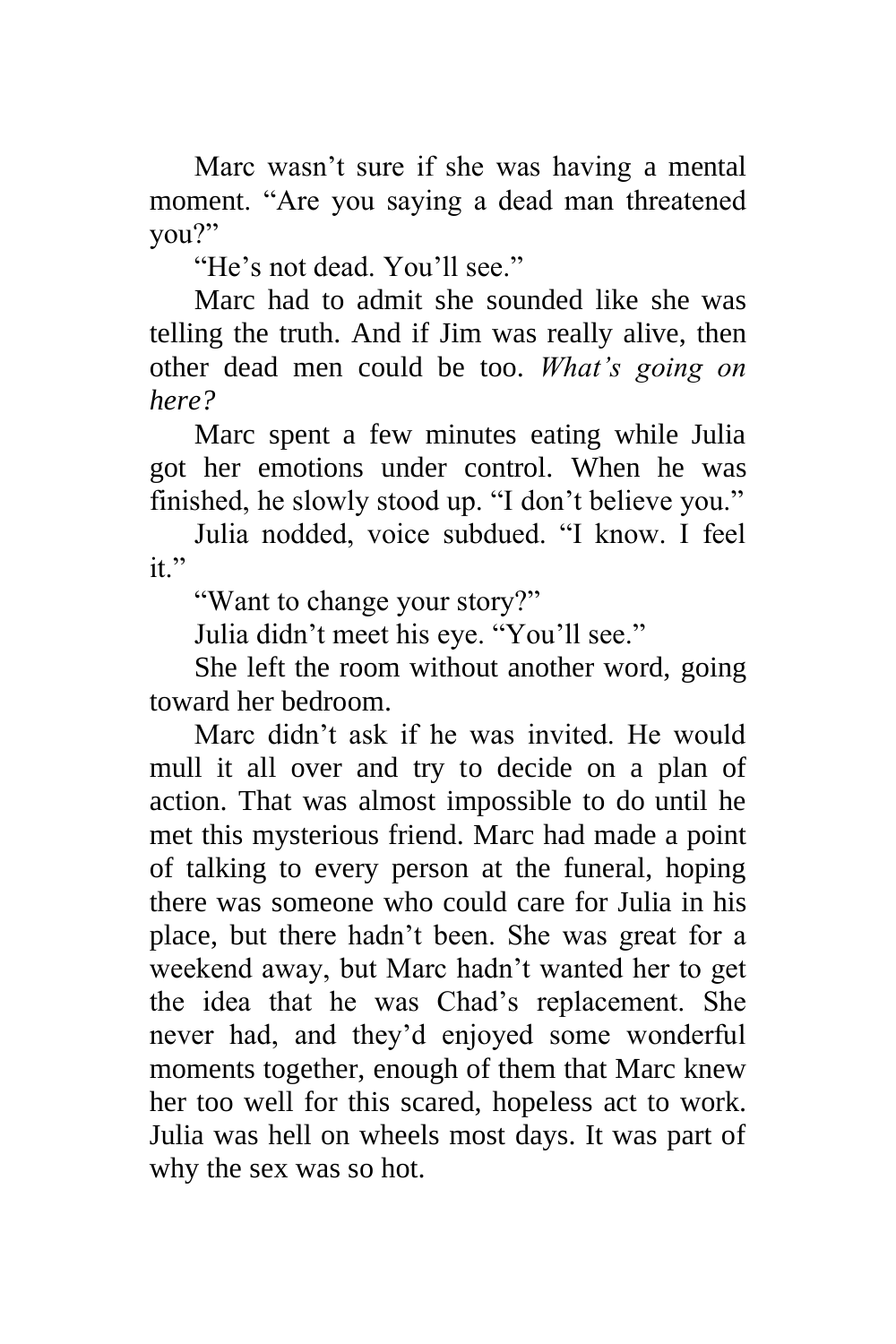Marc wasn't sure if she was having a mental moment. "Are you saying a dead man threatened you?"

"He's not dead. You'll see."

Marc had to admit she sounded like she was telling the truth. And if Jim was really alive, then other dead men could be too. *What's going on here?*

Marc spent a few minutes eating while Julia got her emotions under control. When he was finished, he slowly stood up. "I don't believe you."

Julia nodded, voice subdued. "I know. I feel  $it$ "

"Want to change your story?"

Julia didn't meet his eye. "You'll see."

She left the room without another word, going toward her bedroom.

Marc didn't ask if he was invited. He would mull it all over and try to decide on a plan of action. That was almost impossible to do until he met this mysterious friend. Marc had made a point of talking to every person at the funeral, hoping there was someone who could care for Julia in his place, but there hadn't been. She was great for a weekend away, but Marc hadn't wanted her to get the idea that he was Chad's replacement. She never had, and they'd enjoyed some wonderful moments together, enough of them that Marc knew her too well for this scared, hopeless act to work. Julia was hell on wheels most days. It was part of why the sex was so hot.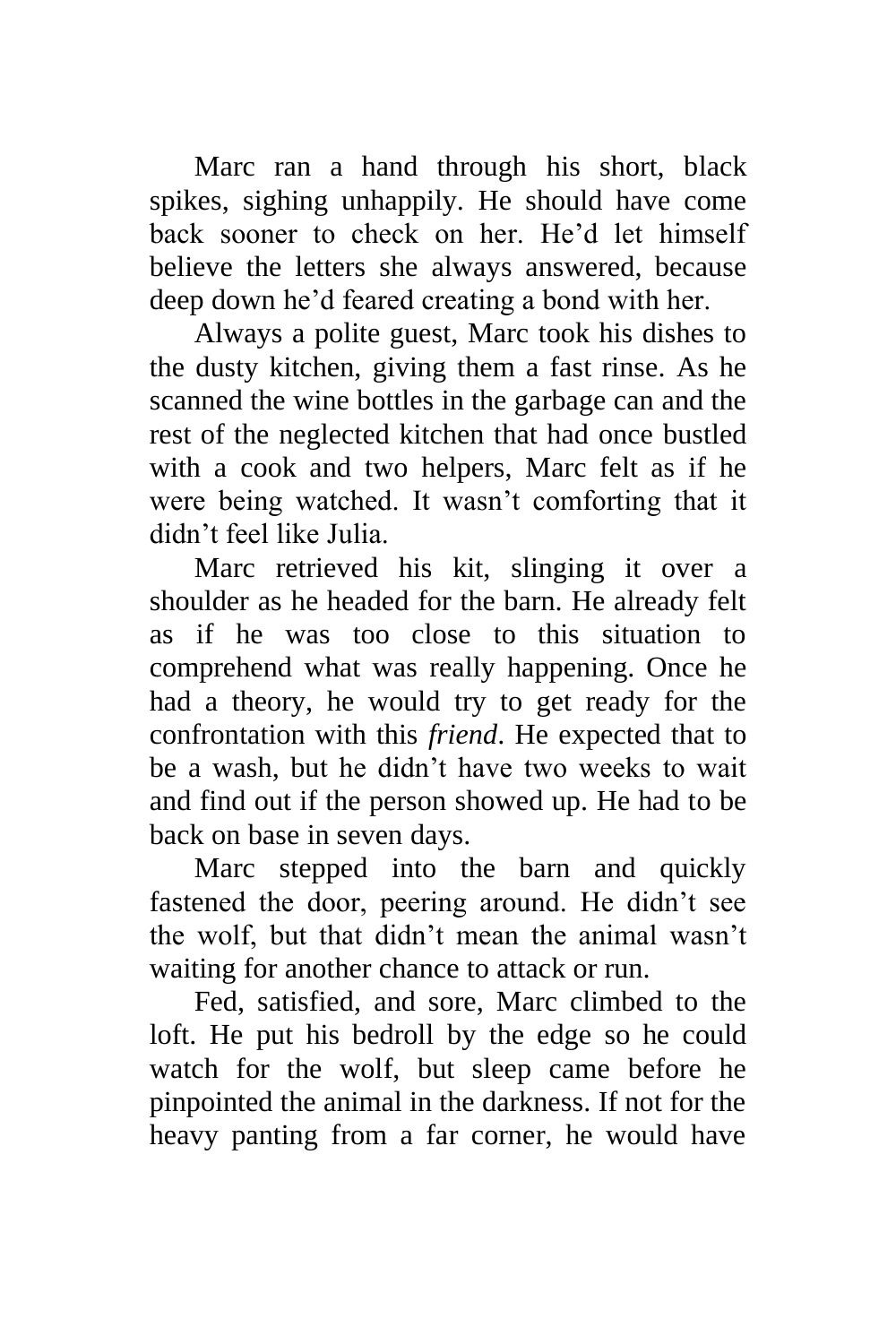Marc ran a hand through his short, black spikes, sighing unhappily. He should have come back sooner to check on her. He'd let himself believe the letters she always answered, because deep down he'd feared creating a bond with her.

Always a polite guest, Marc took his dishes to the dusty kitchen, giving them a fast rinse. As he scanned the wine bottles in the garbage can and the rest of the neglected kitchen that had once bustled with a cook and two helpers, Marc felt as if he were being watched. It wasn't comforting that it didn't feel like Julia.

Marc retrieved his kit, slinging it over a shoulder as he headed for the barn. He already felt as if he was too close to this situation to comprehend what was really happening. Once he had a theory, he would try to get ready for the confrontation with this *friend*. He expected that to be a wash, but he didn't have two weeks to wait and find out if the person showed up. He had to be back on base in seven days.

Marc stepped into the barn and quickly fastened the door, peering around. He didn't see the wolf, but that didn't mean the animal wasn't waiting for another chance to attack or run.

Fed, satisfied, and sore, Marc climbed to the loft. He put his bedroll by the edge so he could watch for the wolf, but sleep came before he pinpointed the animal in the darkness. If not for the heavy panting from a far corner, he would have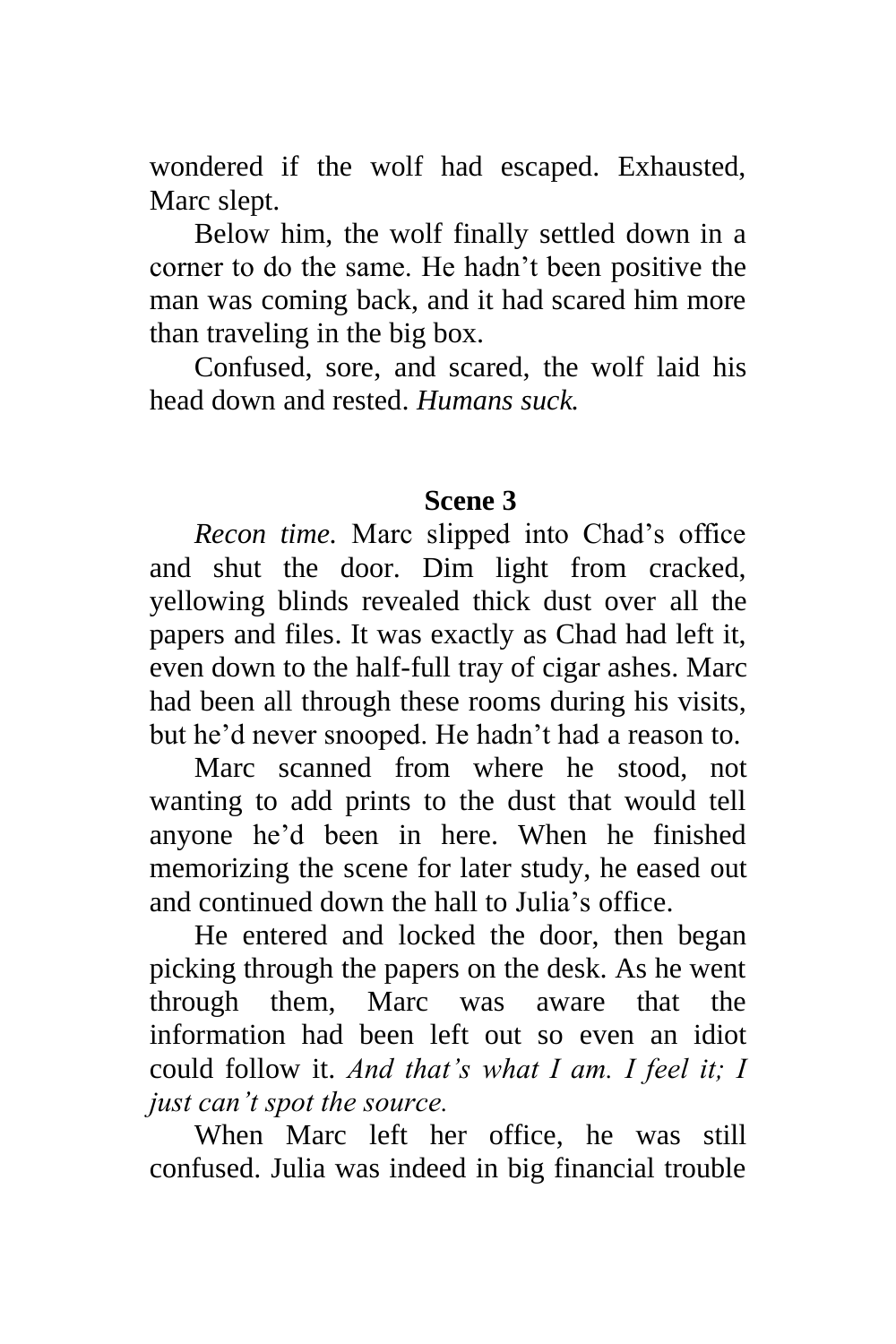wondered if the wolf had escaped. Exhausted, Marc slept.

Below him, the wolf finally settled down in a corner to do the same. He hadn't been positive the man was coming back, and it had scared him more than traveling in the big box.

Confused, sore, and scared, the wolf laid his head down and rested. *Humans suck.*

### **Scene 3**

*Recon time.* Marc slipped into Chad's office and shut the door. Dim light from cracked, yellowing blinds revealed thick dust over all the papers and files. It was exactly as Chad had left it, even down to the half-full tray of cigar ashes. Marc had been all through these rooms during his visits, but he'd never snooped. He hadn't had a reason to.

Marc scanned from where he stood, not wanting to add prints to the dust that would tell anyone he'd been in here. When he finished memorizing the scene for later study, he eased out and continued down the hall to Julia's office.

He entered and locked the door, then began picking through the papers on the desk. As he went through them, Marc was aware that the information had been left out so even an idiot could follow it. *And that's what I am. I feel it; I just can't spot the source.*

When Marc left her office, he was still confused. Julia was indeed in big financial trouble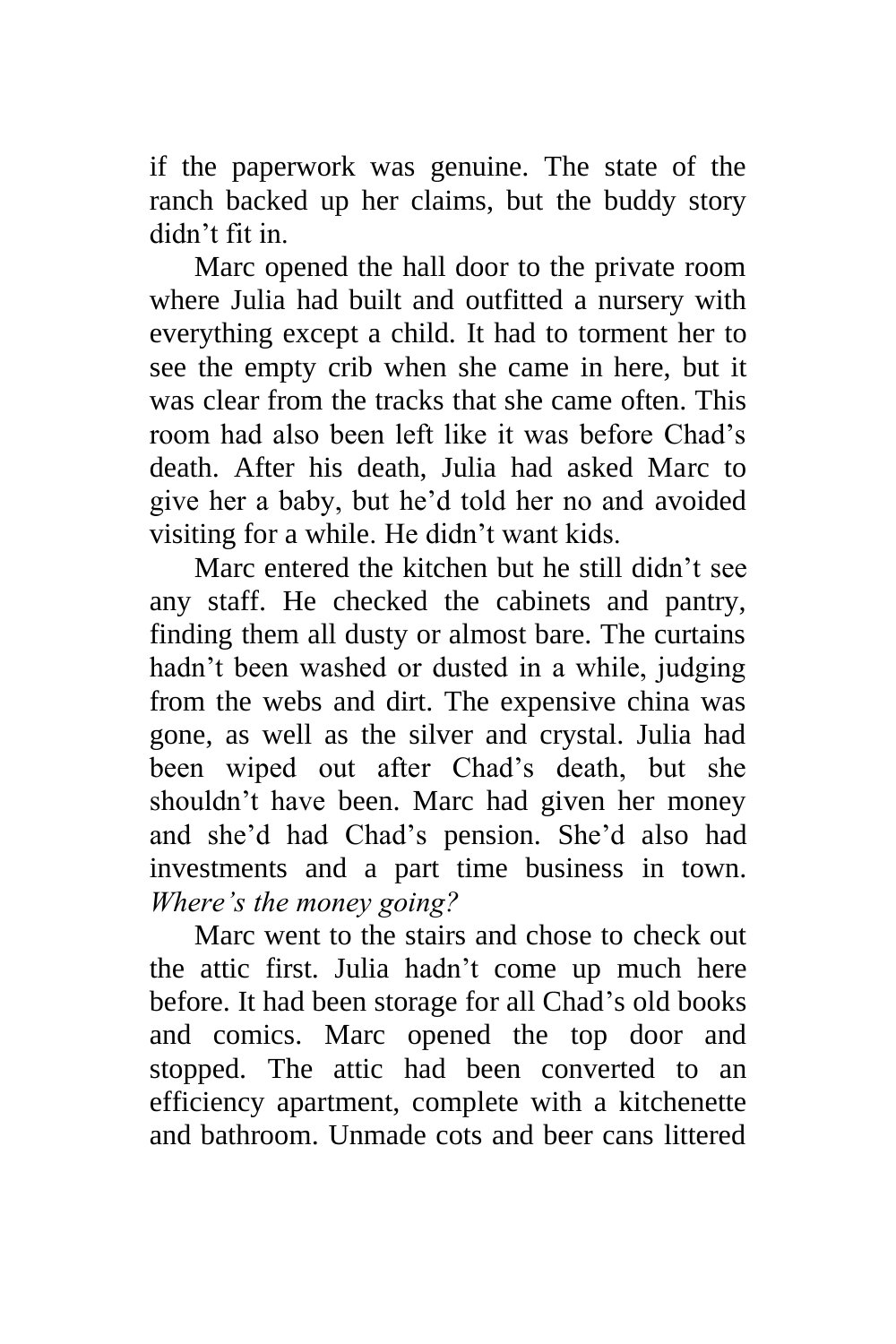if the paperwork was genuine. The state of the ranch backed up her claims, but the buddy story didn't fit in.

Marc opened the hall door to the private room where Julia had built and outfitted a nursery with everything except a child. It had to torment her to see the empty crib when she came in here, but it was clear from the tracks that she came often. This room had also been left like it was before Chad's death. After his death, Julia had asked Marc to give her a baby, but he'd told her no and avoided visiting for a while. He didn't want kids.

Marc entered the kitchen but he still didn't see any staff. He checked the cabinets and pantry, finding them all dusty or almost bare. The curtains hadn't been washed or dusted in a while, judging from the webs and dirt. The expensive china was gone, as well as the silver and crystal. Julia had been wiped out after Chad's death, but she shouldn't have been. Marc had given her money and she'd had Chad's pension. She'd also had investments and a part time business in town. *Where's the money going?*

Marc went to the stairs and chose to check out the attic first. Julia hadn't come up much here before. It had been storage for all Chad's old books and comics. Marc opened the top door and stopped. The attic had been converted to an efficiency apartment, complete with a kitchenette and bathroom. Unmade cots and beer cans littered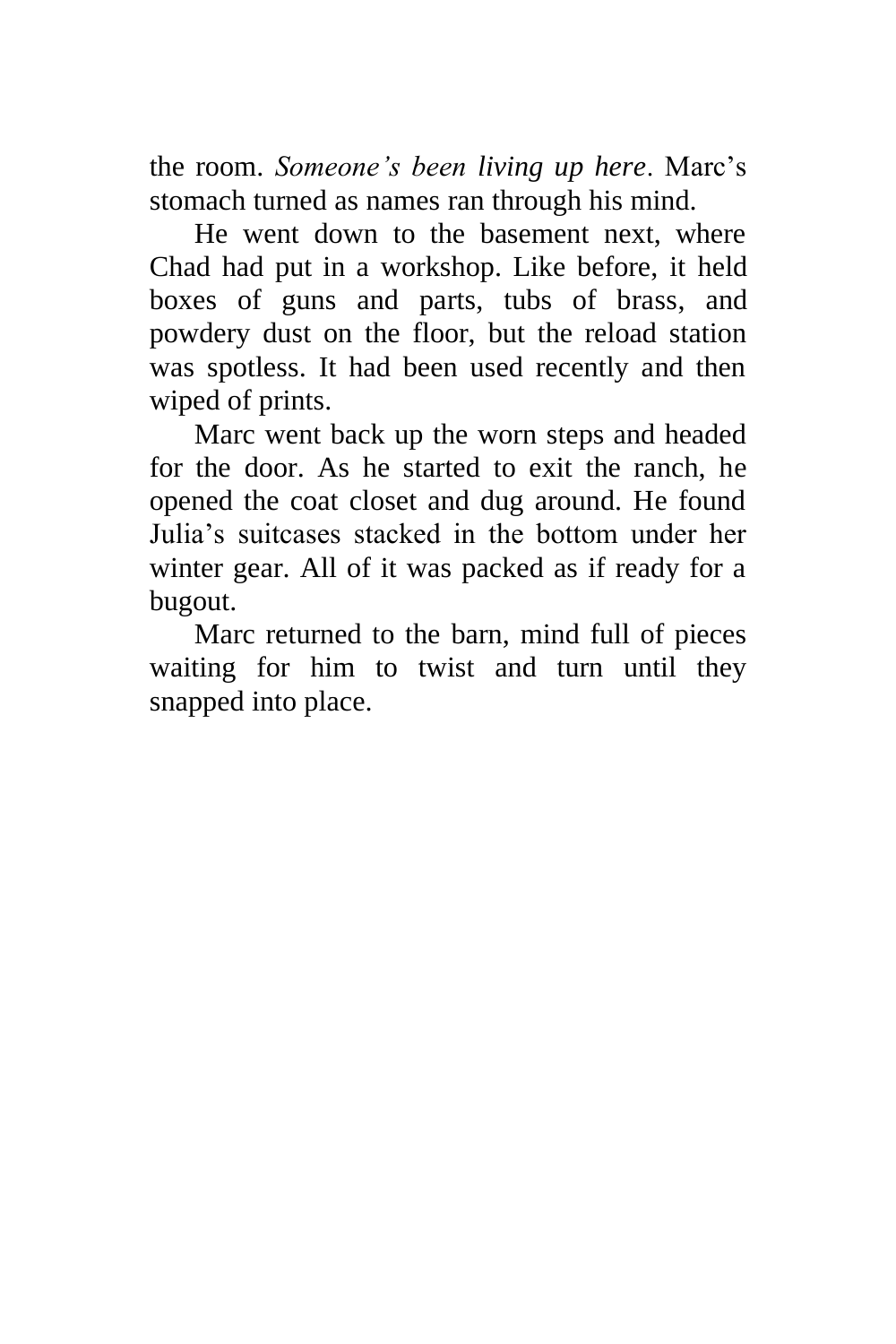the room. *Someone's been living up here*. Marc's stomach turned as names ran through his mind.

He went down to the basement next, where Chad had put in a workshop. Like before, it held boxes of guns and parts, tubs of brass, and powdery dust on the floor, but the reload station was spotless. It had been used recently and then wiped of prints.

Marc went back up the worn steps and headed for the door. As he started to exit the ranch, he opened the coat closet and dug around. He found Julia's suitcases stacked in the bottom under her winter gear. All of it was packed as if ready for a bugout.

Marc returned to the barn, mind full of pieces waiting for him to twist and turn until they snapped into place.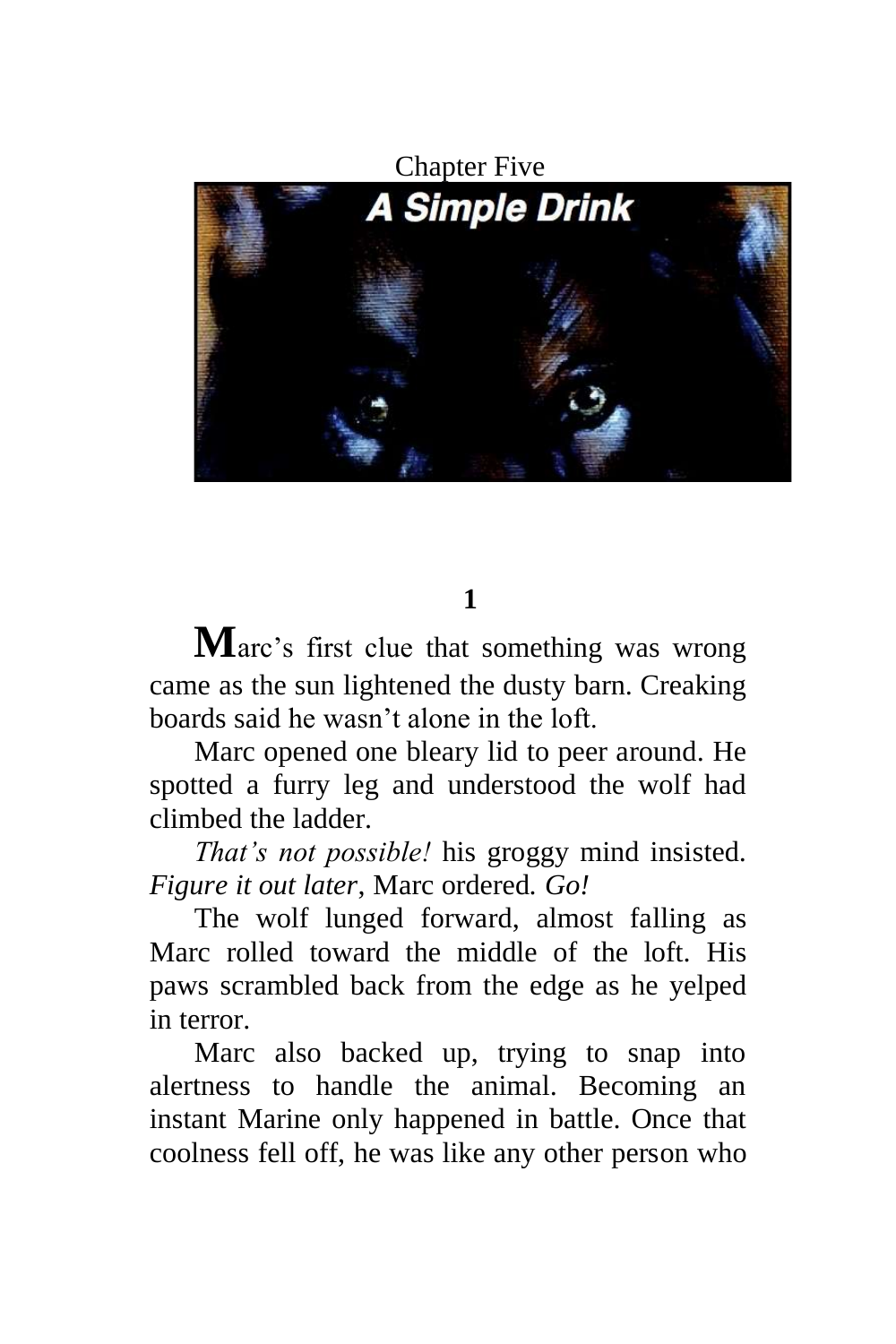

# **1**

**M**arc's first clue that something was wrong came as the sun lightened the dusty barn. Creaking boards said he wasn't alone in the loft.

Marc opened one bleary lid to peer around. He spotted a furry leg and understood the wolf had climbed the ladder.

*That's not possible!* his groggy mind insisted. *Figure it out later*, Marc ordered*. Go!*

The wolf lunged forward, almost falling as Marc rolled toward the middle of the loft. His paws scrambled back from the edge as he yelped in terror.

Marc also backed up, trying to snap into alertness to handle the animal. Becoming an instant Marine only happened in battle. Once that coolness fell off, he was like any other person who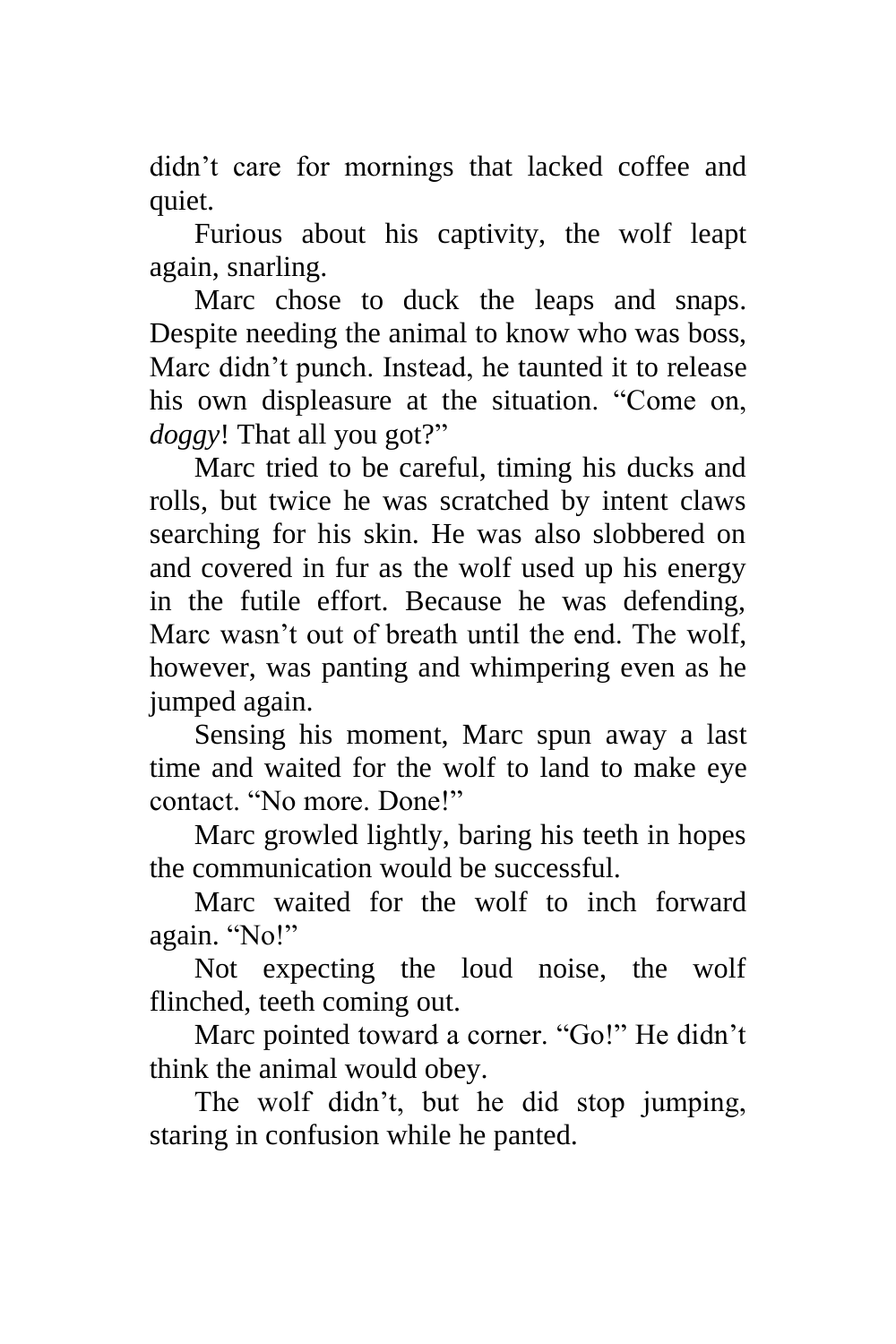didn't care for mornings that lacked coffee and quiet.

Furious about his captivity, the wolf leapt again, snarling.

Marc chose to duck the leaps and snaps. Despite needing the animal to know who was boss, Marc didn't punch. Instead, he taunted it to release his own displeasure at the situation. "Come on, *doggy*! That all you got?"

Marc tried to be careful, timing his ducks and rolls, but twice he was scratched by intent claws searching for his skin. He was also slobbered on and covered in fur as the wolf used up his energy in the futile effort. Because he was defending, Marc wasn't out of breath until the end. The wolf, however, was panting and whimpering even as he jumped again.

Sensing his moment, Marc spun away a last time and waited for the wolf to land to make eye contact. "No more. Done!"

Marc growled lightly, baring his teeth in hopes the communication would be successful.

Marc waited for the wolf to inch forward again. "No!"

Not expecting the loud noise, the wolf flinched, teeth coming out.

Marc pointed toward a corner. "Go!" He didn't think the animal would obey.

The wolf didn't, but he did stop jumping, staring in confusion while he panted.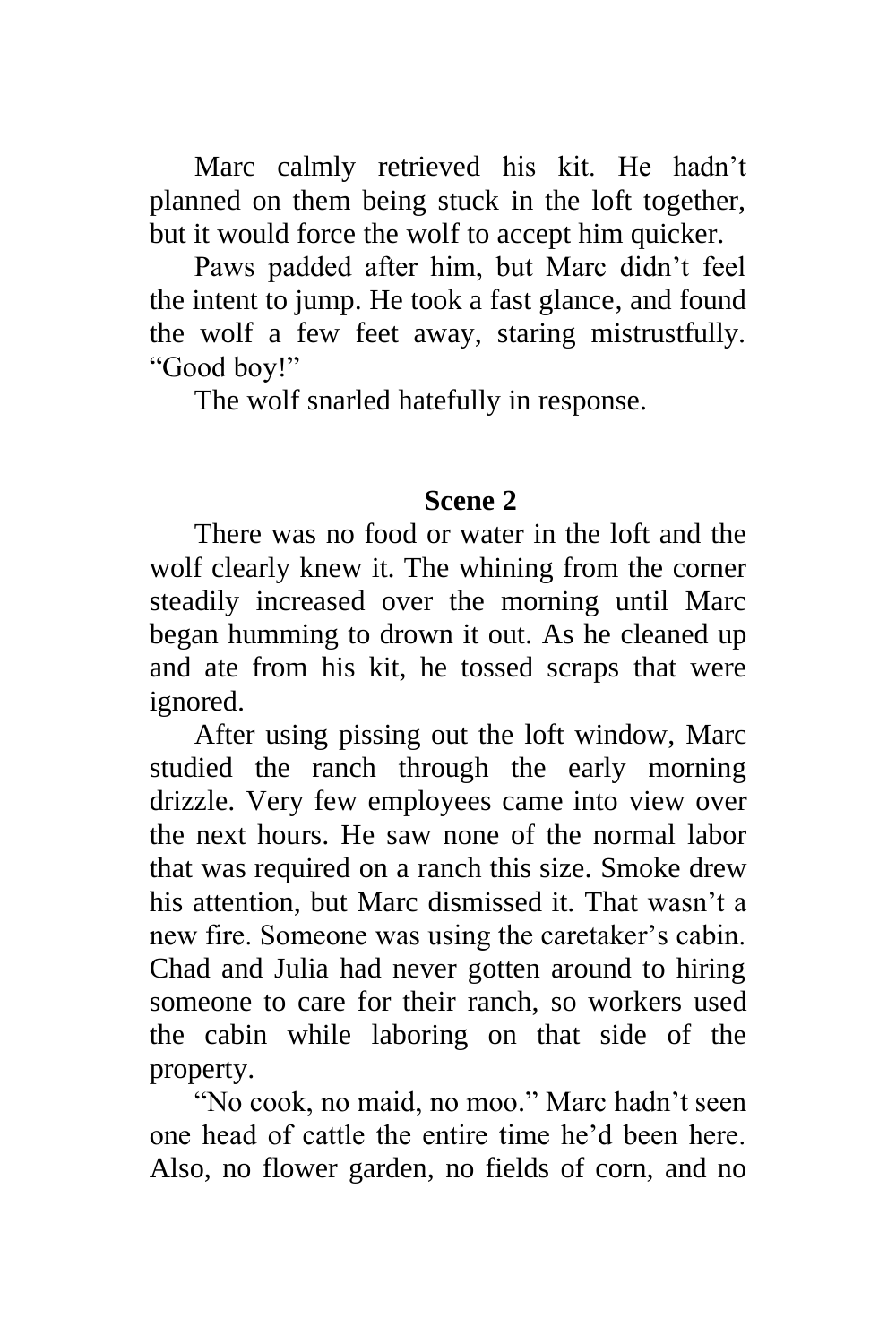Marc calmly retrieved his kit. He hadn't planned on them being stuck in the loft together, but it would force the wolf to accept him quicker.

Paws padded after him, but Marc didn't feel the intent to jump. He took a fast glance, and found the wolf a few feet away, staring mistrustfully. "Good boy!"

The wolf snarled hatefully in response.

### **Scene 2**

There was no food or water in the loft and the wolf clearly knew it. The whining from the corner steadily increased over the morning until Marc began humming to drown it out. As he cleaned up and ate from his kit, he tossed scraps that were ignored.

After using pissing out the loft window, Marc studied the ranch through the early morning drizzle. Very few employees came into view over the next hours. He saw none of the normal labor that was required on a ranch this size. Smoke drew his attention, but Marc dismissed it. That wasn't a new fire. Someone was using the caretaker's cabin. Chad and Julia had never gotten around to hiring someone to care for their ranch, so workers used the cabin while laboring on that side of the property.

"No cook, no maid, no moo." Marc hadn't seen one head of cattle the entire time he'd been here. Also, no flower garden, no fields of corn, and no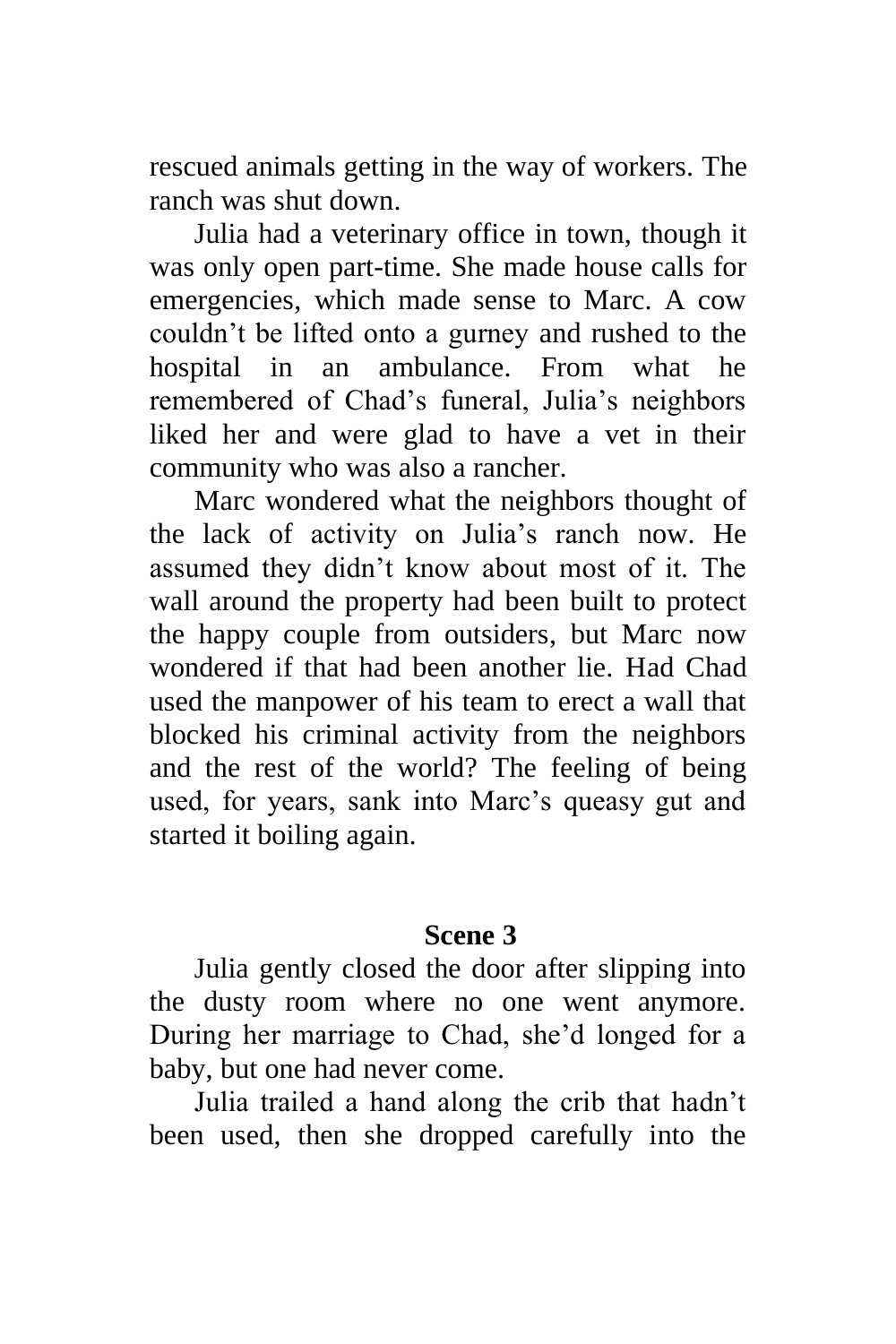rescued animals getting in the way of workers. The ranch was shut down.

Julia had a veterinary office in town, though it was only open part-time. She made house calls for emergencies, which made sense to Marc. A cow couldn't be lifted onto a gurney and rushed to the hospital in an ambulance. From what he remembered of Chad's funeral, Julia's neighbors liked her and were glad to have a vet in their community who was also a rancher.

Marc wondered what the neighbors thought of the lack of activity on Julia's ranch now. He assumed they didn't know about most of it. The wall around the property had been built to protect the happy couple from outsiders, but Marc now wondered if that had been another lie. Had Chad used the manpower of his team to erect a wall that blocked his criminal activity from the neighbors and the rest of the world? The feeling of being used, for years, sank into Marc's queasy gut and started it boiling again.

### **Scene 3**

Julia gently closed the door after slipping into the dusty room where no one went anymore. During her marriage to Chad, she'd longed for a baby, but one had never come.

Julia trailed a hand along the crib that hadn't been used, then she dropped carefully into the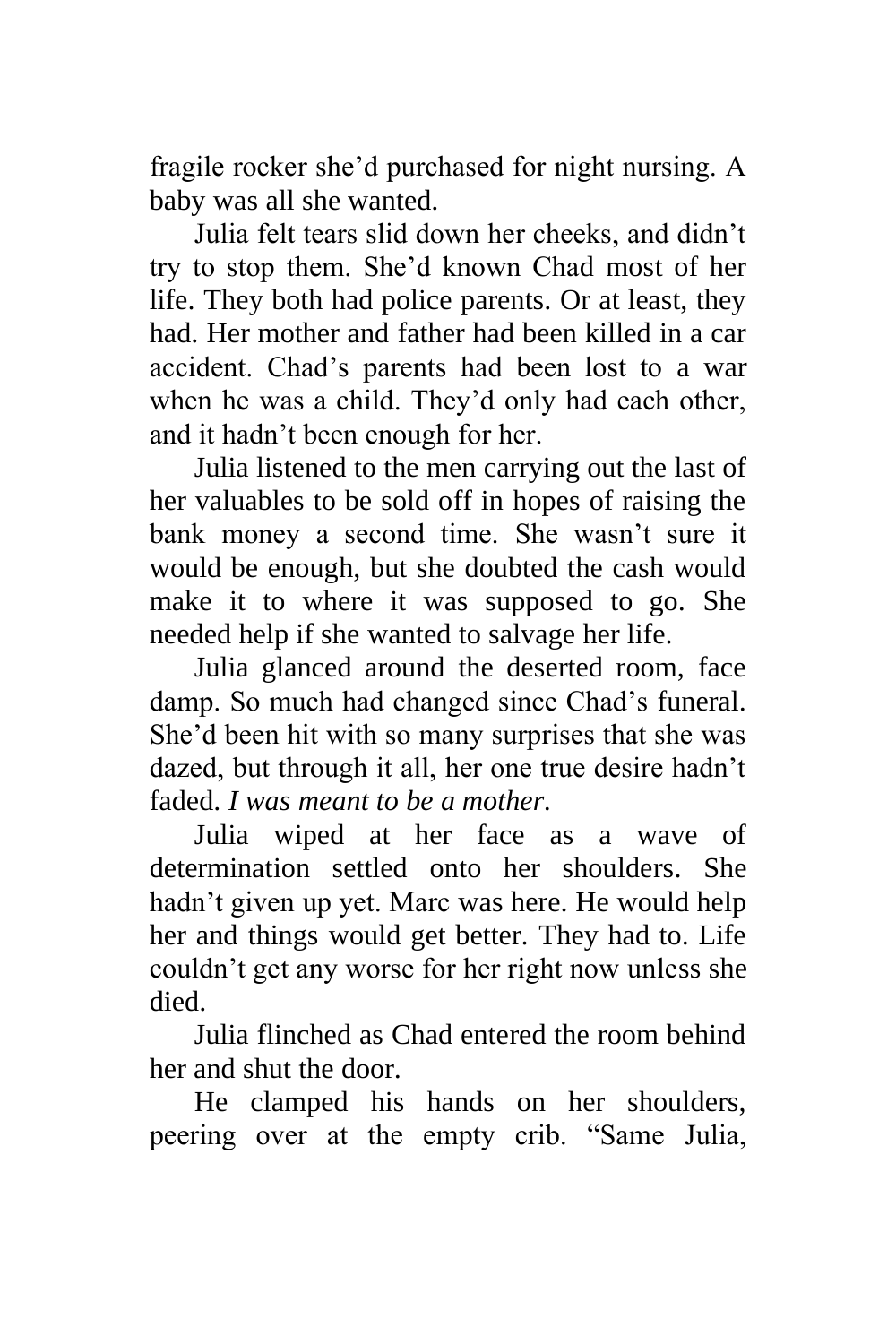fragile rocker she'd purchased for night nursing. A baby was all she wanted.

Julia felt tears slid down her cheeks, and didn't try to stop them. She'd known Chad most of her life. They both had police parents. Or at least, they had. Her mother and father had been killed in a car accident. Chad's parents had been lost to a war when he was a child. They'd only had each other, and it hadn't been enough for her.

Julia listened to the men carrying out the last of her valuables to be sold off in hopes of raising the bank money a second time. She wasn't sure it would be enough, but she doubted the cash would make it to where it was supposed to go. She needed help if she wanted to salvage her life.

Julia glanced around the deserted room, face damp. So much had changed since Chad's funeral. She'd been hit with so many surprises that she was dazed, but through it all, her one true desire hadn't faded. *I was meant to be a mother.*

Julia wiped at her face as a wave of determination settled onto her shoulders. She hadn't given up yet. Marc was here. He would help her and things would get better. They had to. Life couldn't get any worse for her right now unless she died.

Julia flinched as Chad entered the room behind her and shut the door.

He clamped his hands on her shoulders, peering over at the empty crib. "Same Julia,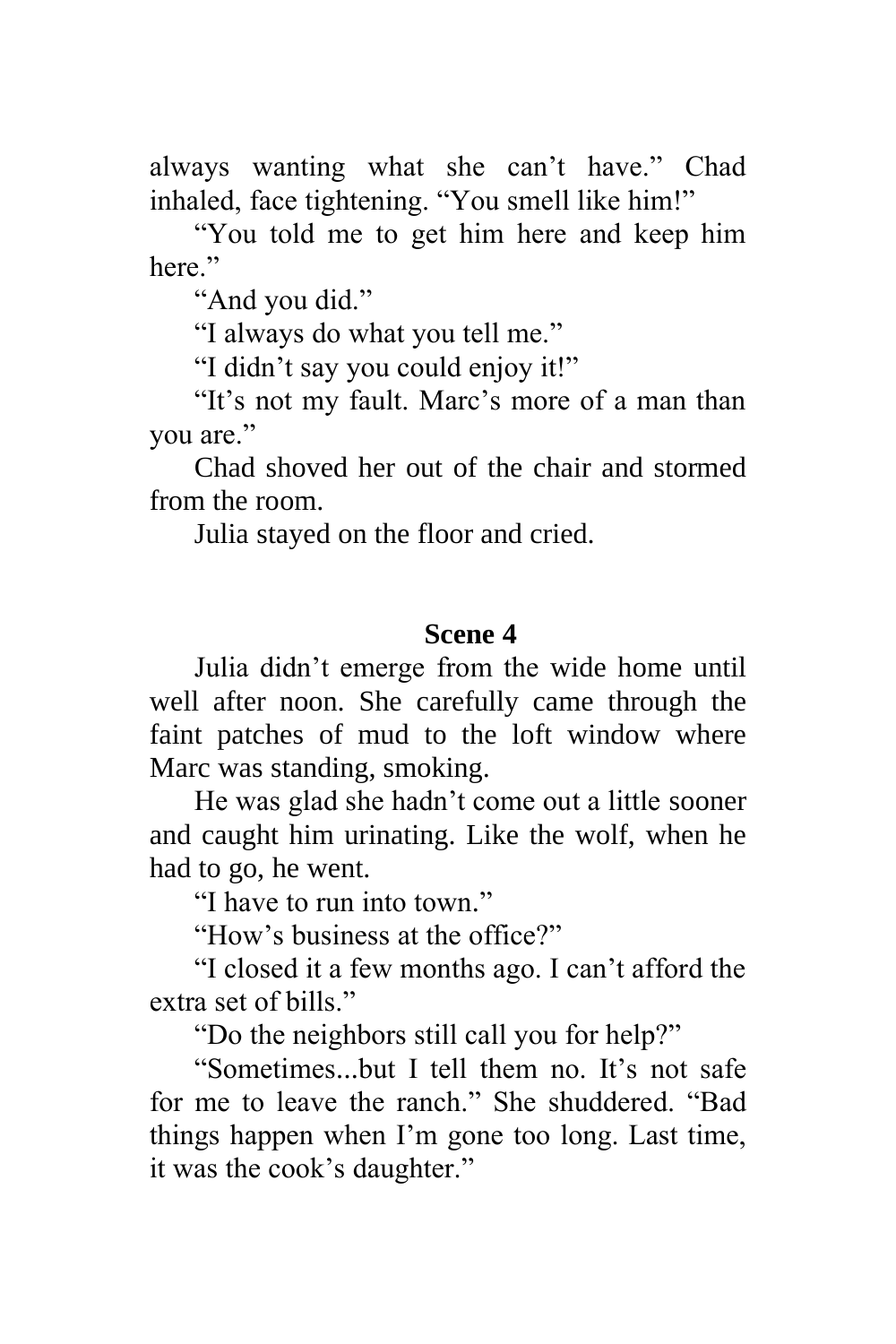always wanting what she can't have." Chad inhaled, face tightening. "You smell like him!"

"You told me to get him here and keep him here."

"And you did."

"I always do what you tell me."

"I didn't say you could enjoy it!"

"It's not my fault. Marc's more of a man than you are."

Chad shoved her out of the chair and stormed from the room.

Julia stayed on the floor and cried.

#### **Scene 4**

Julia didn't emerge from the wide home until well after noon. She carefully came through the faint patches of mud to the loft window where Marc was standing, smoking.

He was glad she hadn't come out a little sooner and caught him urinating. Like the wolf, when he had to go, he went.

"I have to run into town."

"How's business at the office?"

"I closed it a few months ago. I can't afford the extra set of bills."

"Do the neighbors still call you for help?"

"Sometimes...but I tell them no. It's not safe for me to leave the ranch." She shuddered. "Bad things happen when I'm gone too long. Last time, it was the cook's daughter."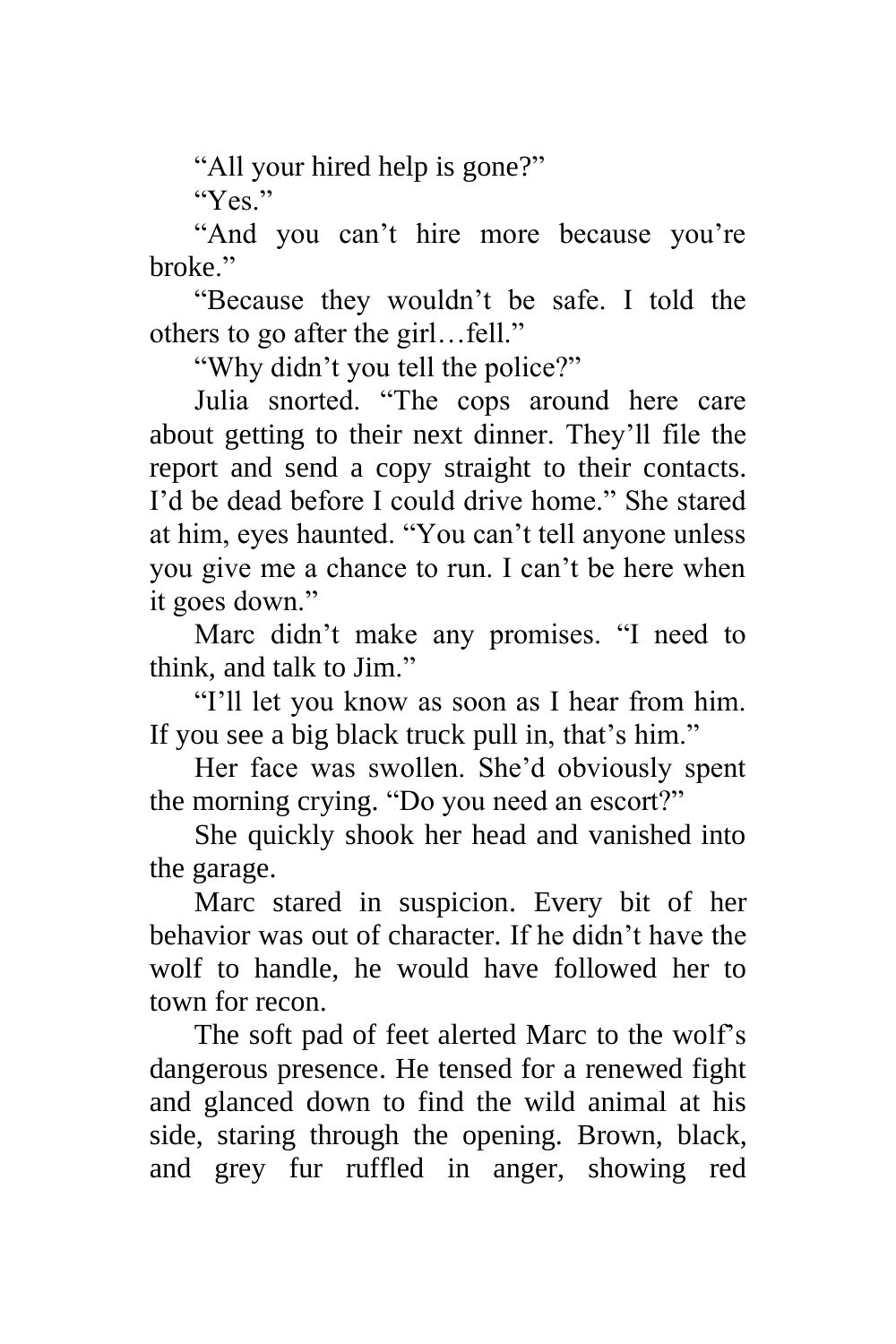"All your hired help is gone?"

"Yes"

"And you can't hire more because you're broke."

"Because they wouldn't be safe. I told the others to go after the girl…fell."

"Why didn't you tell the police?"

Julia snorted. "The cops around here care about getting to their next dinner. They'll file the report and send a copy straight to their contacts. I'd be dead before I could drive home." She stared at him, eyes haunted. "You can't tell anyone unless you give me a chance to run. I can't be here when it goes down."

Marc didn't make any promises. "I need to think, and talk to Jim."

"I'll let you know as soon as I hear from him. If you see a big black truck pull in, that's him."

Her face was swollen. She'd obviously spent the morning crying. "Do you need an escort?"

She quickly shook her head and vanished into the garage.

Marc stared in suspicion. Every bit of her behavior was out of character. If he didn't have the wolf to handle, he would have followed her to town for recon.

The soft pad of feet alerted Marc to the wolf's dangerous presence. He tensed for a renewed fight and glanced down to find the wild animal at his side, staring through the opening. Brown, black, and grey fur ruffled in anger, showing red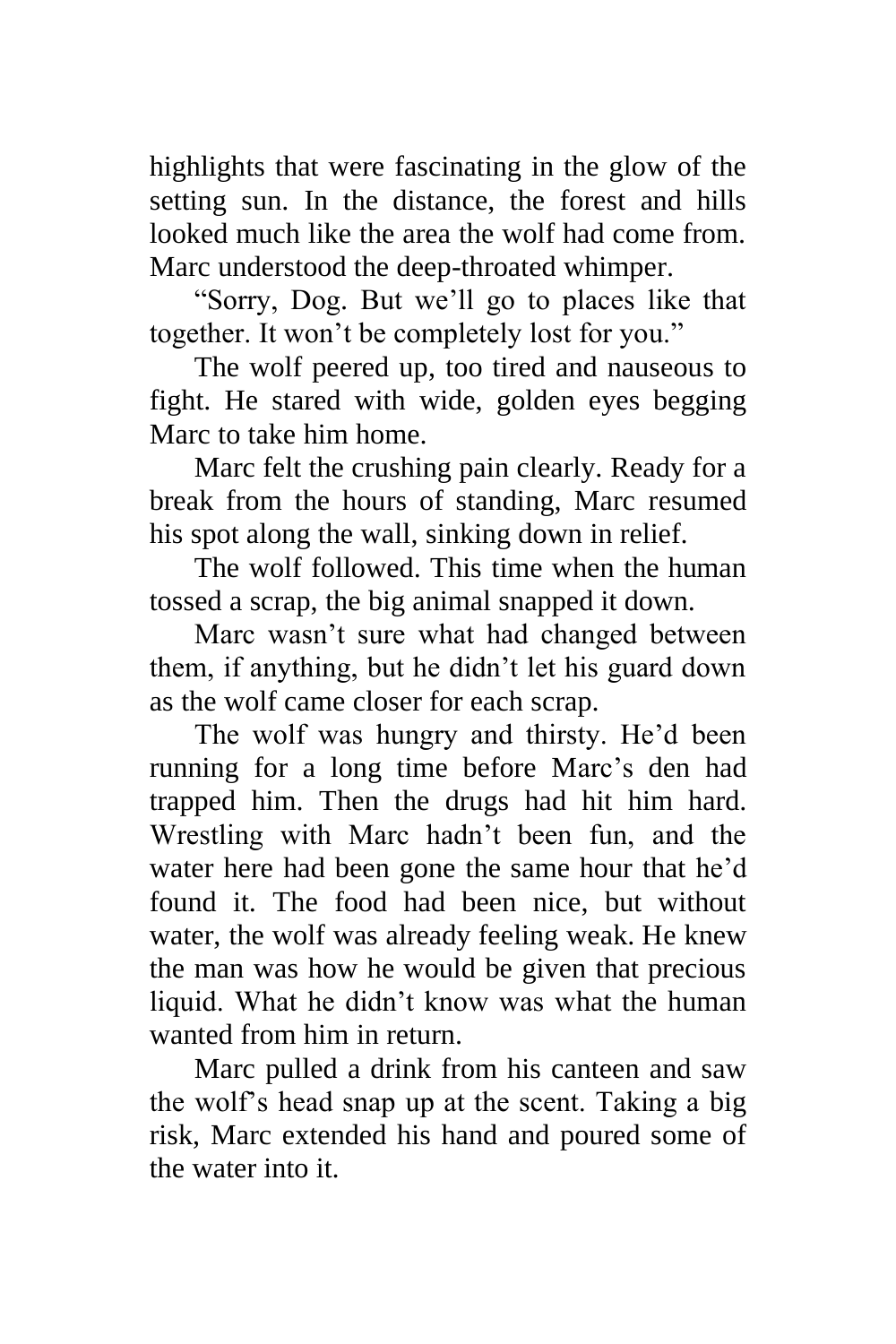highlights that were fascinating in the glow of the setting sun. In the distance, the forest and hills looked much like the area the wolf had come from. Marc understood the deep-throated whimper.

"Sorry, Dog. But we'll go to places like that together. It won't be completely lost for you."

The wolf peered up, too tired and nauseous to fight. He stared with wide, golden eyes begging Marc to take him home.

Marc felt the crushing pain clearly. Ready for a break from the hours of standing, Marc resumed his spot along the wall, sinking down in relief.

The wolf followed. This time when the human tossed a scrap, the big animal snapped it down.

Marc wasn't sure what had changed between them, if anything, but he didn't let his guard down as the wolf came closer for each scrap.

The wolf was hungry and thirsty. He'd been running for a long time before Marc's den had trapped him. Then the drugs had hit him hard. Wrestling with Marc hadn't been fun, and the water here had been gone the same hour that he'd found it. The food had been nice, but without water, the wolf was already feeling weak. He knew the man was how he would be given that precious liquid. What he didn't know was what the human wanted from him in return.

Marc pulled a drink from his canteen and saw the wolf's head snap up at the scent. Taking a big risk, Marc extended his hand and poured some of the water into it.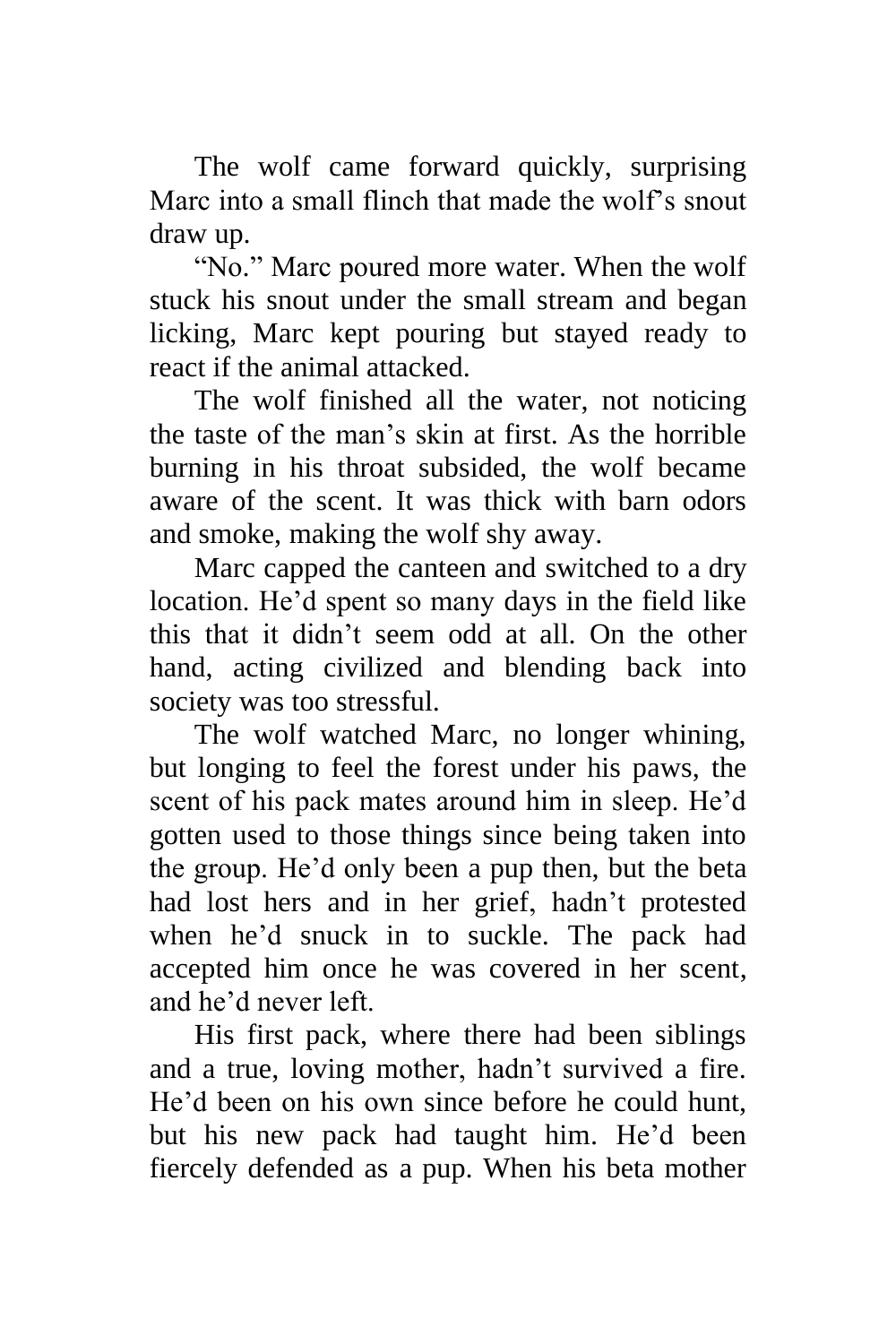The wolf came forward quickly, surprising Marc into a small flinch that made the wolf's snout draw up.

"No." Marc poured more water. When the wolf stuck his snout under the small stream and began licking, Marc kept pouring but stayed ready to react if the animal attacked.

The wolf finished all the water, not noticing the taste of the man's skin at first. As the horrible burning in his throat subsided, the wolf became aware of the scent. It was thick with barn odors and smoke, making the wolf shy away.

Marc capped the canteen and switched to a dry location. He'd spent so many days in the field like this that it didn't seem odd at all. On the other hand, acting civilized and blending back into society was too stressful.

The wolf watched Marc, no longer whining, but longing to feel the forest under his paws, the scent of his pack mates around him in sleep. He'd gotten used to those things since being taken into the group. He'd only been a pup then, but the beta had lost hers and in her grief, hadn't protested when he'd snuck in to suckle. The pack had accepted him once he was covered in her scent, and he'd never left.

His first pack, where there had been siblings and a true, loving mother, hadn't survived a fire. He'd been on his own since before he could hunt, but his new pack had taught him. He'd been fiercely defended as a pup. When his beta mother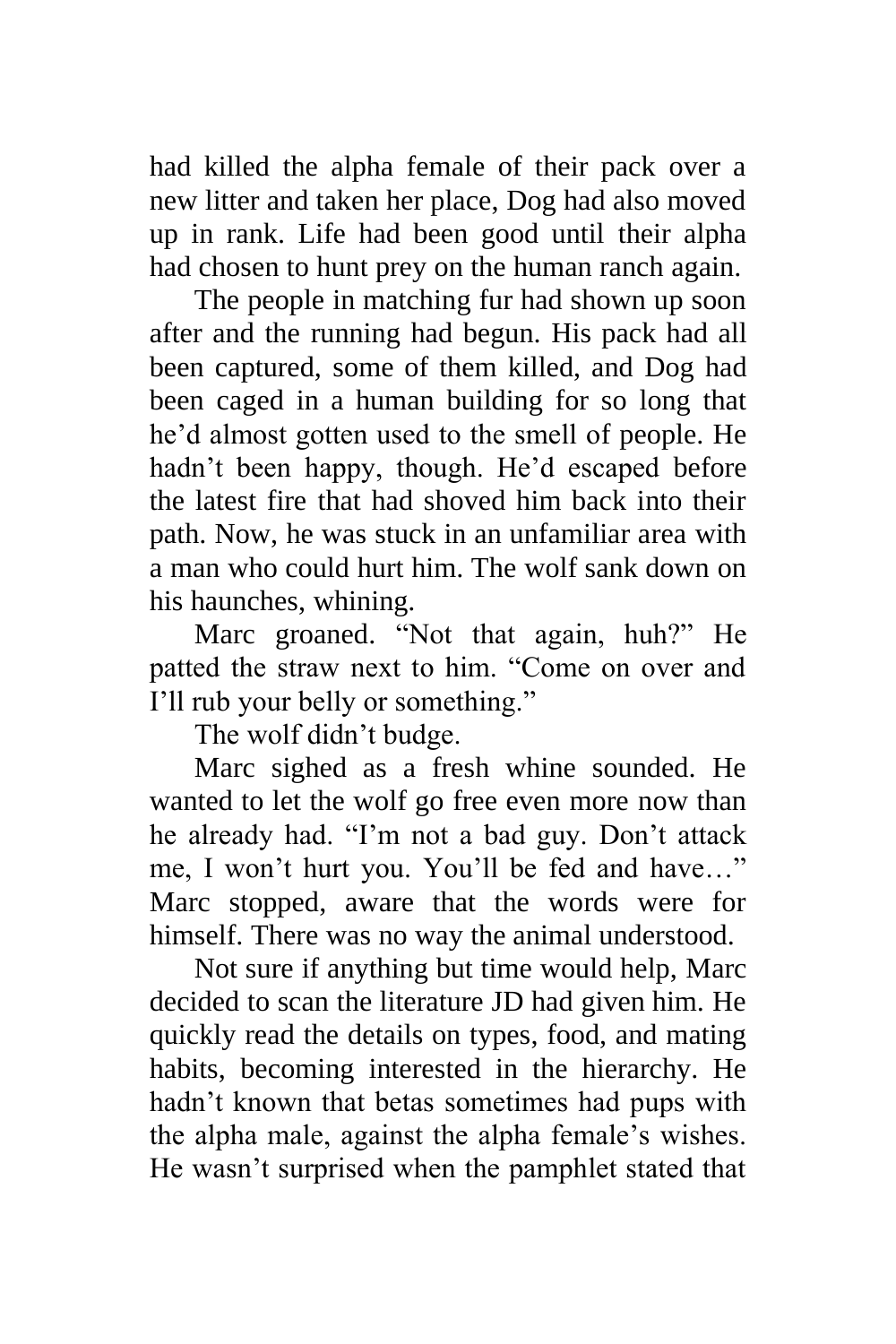had killed the alpha female of their pack over a new litter and taken her place, Dog had also moved up in rank. Life had been good until their alpha had chosen to hunt prey on the human ranch again.

The people in matching fur had shown up soon after and the running had begun. His pack had all been captured, some of them killed, and Dog had been caged in a human building for so long that he'd almost gotten used to the smell of people. He hadn't been happy, though. He'd escaped before the latest fire that had shoved him back into their path. Now, he was stuck in an unfamiliar area with a man who could hurt him. The wolf sank down on his haunches, whining.

Marc groaned. "Not that again, huh?" He patted the straw next to him. "Come on over and I'll rub your belly or something."

The wolf didn't budge.

Marc sighed as a fresh whine sounded. He wanted to let the wolf go free even more now than he already had. "I'm not a bad guy. Don't attack me, I won't hurt you. You'll be fed and have…" Marc stopped, aware that the words were for himself. There was no way the animal understood.

Not sure if anything but time would help, Marc decided to scan the literature JD had given him. He quickly read the details on types, food, and mating habits, becoming interested in the hierarchy. He hadn't known that betas sometimes had pups with the alpha male, against the alpha female's wishes. He wasn't surprised when the pamphlet stated that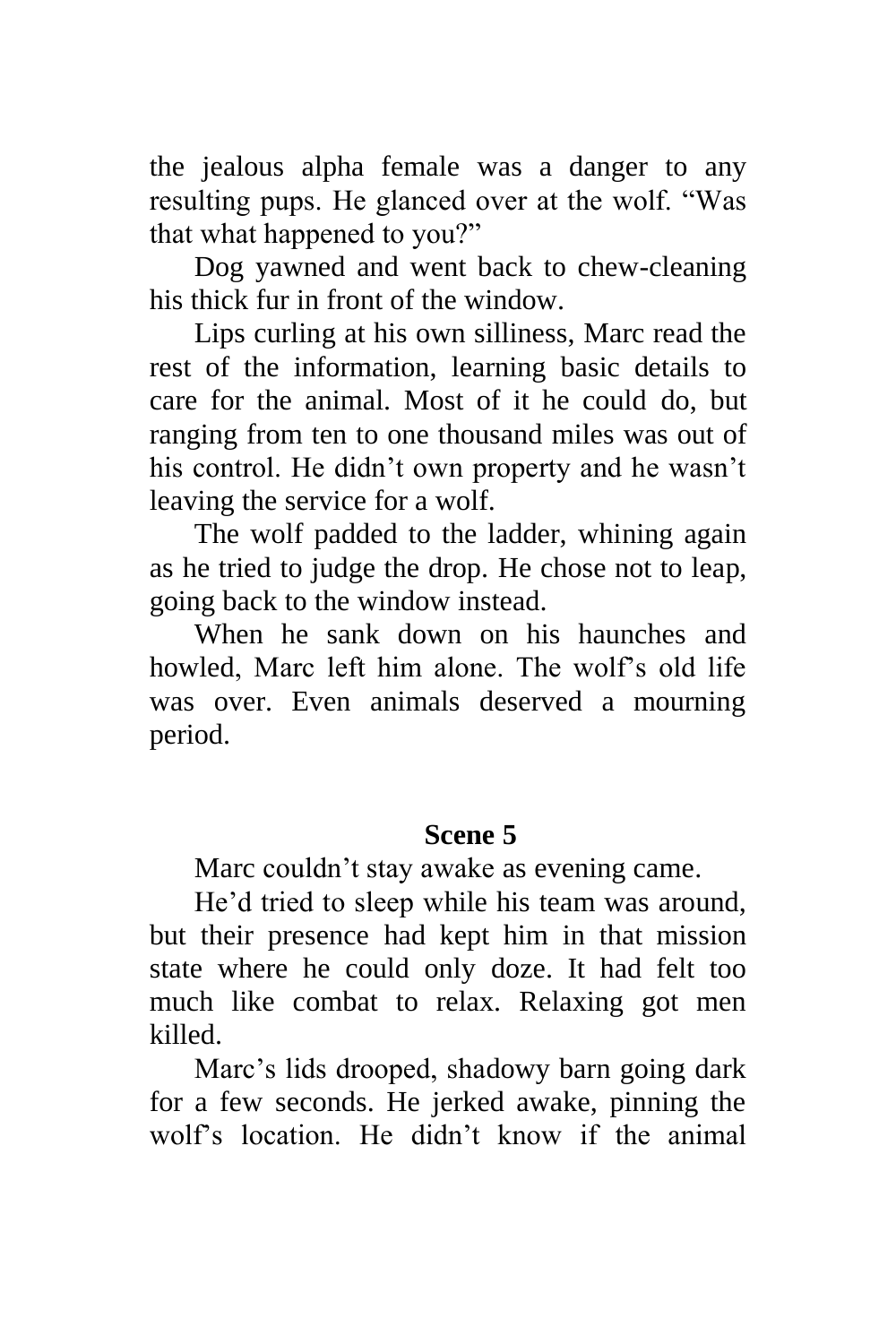the jealous alpha female was a danger to any resulting pups. He glanced over at the wolf. "Was that what happened to you?"

Dog yawned and went back to chew-cleaning his thick fur in front of the window.

Lips curling at his own silliness, Marc read the rest of the information, learning basic details to care for the animal. Most of it he could do, but ranging from ten to one thousand miles was out of his control. He didn't own property and he wasn't leaving the service for a wolf.

The wolf padded to the ladder, whining again as he tried to judge the drop. He chose not to leap, going back to the window instead.

When he sank down on his haunches and howled, Marc left him alone. The wolf's old life was over. Even animals deserved a mourning period.

### **Scene 5**

Marc couldn't stay awake as evening came.

He'd tried to sleep while his team was around, but their presence had kept him in that mission state where he could only doze. It had felt too much like combat to relax. Relaxing got men killed.

Marc's lids drooped, shadowy barn going dark for a few seconds. He jerked awake, pinning the wolf's location. He didn't know if the animal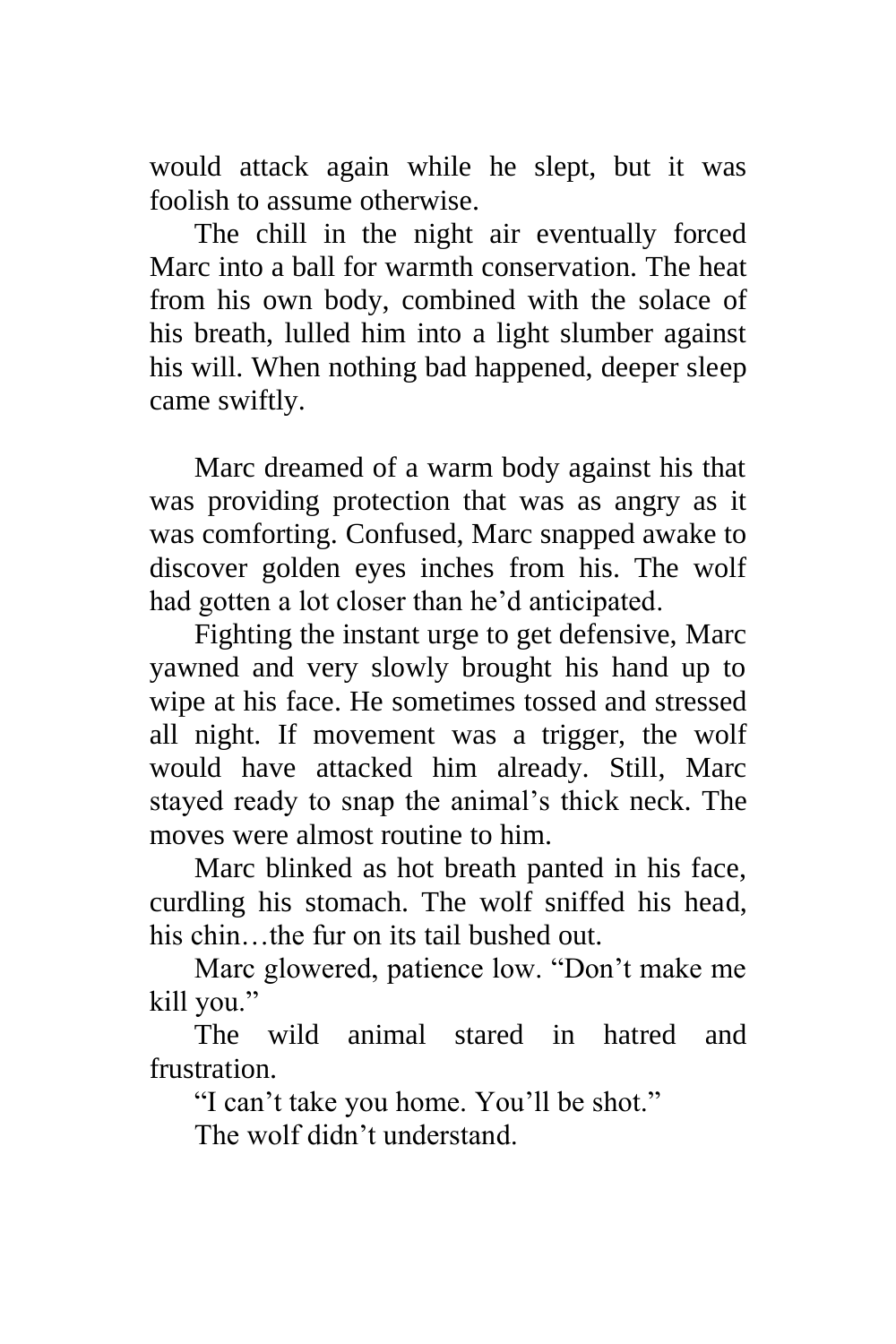would attack again while he slept, but it was foolish to assume otherwise.

The chill in the night air eventually forced Marc into a ball for warmth conservation. The heat from his own body, combined with the solace of his breath, lulled him into a light slumber against his will. When nothing bad happened, deeper sleep came swiftly.

Marc dreamed of a warm body against his that was providing protection that was as angry as it was comforting. Confused, Marc snapped awake to discover golden eyes inches from his. The wolf had gotten a lot closer than he'd anticipated.

Fighting the instant urge to get defensive, Marc yawned and very slowly brought his hand up to wipe at his face. He sometimes tossed and stressed all night. If movement was a trigger, the wolf would have attacked him already. Still, Marc stayed ready to snap the animal's thick neck. The moves were almost routine to him.

Marc blinked as hot breath panted in his face, curdling his stomach. The wolf sniffed his head, his chin…the fur on its tail bushed out.

Marc glowered, patience low. "Don't make me kill you."

The wild animal stared in hatred and frustration.

"I can't take you home. You'll be shot."

The wolf didn't understand.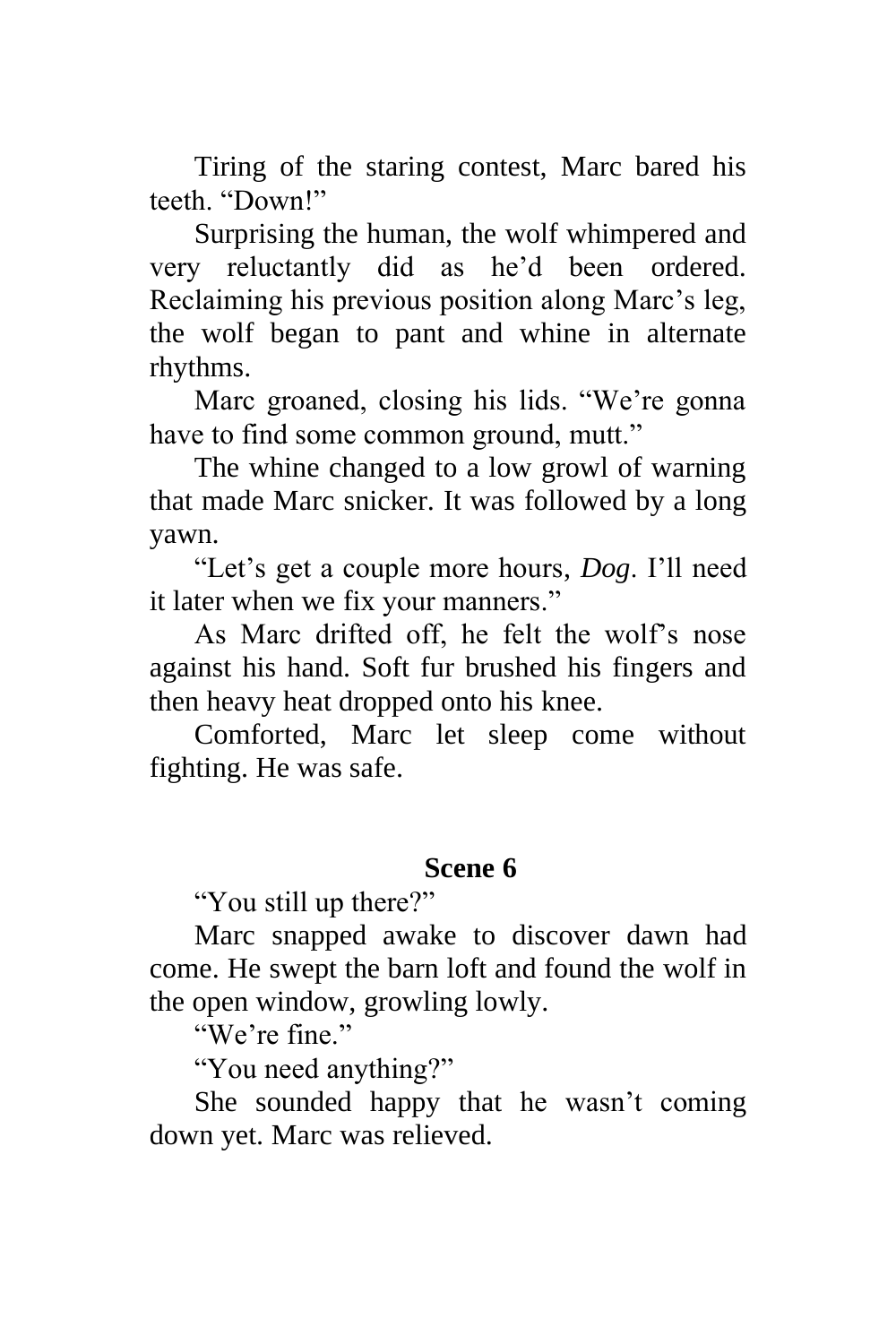Tiring of the staring contest, Marc bared his teeth. "Down!"

Surprising the human, the wolf whimpered and very reluctantly did as he'd been ordered. Reclaiming his previous position along Marc's leg, the wolf began to pant and whine in alternate rhythms.

Marc groaned, closing his lids. "We're gonna have to find some common ground, mutt."

The whine changed to a low growl of warning that made Marc snicker. It was followed by a long yawn.

"Let's get a couple more hours, *Dog*. I'll need it later when we fix your manners."

As Marc drifted off, he felt the wolf's nose against his hand. Soft fur brushed his fingers and then heavy heat dropped onto his knee.

Comforted, Marc let sleep come without fighting. He was safe.

### **Scene 6**

"You still up there?"

Marc snapped awake to discover dawn had come. He swept the barn loft and found the wolf in the open window, growling lowly.

"We're fine."

"You need anything?"

She sounded happy that he wasn't coming down yet. Marc was relieved.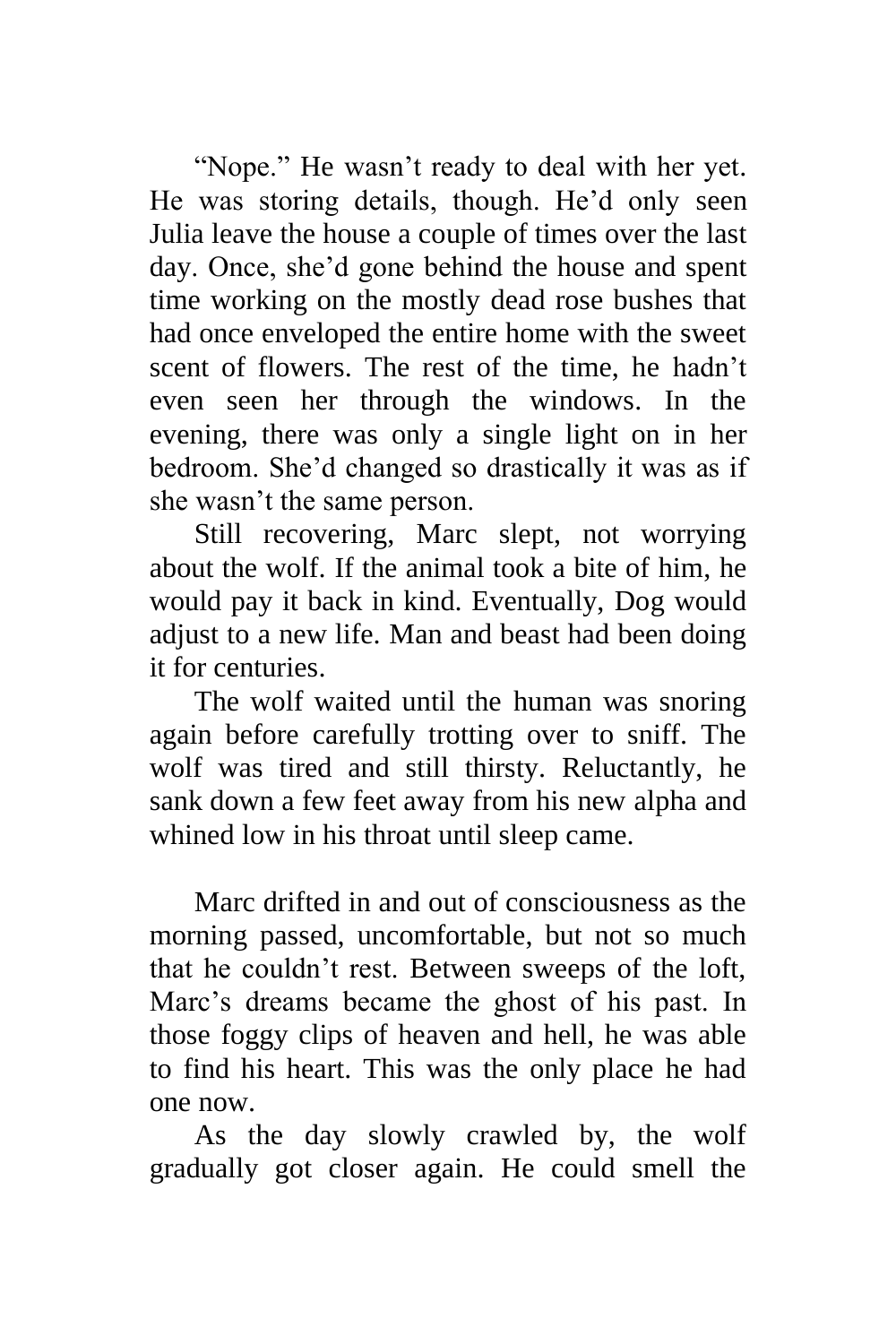"Nope." He wasn't ready to deal with her yet. He was storing details, though. He'd only seen Julia leave the house a couple of times over the last day. Once, she'd gone behind the house and spent time working on the mostly dead rose bushes that had once enveloped the entire home with the sweet scent of flowers. The rest of the time, he hadn't even seen her through the windows. In the evening, there was only a single light on in her bedroom. She'd changed so drastically it was as if she wasn't the same person.

Still recovering, Marc slept, not worrying about the wolf. If the animal took a bite of him, he would pay it back in kind. Eventually, Dog would adjust to a new life. Man and beast had been doing it for centuries.

The wolf waited until the human was snoring again before carefully trotting over to sniff. The wolf was tired and still thirsty. Reluctantly, he sank down a few feet away from his new alpha and whined low in his throat until sleep came.

Marc drifted in and out of consciousness as the morning passed, uncomfortable, but not so much that he couldn't rest. Between sweeps of the loft, Marc's dreams became the ghost of his past. In those foggy clips of heaven and hell, he was able to find his heart. This was the only place he had one now.

As the day slowly crawled by, the wolf gradually got closer again. He could smell the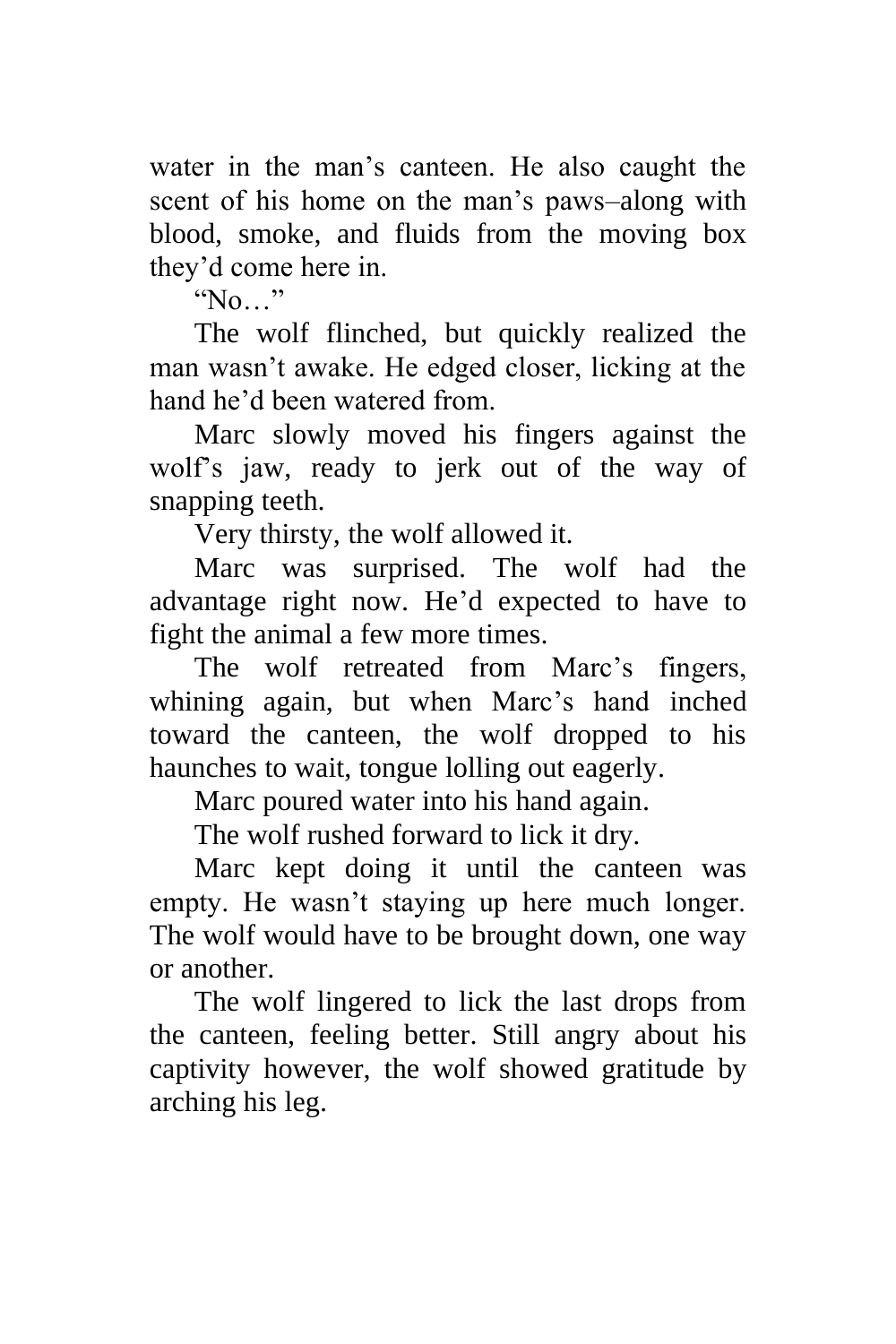water in the man's canteen. He also caught the scent of his home on the man's paws–along with blood, smoke, and fluids from the moving box they'd come here in.

"No…"

The wolf flinched, but quickly realized the man wasn't awake. He edged closer, licking at the hand he'd been watered from.

Marc slowly moved his fingers against the wolf's jaw, ready to jerk out of the way of snapping teeth.

Very thirsty, the wolf allowed it.

Marc was surprised. The wolf had the advantage right now. He'd expected to have to fight the animal a few more times.

The wolf retreated from Marc's fingers, whining again, but when Marc's hand inched toward the canteen, the wolf dropped to his haunches to wait, tongue lolling out eagerly.

Marc poured water into his hand again.

The wolf rushed forward to lick it dry.

Marc kept doing it until the canteen was empty. He wasn't staying up here much longer. The wolf would have to be brought down, one way or another.

The wolf lingered to lick the last drops from the canteen, feeling better. Still angry about his captivity however, the wolf showed gratitude by arching his leg.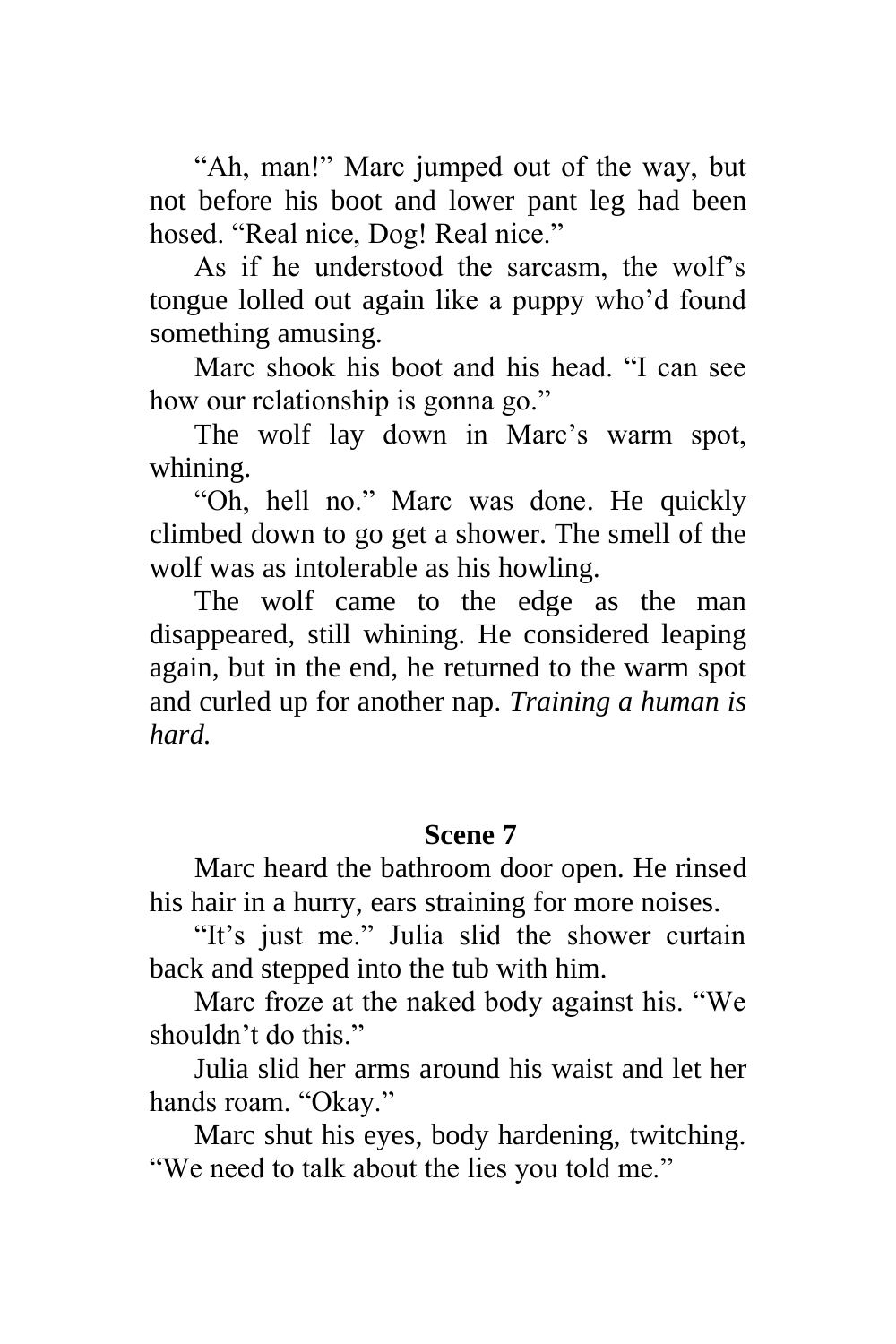"Ah, man!" Marc jumped out of the way, but not before his boot and lower pant leg had been hosed. "Real nice, Dog! Real nice."

As if he understood the sarcasm, the wolf's tongue lolled out again like a puppy who'd found something amusing.

Marc shook his boot and his head. "I can see how our relationship is gonna go."

The wolf lay down in Marc's warm spot, whining.

"Oh, hell no." Marc was done. He quickly climbed down to go get a shower. The smell of the wolf was as intolerable as his howling.

The wolf came to the edge as the man disappeared, still whining. He considered leaping again, but in the end, he returned to the warm spot and curled up for another nap. *Training a human is hard.*

# **Scene 7**

Marc heard the bathroom door open. He rinsed his hair in a hurry, ears straining for more noises.

"It's just me." Julia slid the shower curtain back and stepped into the tub with him.

Marc froze at the naked body against his. "We shouldn't do this."

Julia slid her arms around his waist and let her hands roam. "Okay."

Marc shut his eyes, body hardening, twitching. "We need to talk about the lies you told me."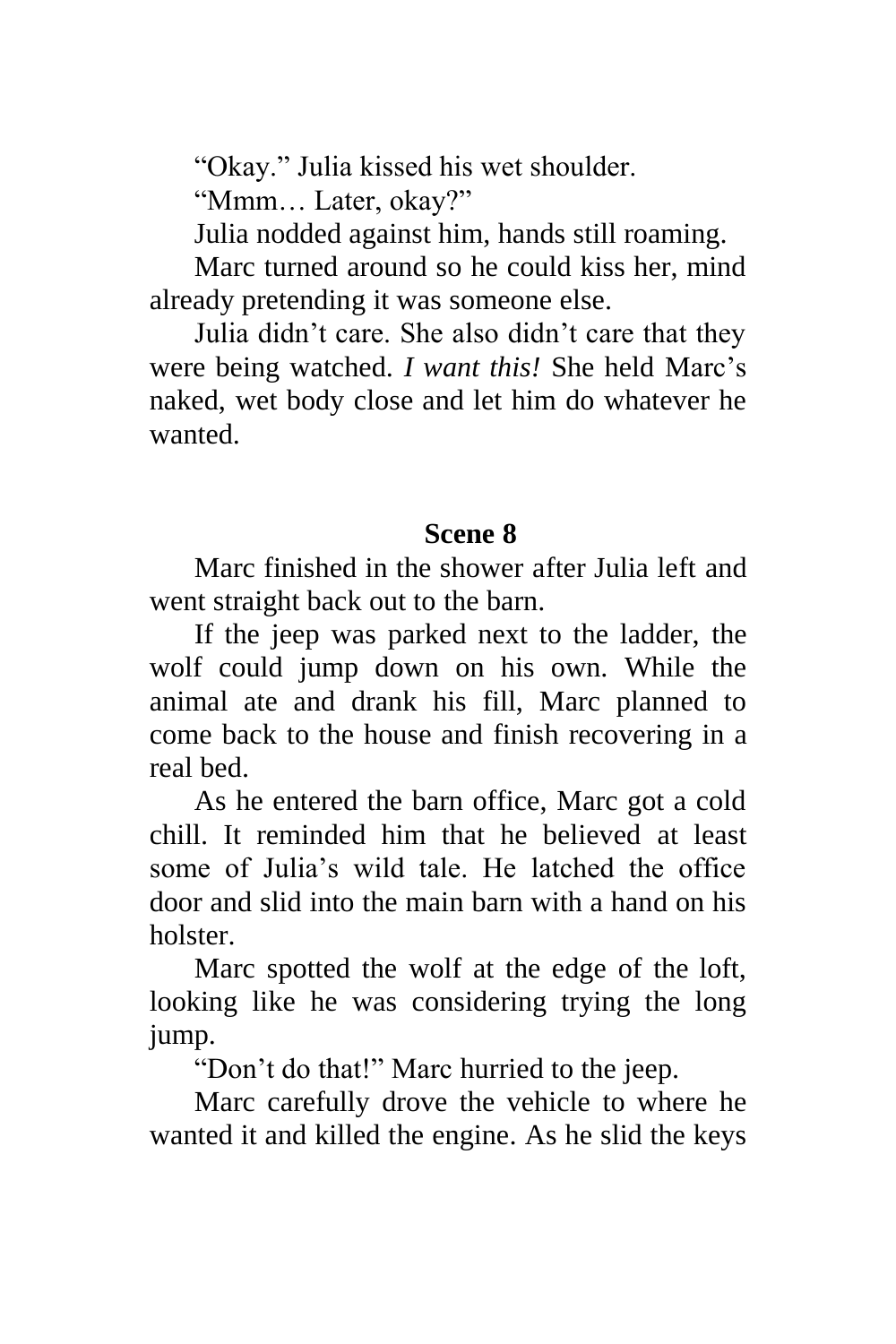"Okay." Julia kissed his wet shoulder.

"Mmm… Later, okay?"

Julia nodded against him, hands still roaming.

Marc turned around so he could kiss her, mind already pretending it was someone else.

Julia didn't care. She also didn't care that they were being watched. *I want this!* She held Marc's naked, wet body close and let him do whatever he wanted.

### **Scene 8**

Marc finished in the shower after Julia left and went straight back out to the barn.

If the jeep was parked next to the ladder, the wolf could jump down on his own. While the animal ate and drank his fill, Marc planned to come back to the house and finish recovering in a real bed.

As he entered the barn office, Marc got a cold chill. It reminded him that he believed at least some of Julia's wild tale. He latched the office door and slid into the main barn with a hand on his holster.

Marc spotted the wolf at the edge of the loft, looking like he was considering trying the long jump.

"Don't do that!" Marc hurried to the jeep.

Marc carefully drove the vehicle to where he wanted it and killed the engine. As he slid the keys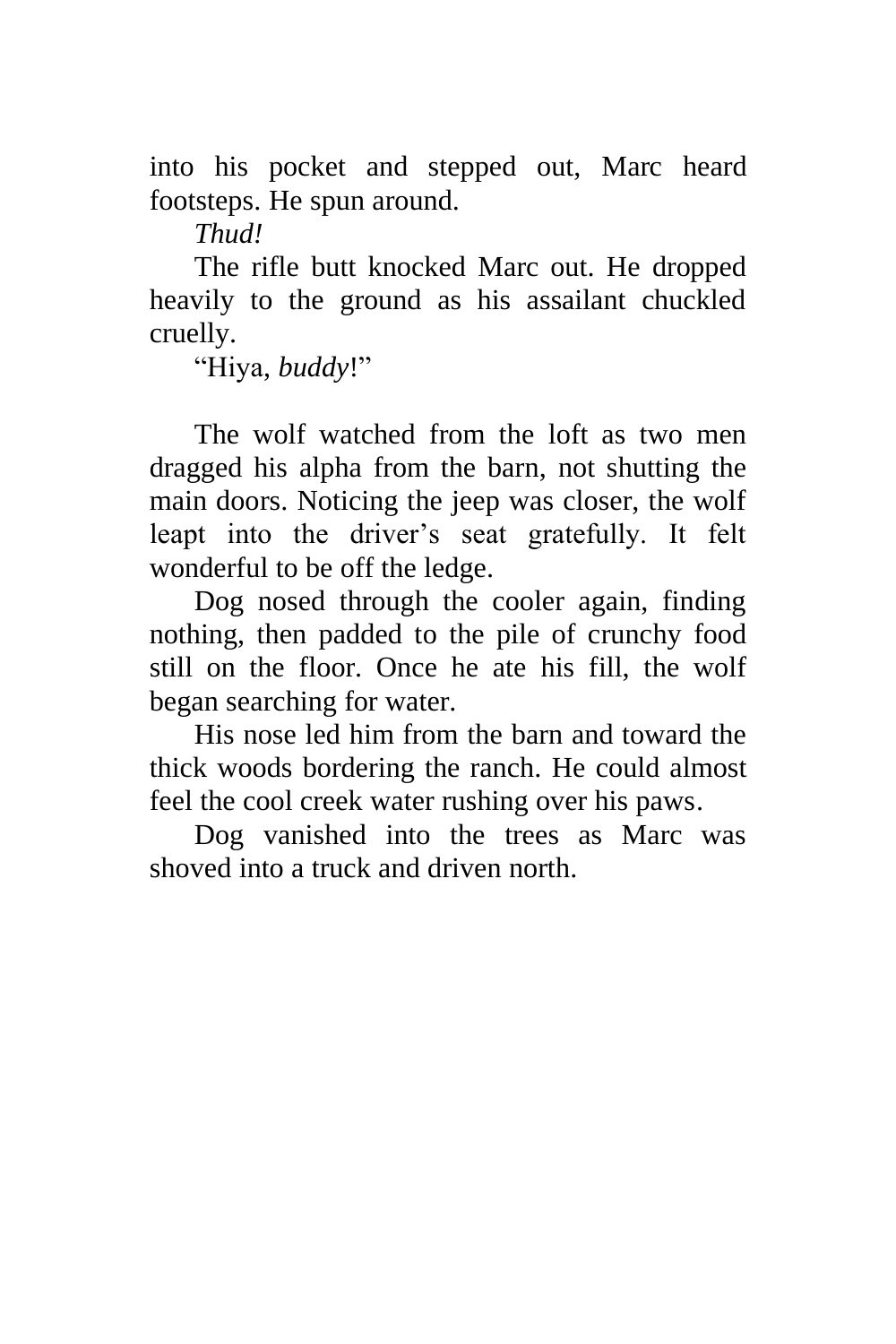into his pocket and stepped out, Marc heard footsteps. He spun around.

*Thud!*

The rifle butt knocked Marc out. He dropped heavily to the ground as his assailant chuckled cruelly.

"Hiya, *buddy*!"

The wolf watched from the loft as two men dragged his alpha from the barn, not shutting the main doors. Noticing the jeep was closer, the wolf leapt into the driver's seat gratefully. It felt wonderful to be off the ledge.

Dog nosed through the cooler again, finding nothing, then padded to the pile of crunchy food still on the floor. Once he ate his fill, the wolf began searching for water.

His nose led him from the barn and toward the thick woods bordering the ranch. He could almost feel the cool creek water rushing over his paws.

Dog vanished into the trees as Marc was shoved into a truck and driven north.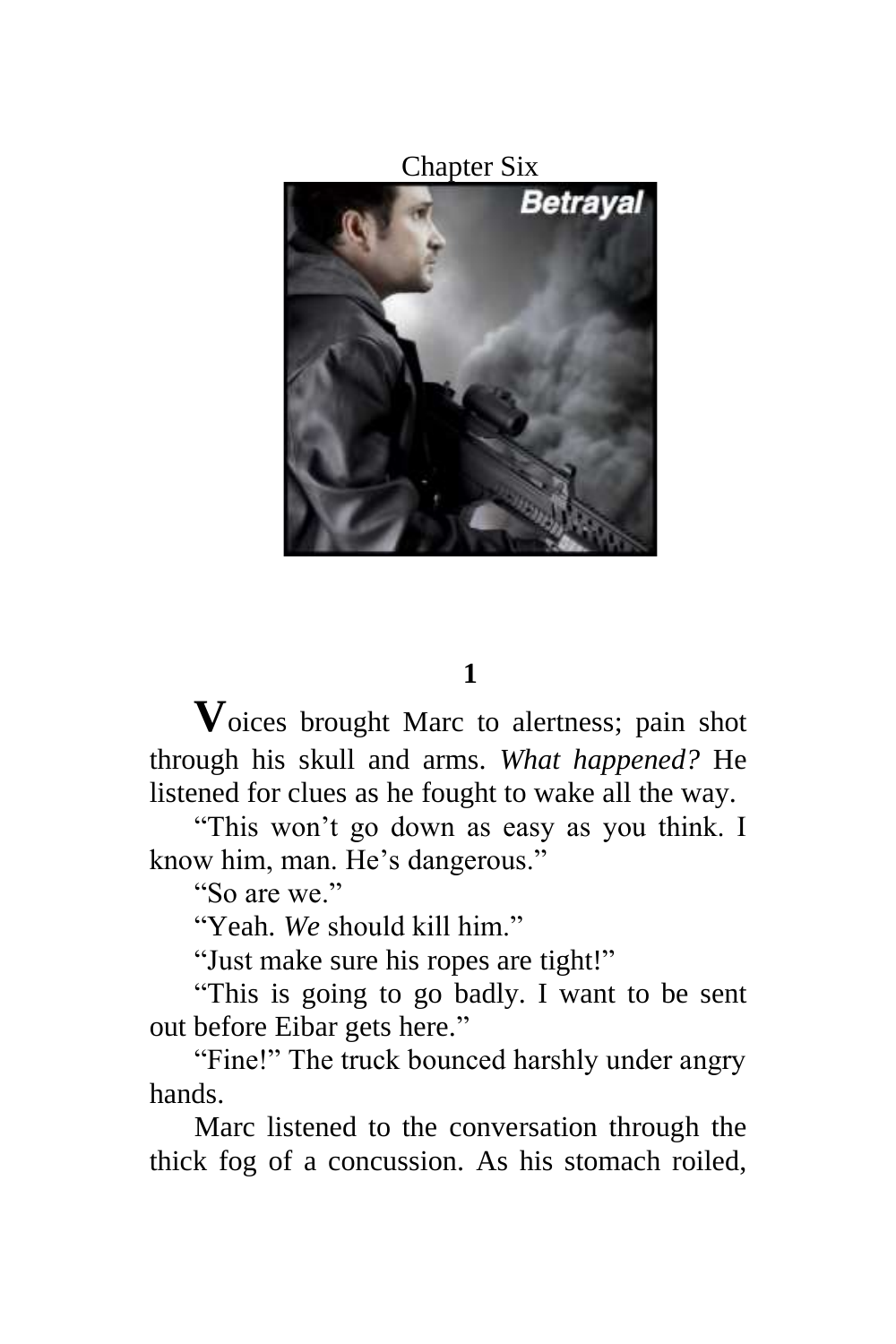Chapter Six



#### **1**

**V**oices brought Marc to alertness; pain shot through his skull and arms. *What happened?* He listened for clues as he fought to wake all the way.

"This won't go down as easy as you think. I know him, man. He's dangerous."

"So are we."

"Yeah. *We* should kill him."

"Just make sure his ropes are tight!"

"This is going to go badly. I want to be sent out before Eibar gets here."

"Fine!" The truck bounced harshly under angry hands.

Marc listened to the conversation through the thick fog of a concussion. As his stomach roiled,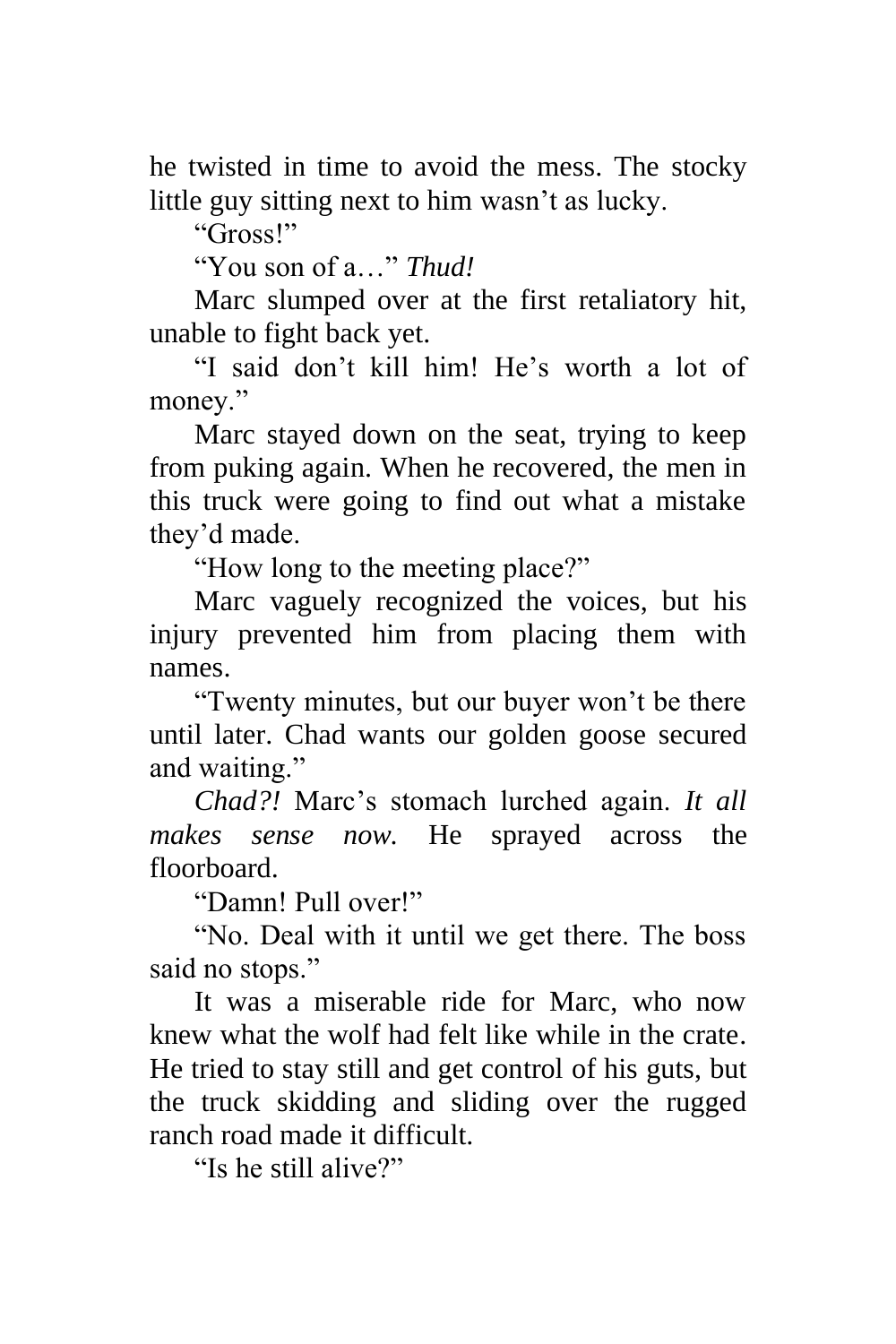he twisted in time to avoid the mess. The stocky little guy sitting next to him wasn't as lucky.

"Gross!"

"You son of a…" *Thud!*

Marc slumped over at the first retaliatory hit, unable to fight back yet.

"I said don't kill him! He's worth a lot of money."

Marc stayed down on the seat, trying to keep from puking again. When he recovered, the men in this truck were going to find out what a mistake they'd made.

"How long to the meeting place?"

Marc vaguely recognized the voices, but his injury prevented him from placing them with names.

"Twenty minutes, but our buyer won't be there until later. Chad wants our golden goose secured and waiting."

*Chad?!* Marc's stomach lurched again. *It all makes sense now.* He sprayed across the floorboard.

"Damn! Pull over!"

"No. Deal with it until we get there. The boss said no stops."

It was a miserable ride for Marc, who now knew what the wolf had felt like while in the crate. He tried to stay still and get control of his guts, but the truck skidding and sliding over the rugged ranch road made it difficult.

"Is he still alive?"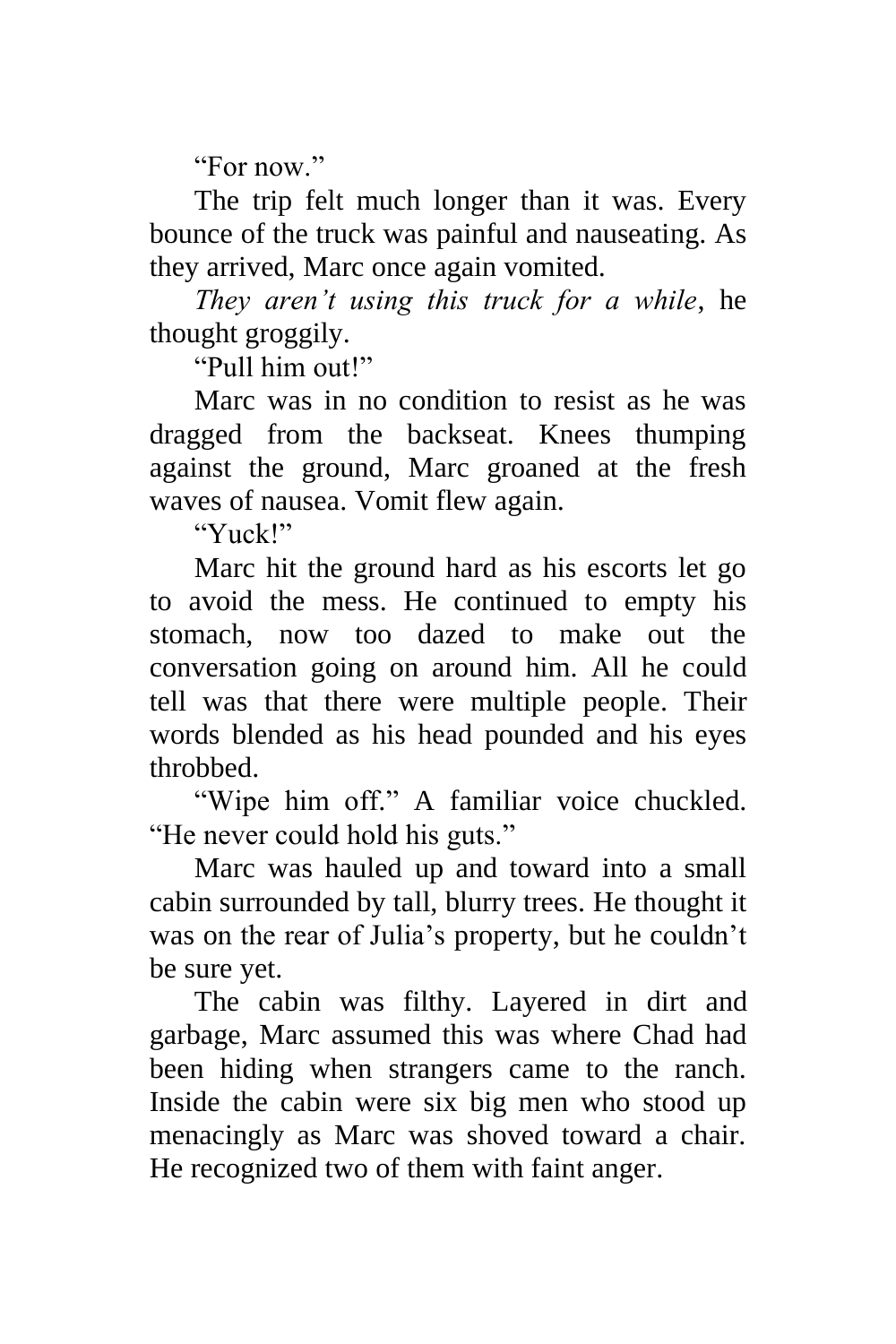"For now"

The trip felt much longer than it was. Every bounce of the truck was painful and nauseating. As they arrived, Marc once again vomited.

*They aren't using this truck for a while*, he thought groggily.

"Pull him out!"

Marc was in no condition to resist as he was dragged from the backseat. Knees thumping against the ground, Marc groaned at the fresh waves of nausea. Vomit flew again.

"Yuck!"

Marc hit the ground hard as his escorts let go to avoid the mess. He continued to empty his stomach, now too dazed to make out the conversation going on around him. All he could tell was that there were multiple people. Their words blended as his head pounded and his eyes throbbed.

"Wipe him off." A familiar voice chuckled. "He never could hold his guts."

Marc was hauled up and toward into a small cabin surrounded by tall, blurry trees. He thought it was on the rear of Julia's property, but he couldn't be sure yet.

The cabin was filthy. Layered in dirt and garbage, Marc assumed this was where Chad had been hiding when strangers came to the ranch. Inside the cabin were six big men who stood up menacingly as Marc was shoved toward a chair. He recognized two of them with faint anger.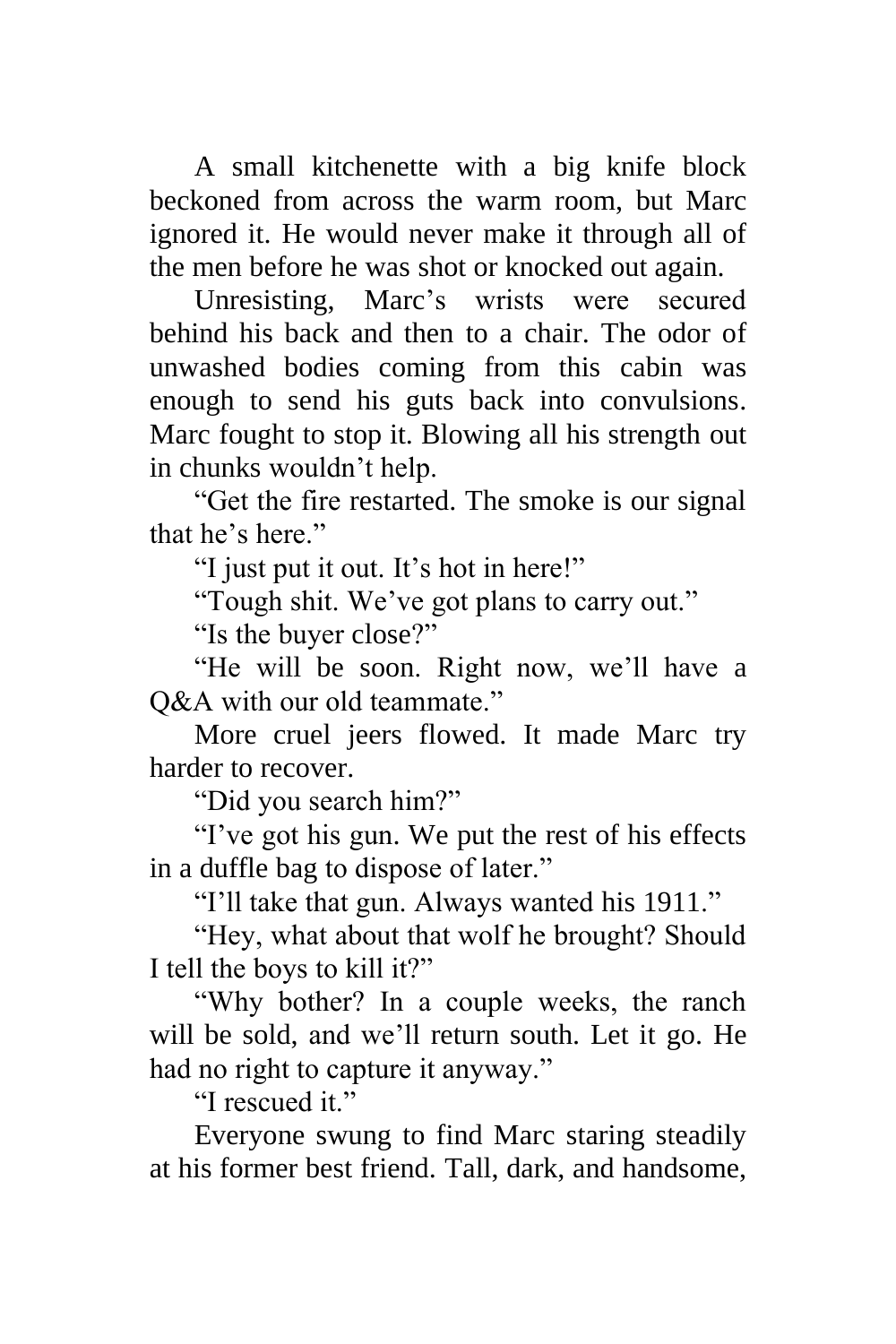A small kitchenette with a big knife block beckoned from across the warm room, but Marc ignored it. He would never make it through all of the men before he was shot or knocked out again.

Unresisting, Marc's wrists were secured behind his back and then to a chair. The odor of unwashed bodies coming from this cabin was enough to send his guts back into convulsions. Marc fought to stop it. Blowing all his strength out in chunks wouldn't help.

"Get the fire restarted. The smoke is our signal that he's here."

"I just put it out. It's hot in here!"

"Tough shit. We've got plans to carry out."

"Is the buyer close?"

"He will be soon. Right now, we'll have a O&A with our old teammate."

More cruel jeers flowed. It made Marc try harder to recover.

"Did you search him?"

"I've got his gun. We put the rest of his effects in a duffle bag to dispose of later."

"I'll take that gun. Always wanted his 1911."

"Hey, what about that wolf he brought? Should I tell the boys to kill it?"

"Why bother? In a couple weeks, the ranch will be sold, and we'll return south. Let it go. He had no right to capture it anyway."

"I rescued it"

Everyone swung to find Marc staring steadily at his former best friend. Tall, dark, and handsome,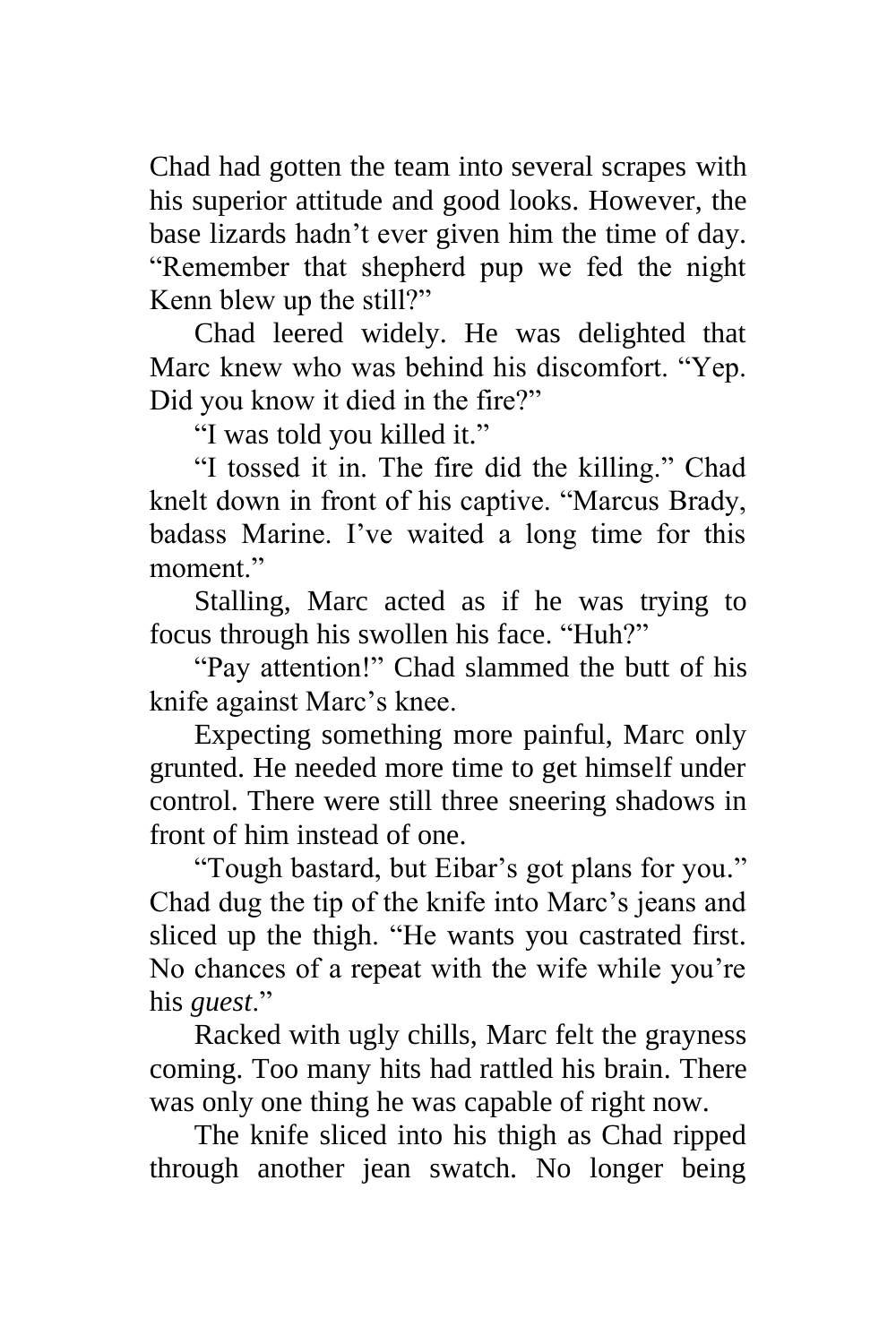Chad had gotten the team into several scrapes with his superior attitude and good looks. However, the base lizards hadn't ever given him the time of day. "Remember that shepherd pup we fed the night Kenn blew up the still?"

Chad leered widely. He was delighted that Marc knew who was behind his discomfort. "Yep. Did you know it died in the fire?"

"I was told you killed it."

"I tossed it in. The fire did the killing." Chad knelt down in front of his captive. "Marcus Brady, badass Marine. I've waited a long time for this moment."

Stalling, Marc acted as if he was trying to focus through his swollen his face. "Huh?"

"Pay attention!" Chad slammed the butt of his knife against Marc's knee.

Expecting something more painful, Marc only grunted. He needed more time to get himself under control. There were still three sneering shadows in front of him instead of one.

"Tough bastard, but Eibar's got plans for you." Chad dug the tip of the knife into Marc's jeans and sliced up the thigh. "He wants you castrated first. No chances of a repeat with the wife while you're his *guest*."

Racked with ugly chills, Marc felt the grayness coming. Too many hits had rattled his brain. There was only one thing he was capable of right now.

The knife sliced into his thigh as Chad ripped through another jean swatch. No longer being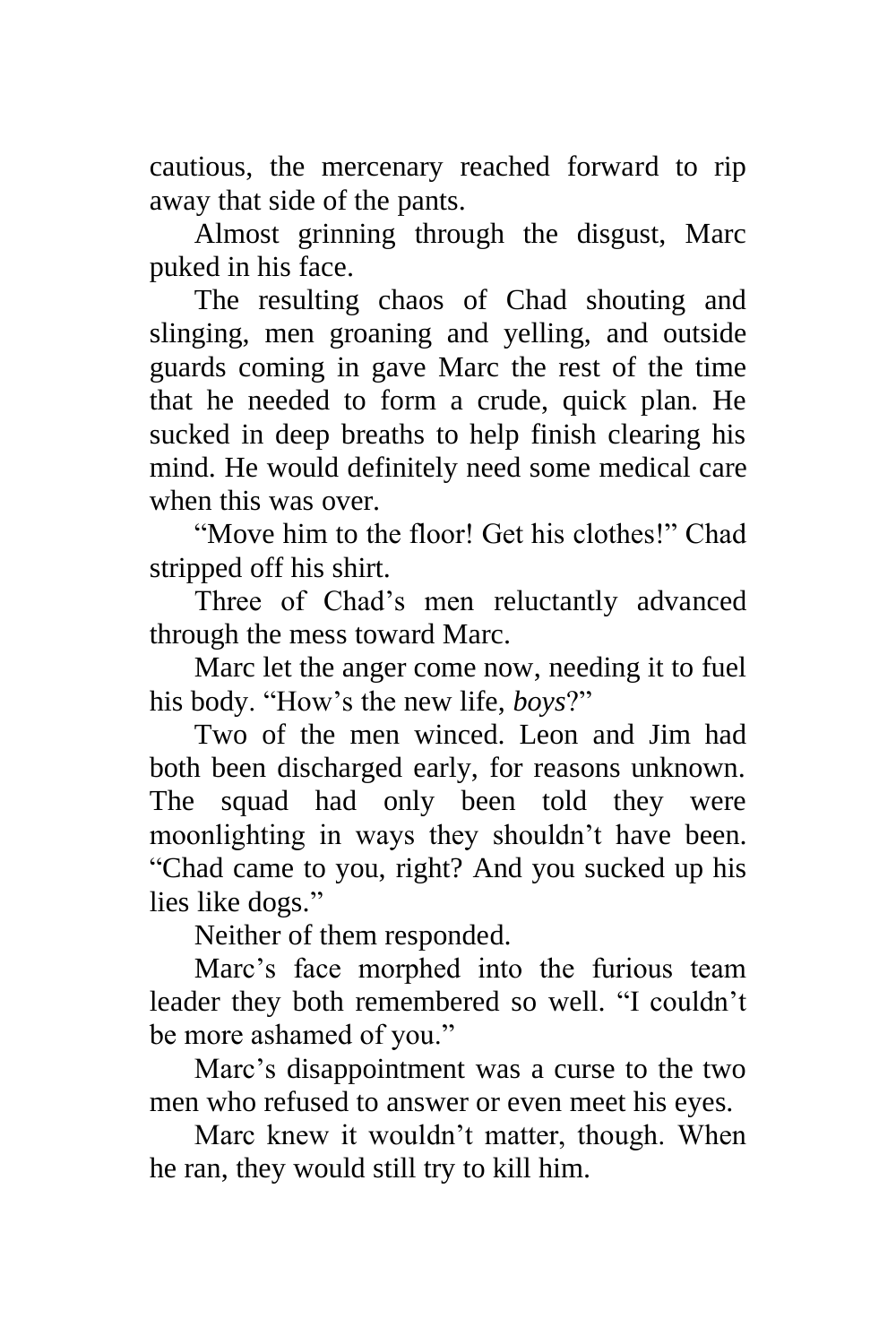cautious, the mercenary reached forward to rip away that side of the pants.

Almost grinning through the disgust, Marc puked in his face.

The resulting chaos of Chad shouting and slinging, men groaning and yelling, and outside guards coming in gave Marc the rest of the time that he needed to form a crude, quick plan. He sucked in deep breaths to help finish clearing his mind. He would definitely need some medical care when this was over.

"Move him to the floor! Get his clothes!" Chad stripped off his shirt.

Three of Chad's men reluctantly advanced through the mess toward Marc.

Marc let the anger come now, needing it to fuel his body. "How's the new life, *boys*?"

Two of the men winced. Leon and Jim had both been discharged early, for reasons unknown. The squad had only been told they were moonlighting in ways they shouldn't have been. "Chad came to you, right? And you sucked up his lies like dogs."

Neither of them responded.

Marc's face morphed into the furious team leader they both remembered so well. "I couldn't be more ashamed of you."

Marc's disappointment was a curse to the two men who refused to answer or even meet his eyes.

Marc knew it wouldn't matter, though. When he ran, they would still try to kill him.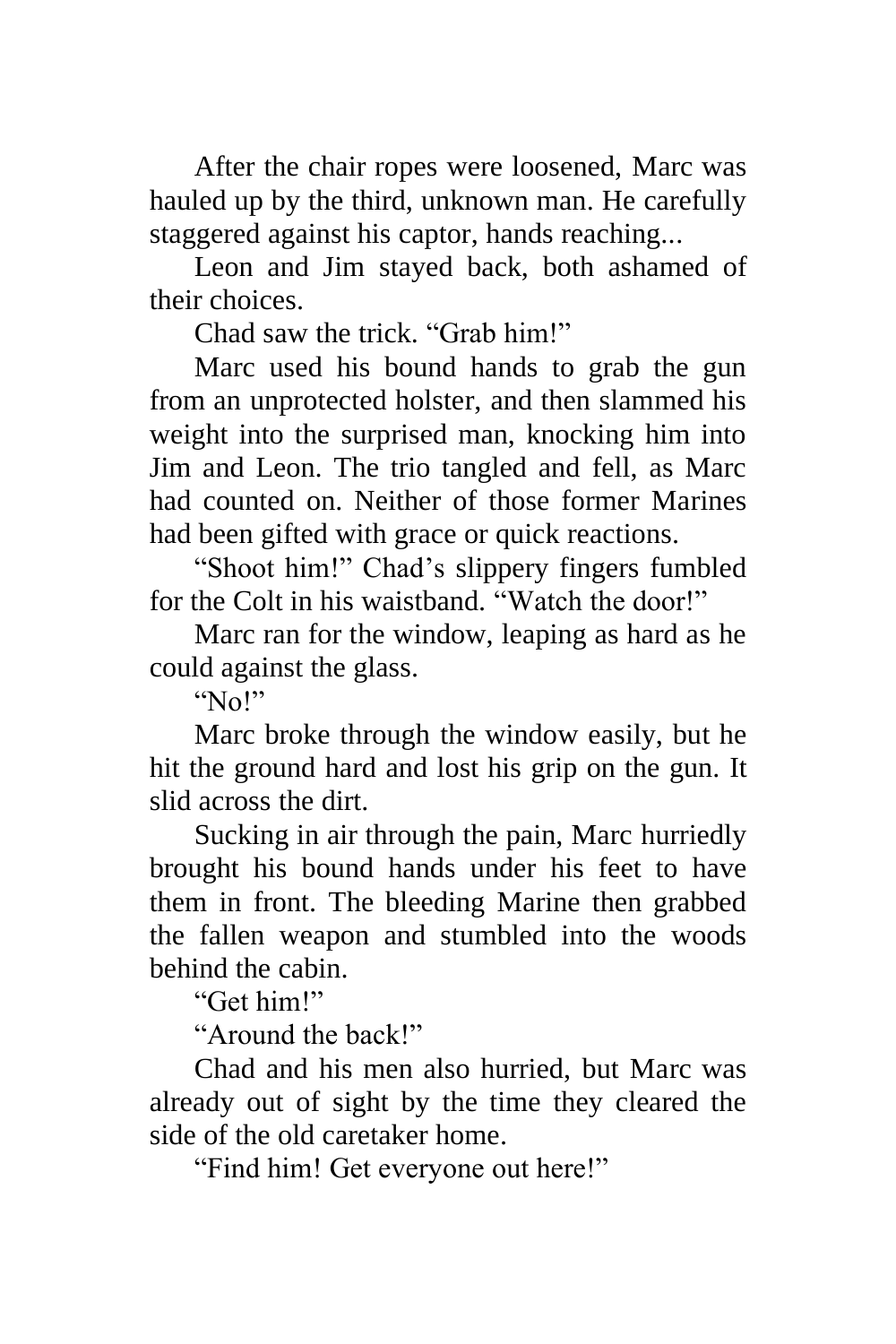After the chair ropes were loosened, Marc was hauled up by the third, unknown man. He carefully staggered against his captor, hands reaching...

Leon and Jim stayed back, both ashamed of their choices.

Chad saw the trick. "Grab him!"

Marc used his bound hands to grab the gun from an unprotected holster, and then slammed his weight into the surprised man, knocking him into Jim and Leon. The trio tangled and fell, as Marc had counted on. Neither of those former Marines had been gifted with grace or quick reactions.

"Shoot him!" Chad's slippery fingers fumbled for the Colt in his waistband. "Watch the door!"

Marc ran for the window, leaping as hard as he could against the glass.

"No!"

Marc broke through the window easily, but he hit the ground hard and lost his grip on the gun. It slid across the dirt.

Sucking in air through the pain, Marc hurriedly brought his bound hands under his feet to have them in front. The bleeding Marine then grabbed the fallen weapon and stumbled into the woods behind the cabin.

"Get him!"

"Around the back!"

Chad and his men also hurried, but Marc was already out of sight by the time they cleared the side of the old caretaker home.

"Find him! Get everyone out here!"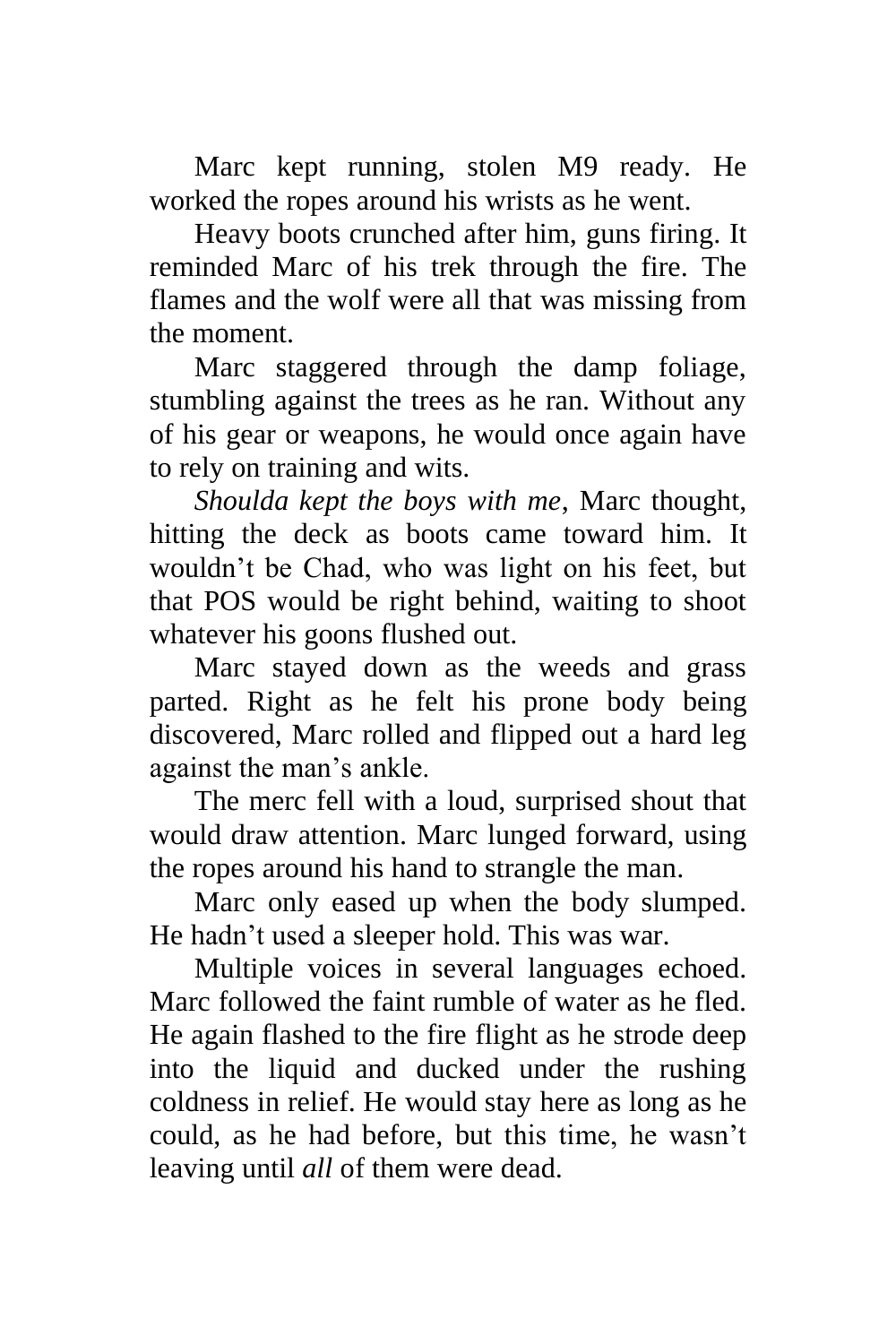Marc kept running, stolen M9 ready. He worked the ropes around his wrists as he went.

Heavy boots crunched after him, guns firing. It reminded Marc of his trek through the fire. The flames and the wolf were all that was missing from the moment.

Marc staggered through the damp foliage, stumbling against the trees as he ran. Without any of his gear or weapons, he would once again have to rely on training and wits.

*Shoulda kept the boys with me*, Marc thought, hitting the deck as boots came toward him. It wouldn't be Chad, who was light on his feet, but that POS would be right behind, waiting to shoot whatever his goons flushed out.

Marc stayed down as the weeds and grass parted. Right as he felt his prone body being discovered, Marc rolled and flipped out a hard leg against the man's ankle.

The merc fell with a loud, surprised shout that would draw attention. Marc lunged forward, using the ropes around his hand to strangle the man.

Marc only eased up when the body slumped. He hadn't used a sleeper hold. This was war.

Multiple voices in several languages echoed. Marc followed the faint rumble of water as he fled. He again flashed to the fire flight as he strode deep into the liquid and ducked under the rushing coldness in relief. He would stay here as long as he could, as he had before, but this time, he wasn't leaving until *all* of them were dead.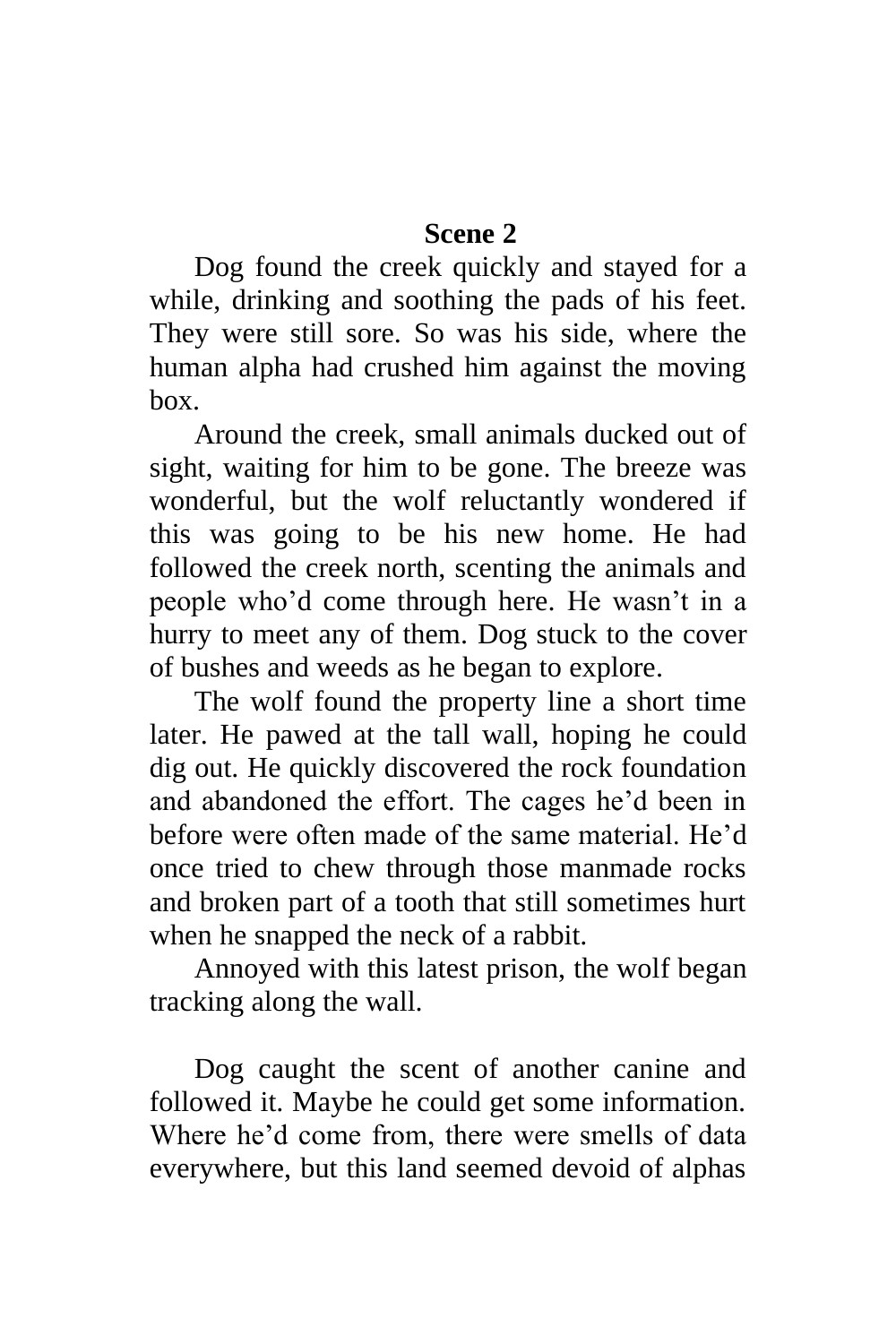# **Scene 2**

Dog found the creek quickly and stayed for a while, drinking and soothing the pads of his feet. They were still sore. So was his side, where the human alpha had crushed him against the moving box.

Around the creek, small animals ducked out of sight, waiting for him to be gone. The breeze was wonderful, but the wolf reluctantly wondered if this was going to be his new home. He had followed the creek north, scenting the animals and people who'd come through here. He wasn't in a hurry to meet any of them. Dog stuck to the cover of bushes and weeds as he began to explore.

The wolf found the property line a short time later. He pawed at the tall wall, hoping he could dig out. He quickly discovered the rock foundation and abandoned the effort. The cages he'd been in before were often made of the same material. He'd once tried to chew through those manmade rocks and broken part of a tooth that still sometimes hurt when he snapped the neck of a rabbit.

Annoyed with this latest prison, the wolf began tracking along the wall.

Dog caught the scent of another canine and followed it. Maybe he could get some information. Where he'd come from, there were smells of data everywhere, but this land seemed devoid of alphas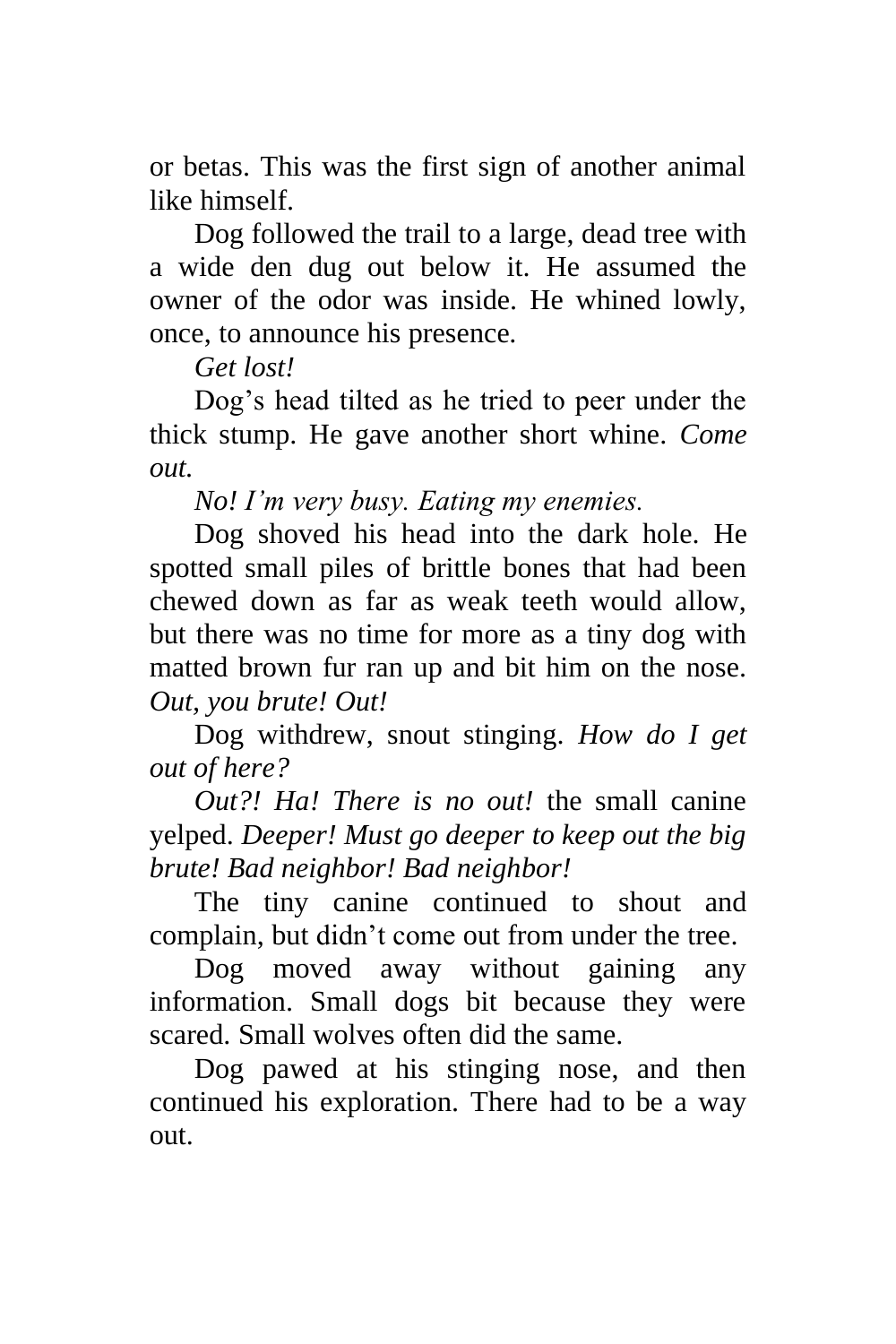or betas. This was the first sign of another animal like himself.

Dog followed the trail to a large, dead tree with a wide den dug out below it. He assumed the owner of the odor was inside. He whined lowly, once, to announce his presence.

*Get lost!*

Dog's head tilted as he tried to peer under the thick stump. He gave another short whine. *Come out.*

*No! I'm very busy. Eating my enemies.*

Dog shoved his head into the dark hole. He spotted small piles of brittle bones that had been chewed down as far as weak teeth would allow, but there was no time for more as a tiny dog with matted brown fur ran up and bit him on the nose. *Out, you brute! Out!*

Dog withdrew, snout stinging. *How do I get out of here?*

*Out?! Ha! There is no out!* the small canine yelped. *Deeper! Must go deeper to keep out the big brute! Bad neighbor! Bad neighbor!*

The tiny canine continued to shout and complain, but didn't come out from under the tree.

Dog moved away without gaining any information. Small dogs bit because they were scared. Small wolves often did the same.

Dog pawed at his stinging nose, and then continued his exploration. There had to be a way out.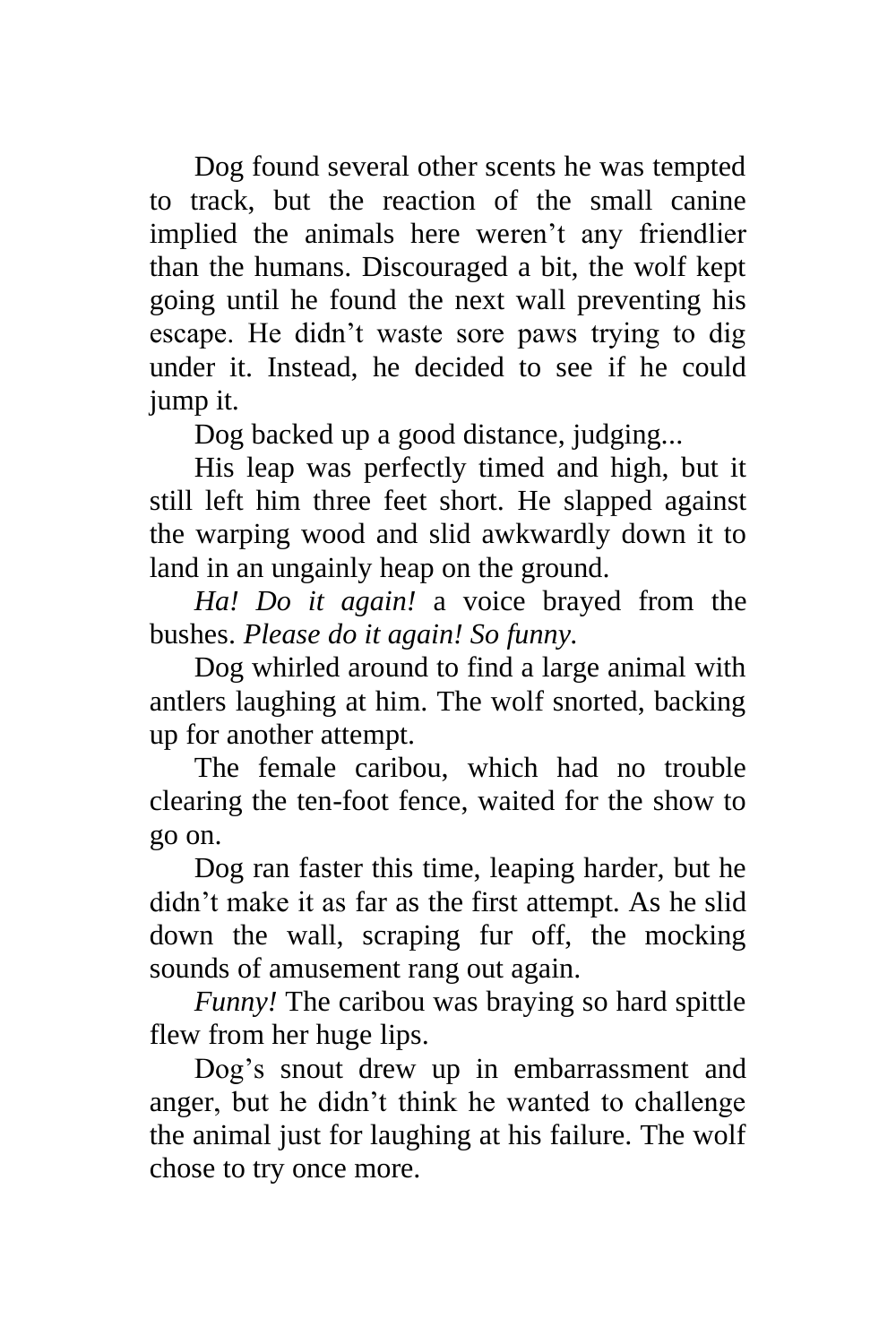Dog found several other scents he was tempted to track, but the reaction of the small canine implied the animals here weren't any friendlier than the humans. Discouraged a bit, the wolf kept going until he found the next wall preventing his escape. He didn't waste sore paws trying to dig under it. Instead, he decided to see if he could jump it.

Dog backed up a good distance, judging...

His leap was perfectly timed and high, but it still left him three feet short. He slapped against the warping wood and slid awkwardly down it to land in an ungainly heap on the ground.

*Ha! Do it again!* a voice brayed from the bushes. *Please do it again! So funny.*

Dog whirled around to find a large animal with antlers laughing at him. The wolf snorted, backing up for another attempt.

The female caribou, which had no trouble clearing the ten-foot fence, waited for the show to go on.

Dog ran faster this time, leaping harder, but he didn't make it as far as the first attempt. As he slid down the wall, scraping fur off, the mocking sounds of amusement rang out again.

*Funny!* The caribou was braying so hard spittle flew from her huge lips.

Dog's snout drew up in embarrassment and anger, but he didn't think he wanted to challenge the animal just for laughing at his failure. The wolf chose to try once more.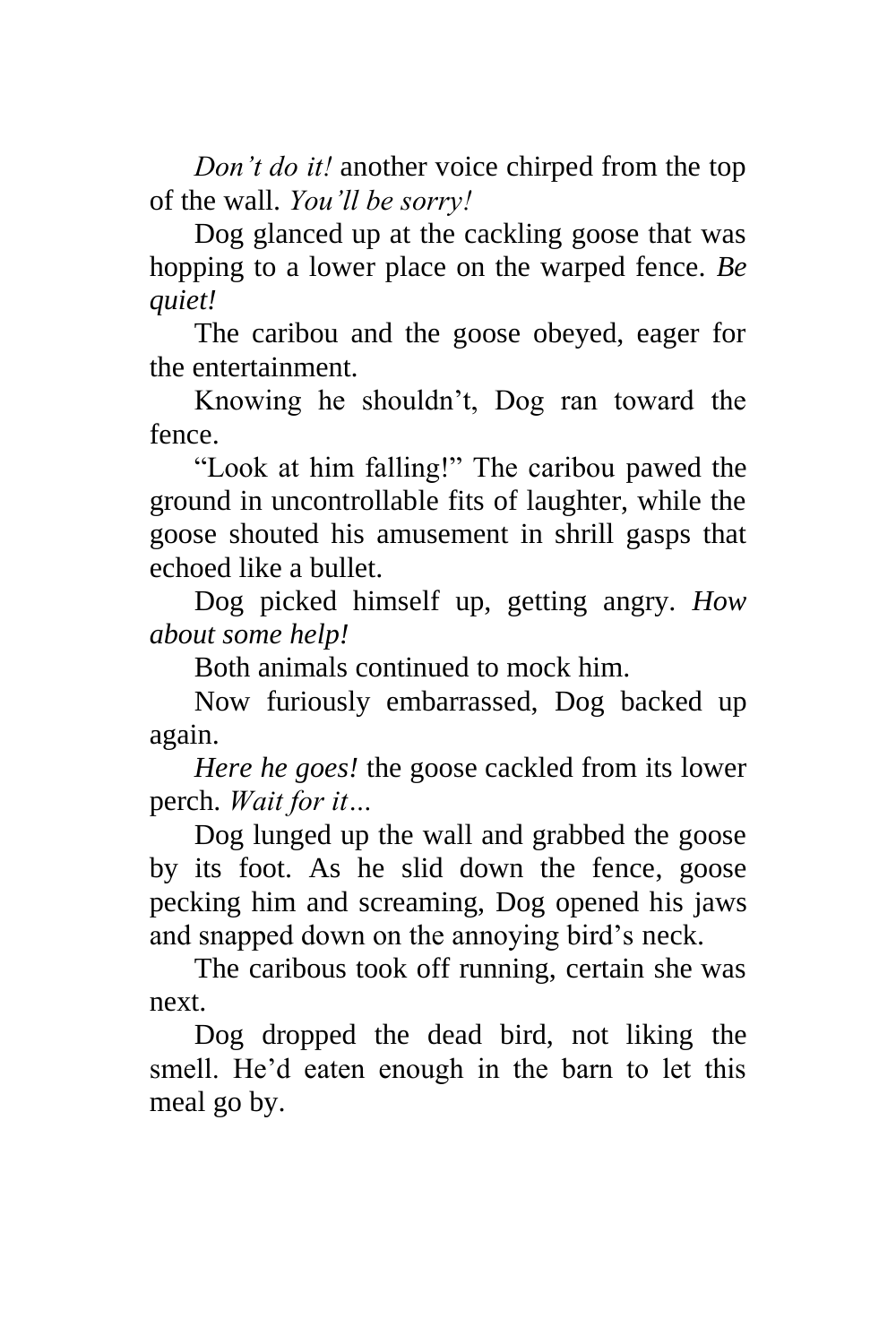*Don't do it!* another voice chirped from the top of the wall. *You'll be sorry!*

Dog glanced up at the cackling goose that was hopping to a lower place on the warped fence. *Be quiet!*

The caribou and the goose obeyed, eager for the entertainment.

Knowing he shouldn't, Dog ran toward the fence.

"Look at him falling!" The caribou pawed the ground in uncontrollable fits of laughter, while the goose shouted his amusement in shrill gasps that echoed like a bullet.

Dog picked himself up, getting angry. *How about some help!*

Both animals continued to mock him.

Now furiously embarrassed, Dog backed up again.

*Here he goes!* the goose cackled from its lower perch. *Wait for it…*

Dog lunged up the wall and grabbed the goose by its foot. As he slid down the fence, goose pecking him and screaming, Dog opened his jaws and snapped down on the annoying bird's neck.

The caribous took off running, certain she was next.

Dog dropped the dead bird, not liking the smell. He'd eaten enough in the barn to let this meal go by.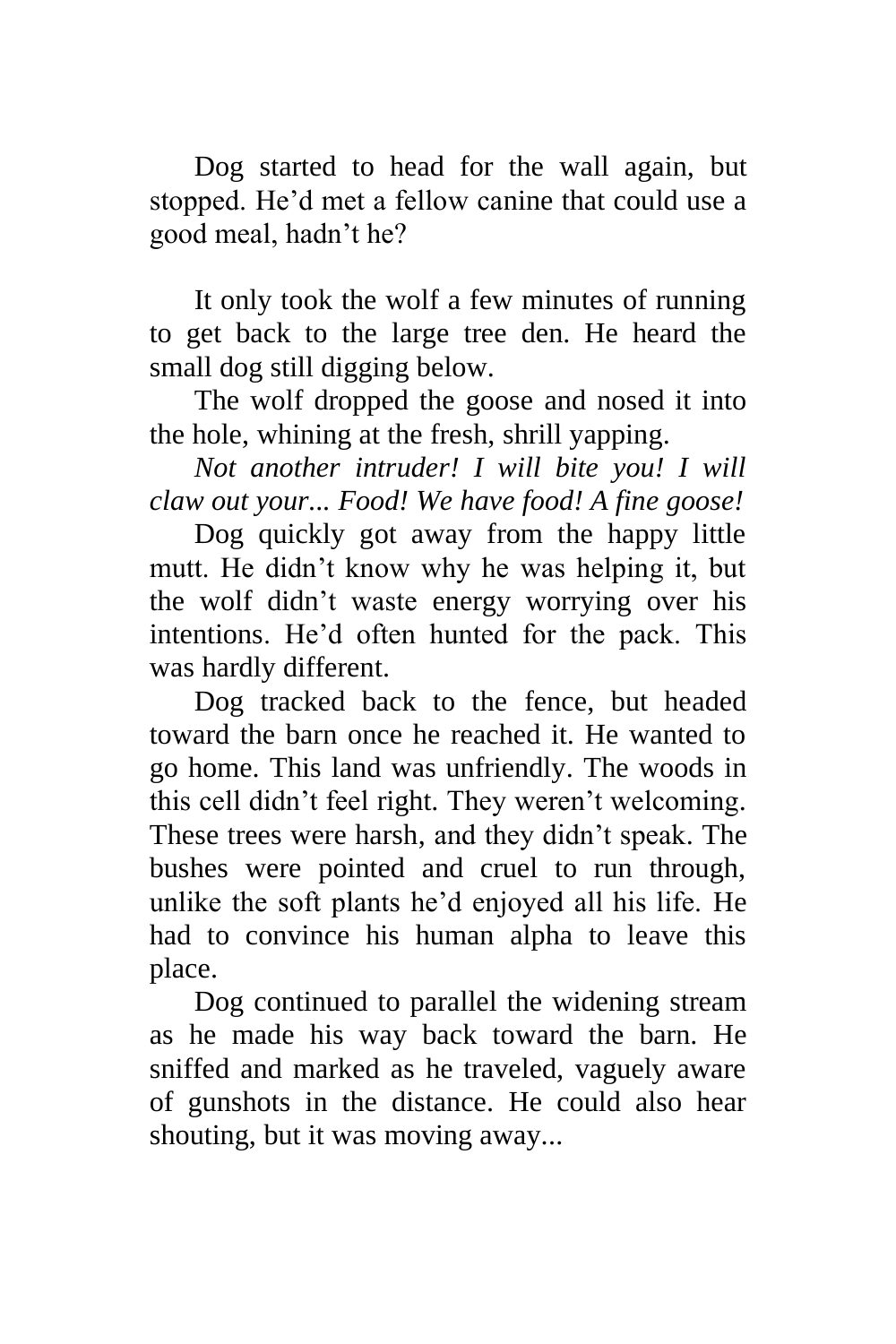Dog started to head for the wall again, but stopped. He'd met a fellow canine that could use a good meal, hadn't he?

It only took the wolf a few minutes of running to get back to the large tree den. He heard the small dog still digging below.

The wolf dropped the goose and nosed it into the hole, whining at the fresh, shrill yapping.

*Not another intruder! I will bite you! I will claw out your... Food! We have food! A fine goose!*

Dog quickly got away from the happy little mutt. He didn't know why he was helping it, but the wolf didn't waste energy worrying over his intentions. He'd often hunted for the pack. This was hardly different.

Dog tracked back to the fence, but headed toward the barn once he reached it. He wanted to go home. This land was unfriendly. The woods in this cell didn't feel right. They weren't welcoming. These trees were harsh, and they didn't speak. The bushes were pointed and cruel to run through, unlike the soft plants he'd enjoyed all his life. He had to convince his human alpha to leave this place.

Dog continued to parallel the widening stream as he made his way back toward the barn. He sniffed and marked as he traveled, vaguely aware of gunshots in the distance. He could also hear shouting, but it was moving away...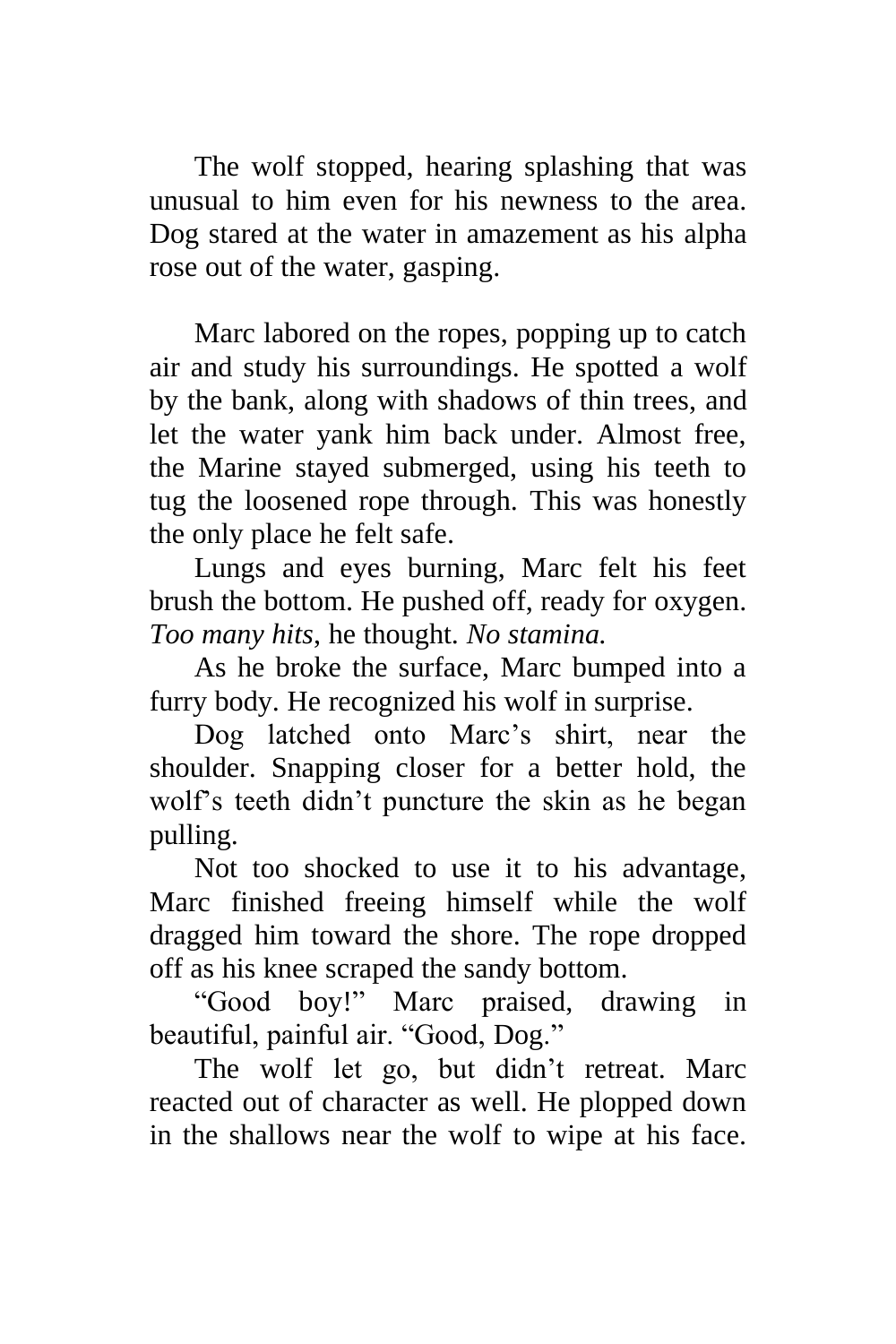The wolf stopped, hearing splashing that was unusual to him even for his newness to the area. Dog stared at the water in amazement as his alpha rose out of the water, gasping.

Marc labored on the ropes, popping up to catch air and study his surroundings. He spotted a wolf by the bank, along with shadows of thin trees, and let the water yank him back under. Almost free, the Marine stayed submerged, using his teeth to tug the loosened rope through. This was honestly the only place he felt safe.

Lungs and eyes burning, Marc felt his feet brush the bottom. He pushed off, ready for oxygen. *Too many hits*, he thought. *No stamina.*

As he broke the surface, Marc bumped into a furry body. He recognized his wolf in surprise.

Dog latched onto Marc's shirt, near the shoulder. Snapping closer for a better hold, the wolf's teeth didn't puncture the skin as he began pulling.

Not too shocked to use it to his advantage, Marc finished freeing himself while the wolf dragged him toward the shore. The rope dropped off as his knee scraped the sandy bottom.

"Good boy!" Marc praised, drawing in beautiful, painful air. "Good, Dog."

The wolf let go, but didn't retreat. Marc reacted out of character as well. He plopped down in the shallows near the wolf to wipe at his face.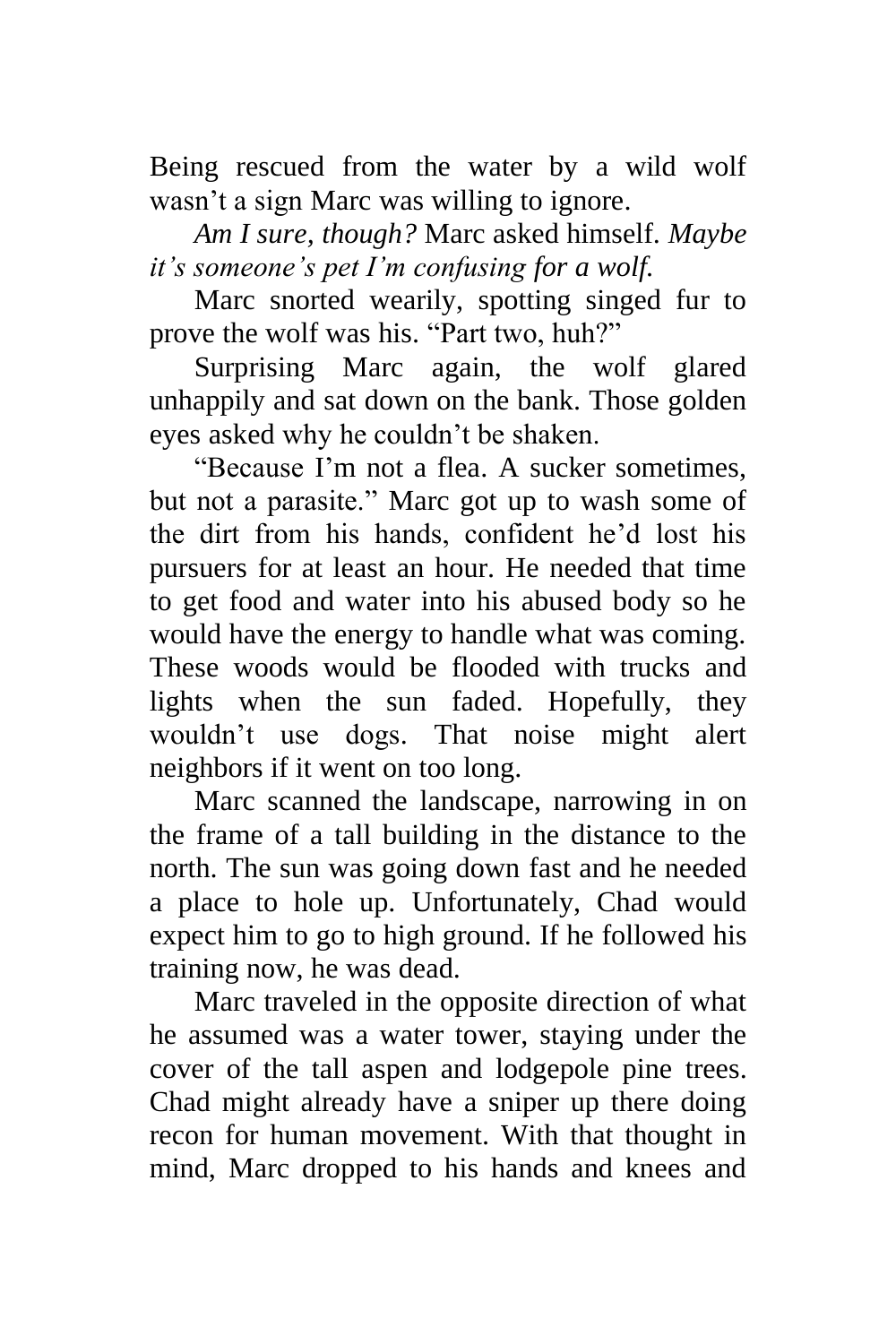Being rescued from the water by a wild wolf wasn't a sign Marc was willing to ignore.

*Am I sure, though?* Marc asked himself. *Maybe it's someone's pet I'm confusing for a wolf.*

Marc snorted wearily, spotting singed fur to prove the wolf was his. "Part two, huh?"

Surprising Marc again, the wolf glared unhappily and sat down on the bank. Those golden eyes asked why he couldn't be shaken.

"Because I'm not a flea. A sucker sometimes, but not a parasite." Marc got up to wash some of the dirt from his hands, confident he'd lost his pursuers for at least an hour. He needed that time to get food and water into his abused body so he would have the energy to handle what was coming. These woods would be flooded with trucks and lights when the sun faded. Hopefully, they wouldn't use dogs. That noise might alert neighbors if it went on too long.

Marc scanned the landscape, narrowing in on the frame of a tall building in the distance to the north. The sun was going down fast and he needed a place to hole up. Unfortunately, Chad would expect him to go to high ground. If he followed his training now, he was dead.

Marc traveled in the opposite direction of what he assumed was a water tower, staying under the cover of the tall aspen and lodgepole pine trees. Chad might already have a sniper up there doing recon for human movement. With that thought in mind, Marc dropped to his hands and knees and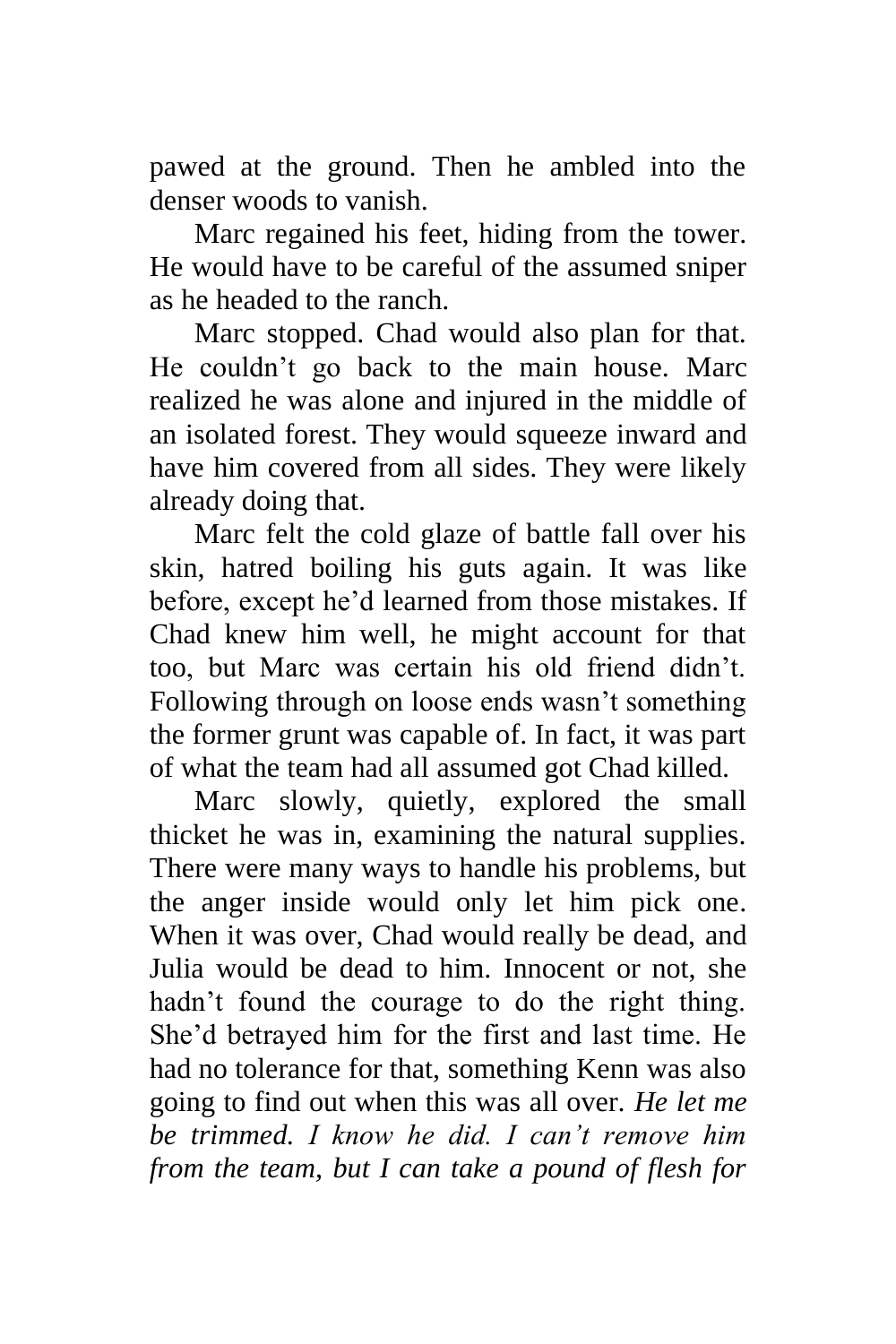pawed at the ground. Then he ambled into the denser woods to vanish.

Marc regained his feet, hiding from the tower. He would have to be careful of the assumed sniper as he headed to the ranch.

Marc stopped. Chad would also plan for that. He couldn't go back to the main house. Marc realized he was alone and injured in the middle of an isolated forest. They would squeeze inward and have him covered from all sides. They were likely already doing that.

Marc felt the cold glaze of battle fall over his skin, hatred boiling his guts again. It was like before, except he'd learned from those mistakes. If Chad knew him well, he might account for that too, but Marc was certain his old friend didn't. Following through on loose ends wasn't something the former grunt was capable of. In fact, it was part of what the team had all assumed got Chad killed.

Marc slowly, quietly, explored the small thicket he was in, examining the natural supplies. There were many ways to handle his problems, but the anger inside would only let him pick one. When it was over, Chad would really be dead, and Julia would be dead to him. Innocent or not, she hadn't found the courage to do the right thing. She'd betrayed him for the first and last time. He had no tolerance for that, something Kenn was also going to find out when this was all over. *He let me be trimmed. I know he did. I can't remove him from the team, but I can take a pound of flesh for*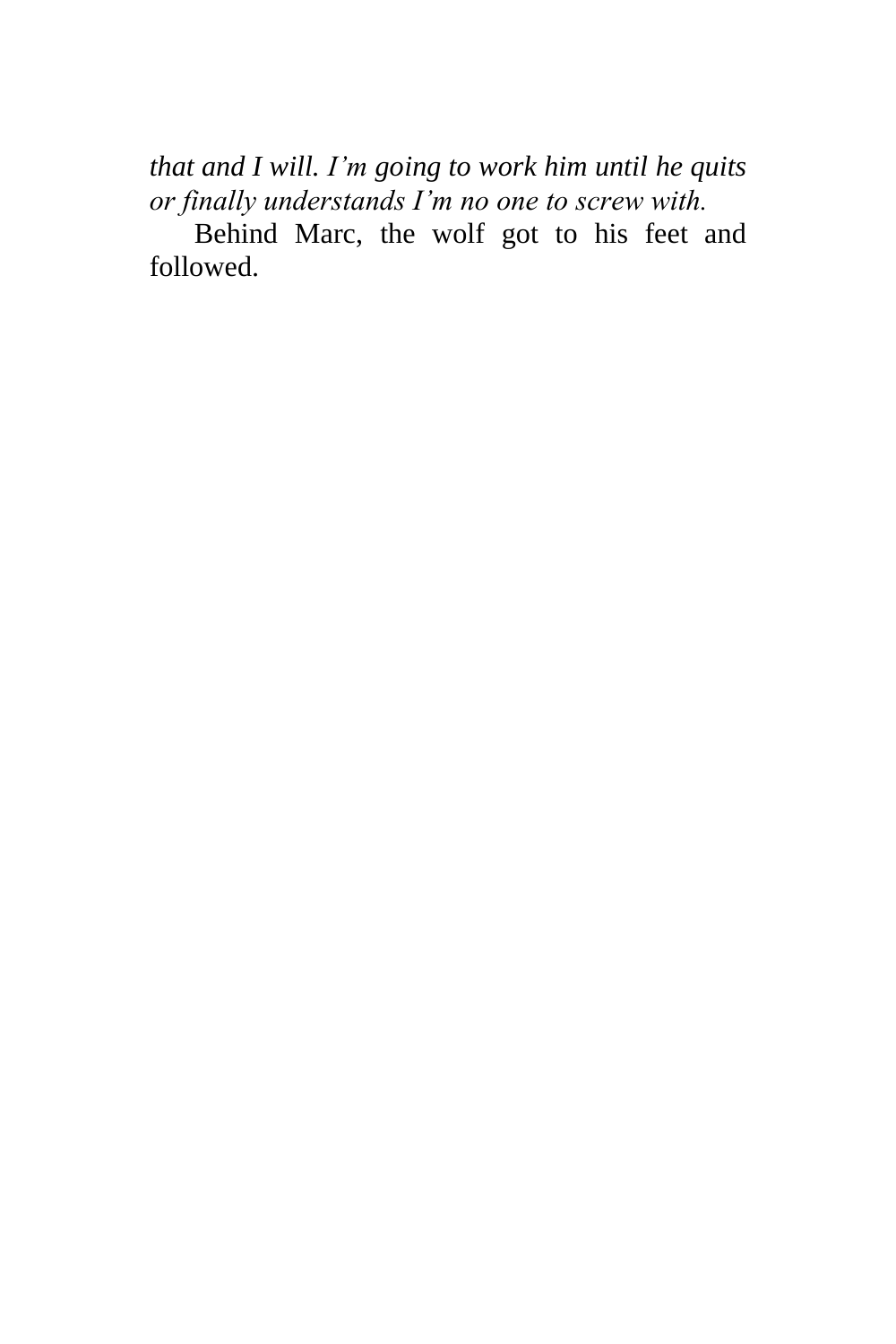*that and I will. I'm going to work him until he quits or finally understands I'm no one to screw with.*

Behind Marc, the wolf got to his feet and followed.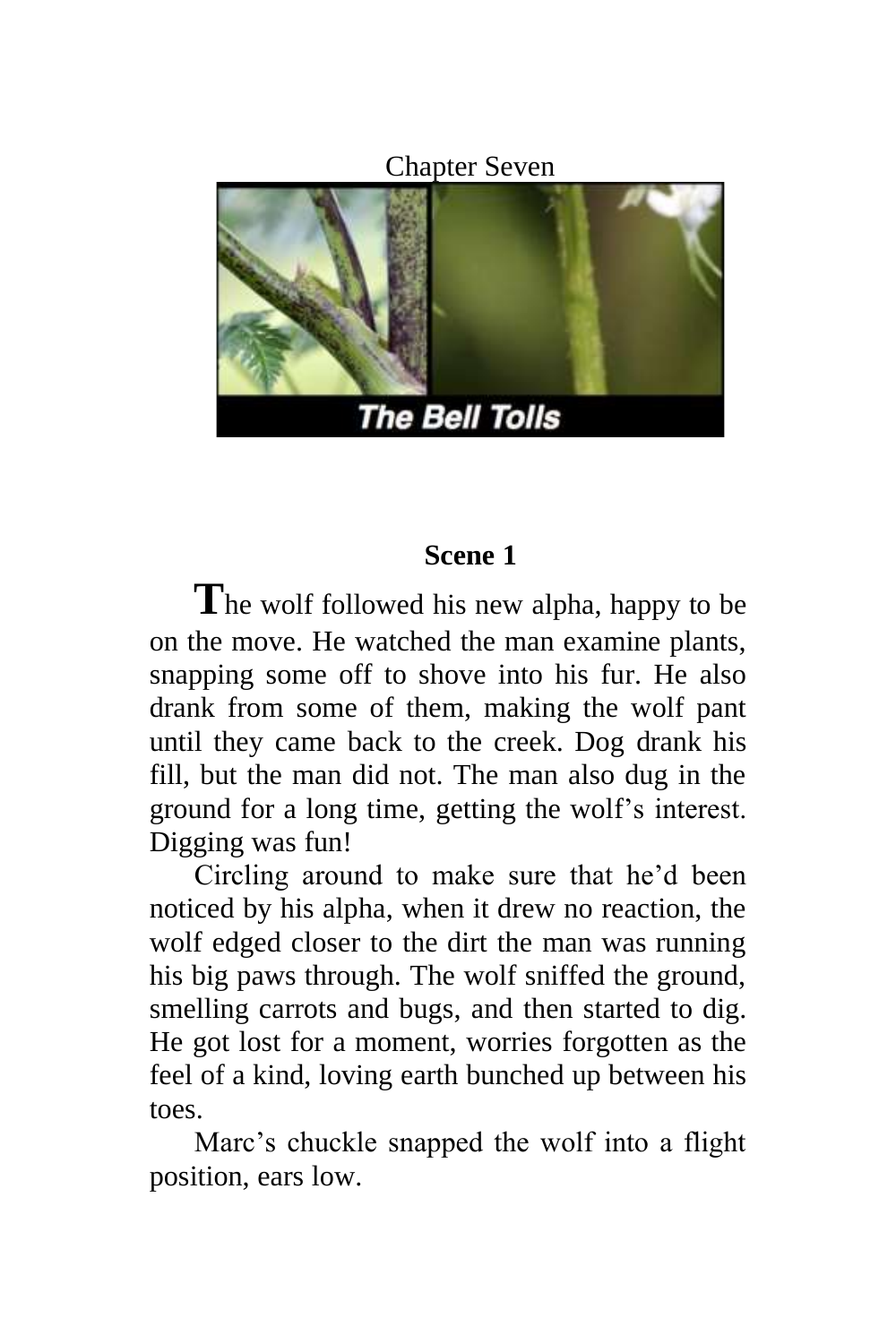Chapter Seven



### **Scene 1**

**T**he wolf followed his new alpha, happy to be on the move. He watched the man examine plants, snapping some off to shove into his fur. He also drank from some of them, making the wolf pant until they came back to the creek. Dog drank his fill, but the man did not. The man also dug in the ground for a long time, getting the wolf's interest. Digging was fun!

Circling around to make sure that he'd been noticed by his alpha, when it drew no reaction, the wolf edged closer to the dirt the man was running his big paws through. The wolf sniffed the ground, smelling carrots and bugs, and then started to dig. He got lost for a moment, worries forgotten as the feel of a kind, loving earth bunched up between his toes.

Marc's chuckle snapped the wolf into a flight position, ears low.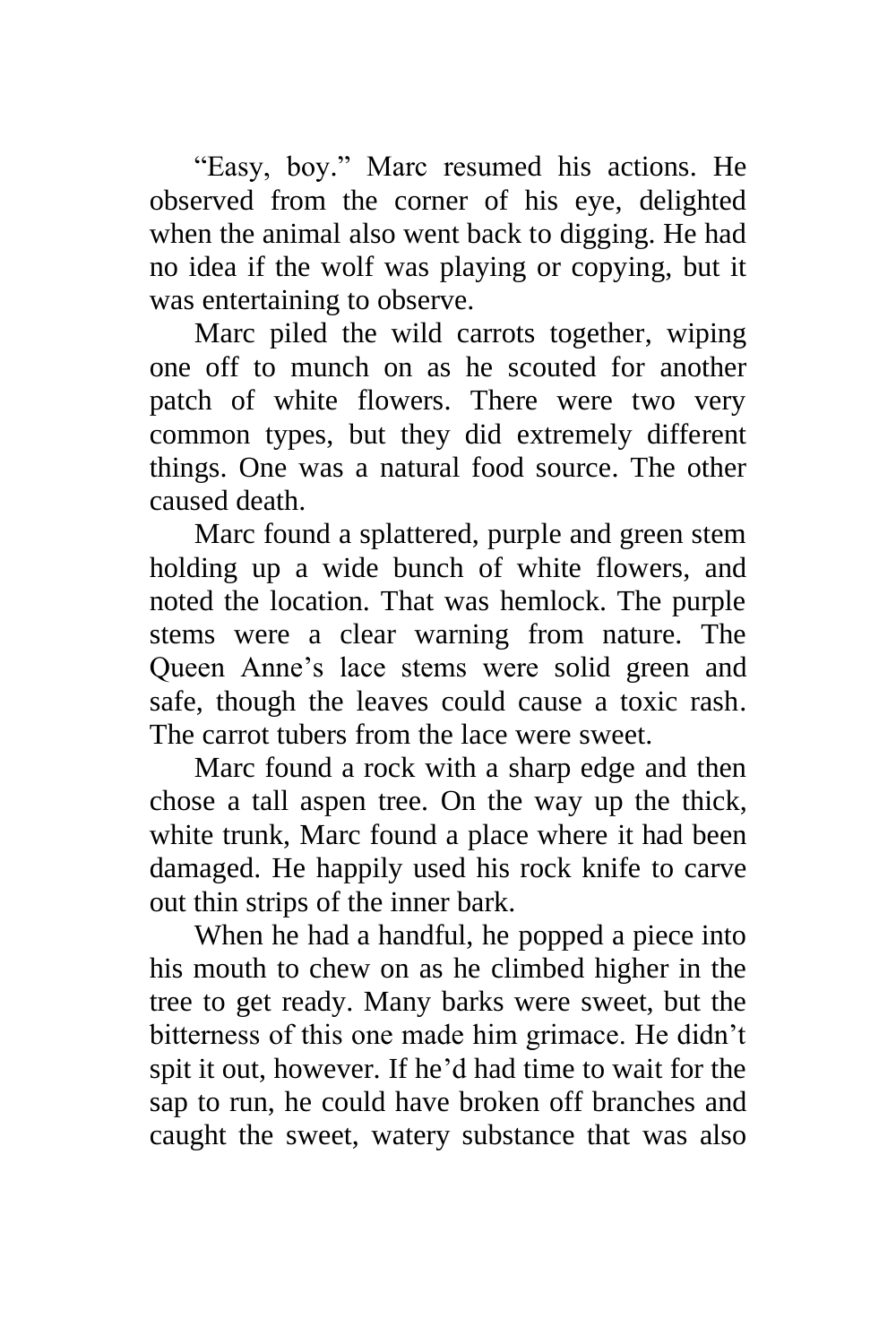"Easy, boy." Marc resumed his actions. He observed from the corner of his eye, delighted when the animal also went back to digging. He had no idea if the wolf was playing or copying, but it was entertaining to observe.

Marc piled the wild carrots together, wiping one off to munch on as he scouted for another patch of white flowers. There were two very common types, but they did extremely different things. One was a natural food source. The other caused death.

Marc found a splattered, purple and green stem holding up a wide bunch of white flowers, and noted the location. That was hemlock. The purple stems were a clear warning from nature. The Queen Anne's lace stems were solid green and safe, though the leaves could cause a toxic rash. The carrot tubers from the lace were sweet.

Marc found a rock with a sharp edge and then chose a tall aspen tree. On the way up the thick, white trunk, Marc found a place where it had been damaged. He happily used his rock knife to carve out thin strips of the inner bark.

When he had a handful, he popped a piece into his mouth to chew on as he climbed higher in the tree to get ready. Many barks were sweet, but the bitterness of this one made him grimace. He didn't spit it out, however. If he'd had time to wait for the sap to run, he could have broken off branches and caught the sweet, watery substance that was also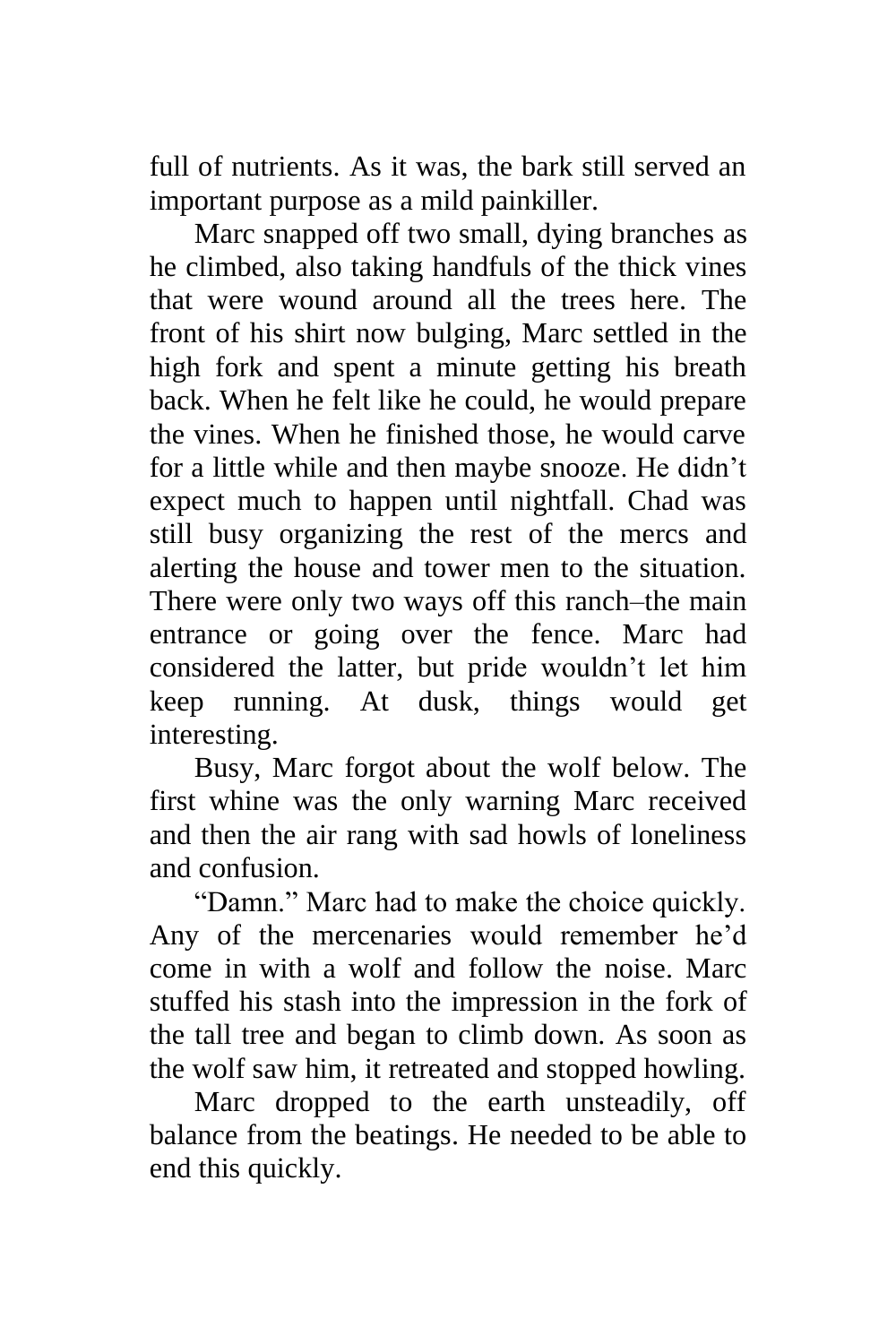full of nutrients. As it was, the bark still served an important purpose as a mild painkiller.

Marc snapped off two small, dying branches as he climbed, also taking handfuls of the thick vines that were wound around all the trees here. The front of his shirt now bulging, Marc settled in the high fork and spent a minute getting his breath back. When he felt like he could, he would prepare the vines. When he finished those, he would carve for a little while and then maybe snooze. He didn't expect much to happen until nightfall. Chad was still busy organizing the rest of the mercs and alerting the house and tower men to the situation. There were only two ways off this ranch–the main entrance or going over the fence. Marc had considered the latter, but pride wouldn't let him keep running. At dusk, things would get interesting.

Busy, Marc forgot about the wolf below. The first whine was the only warning Marc received and then the air rang with sad howls of loneliness and confusion.

"Damn." Marc had to make the choice quickly. Any of the mercenaries would remember he'd come in with a wolf and follow the noise. Marc stuffed his stash into the impression in the fork of the tall tree and began to climb down. As soon as the wolf saw him, it retreated and stopped howling.

Marc dropped to the earth unsteadily, off balance from the beatings. He needed to be able to end this quickly.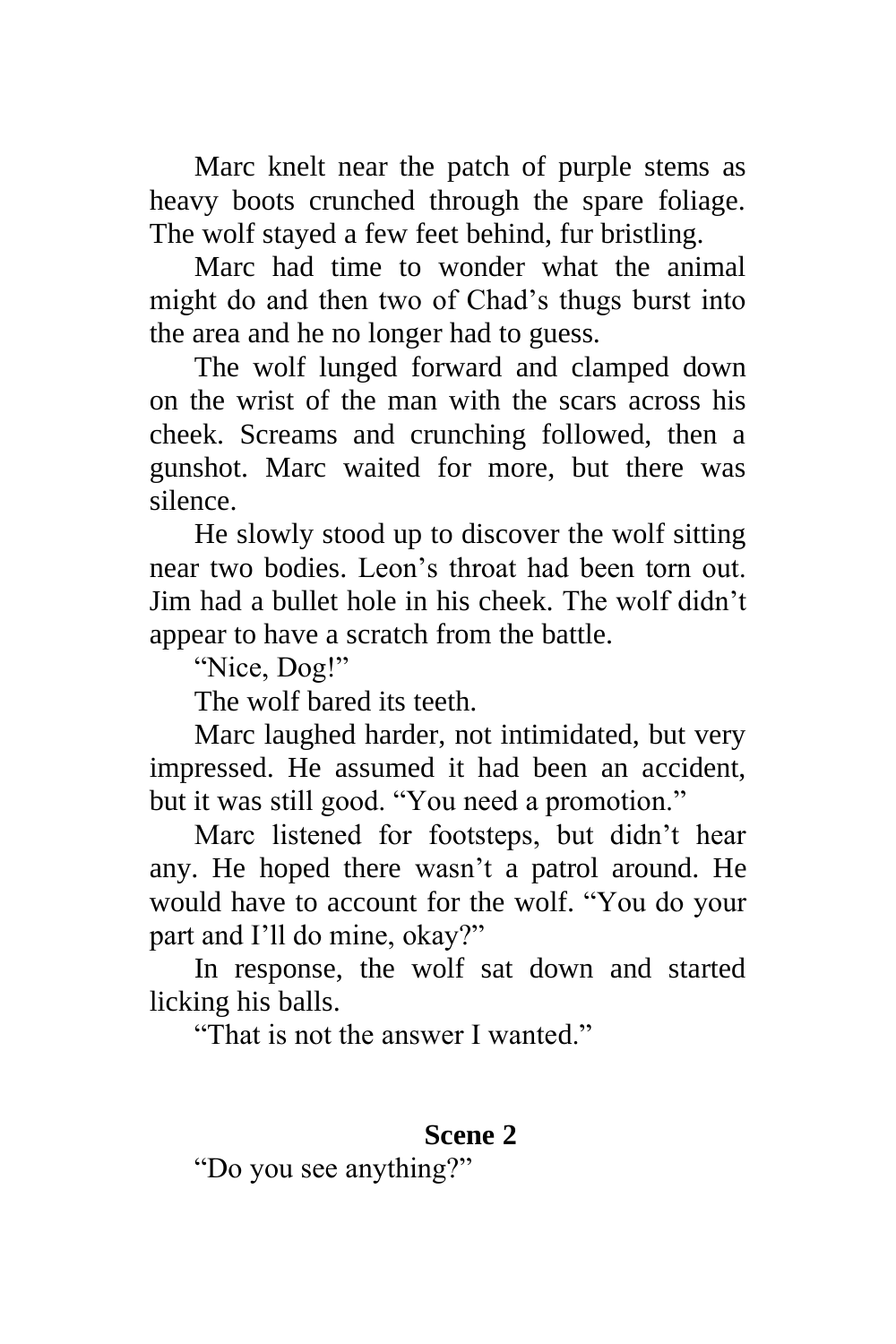Marc knelt near the patch of purple stems as heavy boots crunched through the spare foliage. The wolf stayed a few feet behind, fur bristling.

Marc had time to wonder what the animal might do and then two of Chad's thugs burst into the area and he no longer had to guess.

The wolf lunged forward and clamped down on the wrist of the man with the scars across his cheek. Screams and crunching followed, then a gunshot. Marc waited for more, but there was silence.

He slowly stood up to discover the wolf sitting near two bodies. Leon's throat had been torn out. Jim had a bullet hole in his cheek. The wolf didn't appear to have a scratch from the battle.

"Nice, Dog!"

The wolf bared its teeth.

Marc laughed harder, not intimidated, but very impressed. He assumed it had been an accident, but it was still good. "You need a promotion."

Marc listened for footsteps, but didn't hear any. He hoped there wasn't a patrol around. He would have to account for the wolf. "You do your part and I'll do mine, okay?"

In response, the wolf sat down and started licking his balls.

"That is not the answer I wanted."

## **Scene 2**

"Do you see anything?"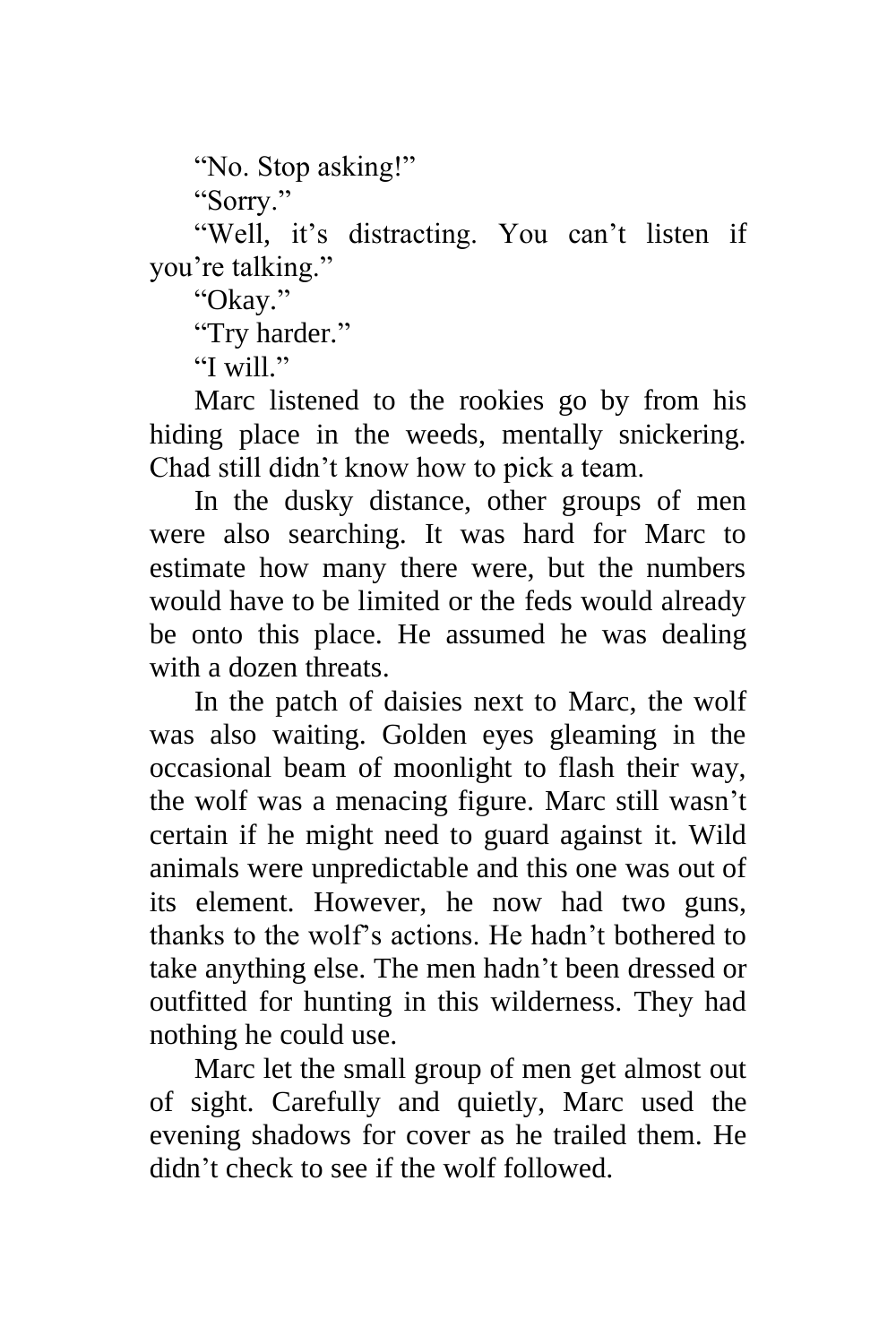"No. Stop asking!"

"Sorry."

"Well, it's distracting. You can't listen if you're talking."

"Okay."

"Try harder."

"I will."

Marc listened to the rookies go by from his hiding place in the weeds, mentally snickering. Chad still didn't know how to pick a team.

In the dusky distance, other groups of men were also searching. It was hard for Marc to estimate how many there were, but the numbers would have to be limited or the feds would already be onto this place. He assumed he was dealing with a dozen threats.

In the patch of daisies next to Marc, the wolf was also waiting. Golden eyes gleaming in the occasional beam of moonlight to flash their way, the wolf was a menacing figure. Marc still wasn't certain if he might need to guard against it. Wild animals were unpredictable and this one was out of its element. However, he now had two guns, thanks to the wolf's actions. He hadn't bothered to take anything else. The men hadn't been dressed or outfitted for hunting in this wilderness. They had nothing he could use.

Marc let the small group of men get almost out of sight. Carefully and quietly, Marc used the evening shadows for cover as he trailed them. He didn't check to see if the wolf followed.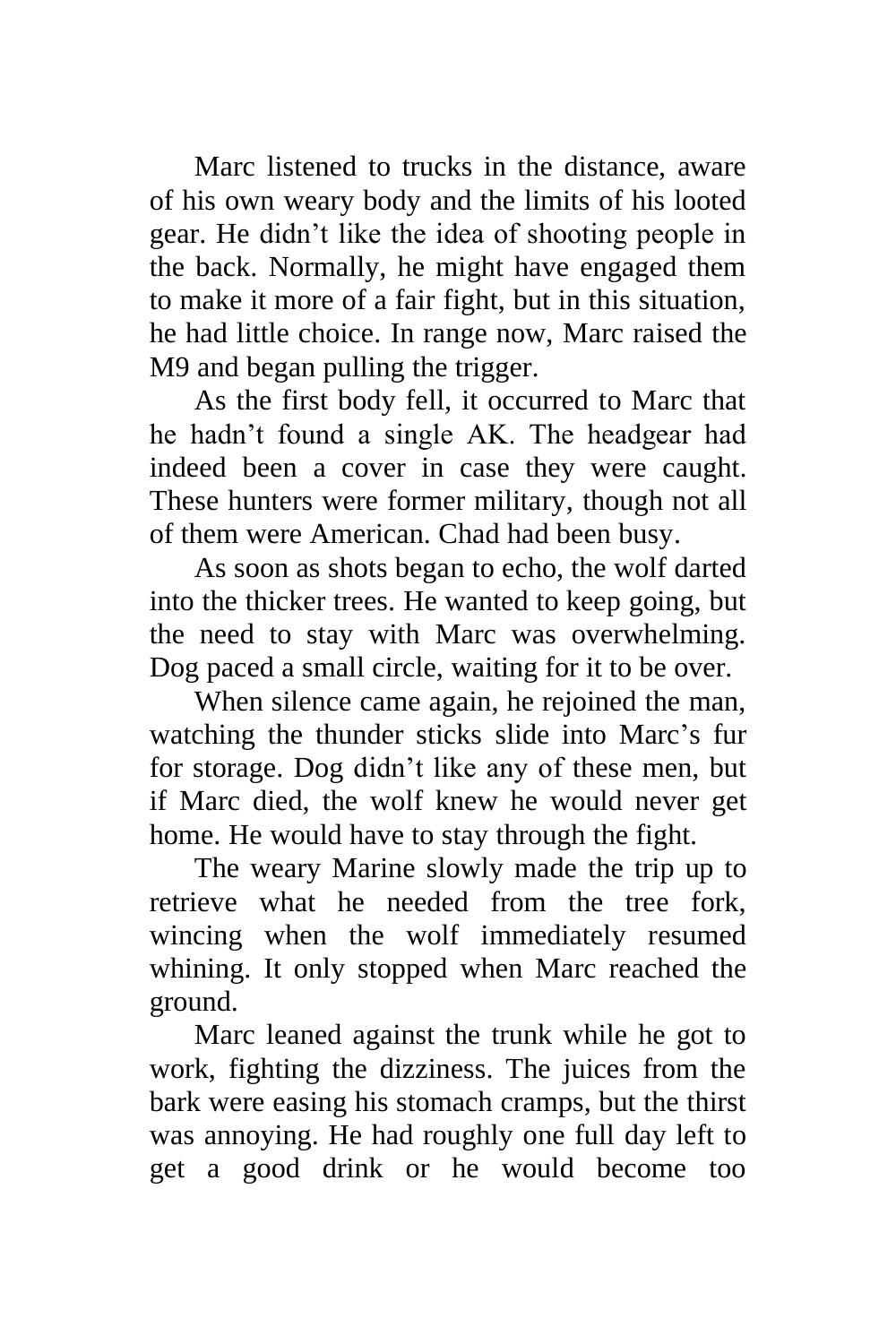Marc listened to trucks in the distance, aware of his own weary body and the limits of his looted gear. He didn't like the idea of shooting people in the back. Normally, he might have engaged them to make it more of a fair fight, but in this situation, he had little choice. In range now, Marc raised the M9 and began pulling the trigger.

As the first body fell, it occurred to Marc that he hadn't found a single AK. The headgear had indeed been a cover in case they were caught. These hunters were former military, though not all of them were American. Chad had been busy.

As soon as shots began to echo, the wolf darted into the thicker trees. He wanted to keep going, but the need to stay with Marc was overwhelming. Dog paced a small circle, waiting for it to be over.

When silence came again, he rejoined the man, watching the thunder sticks slide into Marc's fur for storage. Dog didn't like any of these men, but if Marc died, the wolf knew he would never get home. He would have to stay through the fight.

The weary Marine slowly made the trip up to retrieve what he needed from the tree fork, wincing when the wolf immediately resumed whining. It only stopped when Marc reached the ground.

Marc leaned against the trunk while he got to work, fighting the dizziness. The juices from the bark were easing his stomach cramps, but the thirst was annoying. He had roughly one full day left to get a good drink or he would become too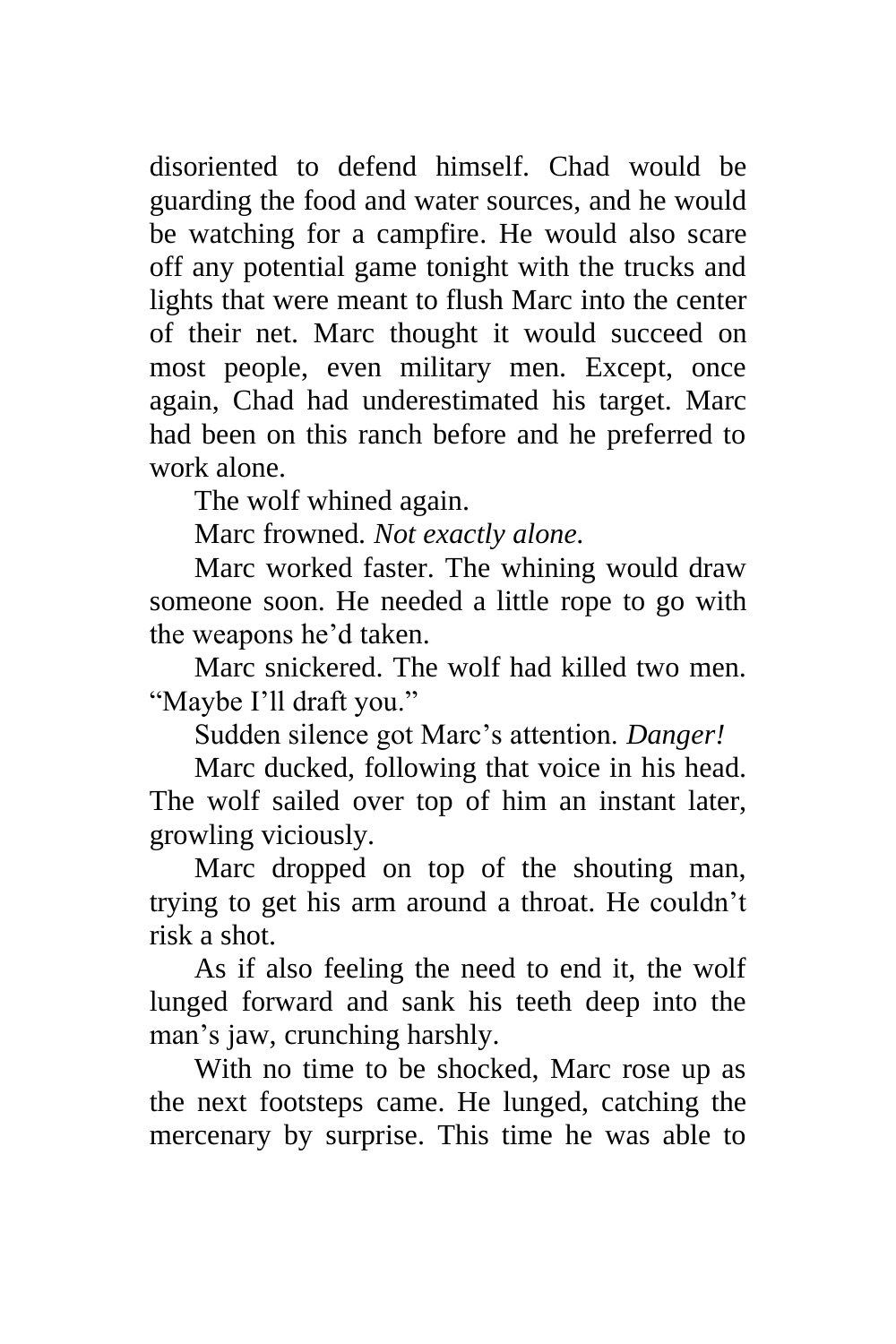disoriented to defend himself. Chad would be guarding the food and water sources, and he would be watching for a campfire. He would also scare off any potential game tonight with the trucks and lights that were meant to flush Marc into the center of their net. Marc thought it would succeed on most people, even military men. Except, once again, Chad had underestimated his target. Marc had been on this ranch before and he preferred to work alone.

The wolf whined again.

Marc frowned*. Not exactly alone.*

Marc worked faster. The whining would draw someone soon. He needed a little rope to go with the weapons he'd taken.

Marc snickered. The wolf had killed two men. "Maybe I'll draft you."

Sudden silence got Marc's attention. *Danger!*

Marc ducked, following that voice in his head. The wolf sailed over top of him an instant later, growling viciously.

Marc dropped on top of the shouting man, trying to get his arm around a throat. He couldn't risk a shot.

As if also feeling the need to end it, the wolf lunged forward and sank his teeth deep into the man's jaw, crunching harshly.

With no time to be shocked, Marc rose up as the next footsteps came. He lunged, catching the mercenary by surprise. This time he was able to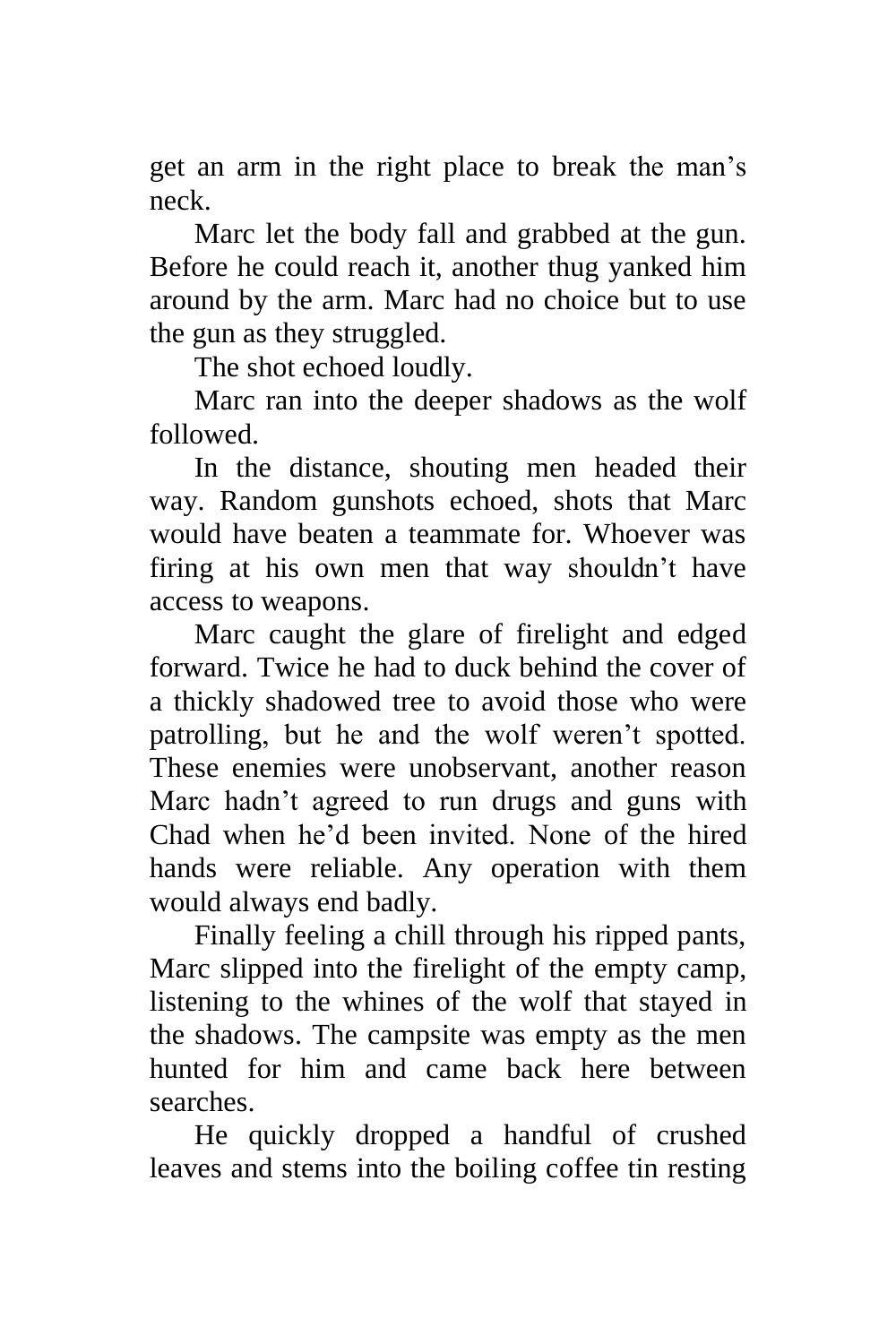get an arm in the right place to break the man's neck.

Marc let the body fall and grabbed at the gun. Before he could reach it, another thug yanked him around by the arm. Marc had no choice but to use the gun as they struggled.

The shot echoed loudly.

Marc ran into the deeper shadows as the wolf followed.

In the distance, shouting men headed their way. Random gunshots echoed, shots that Marc would have beaten a teammate for. Whoever was firing at his own men that way shouldn't have access to weapons.

Marc caught the glare of firelight and edged forward. Twice he had to duck behind the cover of a thickly shadowed tree to avoid those who were patrolling, but he and the wolf weren't spotted. These enemies were unobservant, another reason Marc hadn't agreed to run drugs and guns with Chad when he'd been invited. None of the hired hands were reliable. Any operation with them would always end badly.

Finally feeling a chill through his ripped pants, Marc slipped into the firelight of the empty camp, listening to the whines of the wolf that stayed in the shadows. The campsite was empty as the men hunted for him and came back here between searches.

He quickly dropped a handful of crushed leaves and stems into the boiling coffee tin resting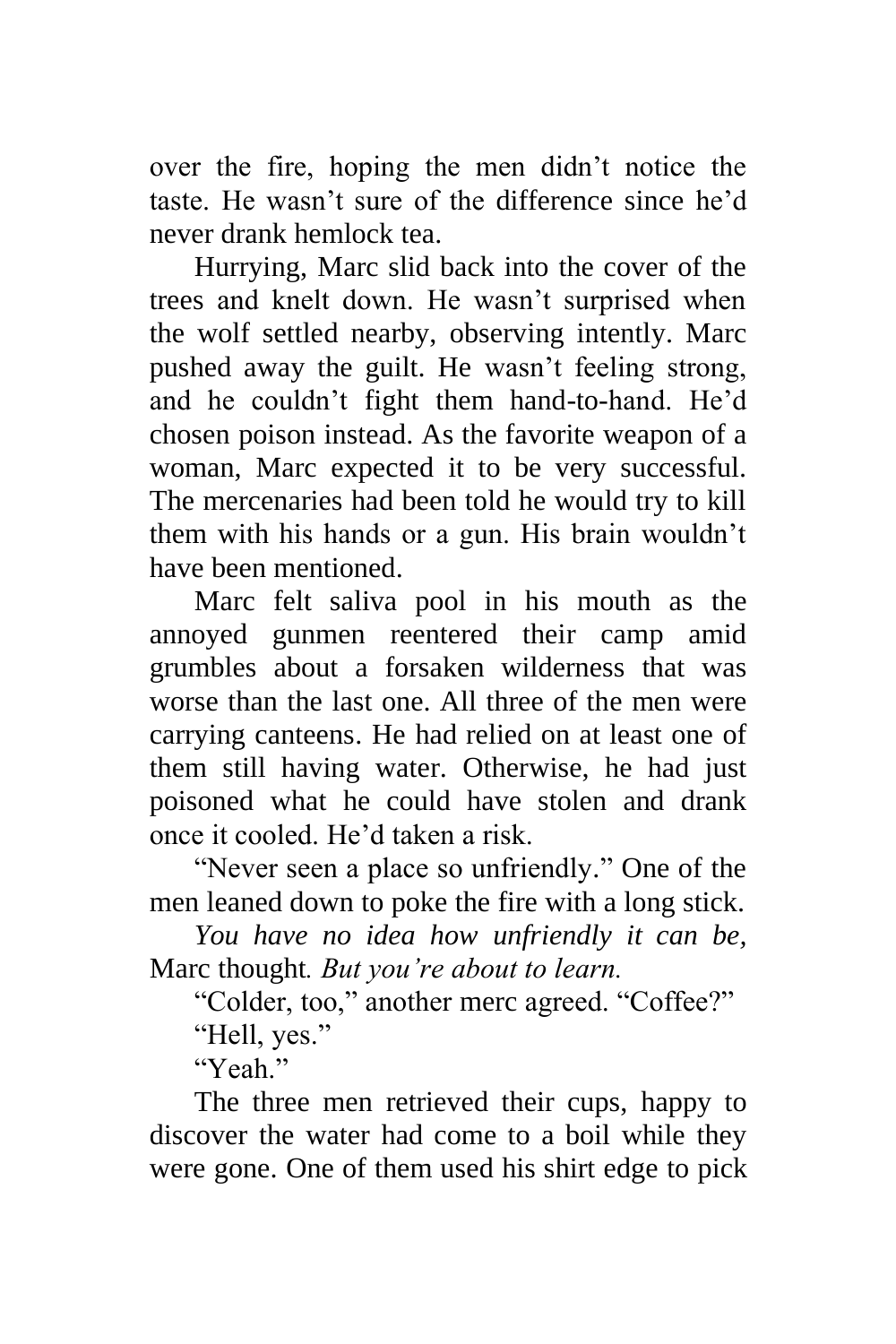over the fire, hoping the men didn't notice the taste. He wasn't sure of the difference since he'd never drank hemlock tea.

Hurrying, Marc slid back into the cover of the trees and knelt down. He wasn't surprised when the wolf settled nearby, observing intently. Marc pushed away the guilt. He wasn't feeling strong, and he couldn't fight them hand-to-hand. He'd chosen poison instead. As the favorite weapon of a woman, Marc expected it to be very successful. The mercenaries had been told he would try to kill them with his hands or a gun. His brain wouldn't have been mentioned.

Marc felt saliva pool in his mouth as the annoyed gunmen reentered their camp amid grumbles about a forsaken wilderness that was worse than the last one. All three of the men were carrying canteens. He had relied on at least one of them still having water. Otherwise, he had just poisoned what he could have stolen and drank once it cooled. He'd taken a risk.

"Never seen a place so unfriendly." One of the men leaned down to poke the fire with a long stick.

*You have no idea how unfriendly it can be,*  Marc thought*. But you're about to learn.*

"Colder, too," another merc agreed. "Coffee?"

"Hell, yes."

"Yeah."

The three men retrieved their cups, happy to discover the water had come to a boil while they were gone. One of them used his shirt edge to pick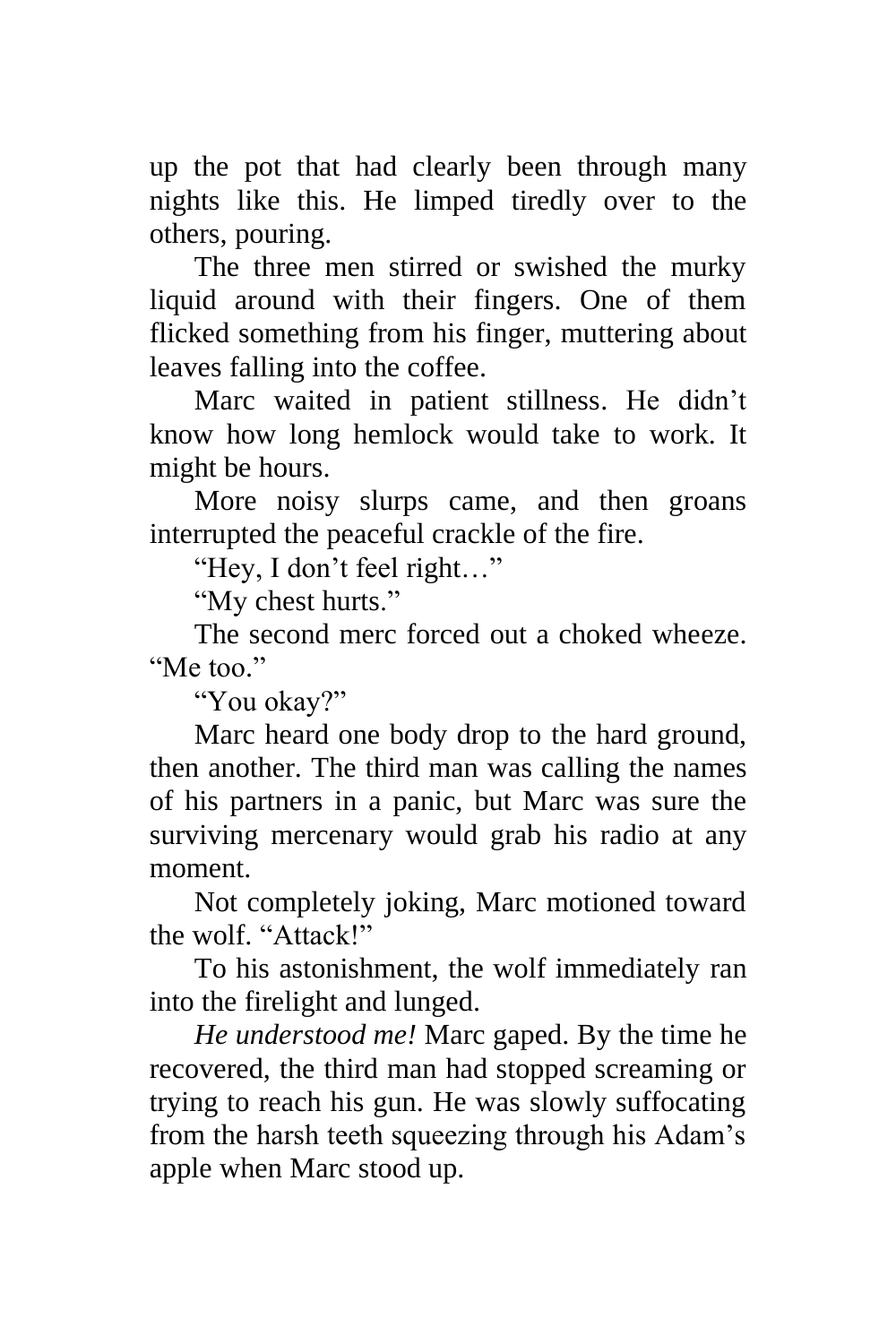up the pot that had clearly been through many nights like this. He limped tiredly over to the others, pouring.

The three men stirred or swished the murky liquid around with their fingers. One of them flicked something from his finger, muttering about leaves falling into the coffee.

Marc waited in patient stillness. He didn't know how long hemlock would take to work. It might be hours.

More noisy slurps came, and then groans interrupted the peaceful crackle of the fire.

"Hey, I don't feel right…"

"My chest hurts."

The second merc forced out a choked wheeze. "Me too."

"You okay?"

Marc heard one body drop to the hard ground, then another. The third man was calling the names of his partners in a panic, but Marc was sure the surviving mercenary would grab his radio at any moment.

Not completely joking, Marc motioned toward the wolf. "Attack!"

To his astonishment, the wolf immediately ran into the firelight and lunged.

*He understood me!* Marc gaped. By the time he recovered, the third man had stopped screaming or trying to reach his gun. He was slowly suffocating from the harsh teeth squeezing through his Adam's apple when Marc stood up.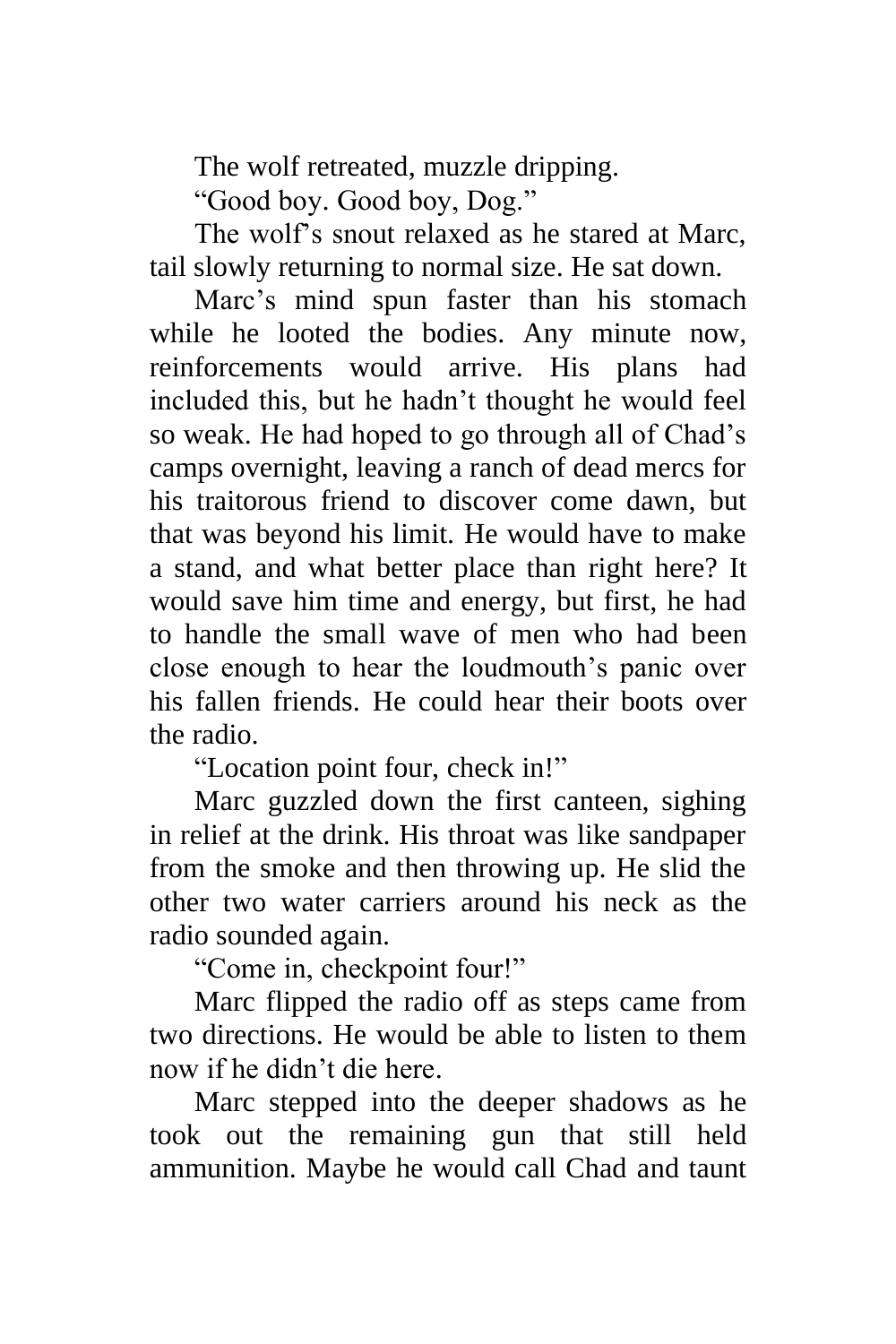The wolf retreated, muzzle dripping.

"Good boy. Good boy, Dog."

The wolf's snout relaxed as he stared at Marc, tail slowly returning to normal size. He sat down.

Marc's mind spun faster than his stomach while he looted the bodies. Any minute now, reinforcements would arrive. His plans had included this, but he hadn't thought he would feel so weak. He had hoped to go through all of Chad's camps overnight, leaving a ranch of dead mercs for his traitorous friend to discover come dawn, but that was beyond his limit. He would have to make a stand, and what better place than right here? It would save him time and energy, but first, he had to handle the small wave of men who had been close enough to hear the loudmouth's panic over his fallen friends. He could hear their boots over the radio.

"Location point four, check in!"

Marc guzzled down the first canteen, sighing in relief at the drink. His throat was like sandpaper from the smoke and then throwing up. He slid the other two water carriers around his neck as the radio sounded again.

"Come in, checkpoint four!"

Marc flipped the radio off as steps came from two directions. He would be able to listen to them now if he didn't die here.

Marc stepped into the deeper shadows as he took out the remaining gun that still held ammunition. Maybe he would call Chad and taunt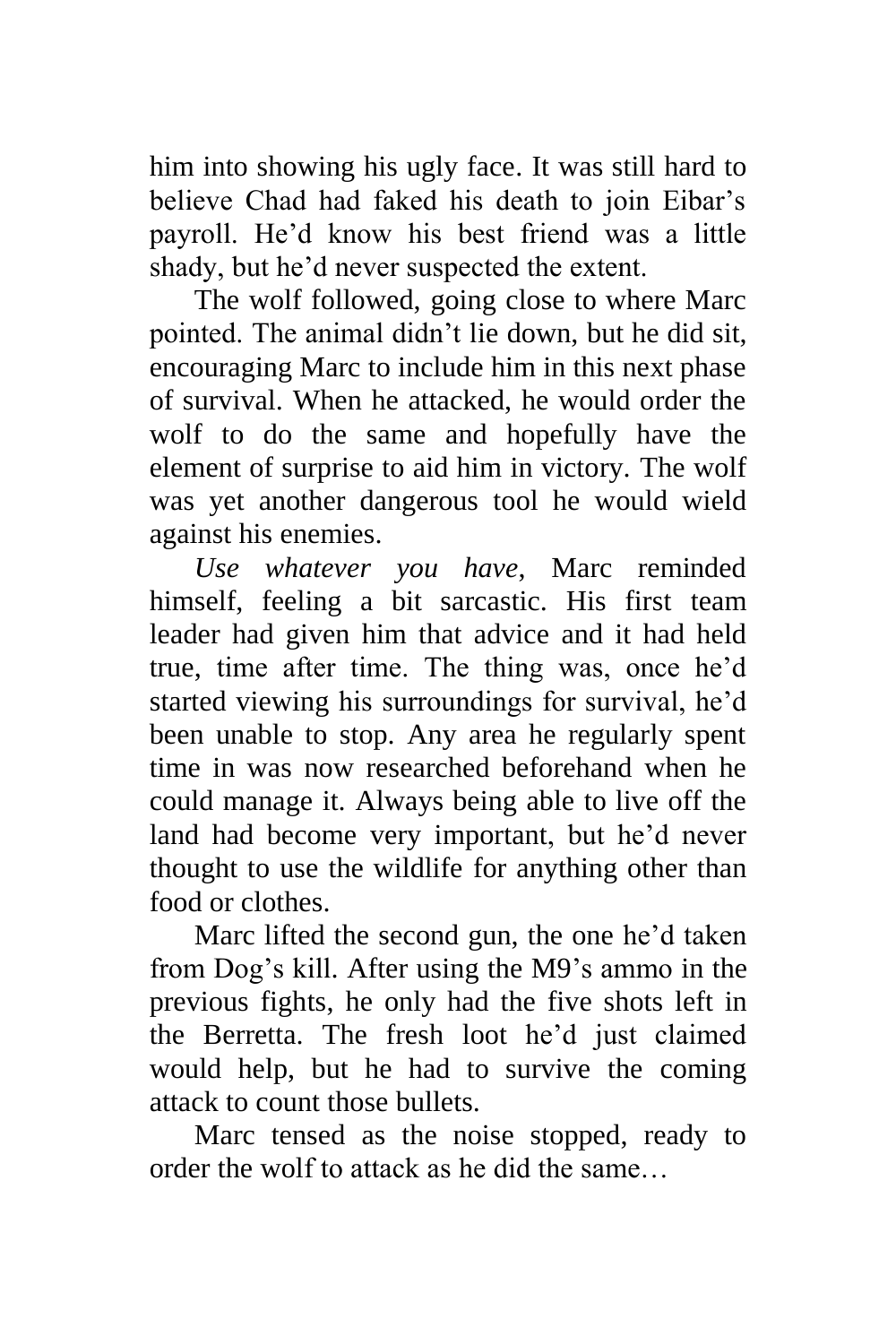him into showing his ugly face. It was still hard to believe Chad had faked his death to join Eibar's payroll. He'd know his best friend was a little shady, but he'd never suspected the extent.

The wolf followed, going close to where Marc pointed. The animal didn't lie down, but he did sit, encouraging Marc to include him in this next phase of survival. When he attacked, he would order the wolf to do the same and hopefully have the element of surprise to aid him in victory. The wolf was yet another dangerous tool he would wield against his enemies.

*Use whatever you have*, Marc reminded himself, feeling a bit sarcastic. His first team leader had given him that advice and it had held true, time after time. The thing was, once he'd started viewing his surroundings for survival, he'd been unable to stop. Any area he regularly spent time in was now researched beforehand when he could manage it. Always being able to live off the land had become very important, but he'd never thought to use the wildlife for anything other than food or clothes.

Marc lifted the second gun, the one he'd taken from Dog's kill. After using the M9's ammo in the previous fights, he only had the five shots left in the Berretta. The fresh loot he'd just claimed would help, but he had to survive the coming attack to count those bullets.

Marc tensed as the noise stopped, ready to order the wolf to attack as he did the same…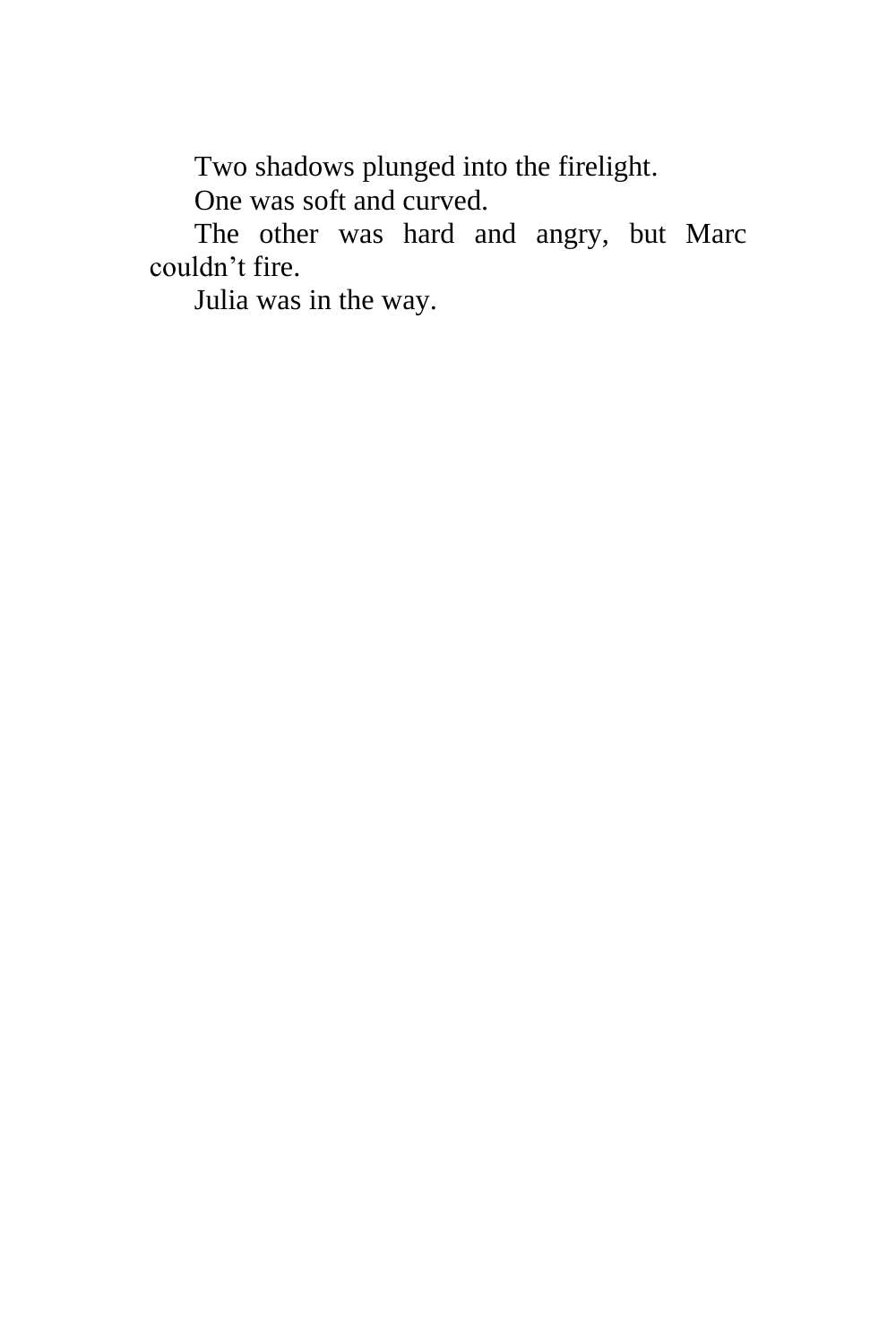Two shadows plunged into the firelight.

One was soft and curved.

The other was hard and angry, but Marc couldn't fire.

Julia was in the way.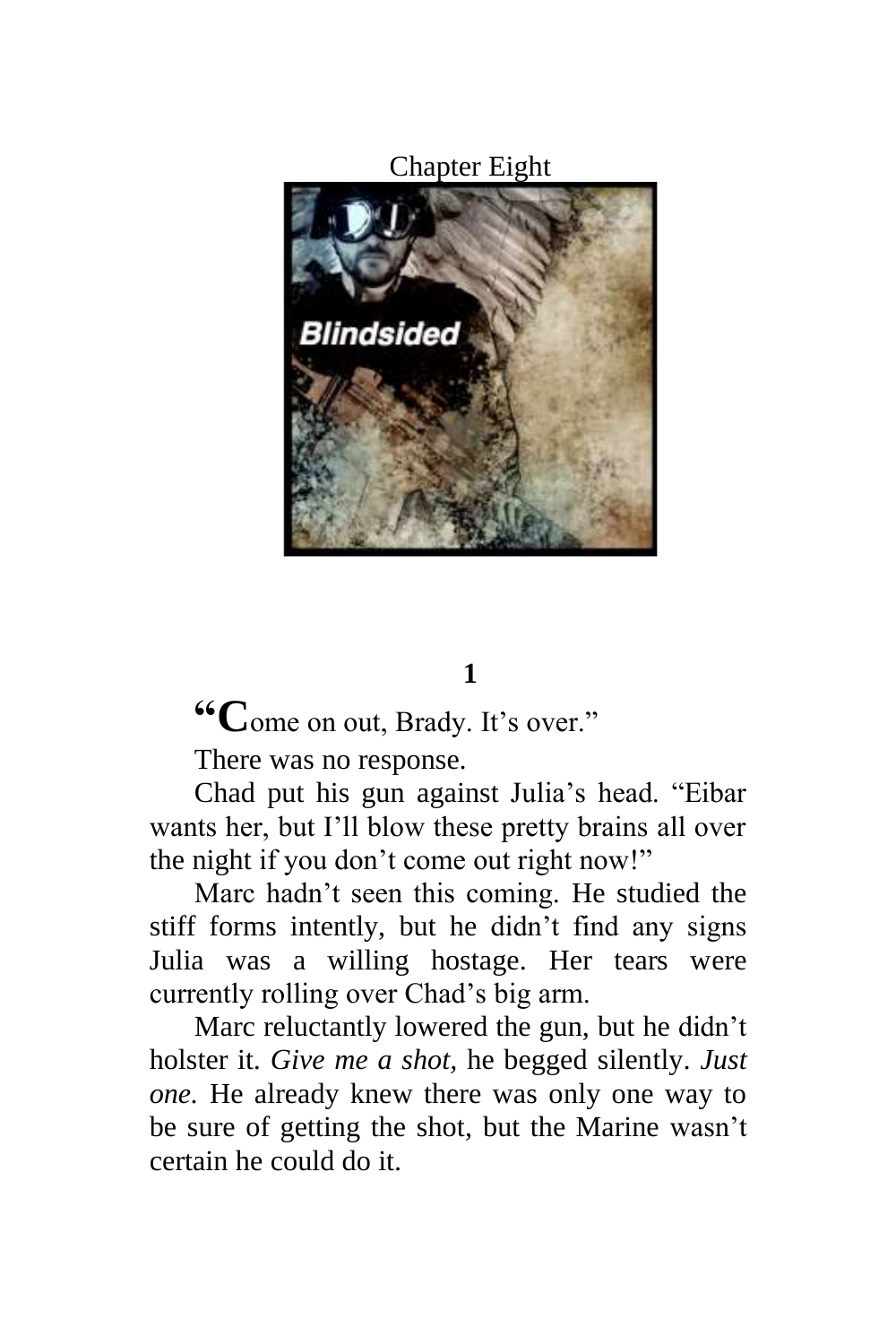### Chapter Eight



# **1**

**"C**ome on out, Brady. It's over."

There was no response.

Chad put his gun against Julia's head. "Eibar wants her, but I'll blow these pretty brains all over the night if you don't come out right now!"

Marc hadn't seen this coming. He studied the stiff forms intently, but he didn't find any signs Julia was a willing hostage. Her tears were currently rolling over Chad's big arm.

Marc reluctantly lowered the gun, but he didn't holster it. *Give me a shot,* he begged silently. *Just one.* He already knew there was only one way to be sure of getting the shot, but the Marine wasn't certain he could do it.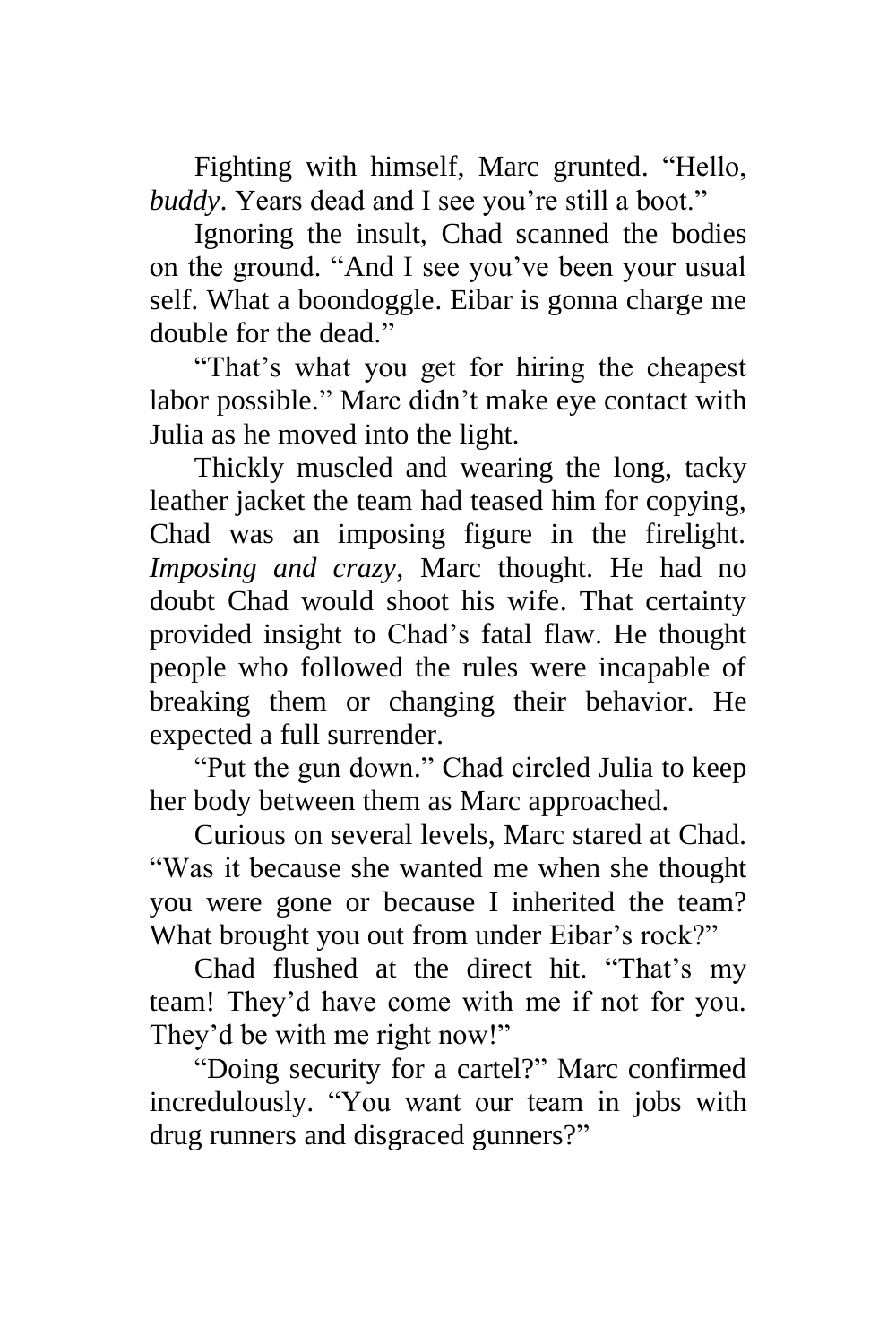Fighting with himself, Marc grunted. "Hello, *buddy*. Years dead and I see you're still a boot."

Ignoring the insult, Chad scanned the bodies on the ground. "And I see you've been your usual self. What a boondoggle. Eibar is gonna charge me double for the dead."

"That's what you get for hiring the cheapest labor possible." Marc didn't make eye contact with Julia as he moved into the light.

Thickly muscled and wearing the long, tacky leather jacket the team had teased him for copying, Chad was an imposing figure in the firelight. *Imposing and crazy*, Marc thought. He had no doubt Chad would shoot his wife. That certainty provided insight to Chad's fatal flaw. He thought people who followed the rules were incapable of breaking them or changing their behavior. He expected a full surrender.

"Put the gun down." Chad circled Julia to keep her body between them as Marc approached.

Curious on several levels, Marc stared at Chad. "Was it because she wanted me when she thought you were gone or because I inherited the team? What brought you out from under Eibar's rock?"

Chad flushed at the direct hit. "That's my team! They'd have come with me if not for you. They'd be with me right now!"

"Doing security for a cartel?" Marc confirmed incredulously. "You want our team in jobs with drug runners and disgraced gunners?"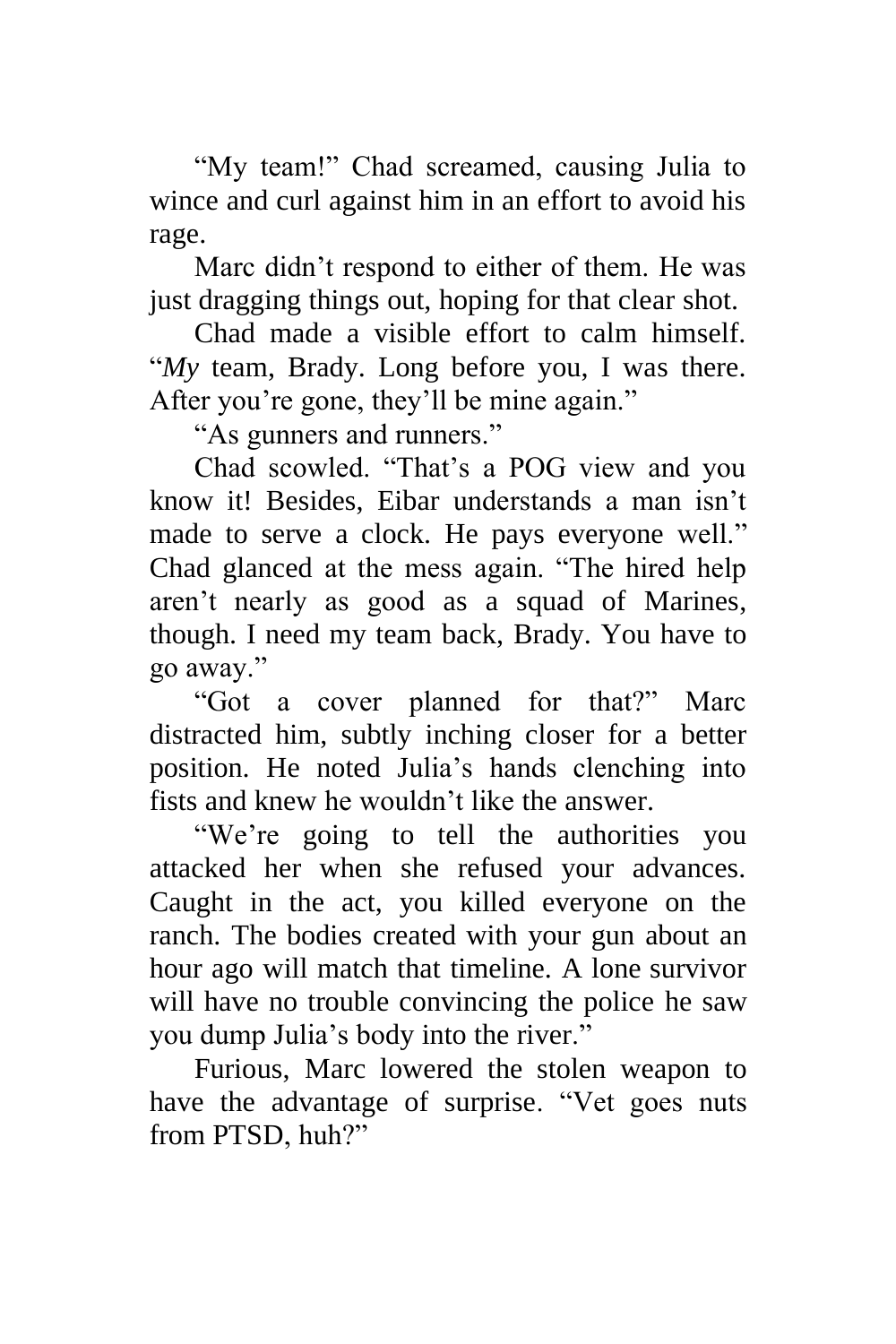"My team!" Chad screamed, causing Julia to wince and curl against him in an effort to avoid his rage.

Marc didn't respond to either of them. He was just dragging things out, hoping for that clear shot.

Chad made a visible effort to calm himself. "*My* team, Brady. Long before you, I was there. After you're gone, they'll be mine again."

"As gunners and runners."

Chad scowled. "That's a POG view and you know it! Besides, Eibar understands a man isn't made to serve a clock. He pays everyone well." Chad glanced at the mess again. "The hired help aren't nearly as good as a squad of Marines, though. I need my team back, Brady. You have to go away."

"Got a cover planned for that?" Marc distracted him, subtly inching closer for a better position. He noted Julia's hands clenching into fists and knew he wouldn't like the answer.

"We're going to tell the authorities you attacked her when she refused your advances. Caught in the act, you killed everyone on the ranch. The bodies created with your gun about an hour ago will match that timeline. A lone survivor will have no trouble convincing the police he saw you dump Julia's body into the river."

Furious, Marc lowered the stolen weapon to have the advantage of surprise. "Vet goes nuts from PTSD, huh?"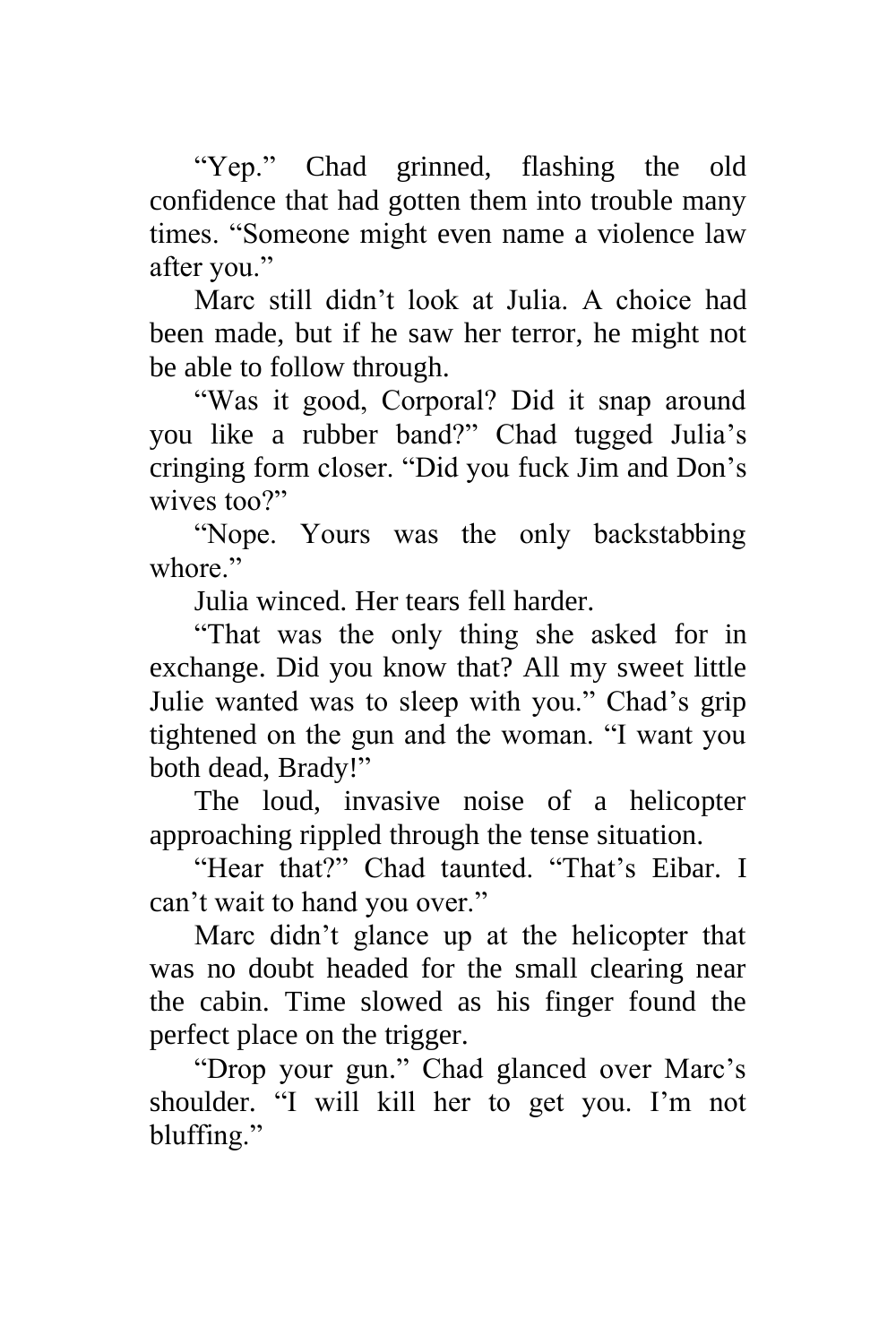"Yep." Chad grinned, flashing the old confidence that had gotten them into trouble many times. "Someone might even name a violence law after you."

Marc still didn't look at Julia. A choice had been made, but if he saw her terror, he might not be able to follow through.

"Was it good, Corporal? Did it snap around you like a rubber band?" Chad tugged Julia's cringing form closer. "Did you fuck Jim and Don's wives too?"

"Nope. Yours was the only backstabbing whore."

Julia winced. Her tears fell harder.

"That was the only thing she asked for in exchange. Did you know that? All my sweet little Julie wanted was to sleep with you." Chad's grip tightened on the gun and the woman. "I want you both dead, Brady!"

The loud, invasive noise of a helicopter approaching rippled through the tense situation.

"Hear that?" Chad taunted. "That's Eibar. I can't wait to hand you over."

Marc didn't glance up at the helicopter that was no doubt headed for the small clearing near the cabin. Time slowed as his finger found the perfect place on the trigger.

"Drop your gun." Chad glanced over Marc's shoulder. "I will kill her to get you. I'm not bluffing."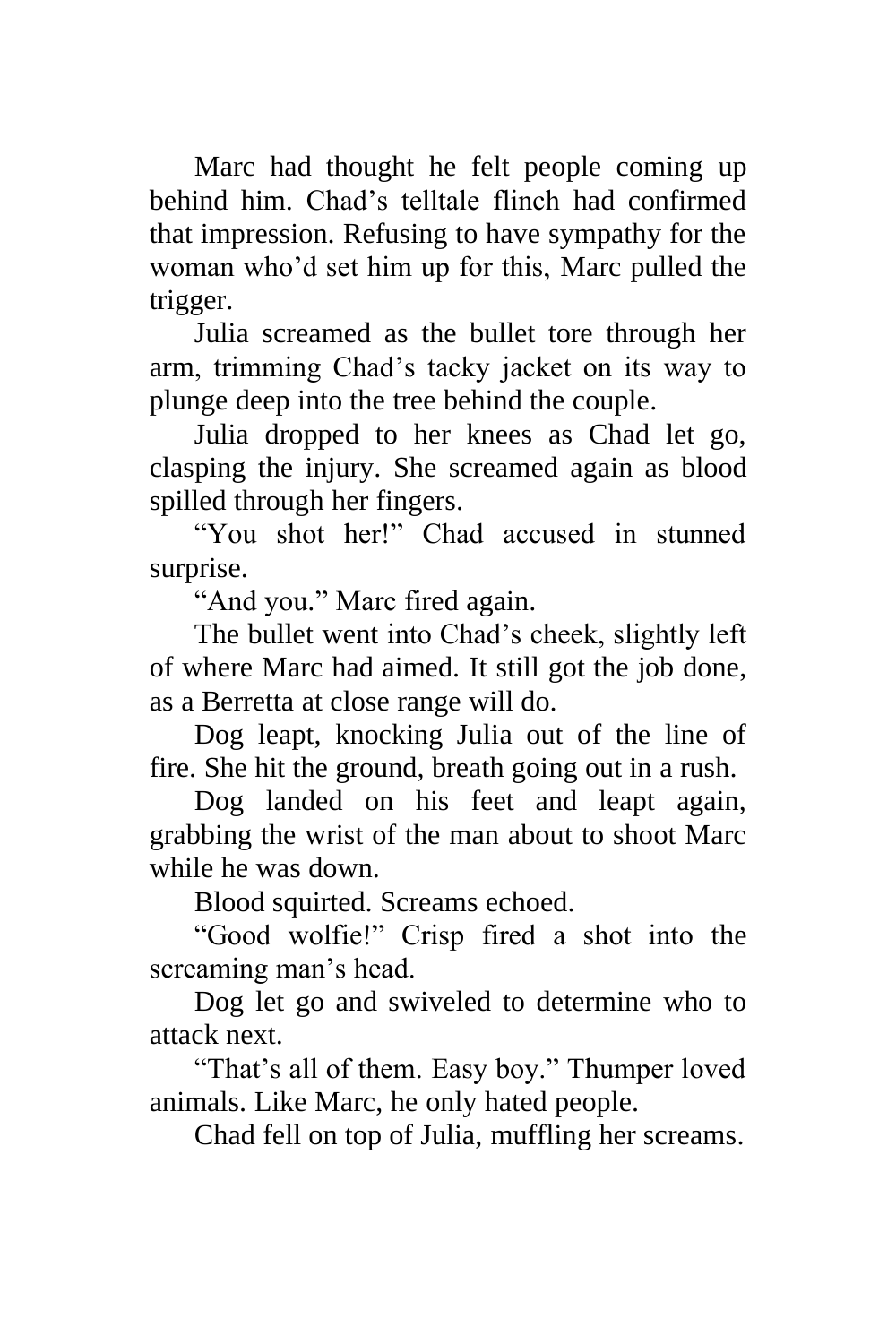Marc had thought he felt people coming up behind him. Chad's telltale flinch had confirmed that impression. Refusing to have sympathy for the woman who'd set him up for this, Marc pulled the trigger.

Julia screamed as the bullet tore through her arm, trimming Chad's tacky jacket on its way to plunge deep into the tree behind the couple.

Julia dropped to her knees as Chad let go, clasping the injury. She screamed again as blood spilled through her fingers.

"You shot her!" Chad accused in stunned surprise.

"And you." Marc fired again.

The bullet went into Chad's cheek, slightly left of where Marc had aimed. It still got the job done, as a Berretta at close range will do.

Dog leapt, knocking Julia out of the line of fire. She hit the ground, breath going out in a rush.

Dog landed on his feet and leapt again, grabbing the wrist of the man about to shoot Marc while he was down.

Blood squirted. Screams echoed.

"Good wolfie!" Crisp fired a shot into the screaming man's head.

Dog let go and swiveled to determine who to attack next.

"That's all of them. Easy boy." Thumper loved animals. Like Marc, he only hated people.

Chad fell on top of Julia, muffling her screams.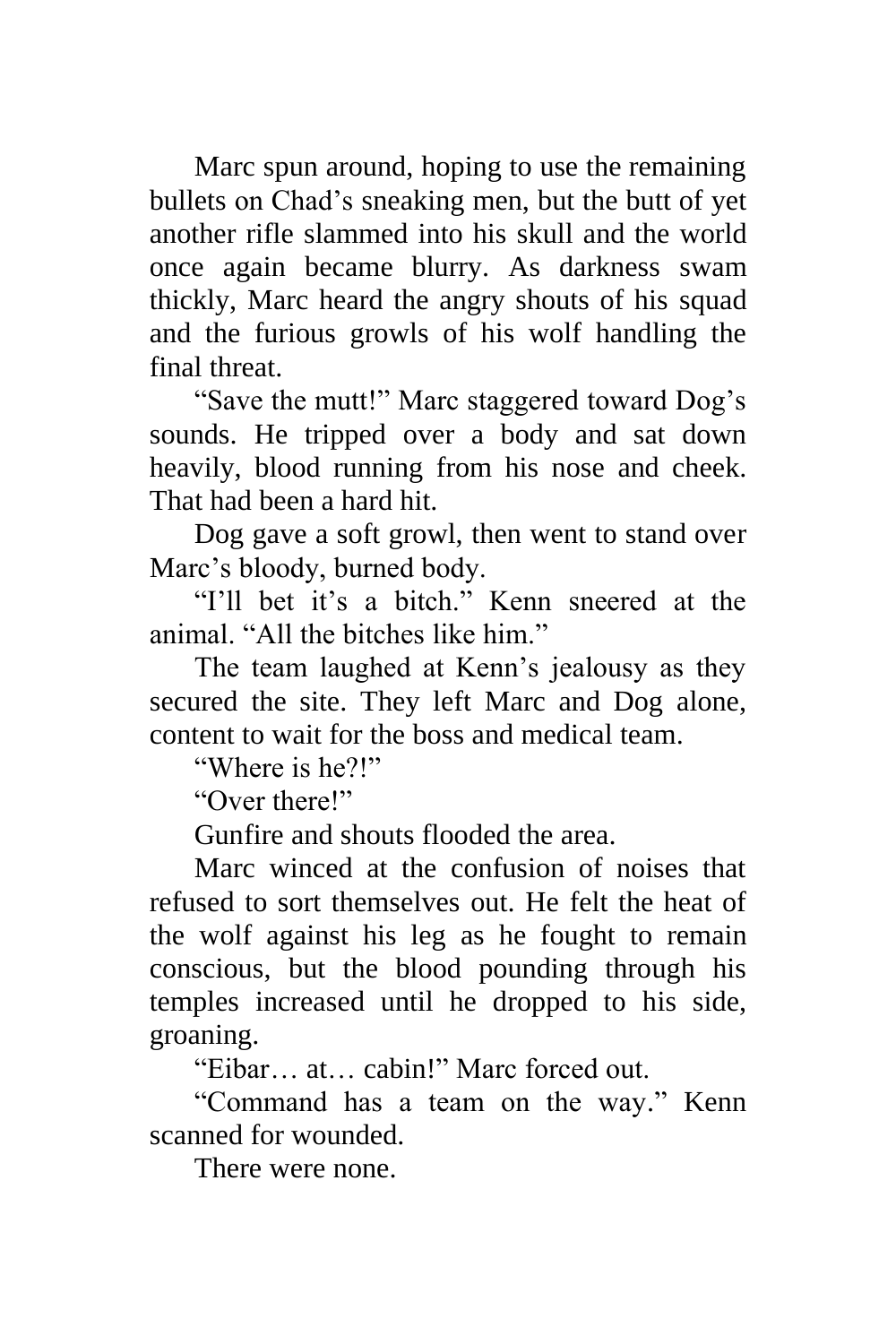Marc spun around, hoping to use the remaining bullets on Chad's sneaking men, but the butt of yet another rifle slammed into his skull and the world once again became blurry. As darkness swam thickly, Marc heard the angry shouts of his squad and the furious growls of his wolf handling the final threat.

"Save the mutt!" Marc staggered toward Dog's sounds. He tripped over a body and sat down heavily, blood running from his nose and cheek. That had been a hard hit.

Dog gave a soft growl, then went to stand over Marc's bloody, burned body.

"I'll bet it's a bitch." Kenn sneered at the animal. "All the bitches like him."

The team laughed at Kenn's jealousy as they secured the site. They left Marc and Dog alone, content to wait for the boss and medical team.

"Where is he?!"

"Over there!"

Gunfire and shouts flooded the area.

Marc winced at the confusion of noises that refused to sort themselves out. He felt the heat of the wolf against his leg as he fought to remain conscious, but the blood pounding through his temples increased until he dropped to his side, groaning.

"Eibar… at… cabin!" Marc forced out.

"Command has a team on the way." Kenn scanned for wounded.

There were none.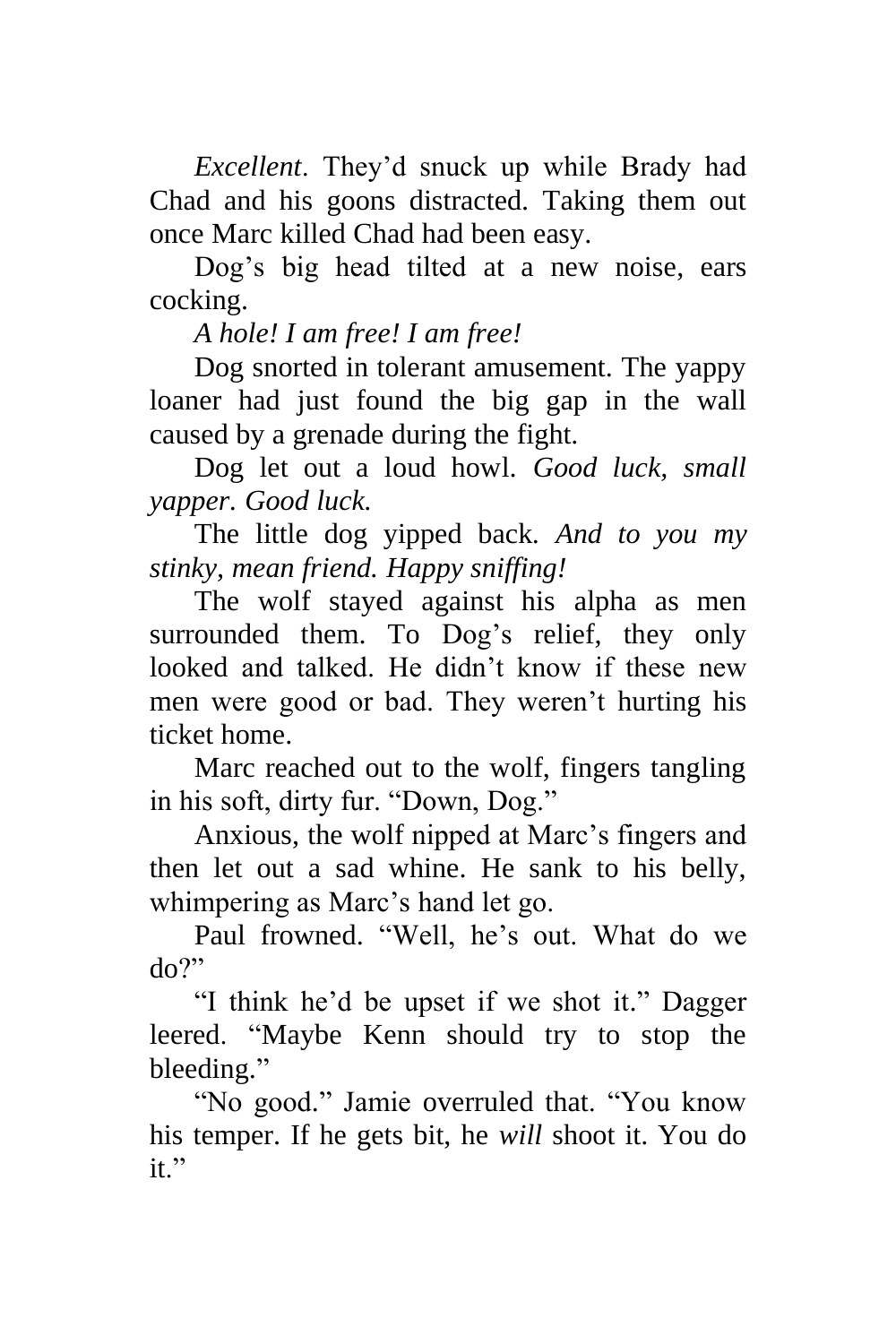*Excellent*. They'd snuck up while Brady had Chad and his goons distracted. Taking them out once Marc killed Chad had been easy.

Dog's big head tilted at a new noise, ears cocking.

*A hole! I am free! I am free!*

Dog snorted in tolerant amusement. The yappy loaner had just found the big gap in the wall caused by a grenade during the fight.

Dog let out a loud howl. *Good luck, small yapper. Good luck.*

The little dog yipped back. *And to you my stinky, mean friend. Happy sniffing!*

The wolf stayed against his alpha as men surrounded them. To Dog's relief, they only looked and talked. He didn't know if these new men were good or bad. They weren't hurting his ticket home.

Marc reached out to the wolf, fingers tangling in his soft, dirty fur. "Down, Dog."

Anxious, the wolf nipped at Marc's fingers and then let out a sad whine. He sank to his belly, whimpering as Marc's hand let go.

Paul frowned. "Well, he's out. What do we do?"

"I think he'd be upset if we shot it." Dagger leered. "Maybe Kenn should try to stop the bleeding."

"No good." Jamie overruled that. "You know his temper. If he gets bit, he *will* shoot it. You do it."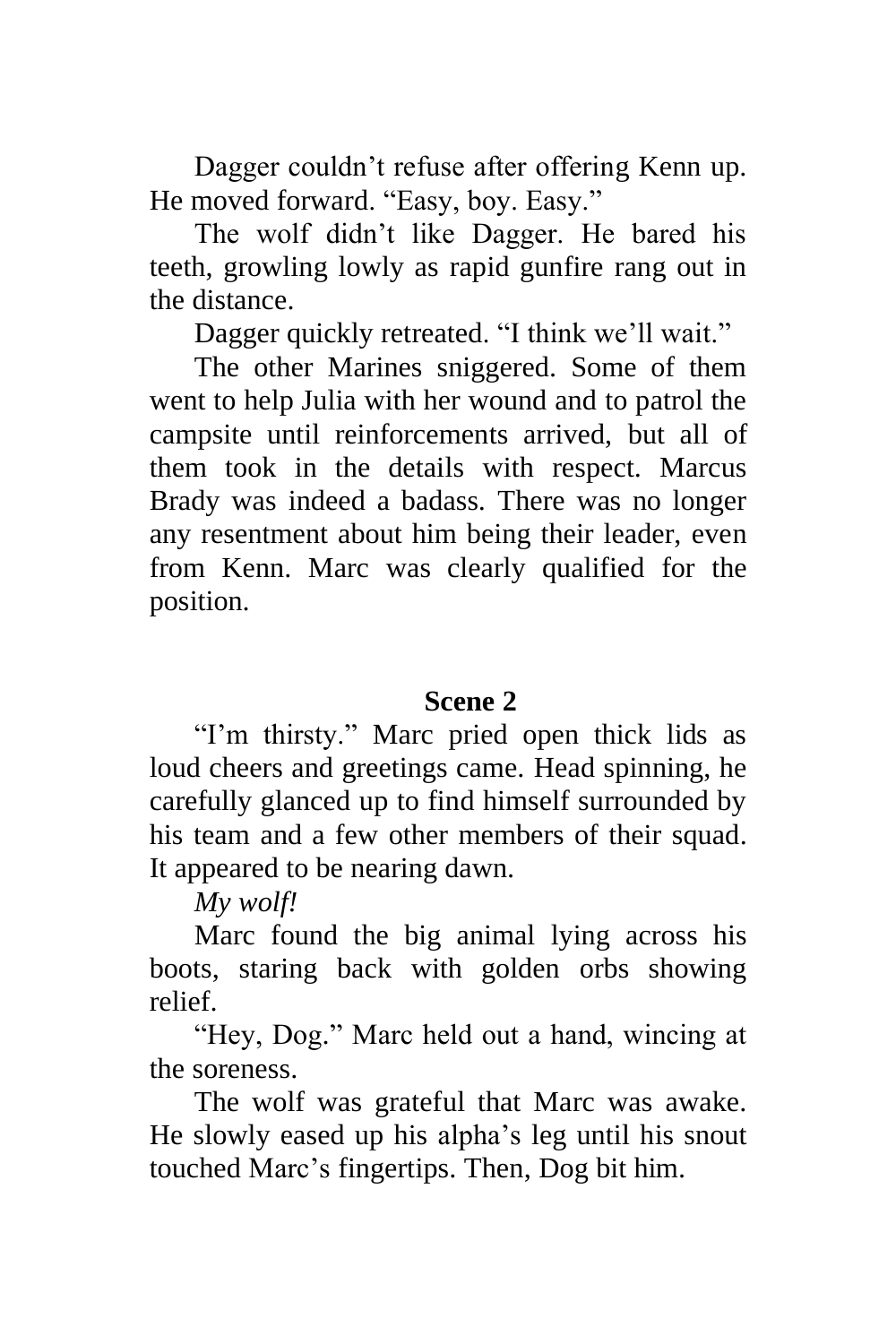Dagger couldn't refuse after offering Kenn up. He moved forward. "Easy, boy. Easy."

The wolf didn't like Dagger. He bared his teeth, growling lowly as rapid gunfire rang out in the distance.

Dagger quickly retreated. "I think we'll wait."

The other Marines sniggered. Some of them went to help Julia with her wound and to patrol the campsite until reinforcements arrived, but all of them took in the details with respect. Marcus Brady was indeed a badass. There was no longer any resentment about him being their leader, even from Kenn. Marc was clearly qualified for the position.

#### **Scene 2**

"I'm thirsty." Marc pried open thick lids as loud cheers and greetings came. Head spinning, he carefully glanced up to find himself surrounded by his team and a few other members of their squad. It appeared to be nearing dawn.

*My wolf!*

Marc found the big animal lying across his boots, staring back with golden orbs showing relief.

"Hey, Dog." Marc held out a hand, wincing at the soreness.

The wolf was grateful that Marc was awake. He slowly eased up his alpha's leg until his snout touched Marc's fingertips. Then, Dog bit him.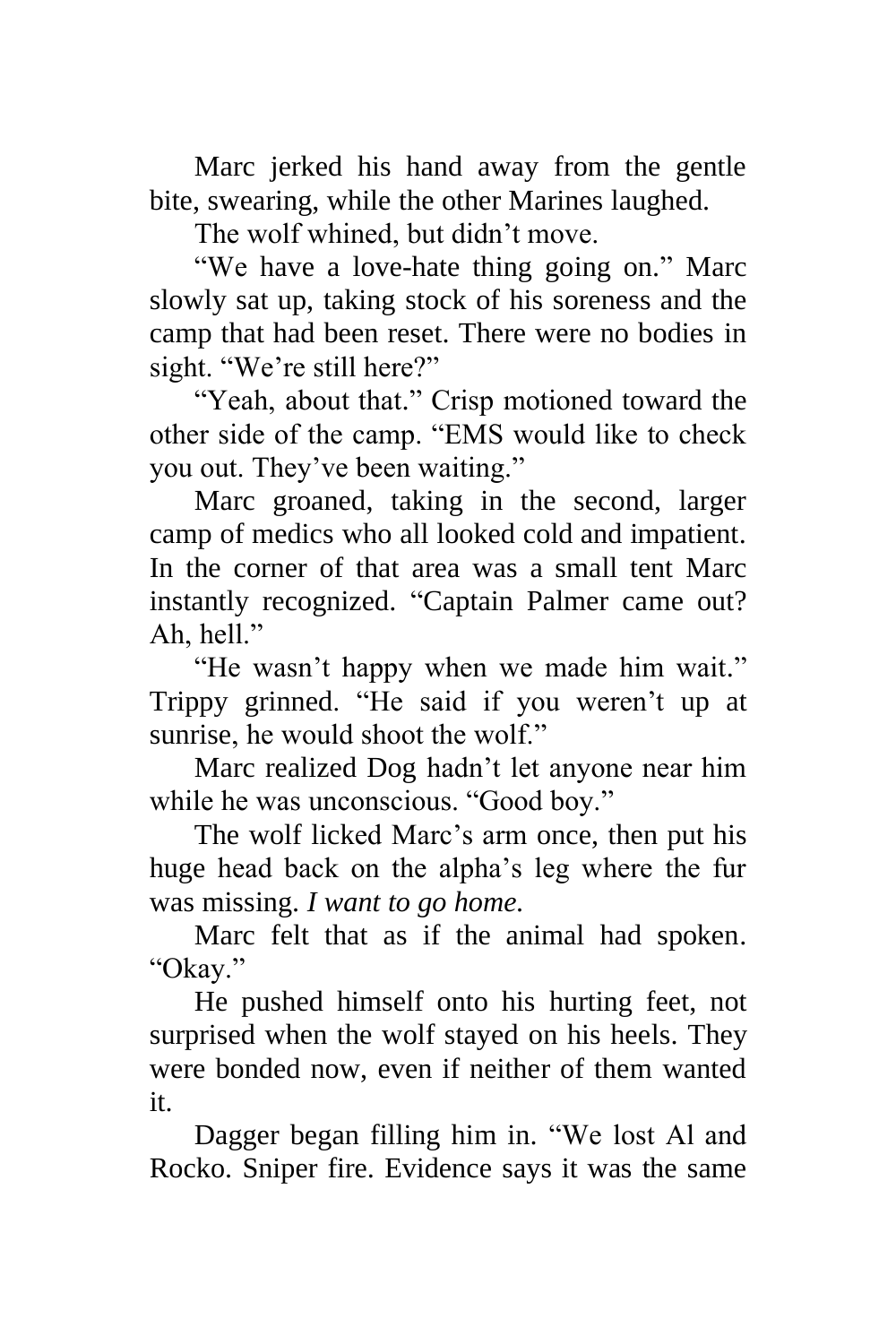Marc jerked his hand away from the gentle bite, swearing, while the other Marines laughed.

The wolf whined, but didn't move.

"We have a love-hate thing going on." Marc slowly sat up, taking stock of his soreness and the camp that had been reset. There were no bodies in sight. "We're still here?"

"Yeah, about that." Crisp motioned toward the other side of the camp. "EMS would like to check you out. They've been waiting."

Marc groaned, taking in the second, larger camp of medics who all looked cold and impatient. In the corner of that area was a small tent Marc instantly recognized. "Captain Palmer came out? Ah, hell."

"He wasn't happy when we made him wait." Trippy grinned. "He said if you weren't up at sunrise, he would shoot the wolf."

Marc realized Dog hadn't let anyone near him while he was unconscious. "Good boy."

The wolf licked Marc's arm once, then put his huge head back on the alpha's leg where the fur was missing. *I want to go home.*

Marc felt that as if the animal had spoken. "Okay."

He pushed himself onto his hurting feet, not surprised when the wolf stayed on his heels. They were bonded now, even if neither of them wanted it.

Dagger began filling him in. "We lost Al and Rocko. Sniper fire. Evidence says it was the same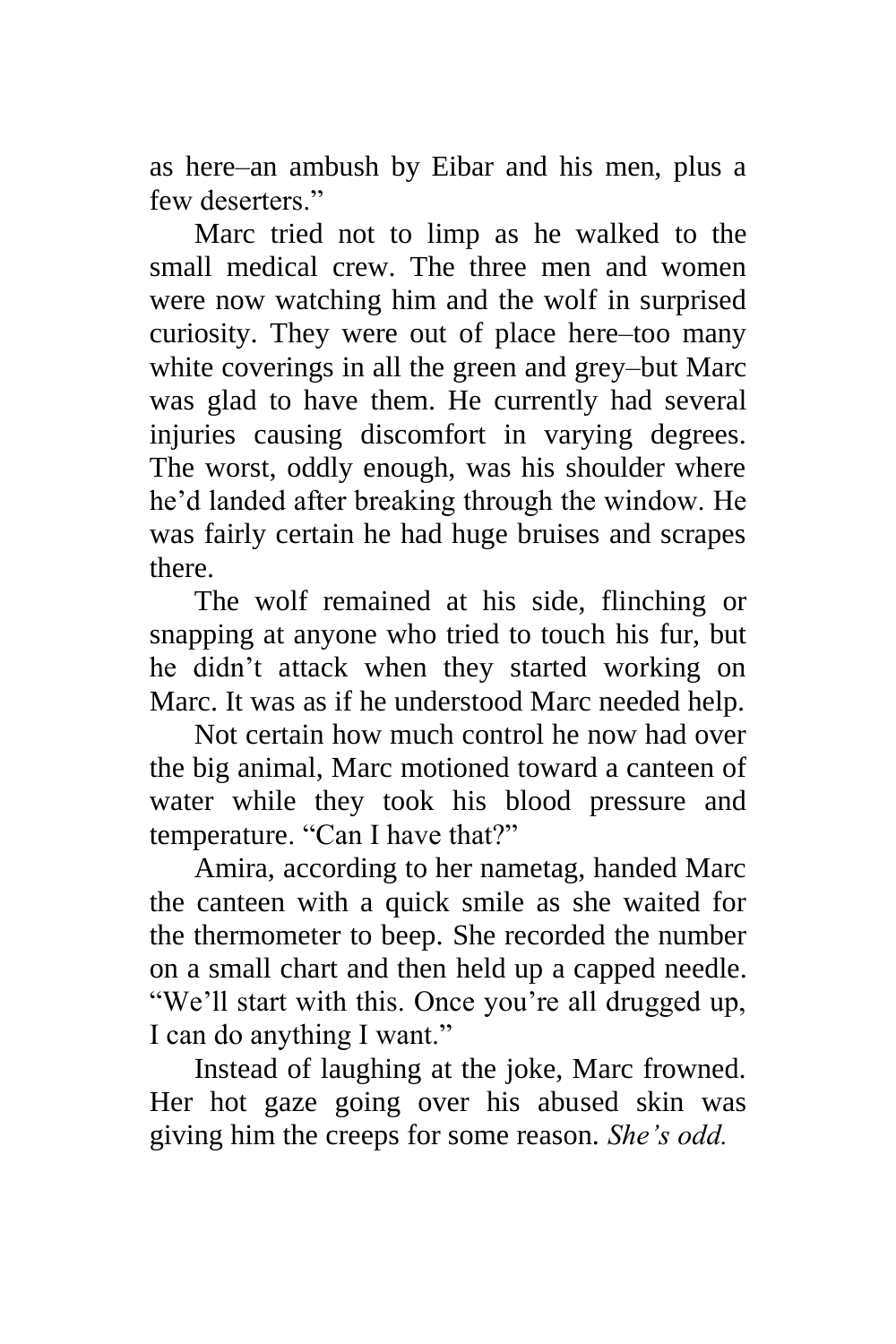as here–an ambush by Eibar and his men, plus a few deserters."

Marc tried not to limp as he walked to the small medical crew. The three men and women were now watching him and the wolf in surprised curiosity. They were out of place here–too many white coverings in all the green and grey–but Marc was glad to have them. He currently had several injuries causing discomfort in varying degrees. The worst, oddly enough, was his shoulder where he'd landed after breaking through the window. He was fairly certain he had huge bruises and scrapes there.

The wolf remained at his side, flinching or snapping at anyone who tried to touch his fur, but he didn't attack when they started working on Marc. It was as if he understood Marc needed help.

Not certain how much control he now had over the big animal, Marc motioned toward a canteen of water while they took his blood pressure and temperature. "Can I have that?"

Amira, according to her nametag, handed Marc the canteen with a quick smile as she waited for the thermometer to beep. She recorded the number on a small chart and then held up a capped needle. "We'll start with this. Once you're all drugged up, I can do anything I want."

Instead of laughing at the joke, Marc frowned. Her hot gaze going over his abused skin was giving him the creeps for some reason. *She's odd.*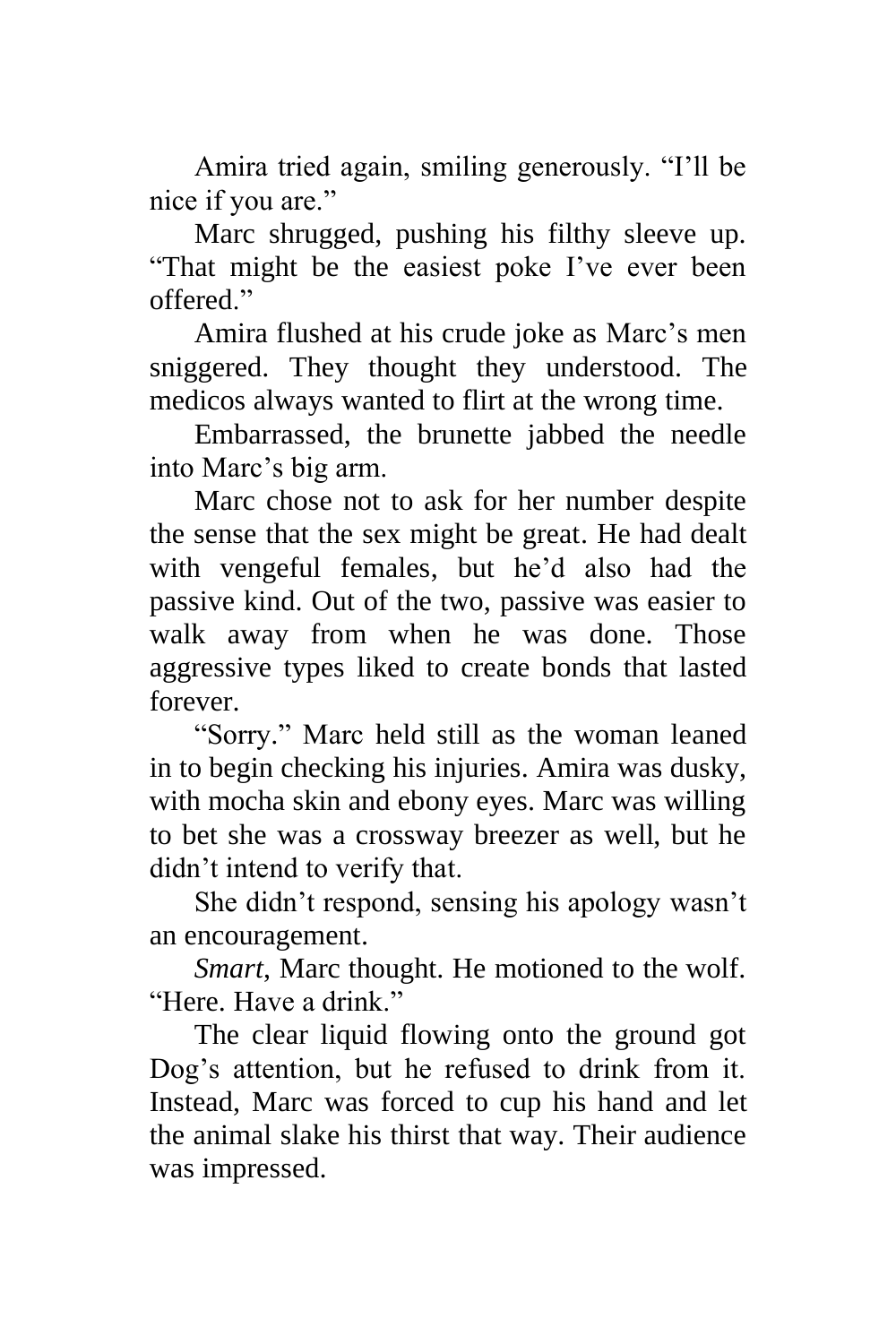Amira tried again, smiling generously. "I'll be nice if you are."

Marc shrugged, pushing his filthy sleeve up. "That might be the easiest poke I've ever been offered."

Amira flushed at his crude joke as Marc's men sniggered. They thought they understood. The medicos always wanted to flirt at the wrong time.

Embarrassed, the brunette jabbed the needle into Marc's big arm.

Marc chose not to ask for her number despite the sense that the sex might be great. He had dealt with vengeful females, but he'd also had the passive kind. Out of the two, passive was easier to walk away from when he was done. Those aggressive types liked to create bonds that lasted forever.

"Sorry." Marc held still as the woman leaned in to begin checking his injuries. Amira was dusky, with mocha skin and ebony eyes. Marc was willing to bet she was a crossway breezer as well, but he didn't intend to verify that.

She didn't respond, sensing his apology wasn't an encouragement.

*Smart*, Marc thought. He motioned to the wolf. "Here. Have a drink"

The clear liquid flowing onto the ground got Dog's attention, but he refused to drink from it. Instead, Marc was forced to cup his hand and let the animal slake his thirst that way. Their audience was impressed.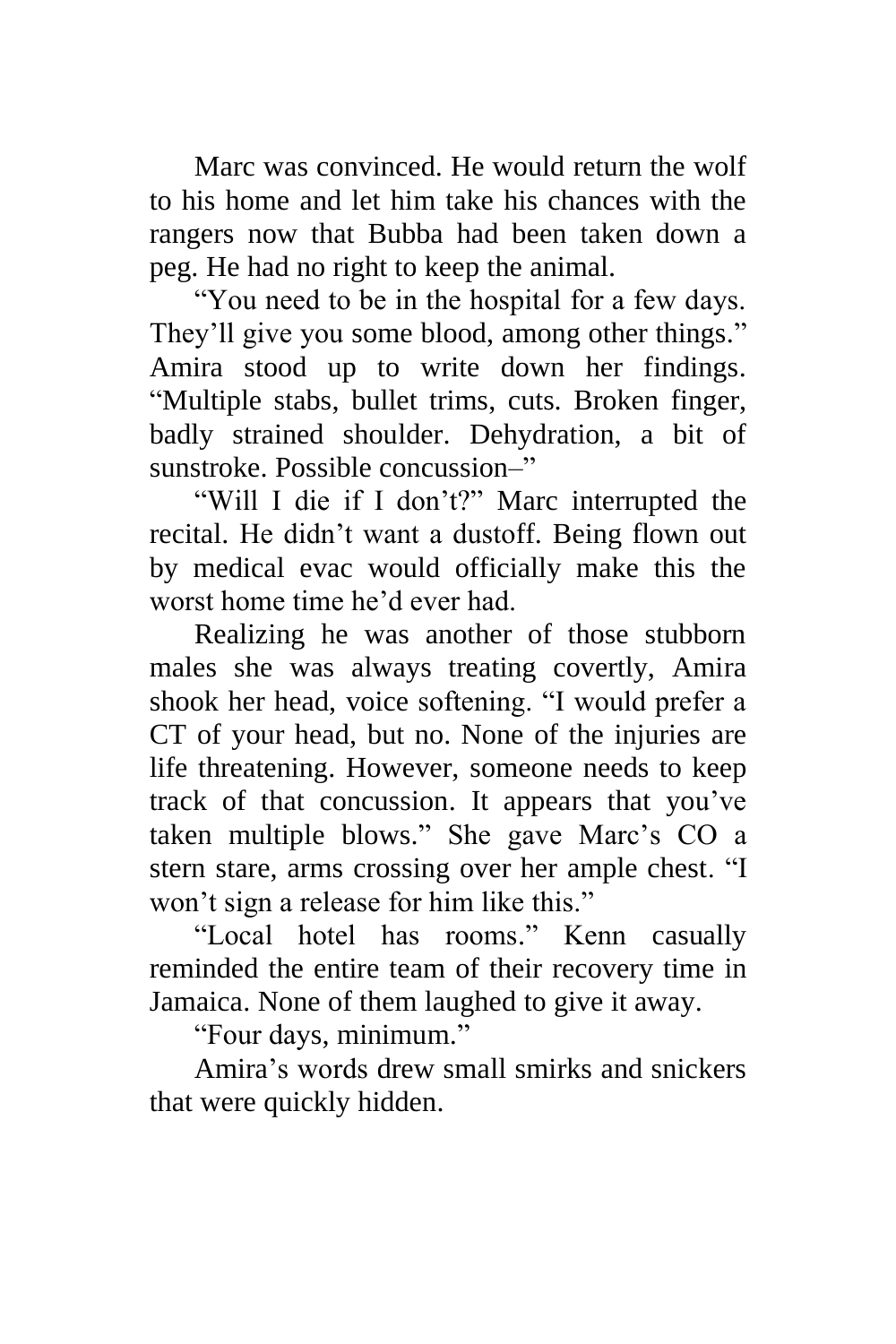Marc was convinced. He would return the wolf to his home and let him take his chances with the rangers now that Bubba had been taken down a peg. He had no right to keep the animal.

"You need to be in the hospital for a few days. They'll give you some blood, among other things." Amira stood up to write down her findings. "Multiple stabs, bullet trims, cuts. Broken finger, badly strained shoulder. Dehydration, a bit of sunstroke. Possible concussion–"

"Will I die if I don't?" Marc interrupted the recital. He didn't want a dustoff. Being flown out by medical evac would officially make this the worst home time he'd ever had.

Realizing he was another of those stubborn males she was always treating covertly, Amira shook her head, voice softening. "I would prefer a CT of your head, but no. None of the injuries are life threatening. However, someone needs to keep track of that concussion. It appears that you've taken multiple blows." She gave Marc's CO a stern stare, arms crossing over her ample chest. "I won't sign a release for him like this."

"Local hotel has rooms." Kenn casually reminded the entire team of their recovery time in Jamaica. None of them laughed to give it away.

"Four days, minimum."

Amira's words drew small smirks and snickers that were quickly hidden.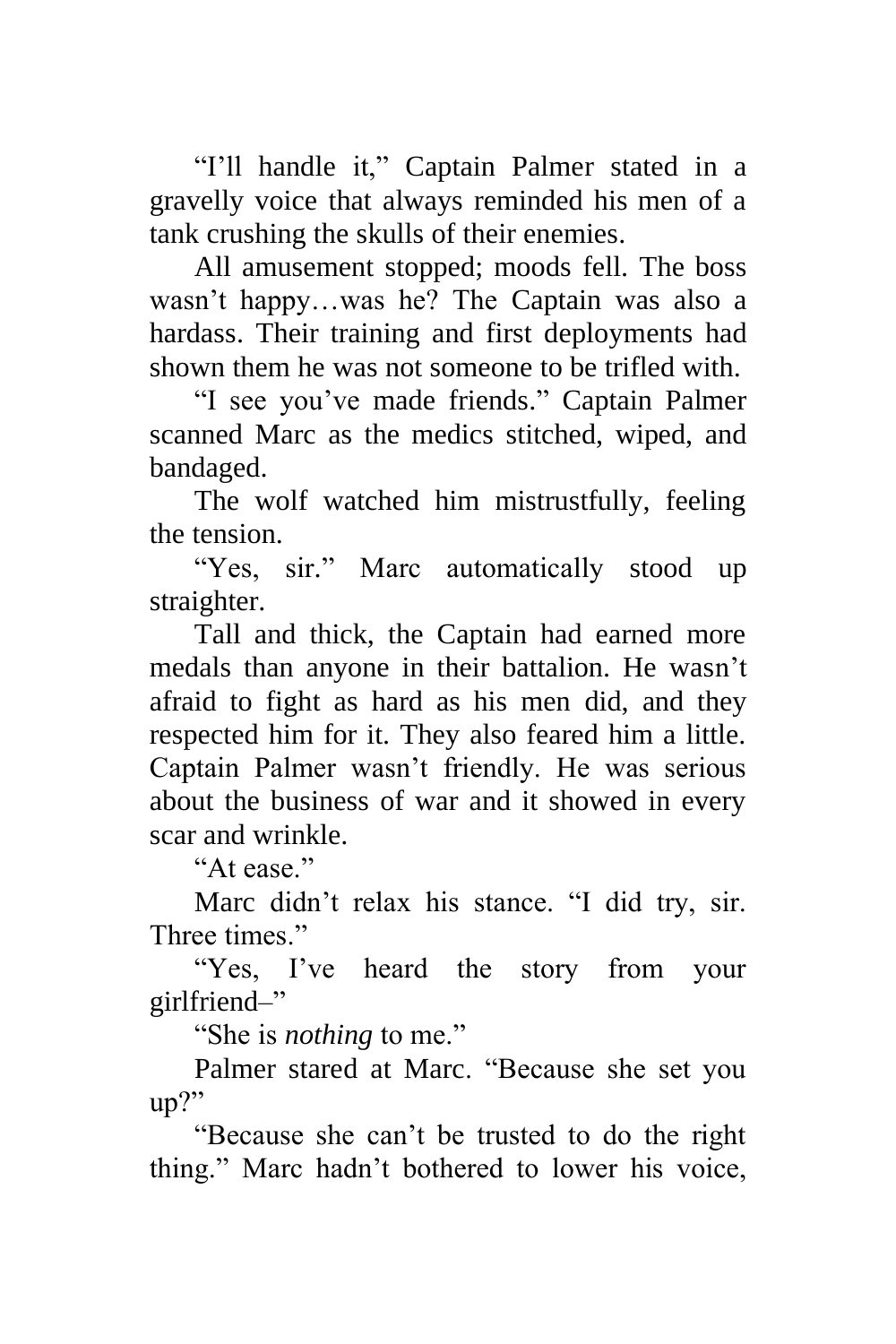"I'll handle it," Captain Palmer stated in a gravelly voice that always reminded his men of a tank crushing the skulls of their enemies.

All amusement stopped; moods fell. The boss wasn't happy…was he? The Captain was also a hardass. Their training and first deployments had shown them he was not someone to be trifled with.

"I see you've made friends." Captain Palmer scanned Marc as the medics stitched, wiped, and bandaged.

The wolf watched him mistrustfully, feeling the tension.

"Yes, sir." Marc automatically stood up straighter.

Tall and thick, the Captain had earned more medals than anyone in their battalion. He wasn't afraid to fight as hard as his men did, and they respected him for it. They also feared him a little. Captain Palmer wasn't friendly. He was serious about the business of war and it showed in every scar and wrinkle.

"At ease."

Marc didn't relax his stance. "I did try, sir. Three times."

"Yes, I've heard the story from your girlfriend–"

"She is *nothing* to me."

Palmer stared at Marc. "Because she set you up?"

"Because she can't be trusted to do the right thing." Marc hadn't bothered to lower his voice,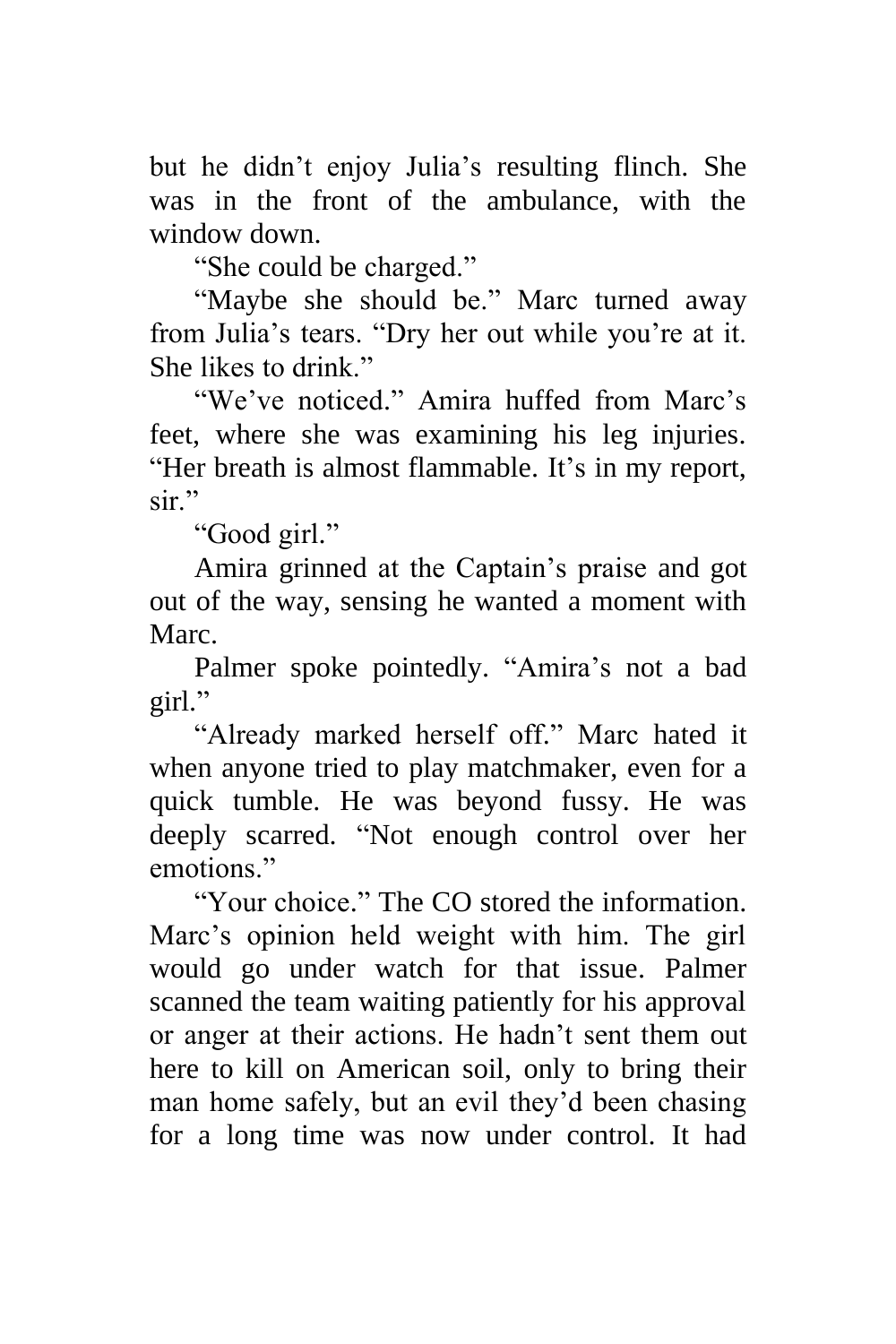but he didn't enjoy Julia's resulting flinch. She was in the front of the ambulance, with the window down.

"She could be charged."

"Maybe she should be." Marc turned away from Julia's tears. "Dry her out while you're at it. She likes to drink."

"We've noticed." Amira huffed from Marc's feet, where she was examining his leg injuries. "Her breath is almost flammable. It's in my report, sir"

"Good girl."

Amira grinned at the Captain's praise and got out of the way, sensing he wanted a moment with Marc.

Palmer spoke pointedly. "Amira's not a bad girl."

"Already marked herself off." Marc hated it when anyone tried to play matchmaker, even for a quick tumble. He was beyond fussy. He was deeply scarred. "Not enough control over her emotions."

"Your choice." The CO stored the information. Marc's opinion held weight with him. The girl would go under watch for that issue. Palmer scanned the team waiting patiently for his approval or anger at their actions. He hadn't sent them out here to kill on American soil, only to bring their man home safely, but an evil they'd been chasing for a long time was now under control. It had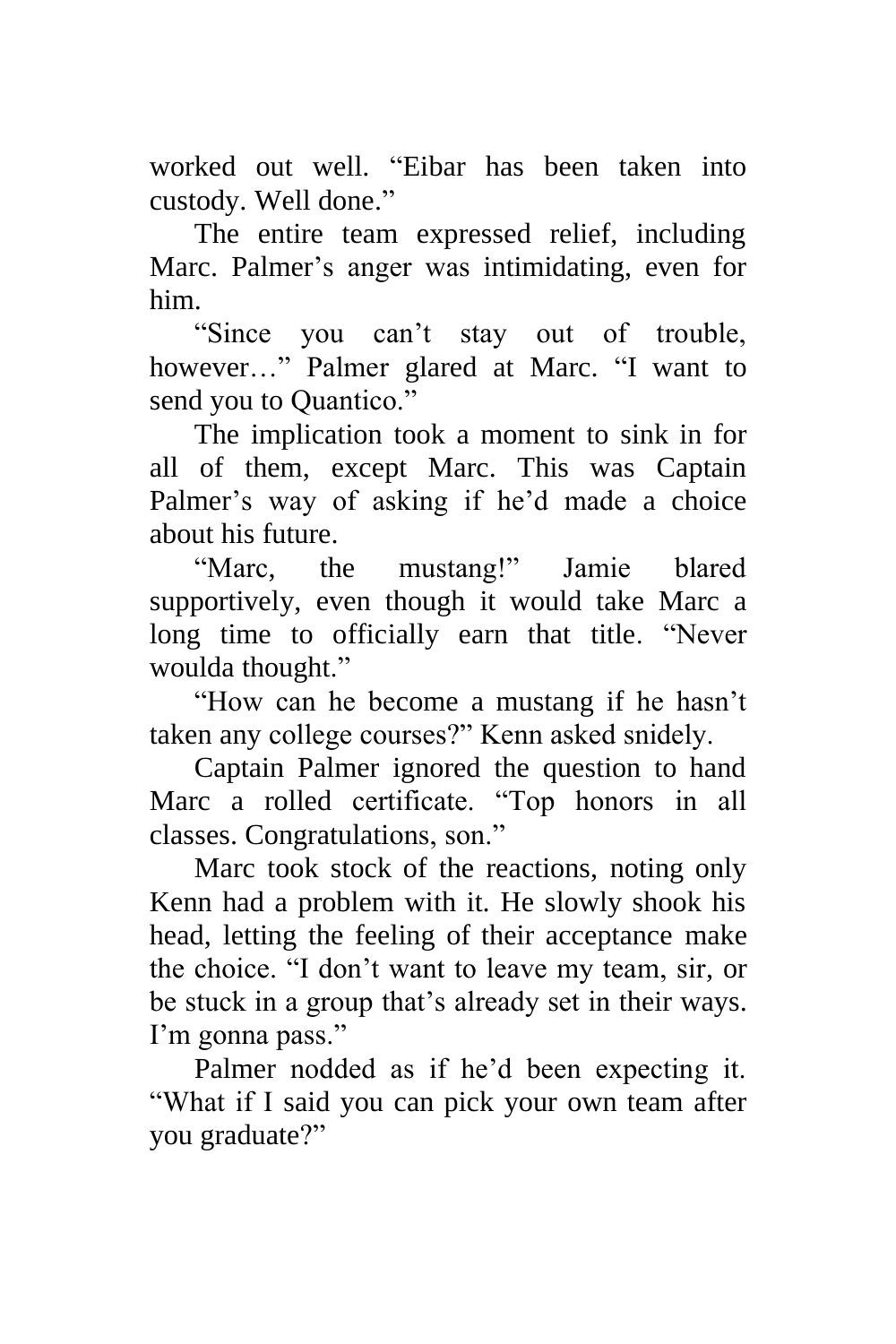worked out well. "Eibar has been taken into custody. Well done."

The entire team expressed relief, including Marc. Palmer's anger was intimidating, even for him.

"Since you can't stay out of trouble, however…" Palmer glared at Marc. "I want to send you to Quantico."

The implication took a moment to sink in for all of them, except Marc. This was Captain Palmer's way of asking if he'd made a choice about his future.

"Marc, the mustang!" Jamie blared supportively, even though it would take Marc a long time to officially earn that title. "Never woulda thought."

"How can he become a mustang if he hasn't taken any college courses?" Kenn asked snidely.

Captain Palmer ignored the question to hand Marc a rolled certificate. "Top honors in all classes. Congratulations, son."

Marc took stock of the reactions, noting only Kenn had a problem with it. He slowly shook his head, letting the feeling of their acceptance make the choice. "I don't want to leave my team, sir, or be stuck in a group that's already set in their ways. I'm gonna pass."

Palmer nodded as if he'd been expecting it. "What if I said you can pick your own team after you graduate?"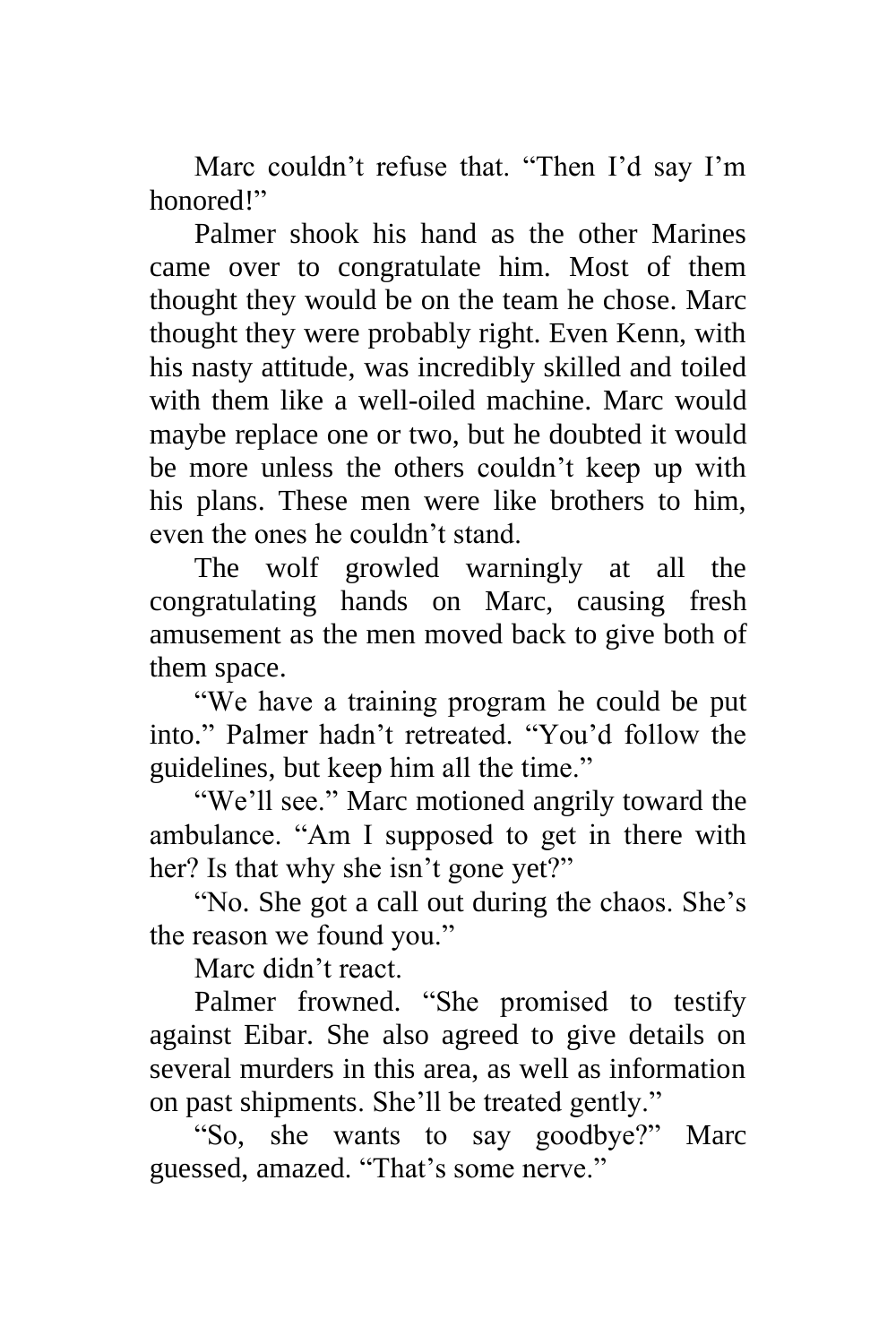Marc couldn't refuse that. "Then I'd say I'm honored!"

Palmer shook his hand as the other Marines came over to congratulate him. Most of them thought they would be on the team he chose. Marc thought they were probably right. Even Kenn, with his nasty attitude, was incredibly skilled and toiled with them like a well-oiled machine. Marc would maybe replace one or two, but he doubted it would be more unless the others couldn't keep up with his plans. These men were like brothers to him, even the ones he couldn't stand.

The wolf growled warningly at all the congratulating hands on Marc, causing fresh amusement as the men moved back to give both of them space.

"We have a training program he could be put into." Palmer hadn't retreated. "You'd follow the guidelines, but keep him all the time."

"We'll see." Marc motioned angrily toward the ambulance. "Am I supposed to get in there with her? Is that why she isn't gone yet?"

"No. She got a call out during the chaos. She's the reason we found you."

Marc didn't react.

Palmer frowned. "She promised to testify against Eibar. She also agreed to give details on several murders in this area, as well as information on past shipments. She'll be treated gently."

"So, she wants to say goodbye?" Marc guessed, amazed. "That's some nerve."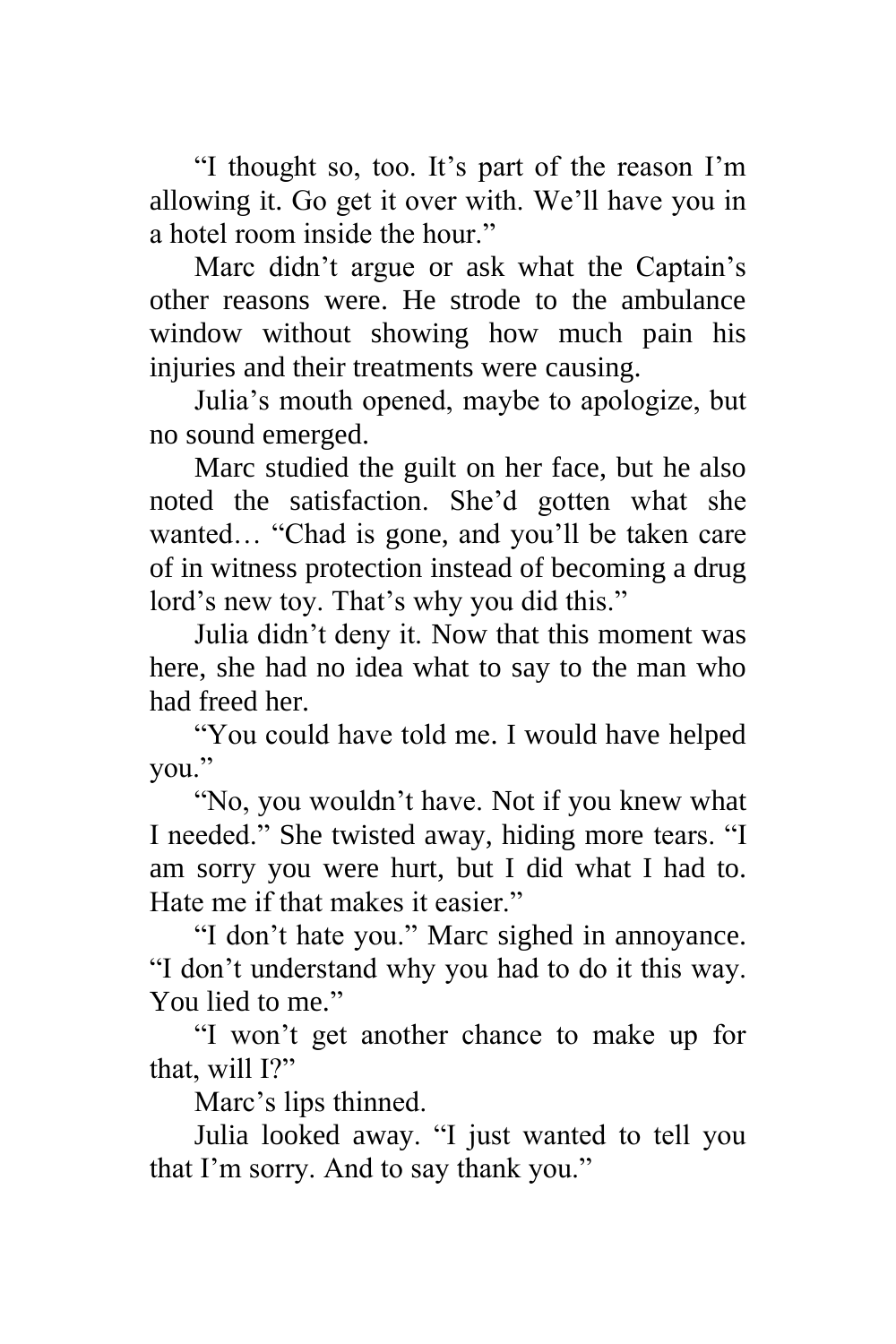"I thought so, too. It's part of the reason I'm allowing it. Go get it over with. We'll have you in a hotel room inside the hour."

Marc didn't argue or ask what the Captain's other reasons were. He strode to the ambulance window without showing how much pain his injuries and their treatments were causing.

Julia's mouth opened, maybe to apologize, but no sound emerged.

Marc studied the guilt on her face, but he also noted the satisfaction. She'd gotten what she wanted… "Chad is gone, and you'll be taken care of in witness protection instead of becoming a drug lord's new toy. That's why you did this."

Julia didn't deny it. Now that this moment was here, she had no idea what to say to the man who had freed her.

"You could have told me. I would have helped you."

"No, you wouldn't have. Not if you knew what I needed." She twisted away, hiding more tears. "I am sorry you were hurt, but I did what I had to. Hate me if that makes it easier."

"I don't hate you." Marc sighed in annoyance. "I don't understand why you had to do it this way. You lied to me."

"I won't get another chance to make up for that, will I?"

Marc's lips thinned.

Julia looked away. "I just wanted to tell you that I'm sorry. And to say thank you."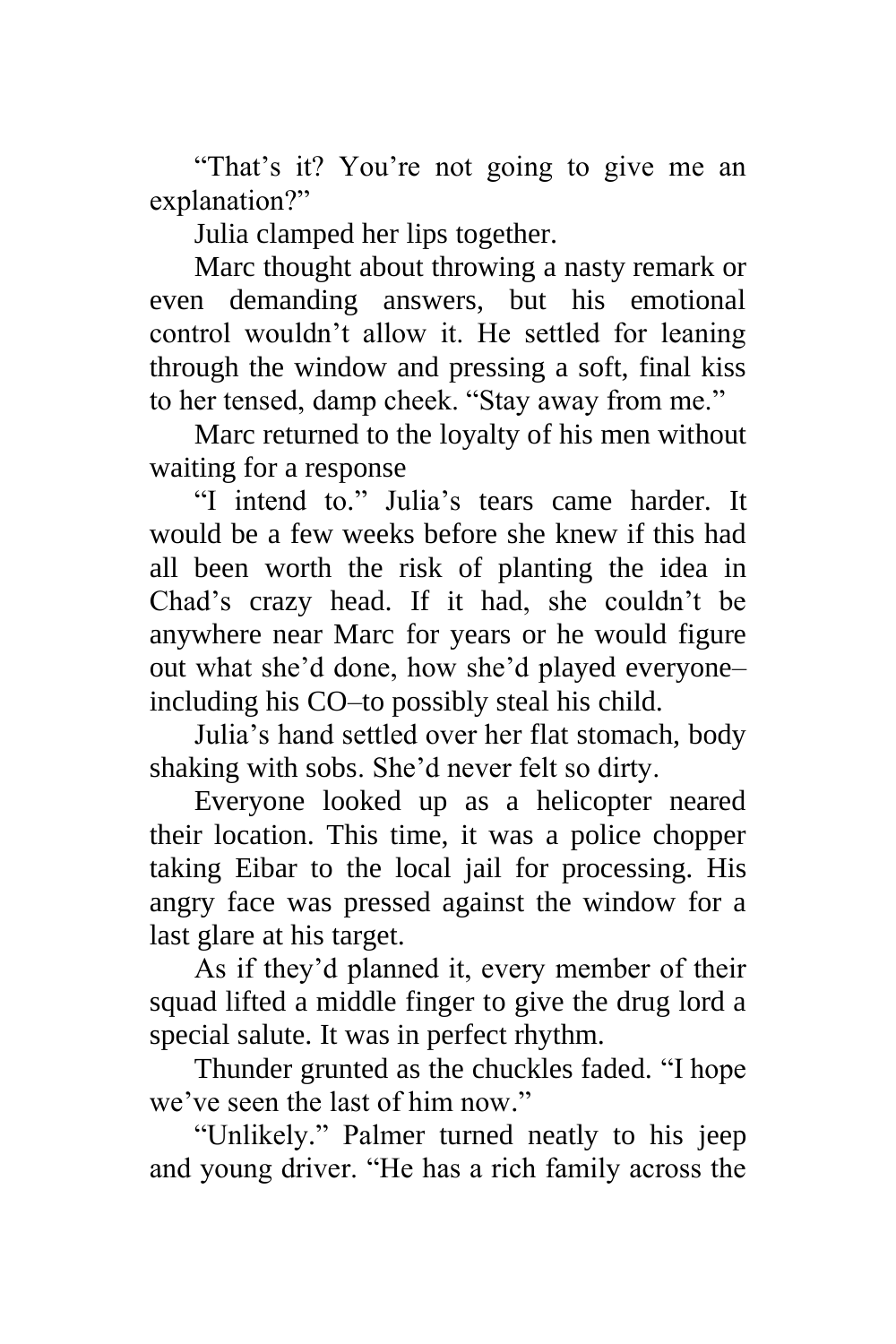"That's it? You're not going to give me an explanation?"

Julia clamped her lips together.

Marc thought about throwing a nasty remark or even demanding answers, but his emotional control wouldn't allow it. He settled for leaning through the window and pressing a soft, final kiss to her tensed, damp cheek. "Stay away from me."

Marc returned to the loyalty of his men without waiting for a response

"I intend to." Julia's tears came harder. It would be a few weeks before she knew if this had all been worth the risk of planting the idea in Chad's crazy head. If it had, she couldn't be anywhere near Marc for years or he would figure out what she'd done, how she'd played everyone– including his CO–to possibly steal his child.

Julia's hand settled over her flat stomach, body shaking with sobs. She'd never felt so dirty.

Everyone looked up as a helicopter neared their location. This time, it was a police chopper taking Eibar to the local jail for processing. His angry face was pressed against the window for a last glare at his target.

As if they'd planned it, every member of their squad lifted a middle finger to give the drug lord a special salute. It was in perfect rhythm.

Thunder grunted as the chuckles faded. "I hope we've seen the last of him now."

"Unlikely." Palmer turned neatly to his jeep and young driver. "He has a rich family across the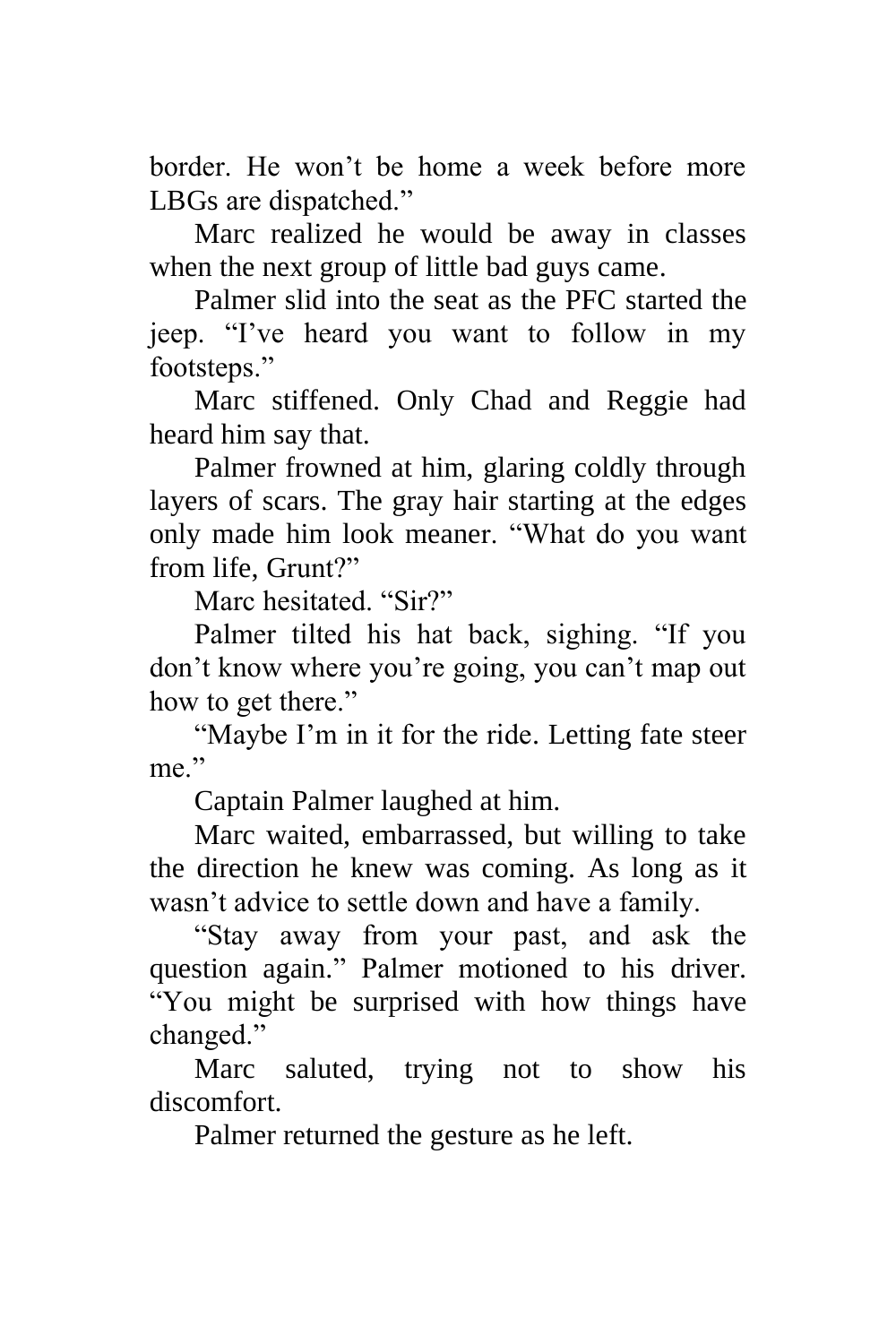border. He won't be home a week before more LBGs are dispatched."

Marc realized he would be away in classes when the next group of little bad guys came.

Palmer slid into the seat as the PFC started the jeep. "I've heard you want to follow in my footsteps."

Marc stiffened. Only Chad and Reggie had heard him say that.

Palmer frowned at him, glaring coldly through layers of scars. The gray hair starting at the edges only made him look meaner. "What do you want from life, Grunt?"

Marc hesitated. "Sir?"

Palmer tilted his hat back, sighing. "If you don't know where you're going, you can't map out how to get there."

"Maybe I'm in it for the ride. Letting fate steer me."

Captain Palmer laughed at him.

Marc waited, embarrassed, but willing to take the direction he knew was coming. As long as it wasn't advice to settle down and have a family.

"Stay away from your past, and ask the question again." Palmer motioned to his driver. "You might be surprised with how things have changed."

Marc saluted, trying not to show his discomfort.

Palmer returned the gesture as he left.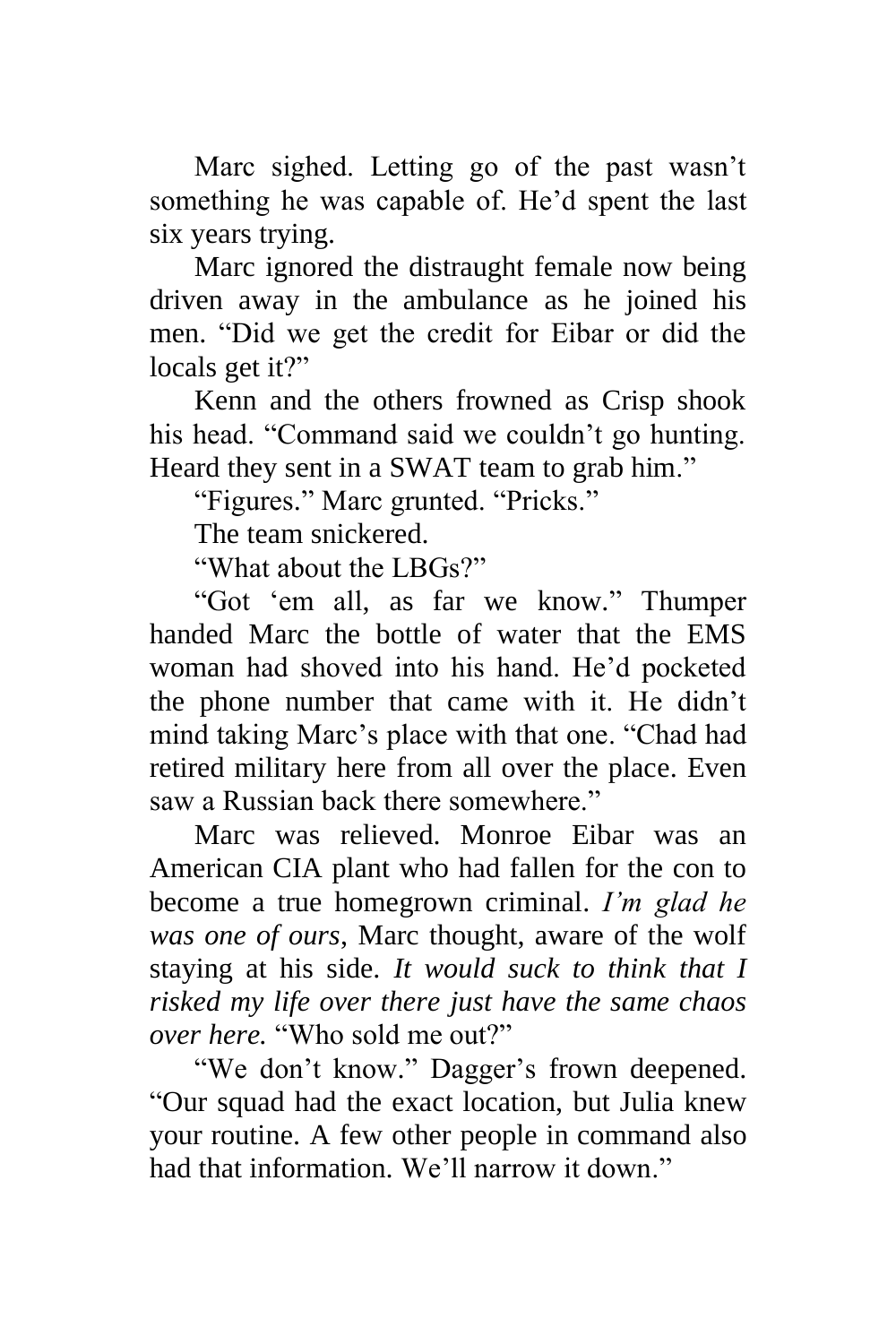Marc sighed. Letting go of the past wasn't something he was capable of. He'd spent the last six years trying.

Marc ignored the distraught female now being driven away in the ambulance as he joined his men. "Did we get the credit for Eibar or did the locals get it?"

Kenn and the others frowned as Crisp shook his head. "Command said we couldn't go hunting. Heard they sent in a SWAT team to grab him."

"Figures." Marc grunted. "Pricks."

The team snickered.

"What about the LBGs?"

"Got 'em all, as far we know." Thumper handed Marc the bottle of water that the EMS woman had shoved into his hand. He'd pocketed the phone number that came with it. He didn't mind taking Marc's place with that one. "Chad had retired military here from all over the place. Even saw a Russian back there somewhere."

Marc was relieved. Monroe Eibar was an American CIA plant who had fallen for the con to become a true homegrown criminal. *I'm glad he was one of ours*, Marc thought, aware of the wolf staying at his side. *It would suck to think that I risked my life over there just have the same chaos over here.* "Who sold me out?"

"We don't know." Dagger's frown deepened. "Our squad had the exact location, but Julia knew your routine. A few other people in command also had that information. We'll narrow it down."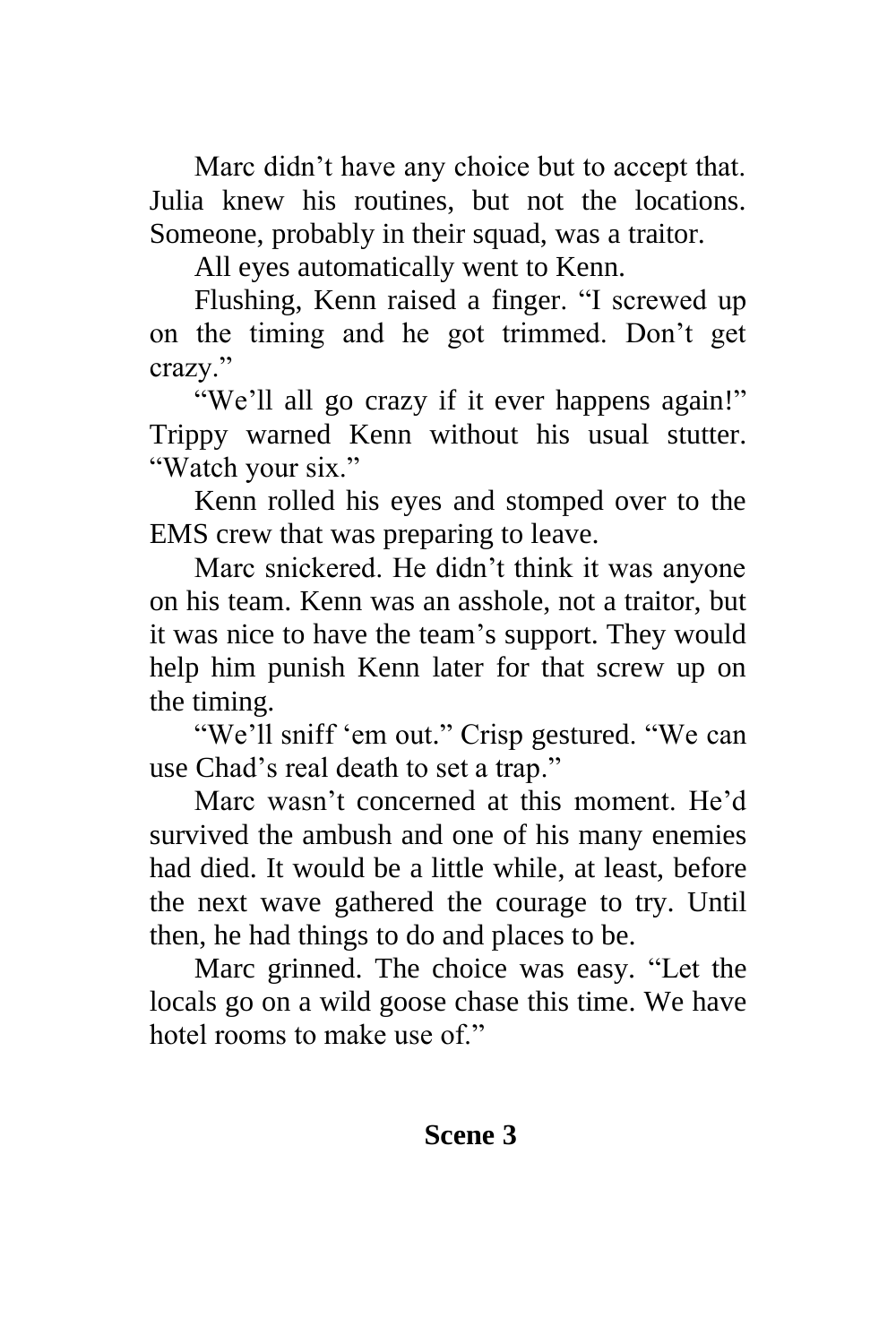Marc didn't have any choice but to accept that. Julia knew his routines, but not the locations. Someone, probably in their squad, was a traitor.

All eyes automatically went to Kenn.

Flushing, Kenn raised a finger. "I screwed up on the timing and he got trimmed. Don't get crazy."

"We'll all go crazy if it ever happens again!" Trippy warned Kenn without his usual stutter. "Watch your six."

Kenn rolled his eyes and stomped over to the EMS crew that was preparing to leave.

Marc snickered. He didn't think it was anyone on his team. Kenn was an asshole, not a traitor, but it was nice to have the team's support. They would help him punish Kenn later for that screw up on the timing.

"We'll sniff 'em out." Crisp gestured. "We can use Chad's real death to set a trap."

Marc wasn't concerned at this moment. He'd survived the ambush and one of his many enemies had died. It would be a little while, at least, before the next wave gathered the courage to try. Until then, he had things to do and places to be.

Marc grinned. The choice was easy. "Let the locals go on a wild goose chase this time. We have hotel rooms to make use of."

#### **Scene 3**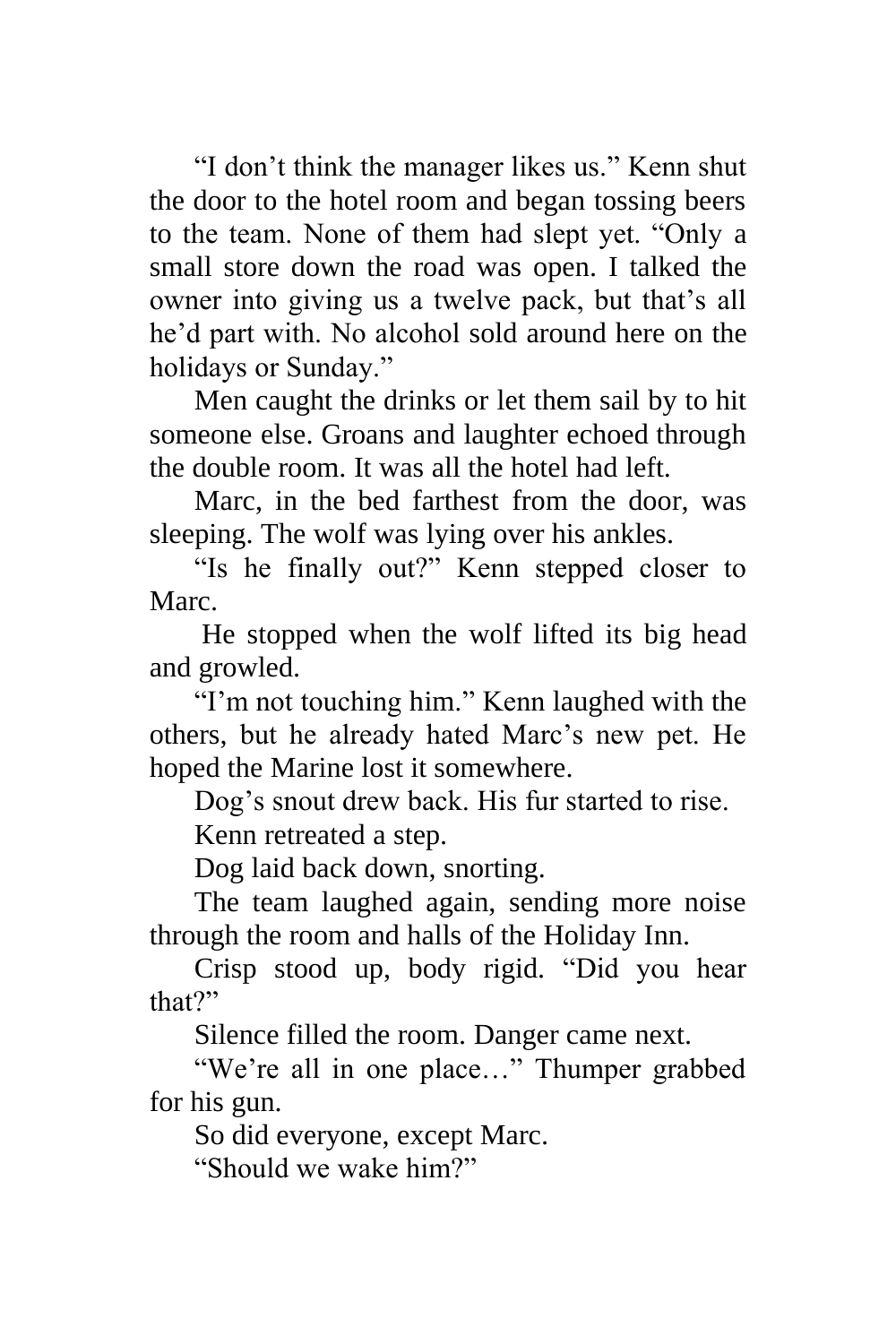"I don't think the manager likes us." Kenn shut the door to the hotel room and began tossing beers to the team. None of them had slept yet. "Only a small store down the road was open. I talked the owner into giving us a twelve pack, but that's all he'd part with. No alcohol sold around here on the holidays or Sunday."

Men caught the drinks or let them sail by to hit someone else. Groans and laughter echoed through the double room. It was all the hotel had left.

Marc, in the bed farthest from the door, was sleeping. The wolf was lying over his ankles.

"Is he finally out?" Kenn stepped closer to Marc.

He stopped when the wolf lifted its big head and growled.

"I'm not touching him." Kenn laughed with the others, but he already hated Marc's new pet. He hoped the Marine lost it somewhere.

Dog's snout drew back. His fur started to rise.

Kenn retreated a step.

Dog laid back down, snorting.

The team laughed again, sending more noise through the room and halls of the Holiday Inn.

Crisp stood up, body rigid. "Did you hear that?"

Silence filled the room. Danger came next.

"We're all in one place…" Thumper grabbed for his gun.

So did everyone, except Marc.

"Should we wake him?"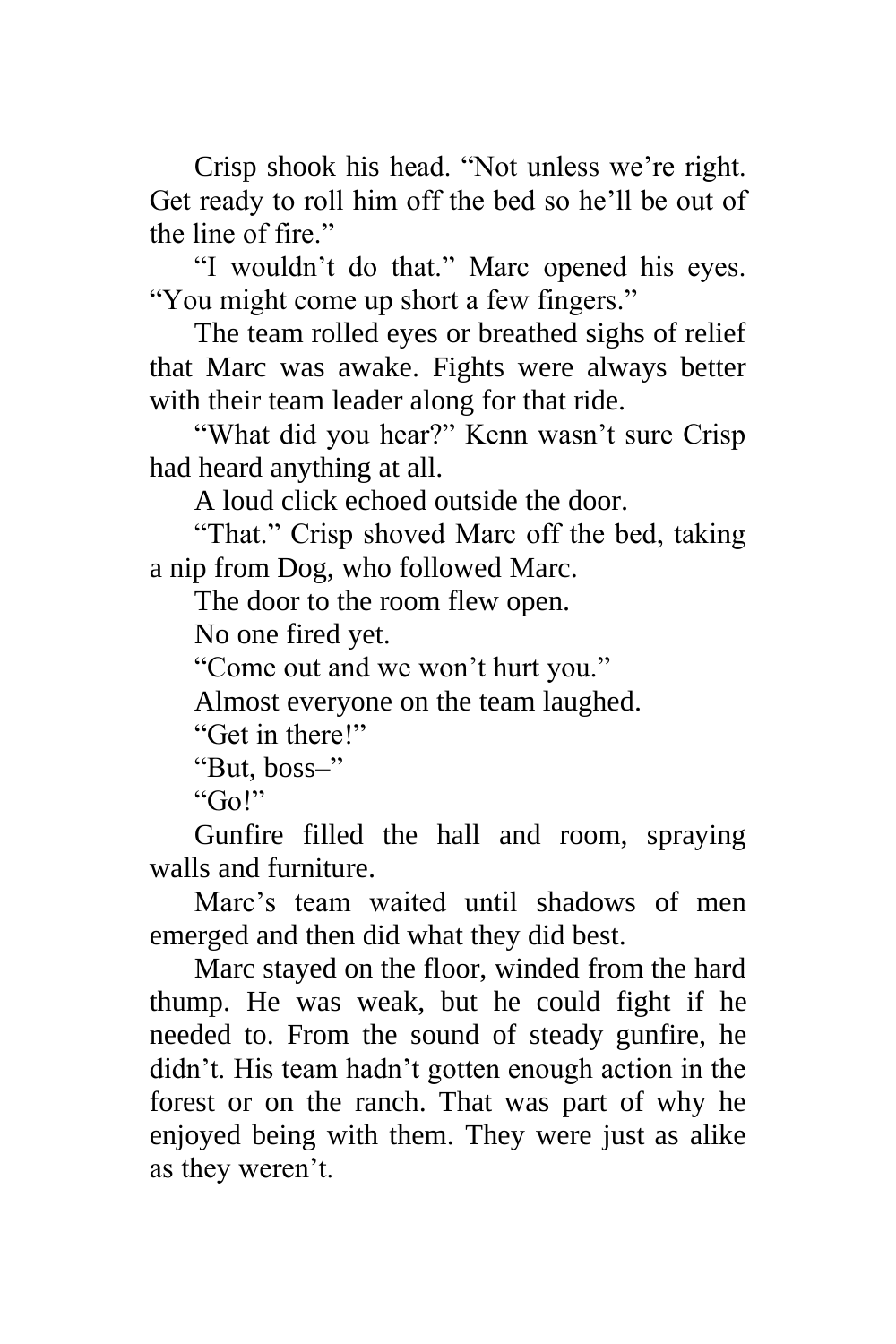Crisp shook his head. "Not unless we're right. Get ready to roll him off the bed so he'll be out of the line of fire."

"I wouldn't do that." Marc opened his eyes. "You might come up short a few fingers."

The team rolled eyes or breathed sighs of relief that Marc was awake. Fights were always better with their team leader along for that ride.

"What did you hear?" Kenn wasn't sure Crisp had heard anything at all.

A loud click echoed outside the door.

"That." Crisp shoved Marc off the bed, taking a nip from Dog, who followed Marc.

The door to the room flew open.

No one fired yet.

"Come out and we won't hurt you."

Almost everyone on the team laughed.

"Get in there!"

"But, boss–"

"Go!"

Gunfire filled the hall and room, spraying walls and furniture.

Marc's team waited until shadows of men emerged and then did what they did best.

Marc stayed on the floor, winded from the hard thump. He was weak, but he could fight if he needed to. From the sound of steady gunfire, he didn't. His team hadn't gotten enough action in the forest or on the ranch. That was part of why he enjoyed being with them. They were just as alike as they weren't.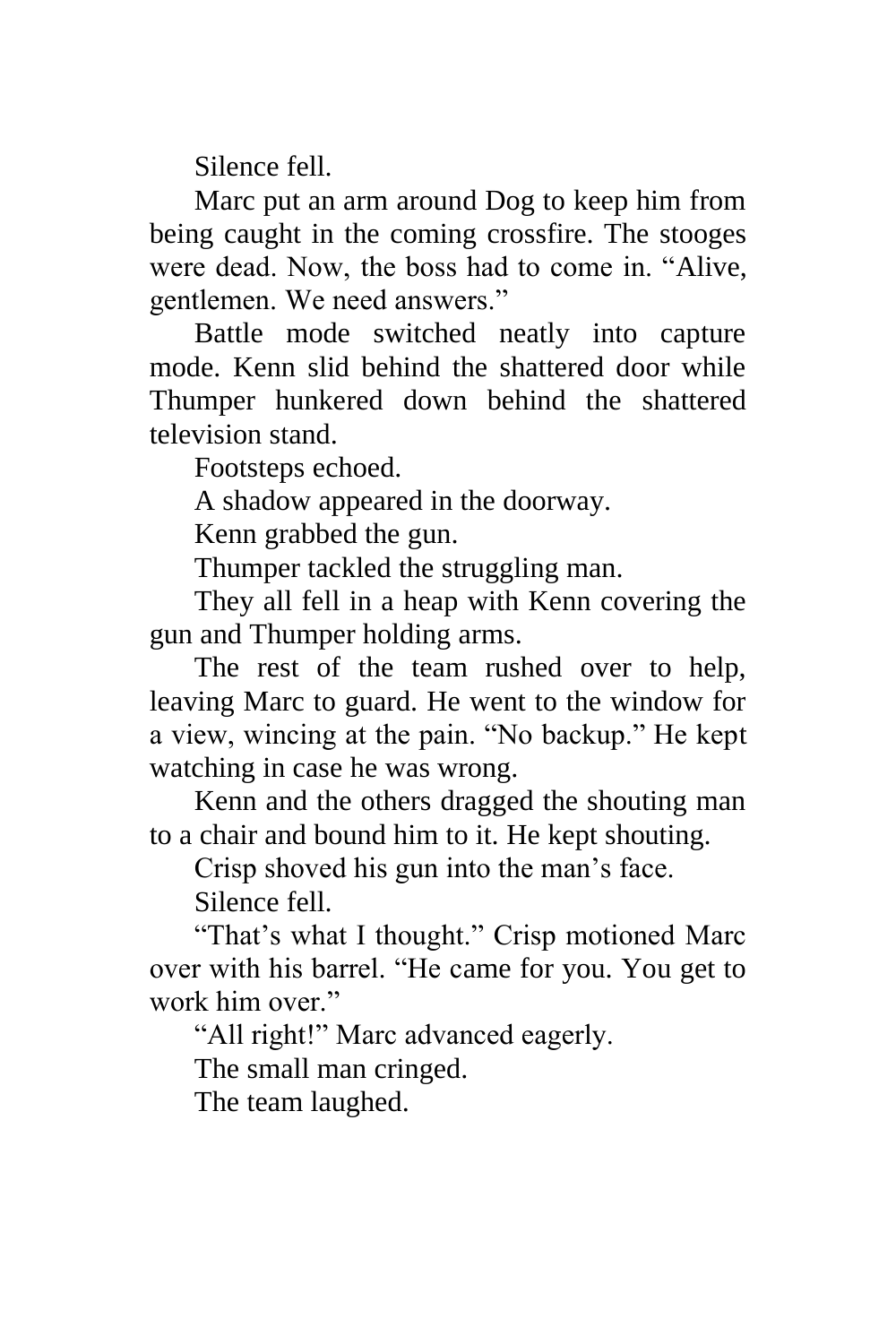Silence fell.

Marc put an arm around Dog to keep him from being caught in the coming crossfire. The stooges were dead. Now, the boss had to come in. "Alive, gentlemen. We need answers."

Battle mode switched neatly into capture mode. Kenn slid behind the shattered door while Thumper hunkered down behind the shattered television stand.

Footsteps echoed.

A shadow appeared in the doorway.

Kenn grabbed the gun.

Thumper tackled the struggling man.

They all fell in a heap with Kenn covering the gun and Thumper holding arms.

The rest of the team rushed over to help, leaving Marc to guard. He went to the window for a view, wincing at the pain. "No backup." He kept watching in case he was wrong.

Kenn and the others dragged the shouting man to a chair and bound him to it. He kept shouting.

Crisp shoved his gun into the man's face.

Silence fell.

"That's what I thought." Crisp motioned Marc over with his barrel. "He came for you. You get to work him over."

"All right!" Marc advanced eagerly.

The small man cringed.

The team laughed.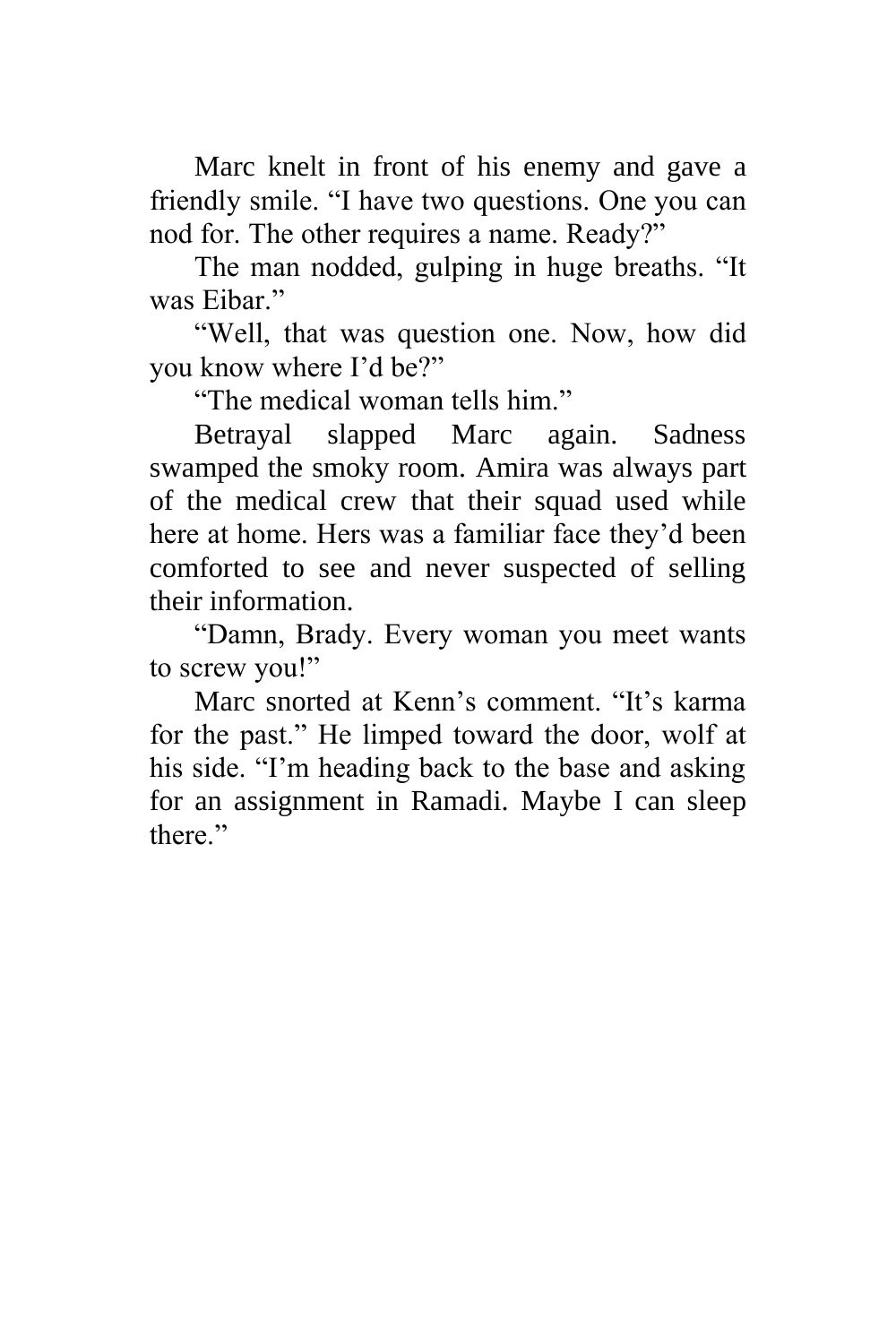Marc knelt in front of his enemy and gave a friendly smile. "I have two questions. One you can nod for. The other requires a name. Ready?"

The man nodded, gulping in huge breaths. "It was Eibar."

"Well, that was question one. Now, how did you know where I'd be?"

"The medical woman tells him."

Betrayal slapped Marc again. Sadness swamped the smoky room. Amira was always part of the medical crew that their squad used while here at home. Hers was a familiar face they'd been comforted to see and never suspected of selling their information.

"Damn, Brady. Every woman you meet wants to screw you!"

Marc snorted at Kenn's comment. "It's karma for the past." He limped toward the door, wolf at his side. "I'm heading back to the base and asking for an assignment in Ramadi. Maybe I can sleep there."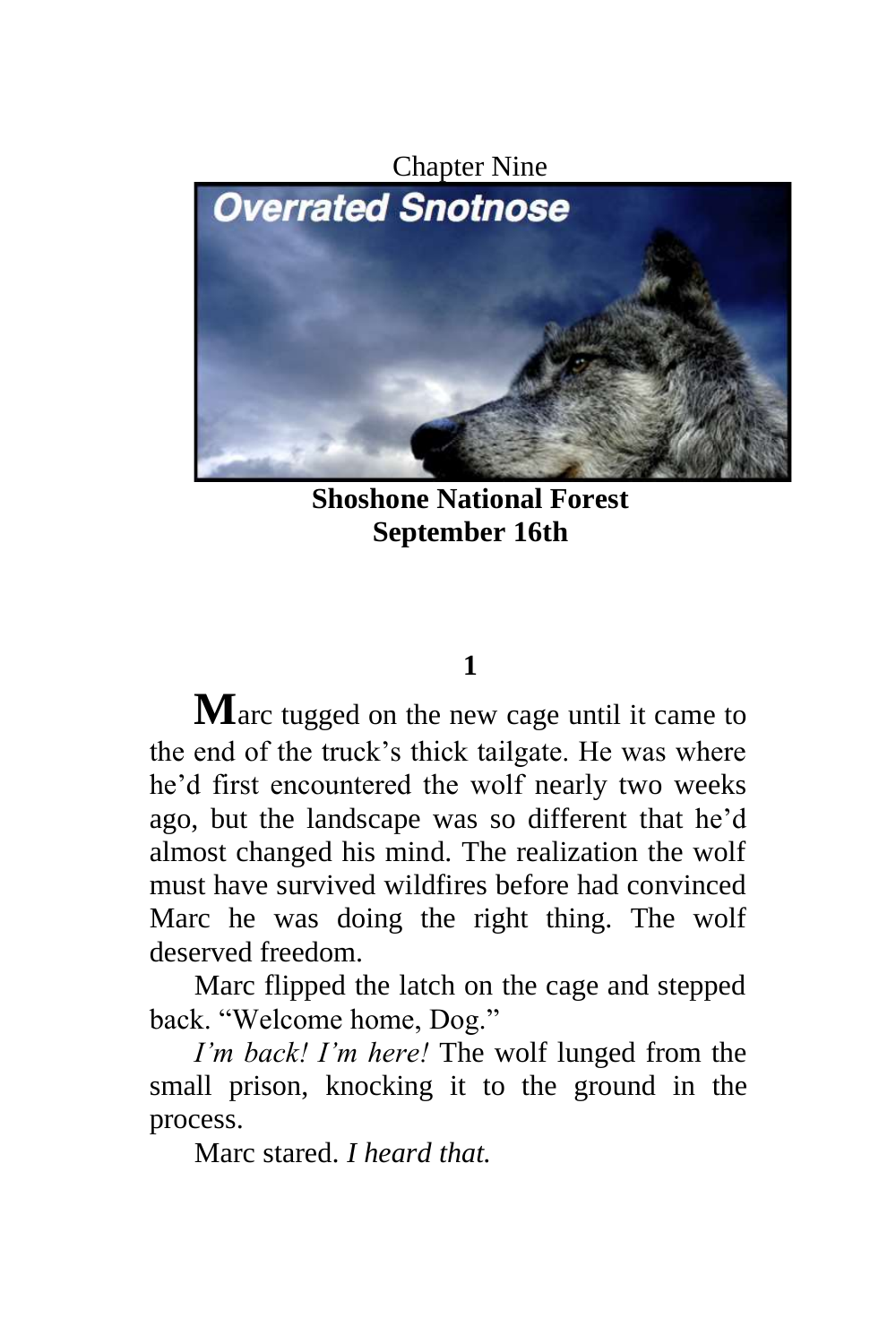

**Shoshone National Forest September 16th**

#### **1**

**M**arc tugged on the new cage until it came to the end of the truck's thick tailgate. He was where he'd first encountered the wolf nearly two weeks ago, but the landscape was so different that he'd almost changed his mind. The realization the wolf must have survived wildfires before had convinced Marc he was doing the right thing. The wolf deserved freedom.

Marc flipped the latch on the cage and stepped back. "Welcome home, Dog."

*I'm back! I'm here!* The wolf lunged from the small prison, knocking it to the ground in the process.

Marc stared. *I heard that.*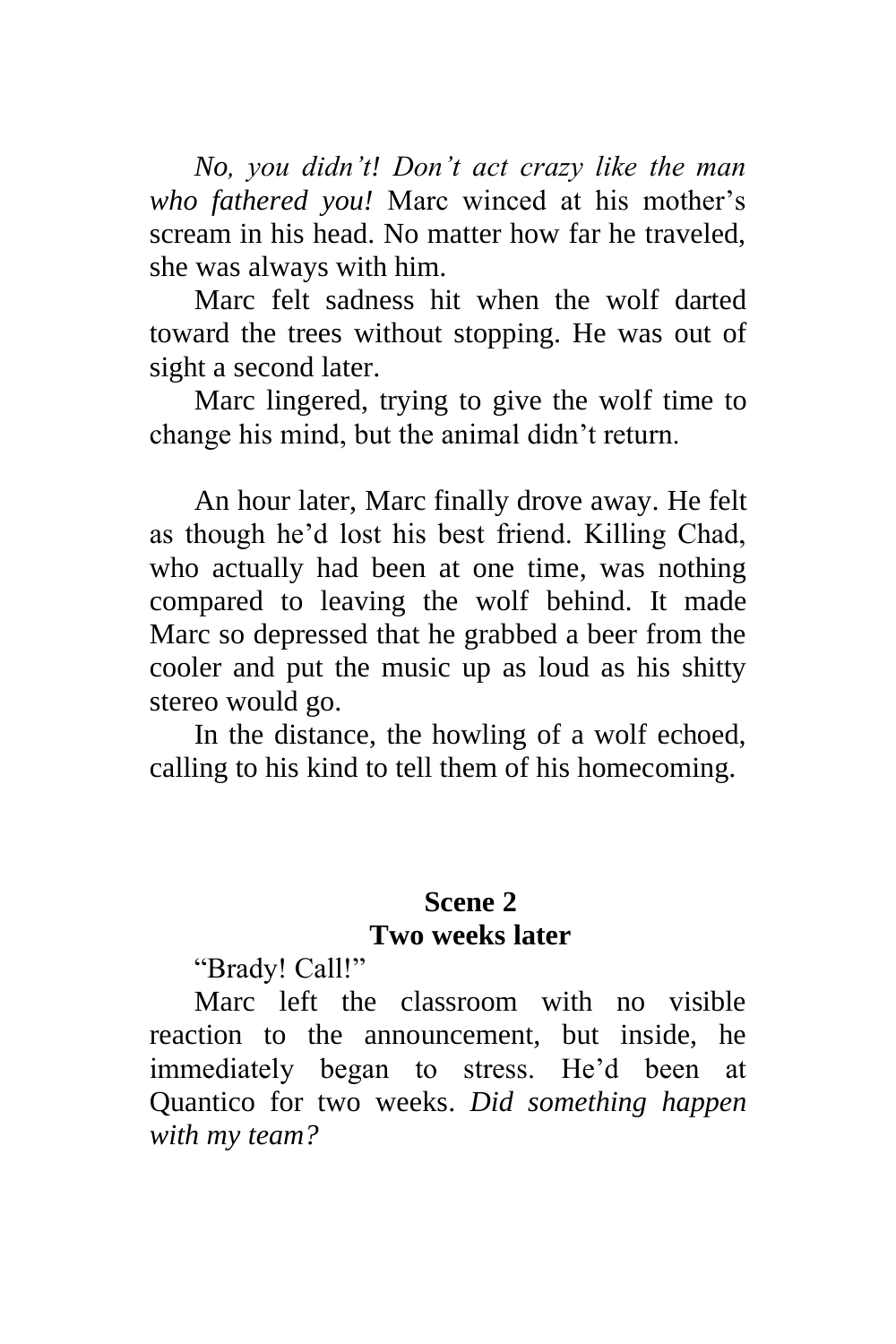*No, you didn't! Don't act crazy like the man who fathered you!* Marc winced at his mother's scream in his head. No matter how far he traveled, she was always with him.

Marc felt sadness hit when the wolf darted toward the trees without stopping. He was out of sight a second later.

Marc lingered, trying to give the wolf time to change his mind, but the animal didn't return.

An hour later, Marc finally drove away. He felt as though he'd lost his best friend. Killing Chad, who actually had been at one time, was nothing compared to leaving the wolf behind. It made Marc so depressed that he grabbed a beer from the cooler and put the music up as loud as his shitty stereo would go.

In the distance, the howling of a wolf echoed, calling to his kind to tell them of his homecoming.

#### **Scene 2 Two weeks later**

"Brady! Call!"

Marc left the classroom with no visible reaction to the announcement, but inside, he immediately began to stress. He'd been at Quantico for two weeks. *Did something happen with my team?*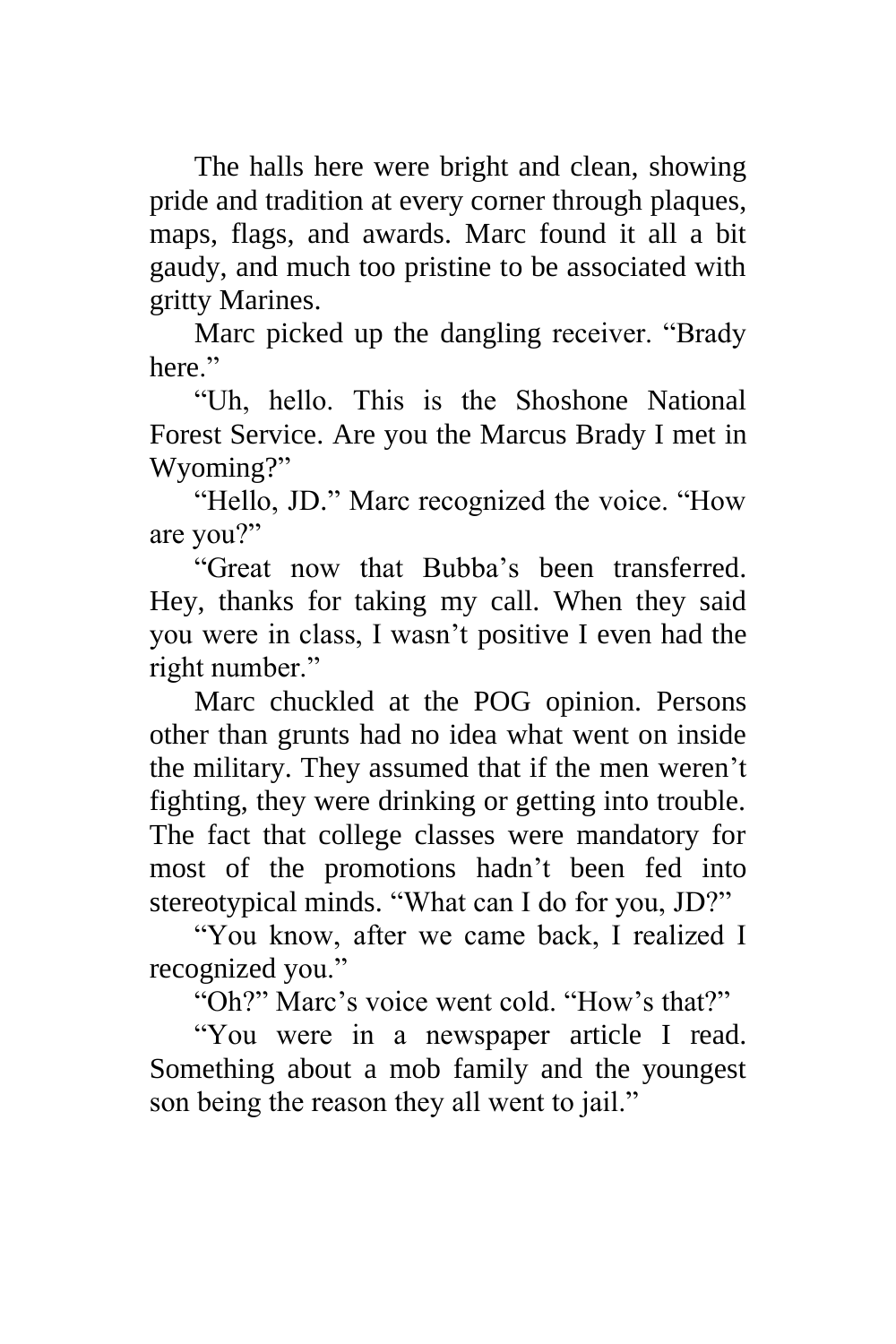The halls here were bright and clean, showing pride and tradition at every corner through plaques, maps, flags, and awards. Marc found it all a bit gaudy, and much too pristine to be associated with gritty Marines.

Marc picked up the dangling receiver. "Brady here."

"Uh, hello. This is the Shoshone National Forest Service. Are you the Marcus Brady I met in Wyoming?"

"Hello, JD." Marc recognized the voice. "How are you?"

"Great now that Bubba's been transferred. Hey, thanks for taking my call. When they said you were in class, I wasn't positive I even had the right number."

Marc chuckled at the POG opinion. Persons other than grunts had no idea what went on inside the military. They assumed that if the men weren't fighting, they were drinking or getting into trouble. The fact that college classes were mandatory for most of the promotions hadn't been fed into stereotypical minds. "What can I do for you, JD?"

"You know, after we came back, I realized I recognized you."

"Oh?" Marc's voice went cold. "How's that?"

"You were in a newspaper article I read. Something about a mob family and the youngest son being the reason they all went to jail."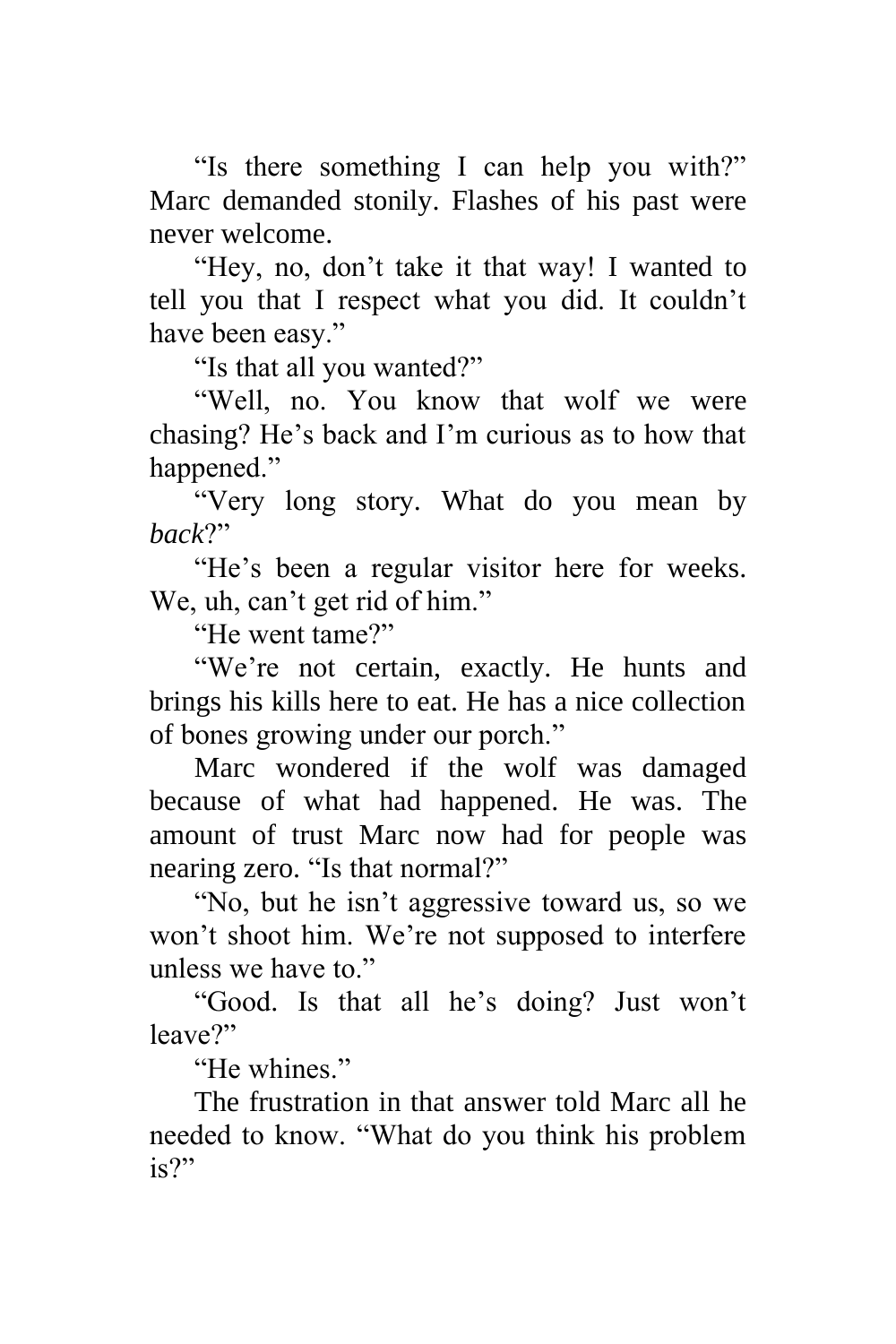"Is there something I can help you with?" Marc demanded stonily. Flashes of his past were never welcome.

"Hey, no, don't take it that way! I wanted to tell you that I respect what you did. It couldn't have been easy."

"Is that all you wanted?"

"Well, no. You know that wolf we were chasing? He's back and I'm curious as to how that happened."

"Very long story. What do you mean by *back*?"

"He's been a regular visitor here for weeks. We, uh, can't get rid of him."

"He went tame?"

"We're not certain, exactly. He hunts and brings his kills here to eat. He has a nice collection of bones growing under our porch."

Marc wondered if the wolf was damaged because of what had happened. He was. The amount of trust Marc now had for people was nearing zero. "Is that normal?"

"No, but he isn't aggressive toward us, so we won't shoot him. We're not supposed to interfere unless we have to."

"Good. Is that all he's doing? Just won't leave?"

"He whines"

The frustration in that answer told Marc all he needed to know. "What do you think his problem is?"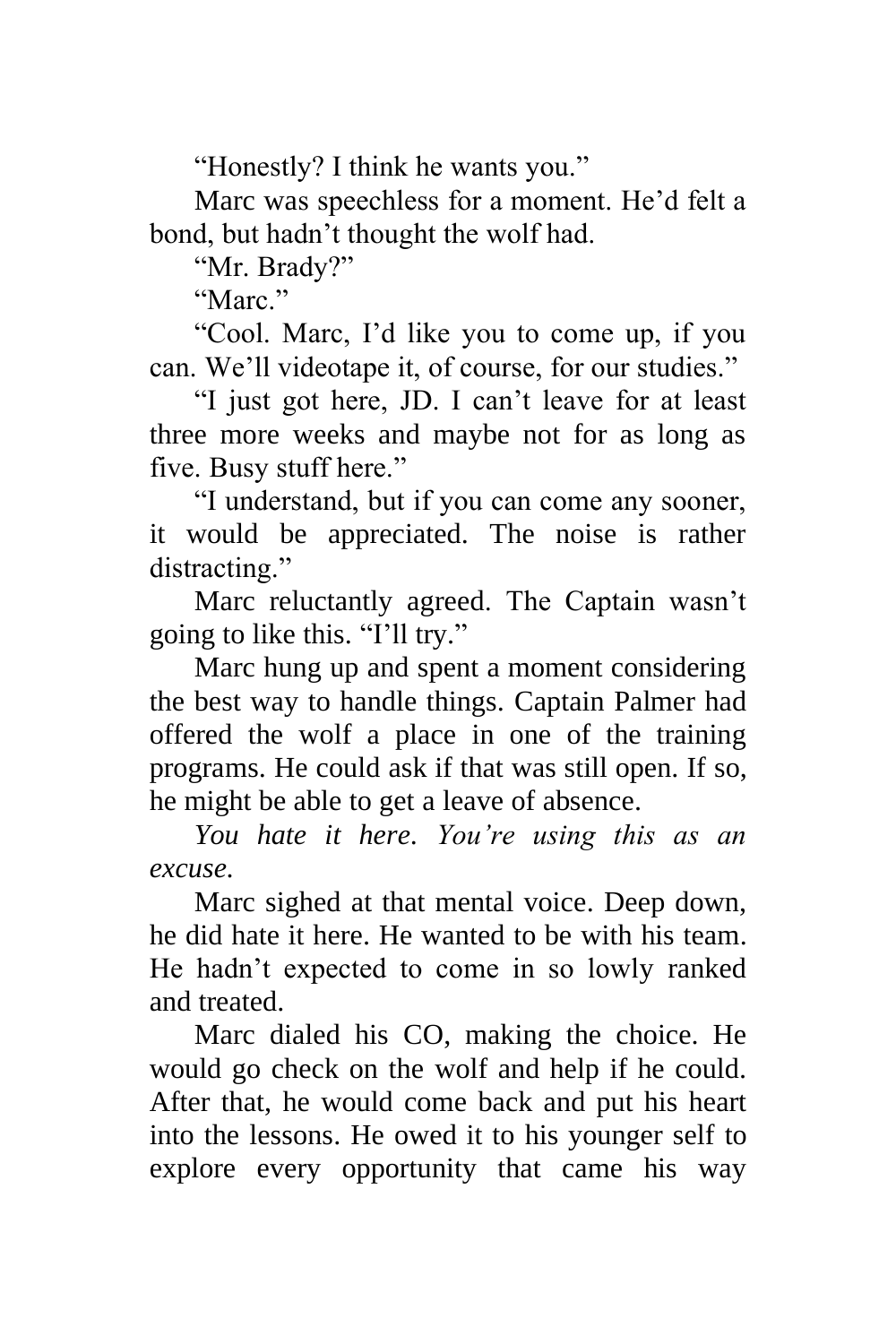"Honestly? I think he wants you."

Marc was speechless for a moment. He'd felt a bond, but hadn't thought the wolf had.

"Mr. Brady?"

"Marc."

"Cool. Marc, I'd like you to come up, if you can. We'll videotape it, of course, for our studies."

"I just got here, JD. I can't leave for at least three more weeks and maybe not for as long as five. Busy stuff here."

"I understand, but if you can come any sooner, it would be appreciated. The noise is rather distracting."

Marc reluctantly agreed. The Captain wasn't going to like this. "I'll try."

Marc hung up and spent a moment considering the best way to handle things. Captain Palmer had offered the wolf a place in one of the training programs. He could ask if that was still open. If so, he might be able to get a leave of absence.

*You hate it here. You're using this as an excuse.*

Marc sighed at that mental voice. Deep down, he did hate it here. He wanted to be with his team. He hadn't expected to come in so lowly ranked and treated.

Marc dialed his CO, making the choice. He would go check on the wolf and help if he could. After that, he would come back and put his heart into the lessons. He owed it to his younger self to explore every opportunity that came his way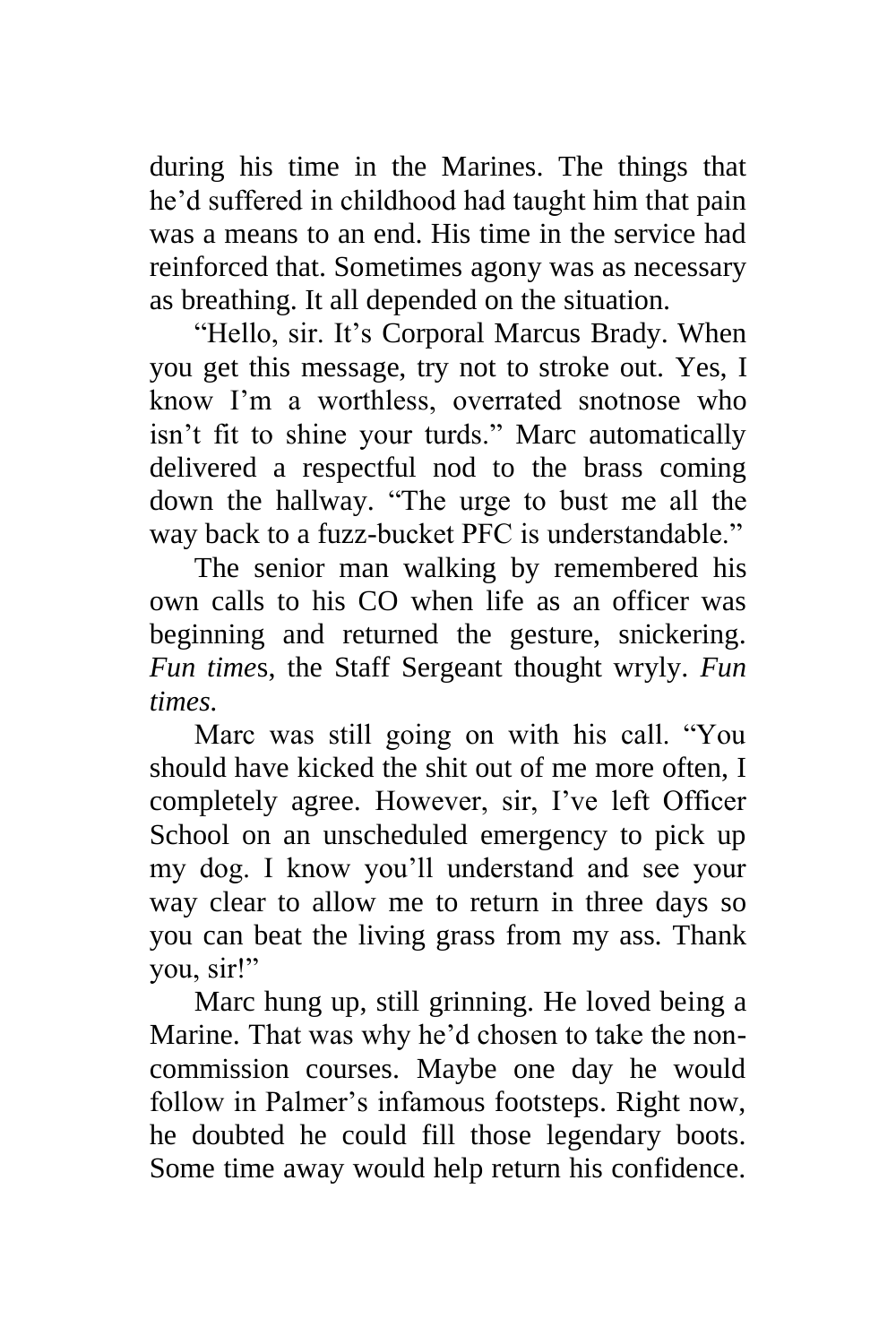during his time in the Marines. The things that he'd suffered in childhood had taught him that pain was a means to an end. His time in the service had reinforced that. Sometimes agony was as necessary as breathing. It all depended on the situation.

"Hello, sir. It's Corporal Marcus Brady. When you get this message, try not to stroke out. Yes, I know I'm a worthless, overrated snotnose who isn't fit to shine your turds." Marc automatically delivered a respectful nod to the brass coming down the hallway. "The urge to bust me all the way back to a fuzz-bucket PFC is understandable."

The senior man walking by remembered his own calls to his CO when life as an officer was beginning and returned the gesture, snickering. *Fun time*s, the Staff Sergeant thought wryly. *Fun times.*

Marc was still going on with his call. "You should have kicked the shit out of me more often, I completely agree. However, sir, I've left Officer School on an unscheduled emergency to pick up my dog. I know you'll understand and see your way clear to allow me to return in three days so you can beat the living grass from my ass. Thank you, sir!"

Marc hung up, still grinning. He loved being a Marine. That was why he'd chosen to take the noncommission courses. Maybe one day he would follow in Palmer's infamous footsteps. Right now, he doubted he could fill those legendary boots. Some time away would help return his confidence.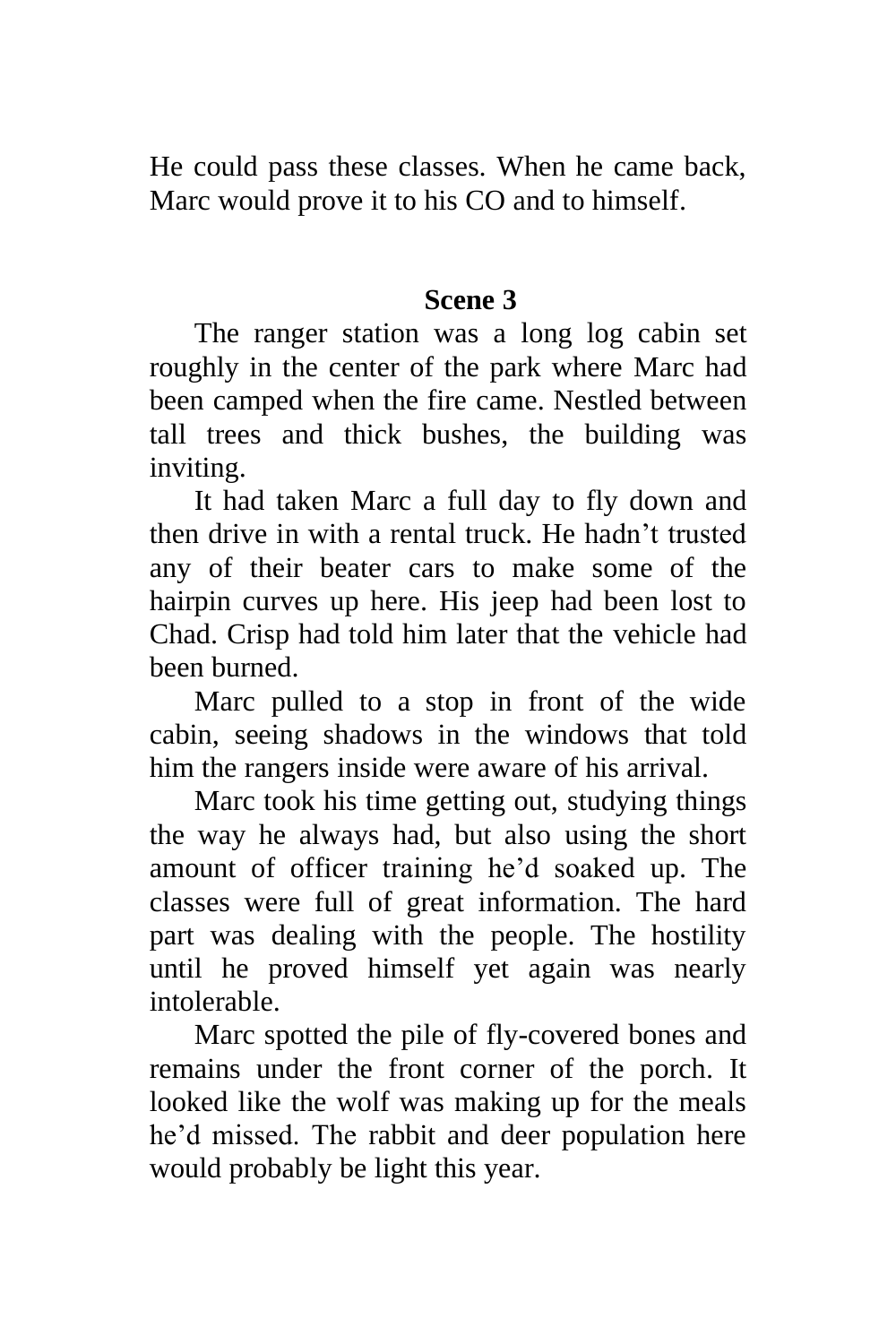He could pass these classes. When he came back, Marc would prove it to his CO and to himself.

#### **Scene 3**

The ranger station was a long log cabin set roughly in the center of the park where Marc had been camped when the fire came. Nestled between tall trees and thick bushes, the building was inviting.

It had taken Marc a full day to fly down and then drive in with a rental truck. He hadn't trusted any of their beater cars to make some of the hairpin curves up here. His jeep had been lost to Chad. Crisp had told him later that the vehicle had been burned.

Marc pulled to a stop in front of the wide cabin, seeing shadows in the windows that told him the rangers inside were aware of his arrival.

Marc took his time getting out, studying things the way he always had, but also using the short amount of officer training he'd soaked up. The classes were full of great information. The hard part was dealing with the people. The hostility until he proved himself yet again was nearly intolerable.

Marc spotted the pile of fly-covered bones and remains under the front corner of the porch. It looked like the wolf was making up for the meals he'd missed. The rabbit and deer population here would probably be light this year.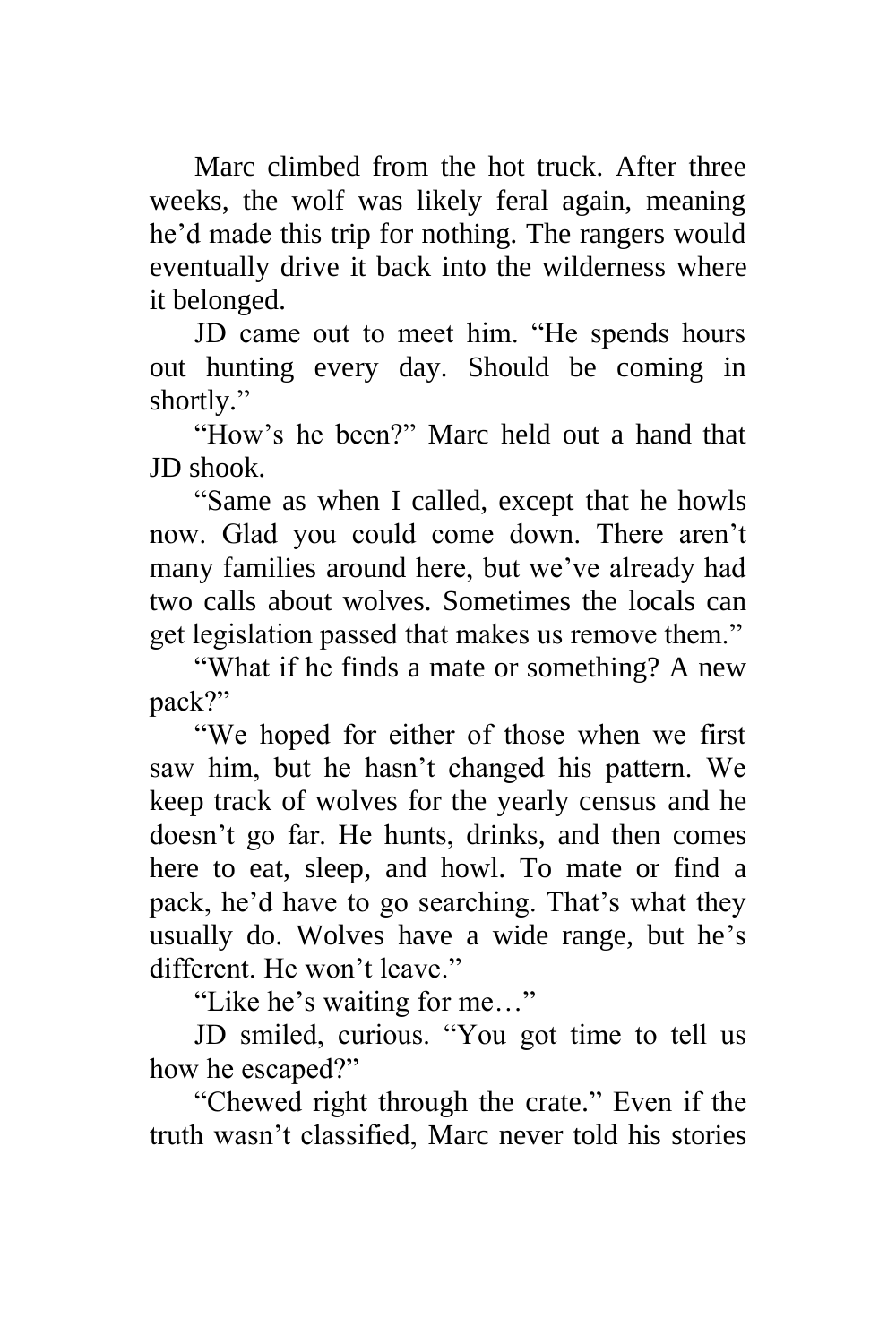Marc climbed from the hot truck. After three weeks, the wolf was likely feral again, meaning he'd made this trip for nothing. The rangers would eventually drive it back into the wilderness where it belonged.

JD came out to meet him. "He spends hours out hunting every day. Should be coming in shortly."

"How's he been?" Marc held out a hand that JD shook.

"Same as when I called, except that he howls now. Glad you could come down. There aren't many families around here, but we've already had two calls about wolves. Sometimes the locals can get legislation passed that makes us remove them."

"What if he finds a mate or something? A new pack?"

"We hoped for either of those when we first saw him, but he hasn't changed his pattern. We keep track of wolves for the yearly census and he doesn't go far. He hunts, drinks, and then comes here to eat, sleep, and howl. To mate or find a pack, he'd have to go searching. That's what they usually do. Wolves have a wide range, but he's different. He won't leave."

"Like he's waiting for me…"

JD smiled, curious. "You got time to tell us how he escaped?"

"Chewed right through the crate." Even if the truth wasn't classified, Marc never told his stories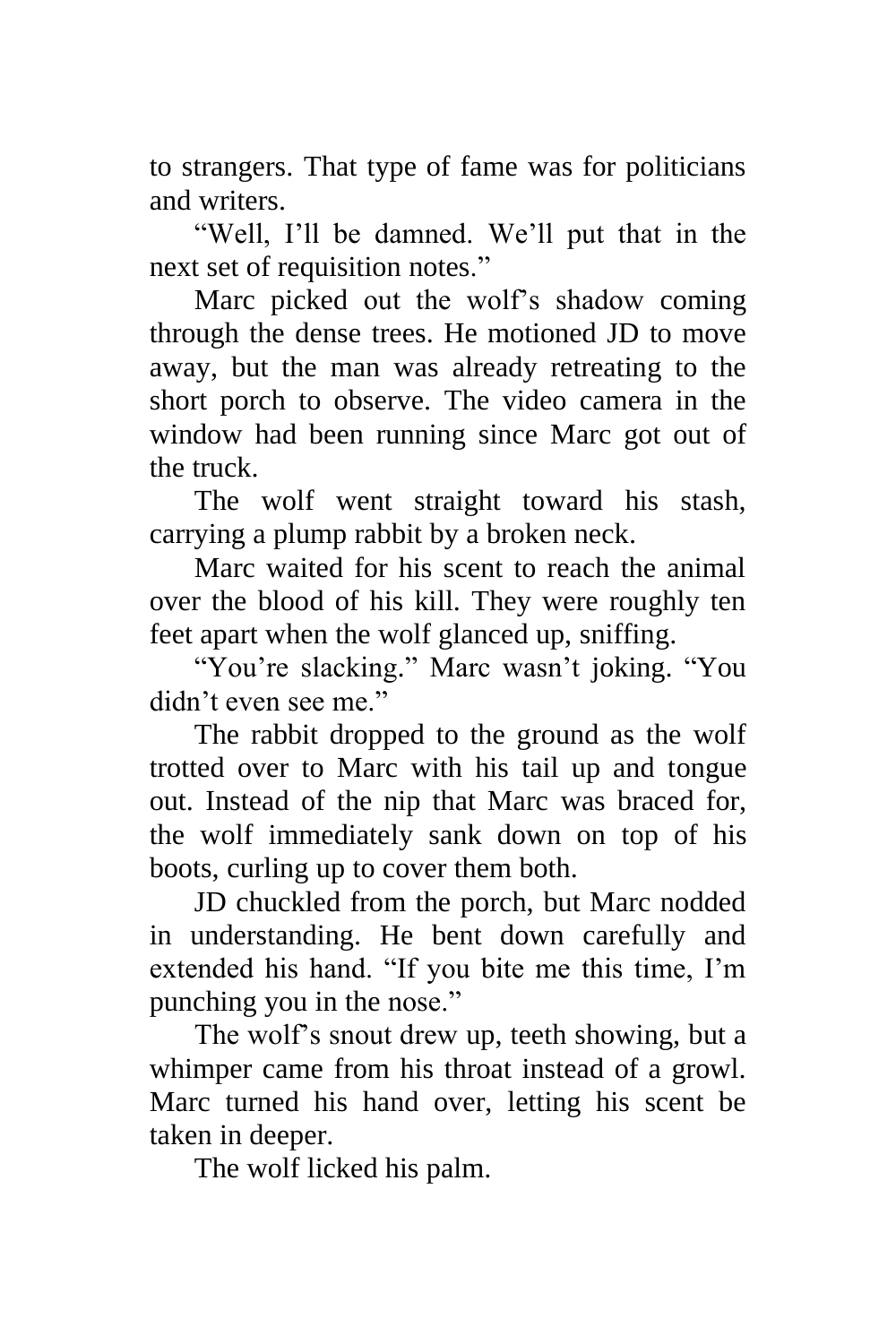to strangers. That type of fame was for politicians and writers.

"Well, I'll be damned. We'll put that in the next set of requisition notes."

Marc picked out the wolf's shadow coming through the dense trees. He motioned JD to move away, but the man was already retreating to the short porch to observe. The video camera in the window had been running since Marc got out of the truck.

The wolf went straight toward his stash, carrying a plump rabbit by a broken neck.

Marc waited for his scent to reach the animal over the blood of his kill. They were roughly ten feet apart when the wolf glanced up, sniffing.

"You're slacking." Marc wasn't joking. "You didn't even see me."

The rabbit dropped to the ground as the wolf trotted over to Marc with his tail up and tongue out. Instead of the nip that Marc was braced for, the wolf immediately sank down on top of his boots, curling up to cover them both.

JD chuckled from the porch, but Marc nodded in understanding. He bent down carefully and extended his hand. "If you bite me this time, I'm punching you in the nose."

The wolf's snout drew up, teeth showing, but a whimper came from his throat instead of a growl. Marc turned his hand over, letting his scent be taken in deeper.

The wolf licked his palm.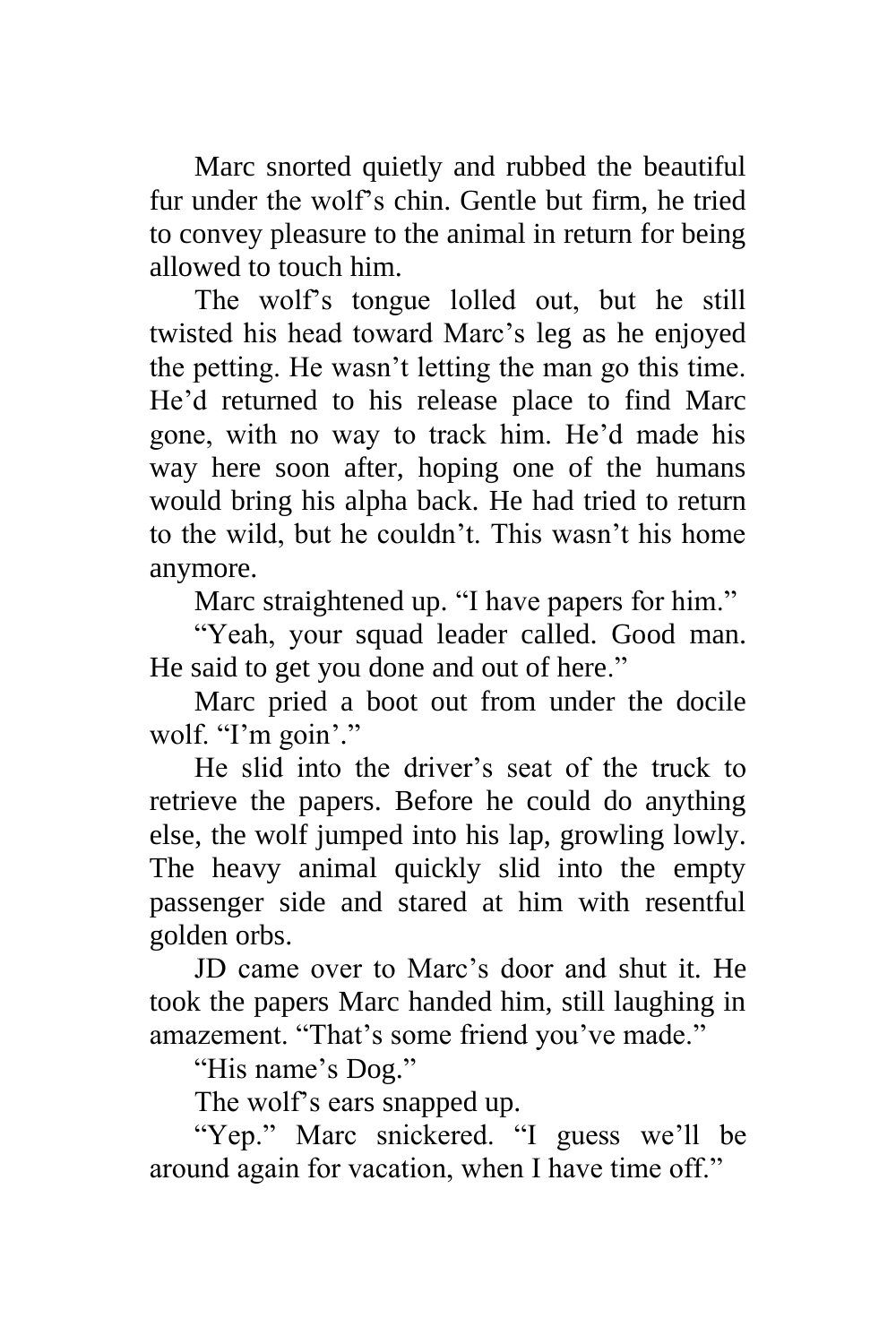Marc snorted quietly and rubbed the beautiful fur under the wolf's chin. Gentle but firm, he tried to convey pleasure to the animal in return for being allowed to touch him.

The wolf's tongue lolled out, but he still twisted his head toward Marc's leg as he enjoyed the petting. He wasn't letting the man go this time. He'd returned to his release place to find Marc gone, with no way to track him. He'd made his way here soon after, hoping one of the humans would bring his alpha back. He had tried to return to the wild, but he couldn't. This wasn't his home anymore.

Marc straightened up. "I have papers for him."

"Yeah, your squad leader called. Good man. He said to get you done and out of here."

Marc pried a boot out from under the docile wolf. "I'm goin'."

He slid into the driver's seat of the truck to retrieve the papers. Before he could do anything else, the wolf jumped into his lap, growling lowly. The heavy animal quickly slid into the empty passenger side and stared at him with resentful golden orbs.

JD came over to Marc's door and shut it. He took the papers Marc handed him, still laughing in amazement. "That's some friend you've made."

"His name's Dog."

The wolf's ears snapped up.

"Yep." Marc snickered. "I guess we'll be around again for vacation, when I have time off."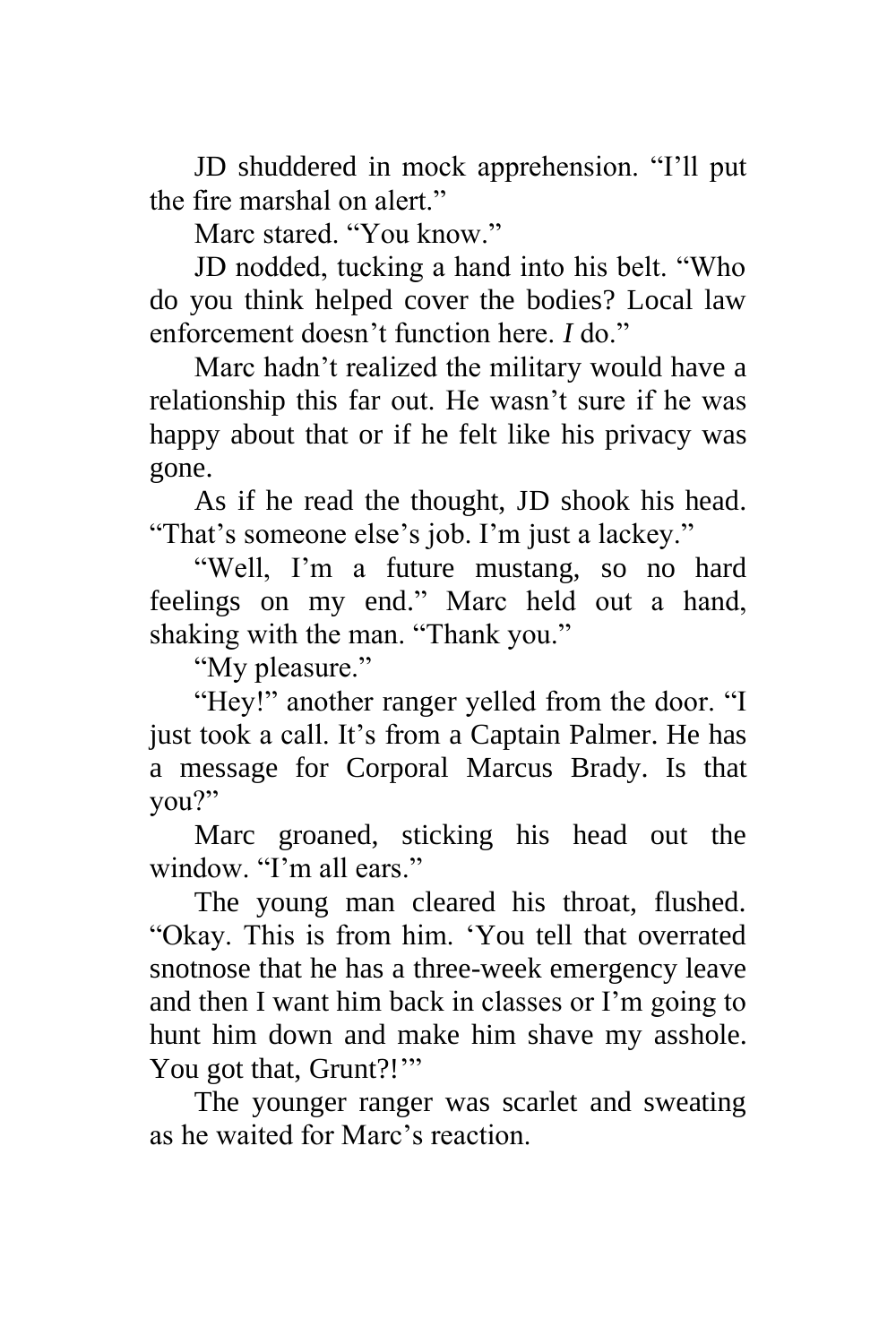JD shuddered in mock apprehension. "I'll put the fire marshal on alert."

Marc stared. "You know."

JD nodded, tucking a hand into his belt. "Who do you think helped cover the bodies? Local law enforcement doesn't function here. *I* do."

Marc hadn't realized the military would have a relationship this far out. He wasn't sure if he was happy about that or if he felt like his privacy was gone.

As if he read the thought, JD shook his head. "That's someone else's job. I'm just a lackey."

"Well, I'm a future mustang, so no hard feelings on my end." Marc held out a hand, shaking with the man. "Thank you."

"My pleasure."

"Hey!" another ranger yelled from the door. "I just took a call. It's from a Captain Palmer. He has a message for Corporal Marcus Brady. Is that you?"

Marc groaned, sticking his head out the window. "I'm all ears."

The young man cleared his throat, flushed. "Okay. This is from him. 'You tell that overrated snotnose that he has a three-week emergency leave and then I want him back in classes or I'm going to hunt him down and make him shave my asshole. You got that, Grunt?!""

The younger ranger was scarlet and sweating as he waited for Marc's reaction.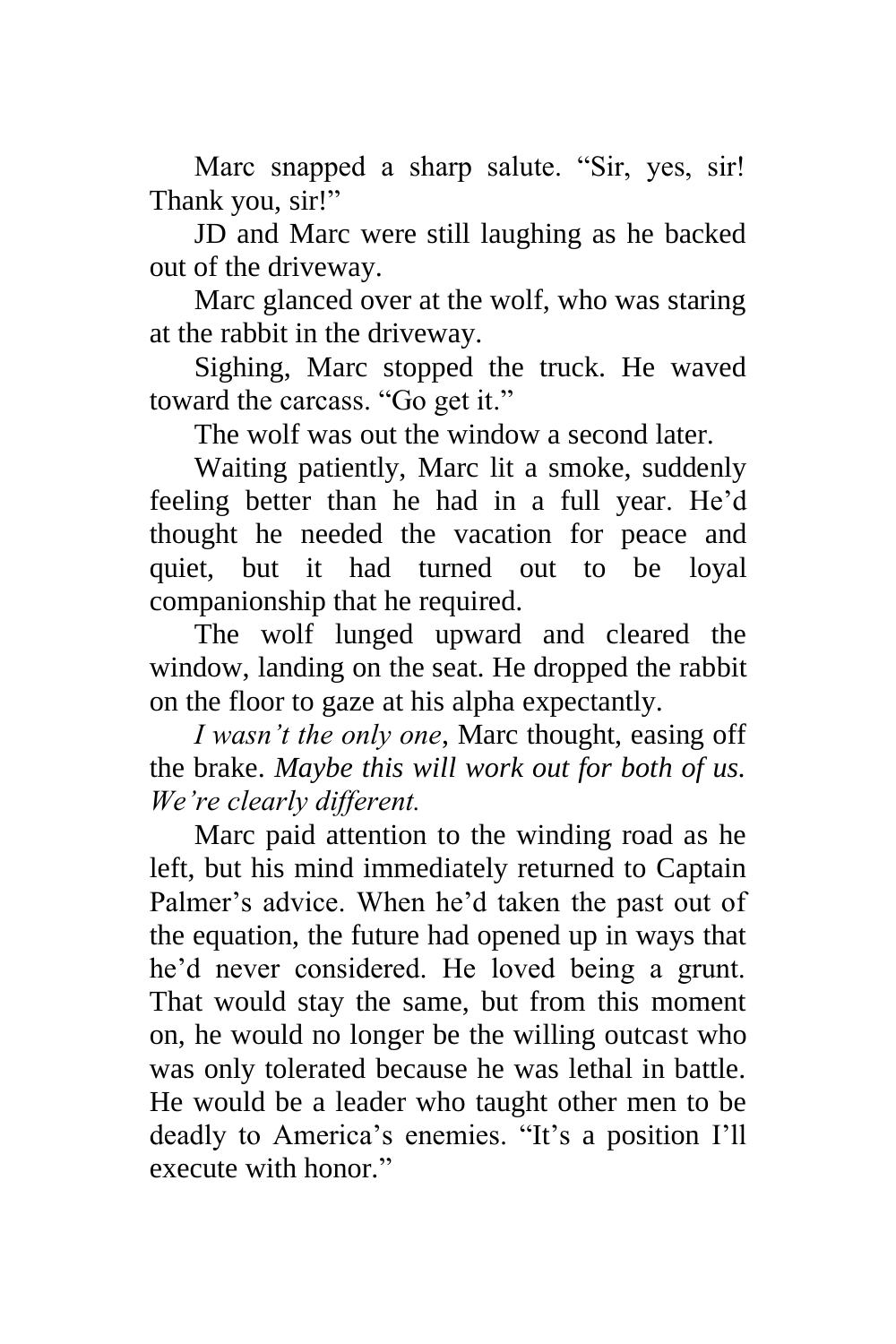Marc snapped a sharp salute. "Sir, yes, sir! Thank you, sir!"

JD and Marc were still laughing as he backed out of the driveway.

Marc glanced over at the wolf, who was staring at the rabbit in the driveway.

Sighing, Marc stopped the truck. He waved toward the carcass. "Go get it."

The wolf was out the window a second later.

Waiting patiently, Marc lit a smoke, suddenly feeling better than he had in a full year. He'd thought he needed the vacation for peace and quiet, but it had turned out to be loyal companionship that he required.

The wolf lunged upward and cleared the window, landing on the seat. He dropped the rabbit on the floor to gaze at his alpha expectantly.

*I wasn't the only one*, Marc thought, easing off the brake. *Maybe this will work out for both of us. We're clearly different.*

Marc paid attention to the winding road as he left, but his mind immediately returned to Captain Palmer's advice. When he'd taken the past out of the equation, the future had opened up in ways that he'd never considered. He loved being a grunt. That would stay the same, but from this moment on, he would no longer be the willing outcast who was only tolerated because he was lethal in battle. He would be a leader who taught other men to be deadly to America's enemies. "It's a position I'll execute with honor."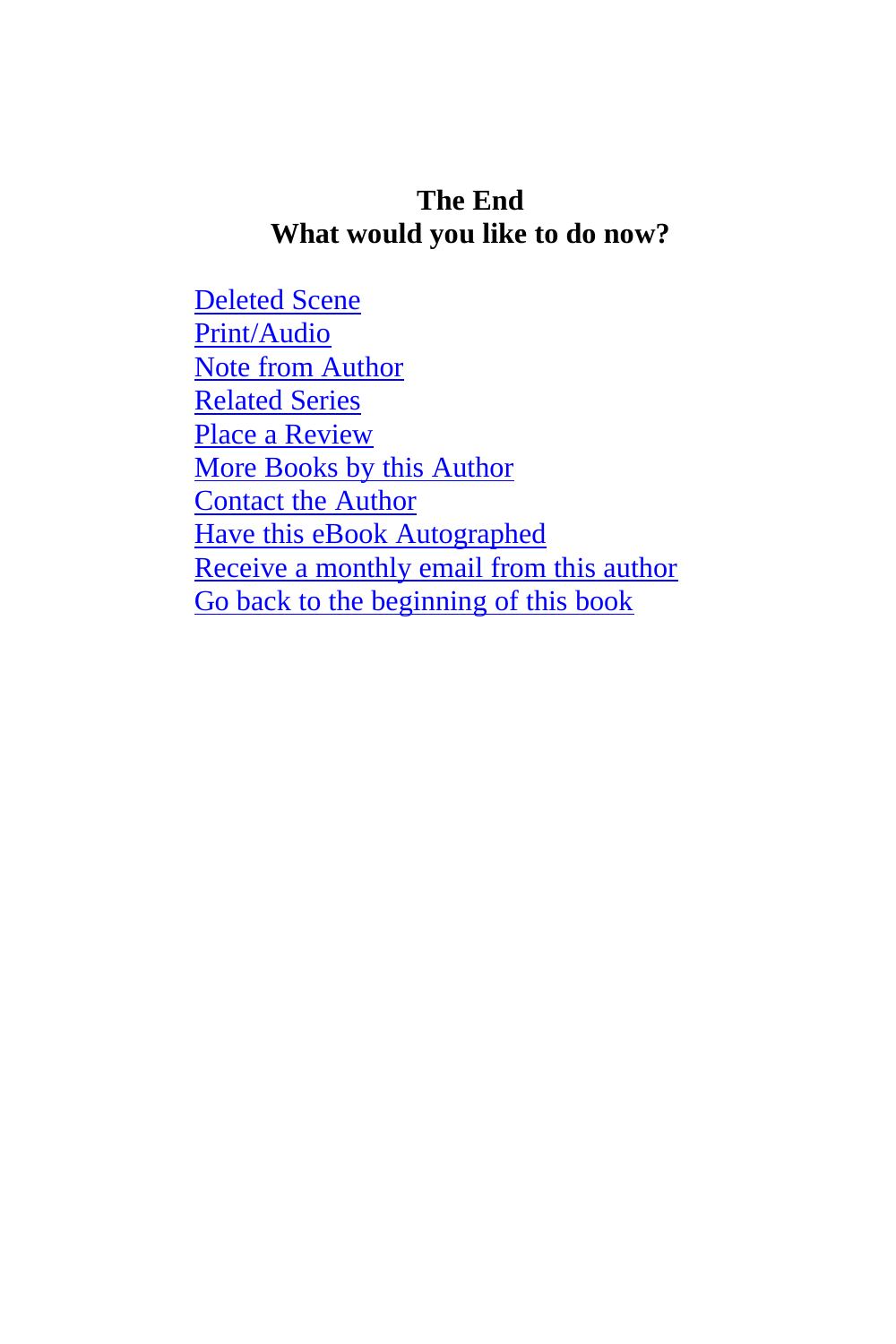#### **The End What would you like to do now?**

[Deleted Scene](#page-162-0) [Print/Audio](http://www.authorangelawhite.website/marc-and-dog.html) [Note from Author](#page-164-0) [Related Series](#page-165-0) [Place a Review](#page-166-0) [More Books by this Author](#page-167-0) [Contact the Author](#page-168-0) [Have this eBook Autographed](#page-169-0) [Receive a monthly email from this author](#page-170-0) [Go back to the beginning of this book](#page-2-0)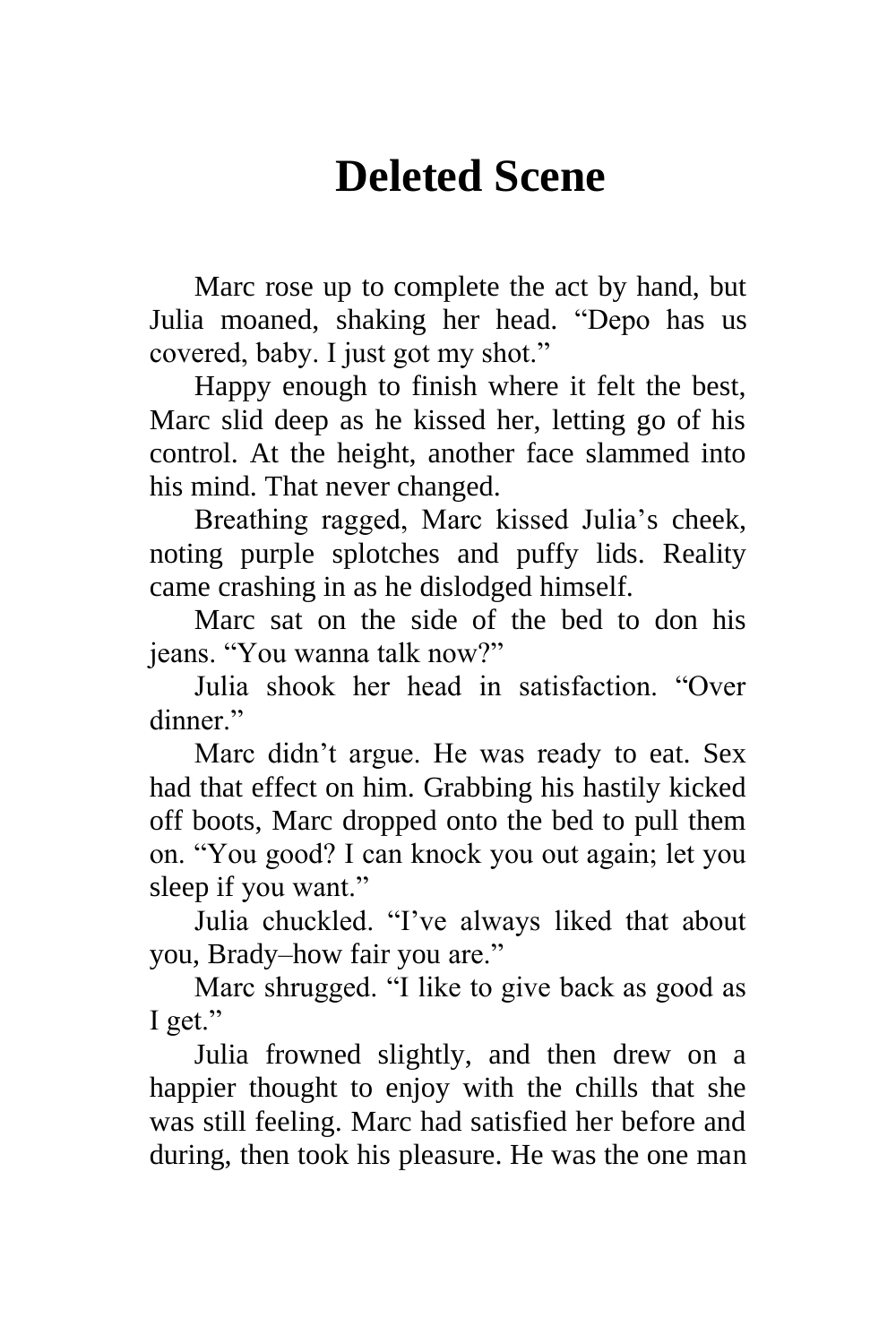# **Deleted Scene**

<span id="page-162-0"></span>Marc rose up to complete the act by hand, but Julia moaned, shaking her head. "Depo has us covered, baby. I just got my shot."

Happy enough to finish where it felt the best, Marc slid deep as he kissed her, letting go of his control. At the height, another face slammed into his mind. That never changed.

Breathing ragged, Marc kissed Julia's cheek, noting purple splotches and puffy lids. Reality came crashing in as he dislodged himself.

Marc sat on the side of the bed to don his jeans. "You wanna talk now?"

Julia shook her head in satisfaction. "Over dinner."

Marc didn't argue. He was ready to eat. Sex had that effect on him. Grabbing his hastily kicked off boots, Marc dropped onto the bed to pull them on. "You good? I can knock you out again; let you sleep if you want."

Julia chuckled. "I've always liked that about you, Brady–how fair you are."

Marc shrugged. "I like to give back as good as I get."

Julia frowned slightly, and then drew on a happier thought to enjoy with the chills that she was still feeling. Marc had satisfied her before and during, then took his pleasure. He was the one man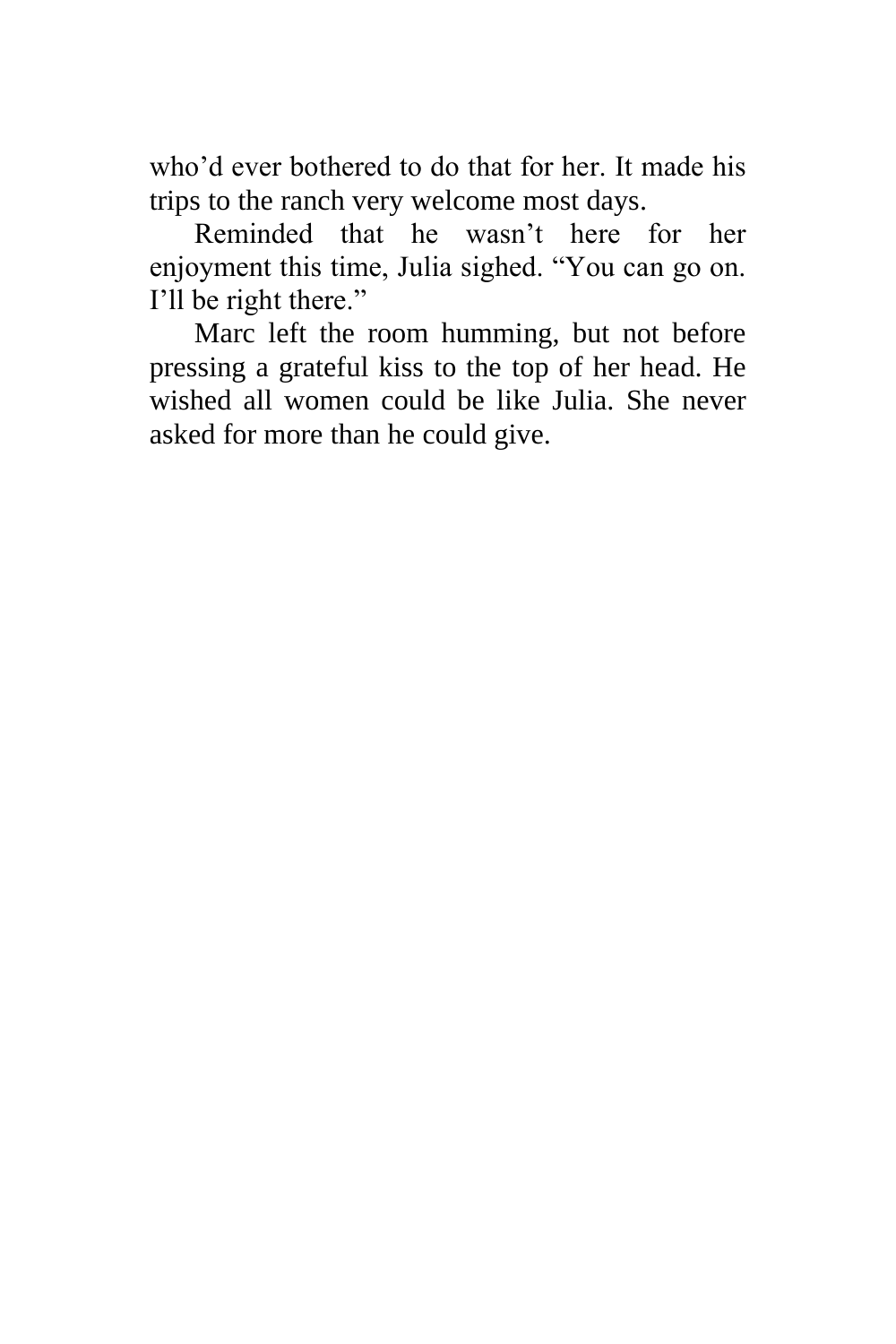who'd ever bothered to do that for her. It made his trips to the ranch very welcome most days.

Reminded that he wasn't here for her enjoyment this time, Julia sighed. "You can go on. I'll be right there."

Marc left the room humming, but not before pressing a grateful kiss to the top of her head. He wished all women could be like Julia. She never asked for more than he could give.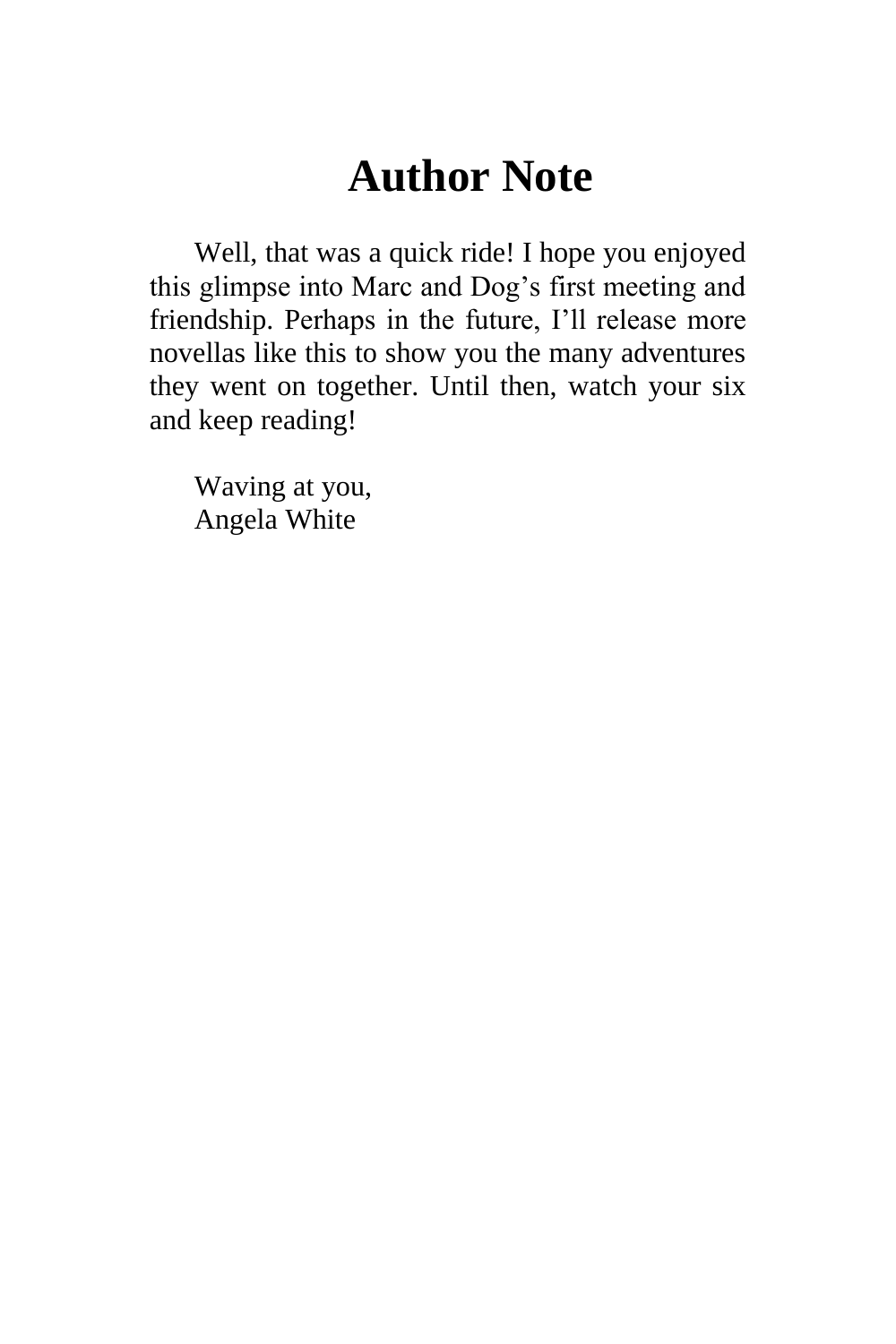### **Author Note**

<span id="page-164-0"></span>Well, that was a quick ride! I hope you enjoyed this glimpse into Marc and Dog's first meeting and friendship. Perhaps in the future, I'll release more novellas like this to show you the many adventures they went on together. Until then, watch your six and keep reading!

Waving at you, Angela White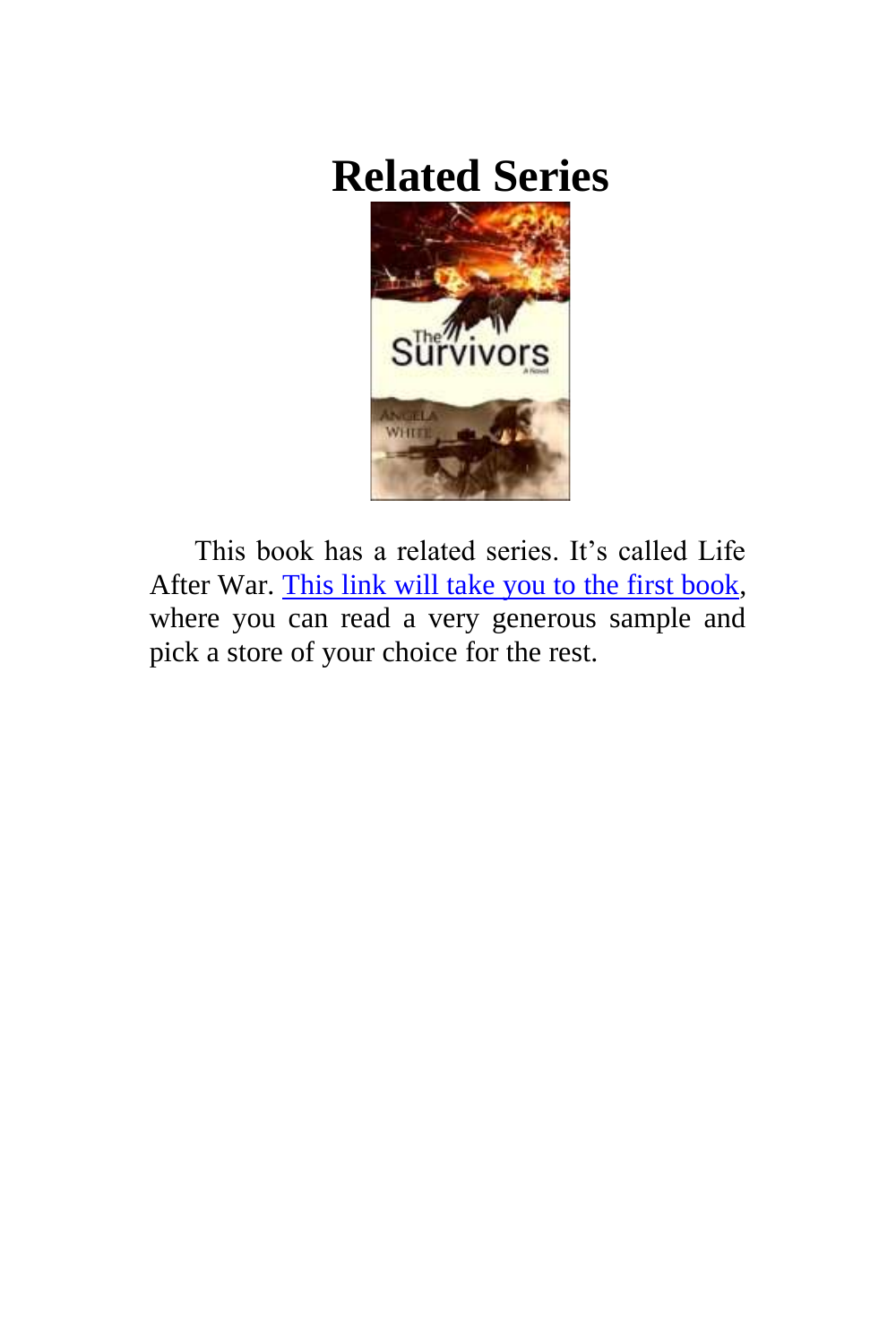# <span id="page-165-0"></span>**Related Series**



This book has a related series. It's called Life After War. [This link will take you to the first book,](http://www.authorangelawhite.website/book-1.html) where you can read a very generous sample and pick a store of your choice for the rest.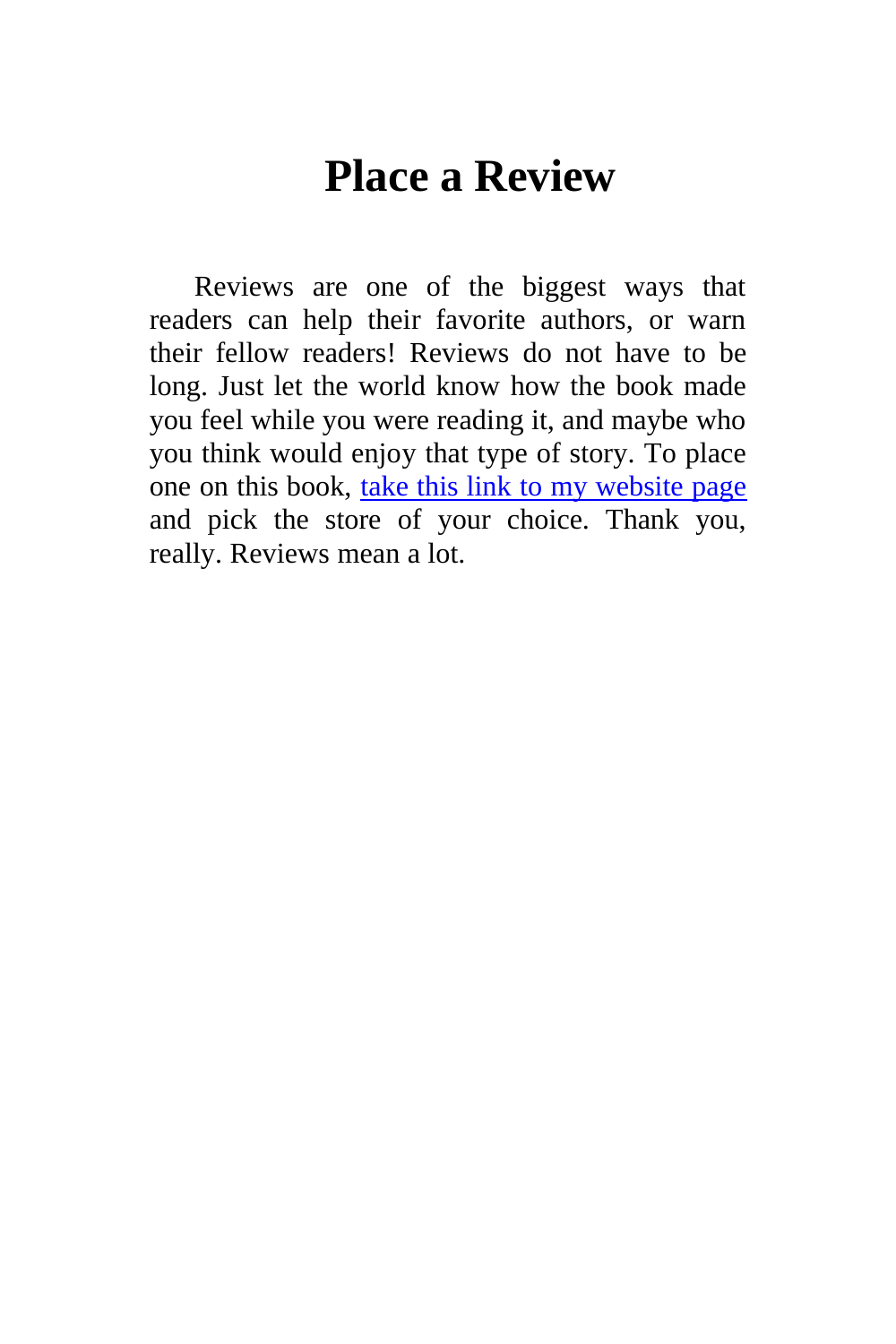### **Place a Review**

<span id="page-166-0"></span>Reviews are one of the biggest ways that readers can help their favorite authors, or warn their fellow readers! Reviews do not have to be long. Just let the world know how the book made you feel while you were reading it, and maybe who you think would enjoy that type of story. To place one on this book, [take this link to my website page](http://www.authorangelawhite.website/marc-and-dog.html) and pick the store of your choice. Thank you, really. Reviews mean a lot.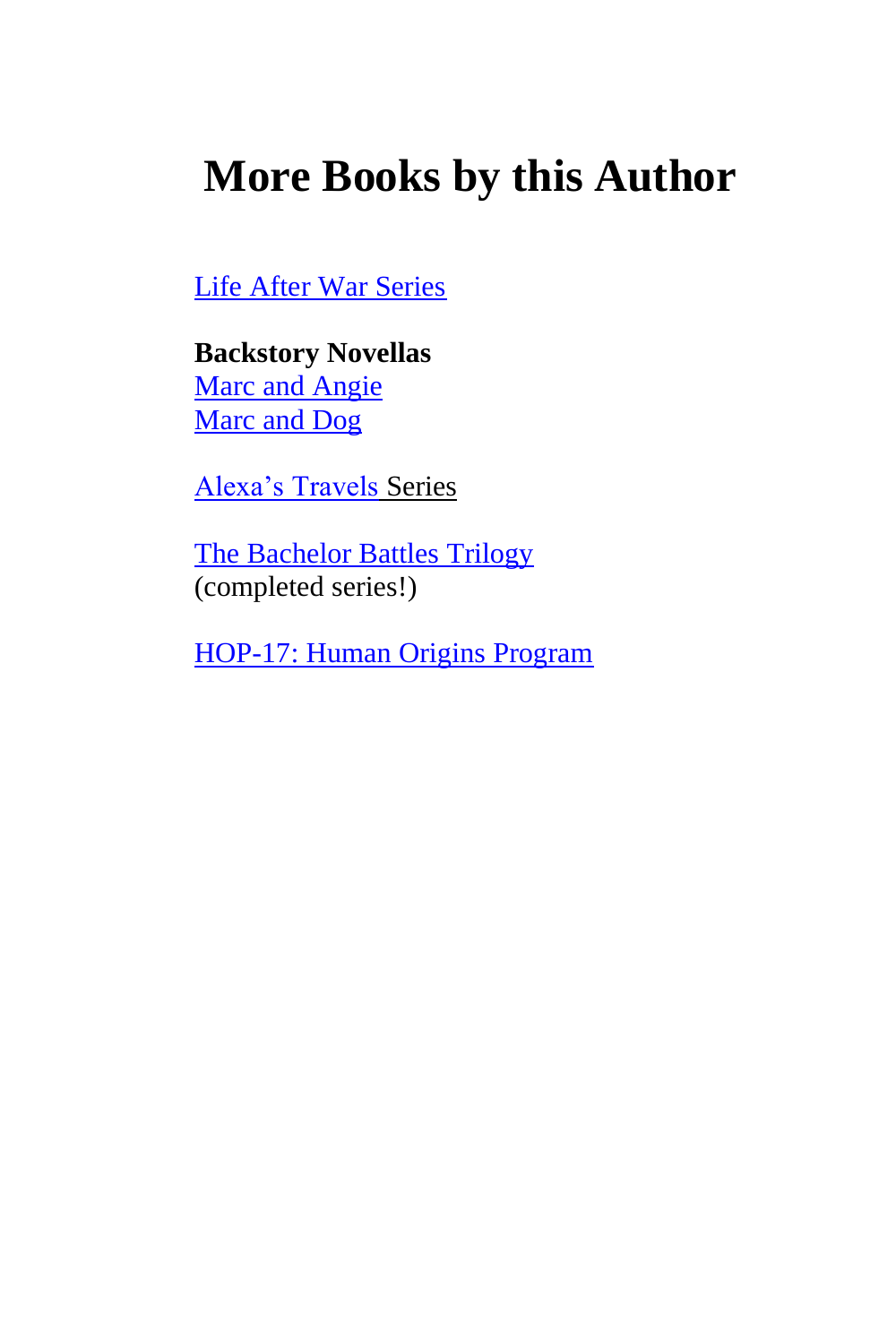# <span id="page-167-0"></span>**More Books by this Author**

[Life After War Series](http://authorangelawhite.weebly.com/life-after-war.html)

**Backstory Novellas** [Marc and Angie](http://authorangelawhite.weebly.com/marc-and-angie.html) [Marc and Dog](http://authorangelawhite.weebly.com/marc-and-dog.html)

[Alexa's Travels](http://authorangelawhite.weebly.com/alexas-travels.html) Series

[The Bachelor Battles Trilogy](http://authorangelawhite.weebly.com/bachelor-battles.html) (completed series!)

[HOP-17: Human Origins Program](http://www.authorangelawhite.website/hop-17.html)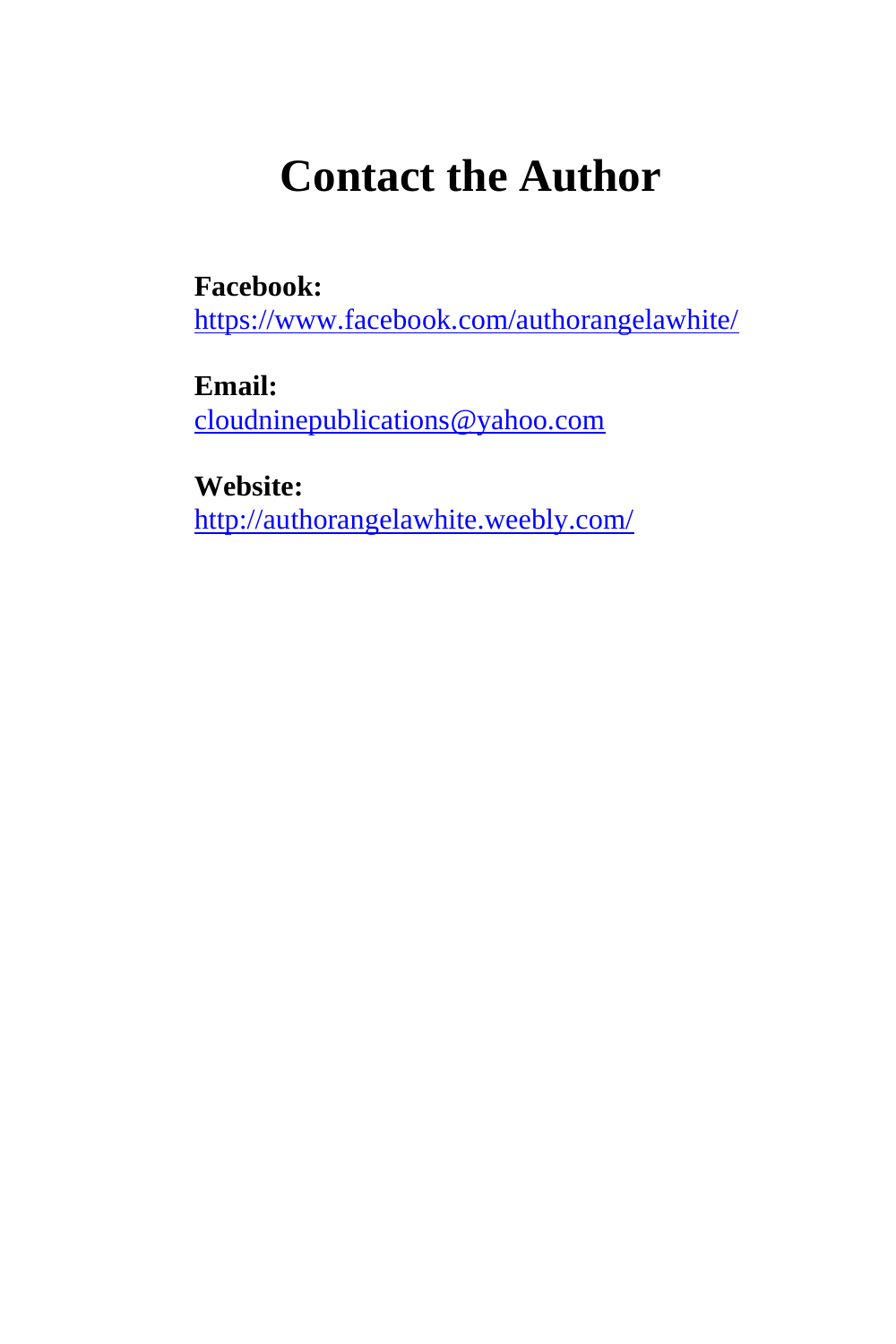# **Contact the Author**

<span id="page-168-0"></span>**Facebook:**

<https://www.facebook.com/authorangelawhite/>

**Email:** [cloudninepublications@yahoo.com](mailto:cloudninepublications@yahoo.com)

**Website:** <http://authorangelawhite.weebly.com/>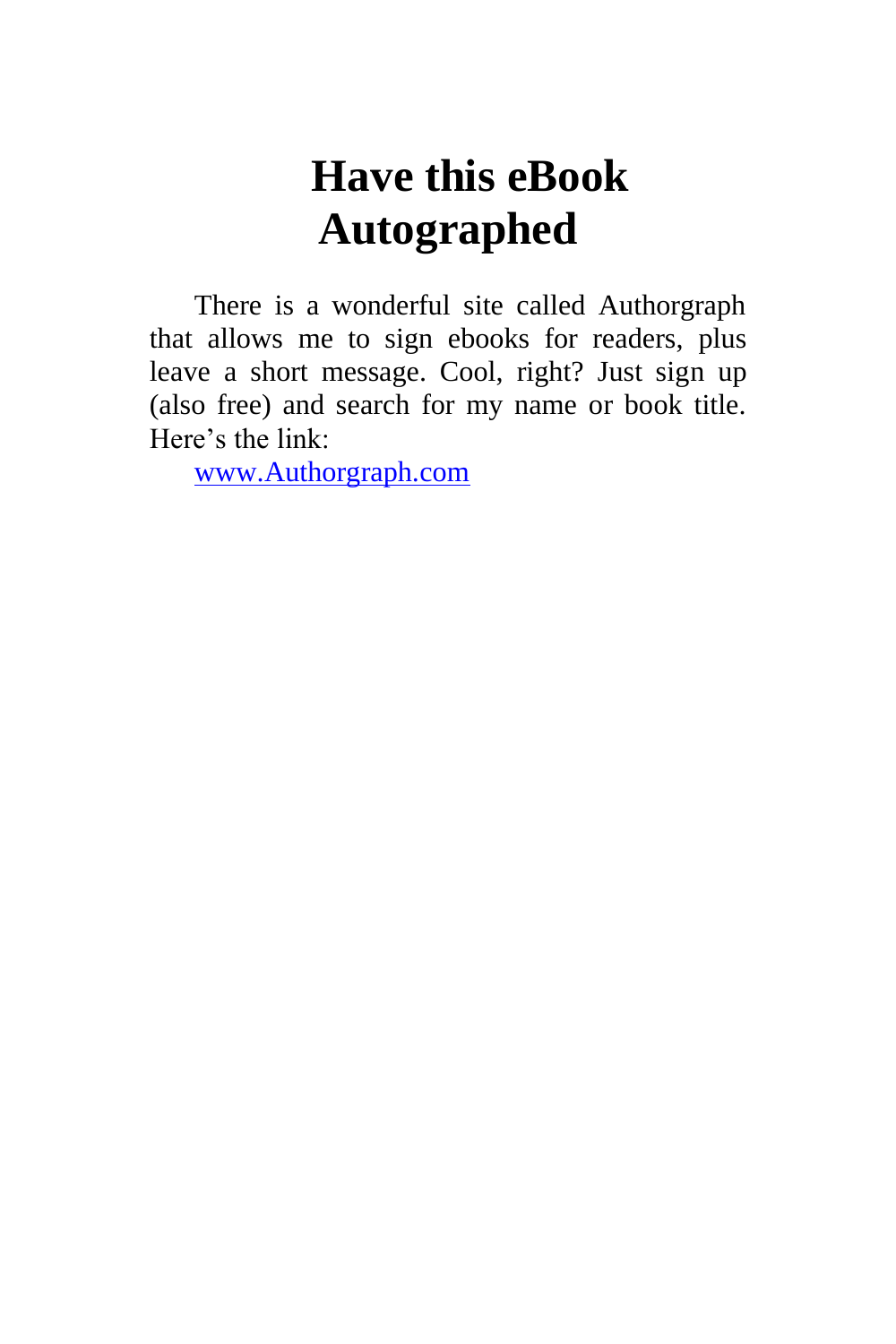## **Have this eBook Autographed**

<span id="page-169-0"></span>There is a wonderful site called Authorgraph that allows me to sign ebooks for readers, plus leave a short message. Cool, right? Just sign up (also free) and search for my name or book title. Here's the link:

[www.Authorgraph.com](http://www.authorgraph.com/)